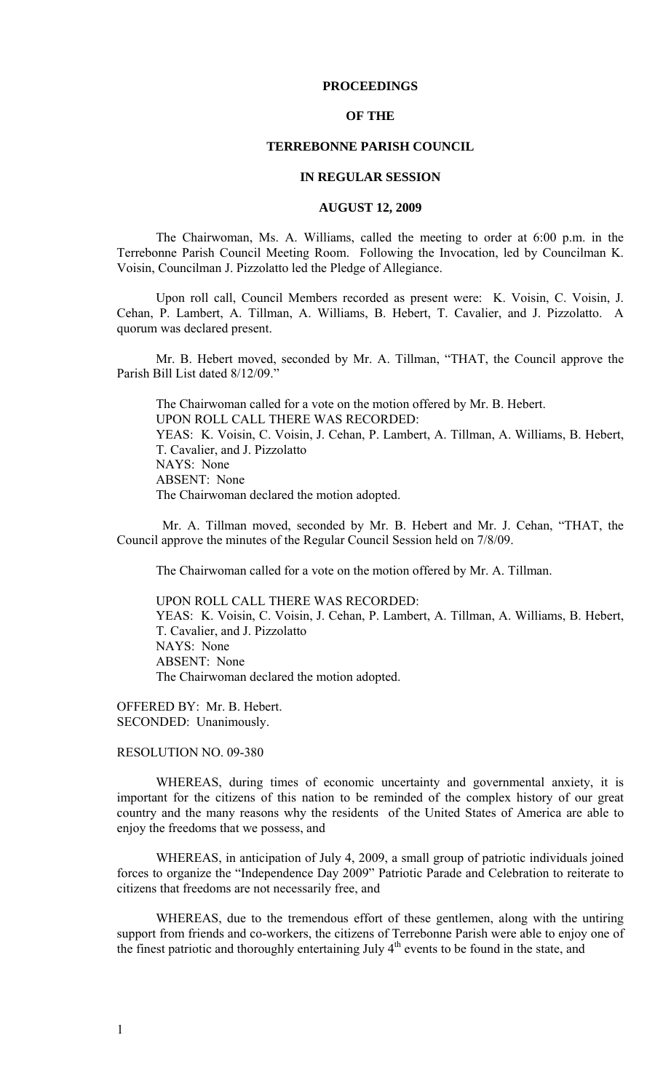### **PROCEEDINGS**

### **OF THE**

### **TERREBONNE PARISH COUNCIL**

#### **IN REGULAR SESSION**

#### **AUGUST 12, 2009**

 The Chairwoman, Ms. A. Williams, called the meeting to order at 6:00 p.m. in the Terrebonne Parish Council Meeting Room. Following the Invocation, led by Councilman K. Voisin, Councilman J. Pizzolatto led the Pledge of Allegiance.

Upon roll call, Council Members recorded as present were: K. Voisin, C. Voisin, J. Cehan, P. Lambert, A. Tillman, A. Williams, B. Hebert, T. Cavalier, and J. Pizzolatto. A quorum was declared present.

Mr. B. Hebert moved, seconded by Mr. A. Tillman, "THAT, the Council approve the Parish Bill List dated 8/12/09."

The Chairwoman called for a vote on the motion offered by Mr. B. Hebert. UPON ROLL CALL THERE WAS RECORDED: YEAS: K. Voisin, C. Voisin, J. Cehan, P. Lambert, A. Tillman, A. Williams, B. Hebert, T. Cavalier, and J. Pizzolatto NAYS: None ABSENT: None The Chairwoman declared the motion adopted.

 Mr. A. Tillman moved, seconded by Mr. B. Hebert and Mr. J. Cehan, "THAT, the Council approve the minutes of the Regular Council Session held on 7/8/09.

The Chairwoman called for a vote on the motion offered by Mr. A. Tillman.

UPON ROLL CALL THERE WAS RECORDED: YEAS: K. Voisin, C. Voisin, J. Cehan, P. Lambert, A. Tillman, A. Williams, B. Hebert, T. Cavalier, and J. Pizzolatto NAYS: None ABSENT: None The Chairwoman declared the motion adopted.

OFFERED BY: Mr. B. Hebert. SECONDED: Unanimously.

RESOLUTION NO. 09-380

WHEREAS, during times of economic uncertainty and governmental anxiety, it is important for the citizens of this nation to be reminded of the complex history of our great country and the many reasons why the residents of the United States of America are able to enjoy the freedoms that we possess, and

 WHEREAS, in anticipation of July 4, 2009, a small group of patriotic individuals joined forces to organize the "Independence Day 2009" Patriotic Parade and Celebration to reiterate to citizens that freedoms are not necessarily free, and

 WHEREAS, due to the tremendous effort of these gentlemen, along with the untiring support from friends and co-workers, the citizens of Terrebonne Parish were able to enjoy one of the finest patriotic and thoroughly entertaining July  $4<sup>th</sup>$  events to be found in the state, and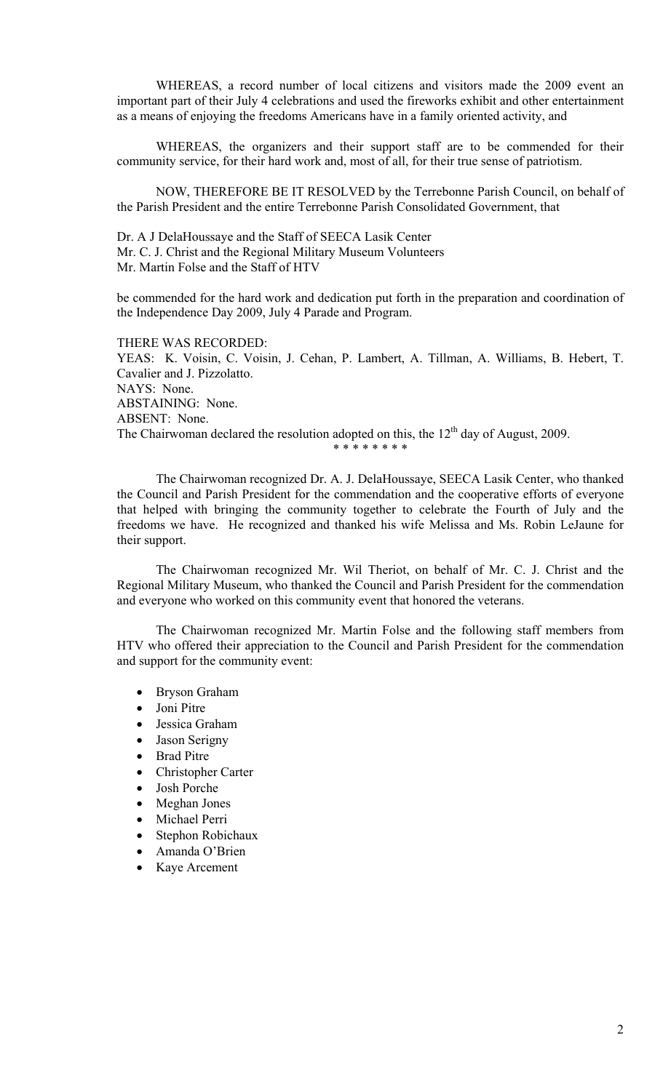WHEREAS, a record number of local citizens and visitors made the 2009 event an important part of their July 4 celebrations and used the fireworks exhibit and other entertainment as a means of enjoying the freedoms Americans have in a family oriented activity, and

 WHEREAS, the organizers and their support staff are to be commended for their community service, for their hard work and, most of all, for their true sense of patriotism.

 NOW, THEREFORE BE IT RESOLVED by the Terrebonne Parish Council, on behalf of the Parish President and the entire Terrebonne Parish Consolidated Government, that

Dr. A J DelaHoussaye and the Staff of SEECA Lasik Center Mr. C. J. Christ and the Regional Military Museum Volunteers Mr. Martin Folse and the Staff of HTV

be commended for the hard work and dedication put forth in the preparation and coordination of the Independence Day 2009, July 4 Parade and Program.

THERE WAS RECORDED: YEAS: K. Voisin, C. Voisin, J. Cehan, P. Lambert, A. Tillman, A. Williams, B. Hebert, T. Cavalier and J. Pizzolatto. NAYS: None. ABSTAINING: None. ABSENT: None. The Chairwoman declared the resolution adopted on this, the  $12<sup>th</sup>$  day of August, 2009. \* \* \* \* \* \* \* \*

 The Chairwoman recognized Dr. A. J. DelaHoussaye, SEECA Lasik Center, who thanked the Council and Parish President for the commendation and the cooperative efforts of everyone that helped with bringing the community together to celebrate the Fourth of July and the freedoms we have. He recognized and thanked his wife Melissa and Ms. Robin LeJaune for their support.

 The Chairwoman recognized Mr. Wil Theriot, on behalf of Mr. C. J. Christ and the Regional Military Museum, who thanked the Council and Parish President for the commendation and everyone who worked on this community event that honored the veterans.

 The Chairwoman recognized Mr. Martin Folse and the following staff members from HTV who offered their appreciation to the Council and Parish President for the commendation and support for the community event:

- Bryson Graham
- Joni Pitre
- Jessica Graham
- Jason Serigny
- Brad Pitre
- Christopher Carter
- Josh Porche
- Meghan Jones
- Michael Perri
- Stephon Robichaux
- Amanda O'Brien
- Kaye Arcement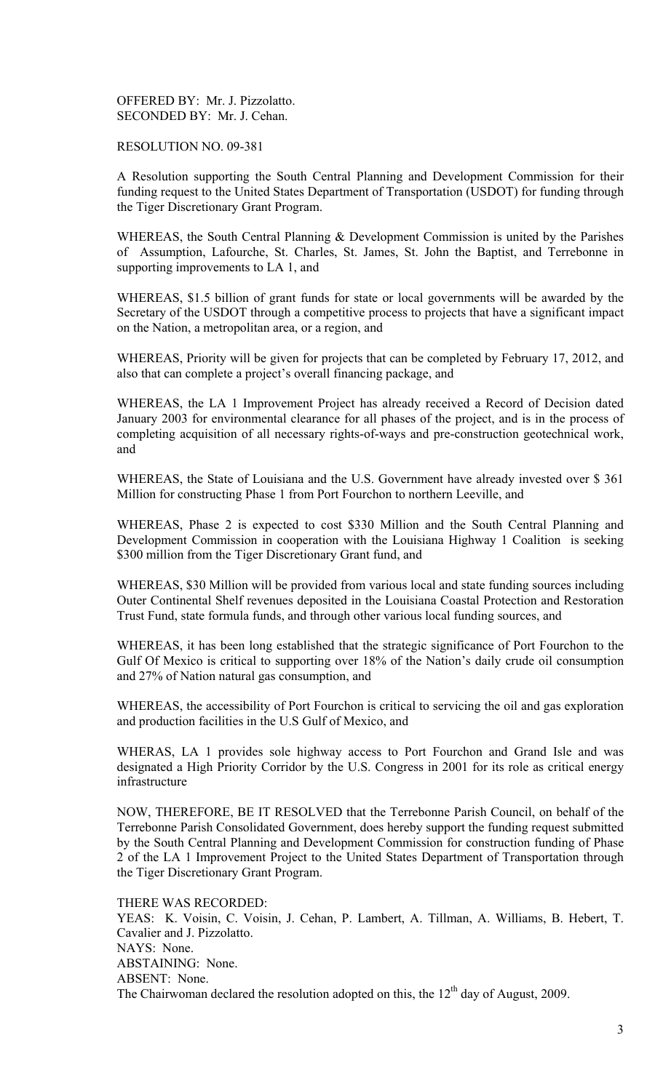OFFERED BY: Mr. J. Pizzolatto. SECONDED BY: Mr. J. Cehan.

RESOLUTION NO. 09-381

A Resolution supporting the South Central Planning and Development Commission for their funding request to the United States Department of Transportation (USDOT) for funding through the Tiger Discretionary Grant Program.

WHEREAS, the South Central Planning & Development Commission is united by the Parishes of Assumption, Lafourche, St. Charles, St. James, St. John the Baptist, and Terrebonne in supporting improvements to LA 1, and

WHEREAS, \$1.5 billion of grant funds for state or local governments will be awarded by the Secretary of the USDOT through a competitive process to projects that have a significant impact on the Nation, a metropolitan area, or a region, and

WHEREAS, Priority will be given for projects that can be completed by February 17, 2012, and also that can complete a project's overall financing package, and

WHEREAS, the LA 1 Improvement Project has already received a Record of Decision dated January 2003 for environmental clearance for all phases of the project, and is in the process of completing acquisition of all necessary rights-of-ways and pre-construction geotechnical work, and

WHEREAS, the State of Louisiana and the U.S. Government have already invested over \$ 361 Million for constructing Phase 1 from Port Fourchon to northern Leeville, and

WHEREAS, Phase 2 is expected to cost \$330 Million and the South Central Planning and Development Commission in cooperation with the Louisiana Highway 1 Coalition is seeking \$300 million from the Tiger Discretionary Grant fund, and

WHEREAS, \$30 Million will be provided from various local and state funding sources including Outer Continental Shelf revenues deposited in the Louisiana Coastal Protection and Restoration Trust Fund, state formula funds, and through other various local funding sources, and

WHEREAS, it has been long established that the strategic significance of Port Fourchon to the Gulf Of Mexico is critical to supporting over 18% of the Nation's daily crude oil consumption and 27% of Nation natural gas consumption, and

WHEREAS, the accessibility of Port Fourchon is critical to servicing the oil and gas exploration and production facilities in the U.S Gulf of Mexico, and

WHERAS, LA 1 provides sole highway access to Port Fourchon and Grand Isle and was designated a High Priority Corridor by the U.S. Congress in 2001 for its role as critical energy infrastructure

NOW, THEREFORE, BE IT RESOLVED that the Terrebonne Parish Council, on behalf of the Terrebonne Parish Consolidated Government, does hereby support the funding request submitted by the South Central Planning and Development Commission for construction funding of Phase 2 of the LA 1 Improvement Project to the United States Department of Transportation through the Tiger Discretionary Grant Program.

THERE WAS RECORDED: YEAS: K. Voisin, C. Voisin, J. Cehan, P. Lambert, A. Tillman, A. Williams, B. Hebert, T. Cavalier and J. Pizzolatto. NAYS: None. ABSTAINING: None. ABSENT: None. The Chairwoman declared the resolution adopted on this, the  $12<sup>th</sup>$  day of August, 2009.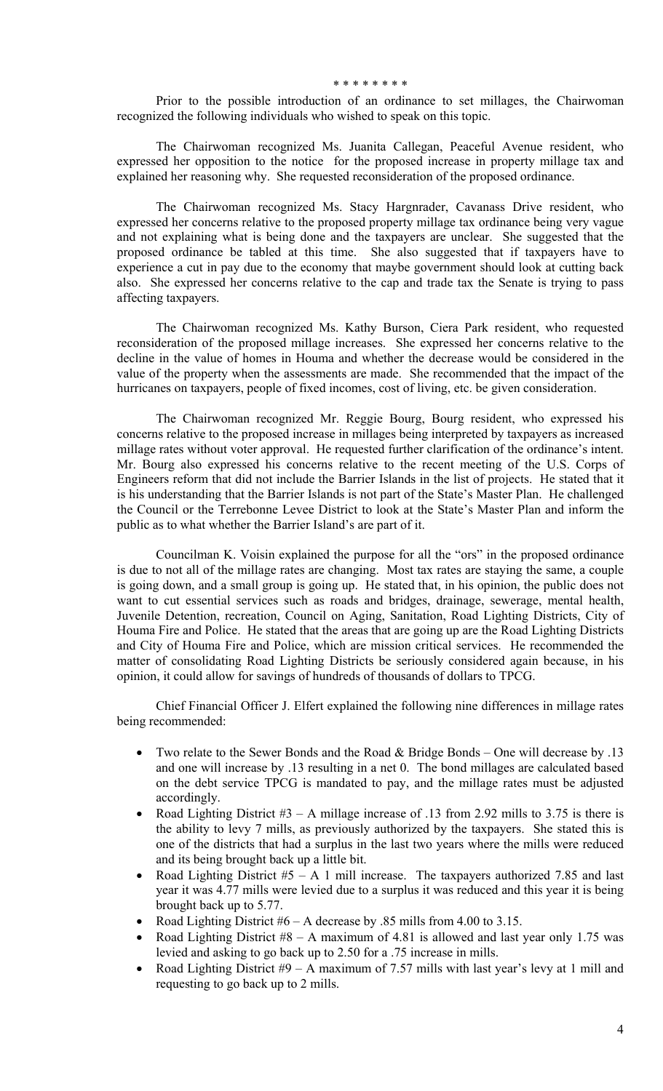#### \* \* \* \* \* \* \* \*

 Prior to the possible introduction of an ordinance to set millages, the Chairwoman recognized the following individuals who wished to speak on this topic.

 The Chairwoman recognized Ms. Juanita Callegan, Peaceful Avenue resident, who expressed her opposition to the notice for the proposed increase in property millage tax and explained her reasoning why. She requested reconsideration of the proposed ordinance.

 The Chairwoman recognized Ms. Stacy Hargnrader, Cavanass Drive resident, who expressed her concerns relative to the proposed property millage tax ordinance being very vague and not explaining what is being done and the taxpayers are unclear. She suggested that the proposed ordinance be tabled at this time. She also suggested that if taxpayers have to experience a cut in pay due to the economy that maybe government should look at cutting back also. She expressed her concerns relative to the cap and trade tax the Senate is trying to pass affecting taxpayers.

 The Chairwoman recognized Ms. Kathy Burson, Ciera Park resident, who requested reconsideration of the proposed millage increases. She expressed her concerns relative to the decline in the value of homes in Houma and whether the decrease would be considered in the value of the property when the assessments are made. She recommended that the impact of the hurricanes on taxpayers, people of fixed incomes, cost of living, etc. be given consideration.

 The Chairwoman recognized Mr. Reggie Bourg, Bourg resident, who expressed his concerns relative to the proposed increase in millages being interpreted by taxpayers as increased millage rates without voter approval. He requested further clarification of the ordinance's intent. Mr. Bourg also expressed his concerns relative to the recent meeting of the U.S. Corps of Engineers reform that did not include the Barrier Islands in the list of projects. He stated that it is his understanding that the Barrier Islands is not part of the State's Master Plan. He challenged the Council or the Terrebonne Levee District to look at the State's Master Plan and inform the public as to what whether the Barrier Island's are part of it.

 Councilman K. Voisin explained the purpose for all the "ors" in the proposed ordinance is due to not all of the millage rates are changing. Most tax rates are staying the same, a couple is going down, and a small group is going up. He stated that, in his opinion, the public does not want to cut essential services such as roads and bridges, drainage, sewerage, mental health, Juvenile Detention, recreation, Council on Aging, Sanitation, Road Lighting Districts, City of Houma Fire and Police. He stated that the areas that are going up are the Road Lighting Districts and City of Houma Fire and Police, which are mission critical services. He recommended the matter of consolidating Road Lighting Districts be seriously considered again because, in his opinion, it could allow for savings of hundreds of thousands of dollars to TPCG.

 Chief Financial Officer J. Elfert explained the following nine differences in millage rates being recommended:

- Two relate to the Sewer Bonds and the Road & Bridge Bonds One will decrease by .13 and one will increase by .13 resulting in a net 0. The bond millages are calculated based on the debt service TPCG is mandated to pay, and the millage rates must be adjusted accordingly.
- Road Lighting District  $#3 A$  millage increase of .13 from 2.92 mills to 3.75 is there is the ability to levy 7 mills, as previously authorized by the taxpayers. She stated this is one of the districts that had a surplus in the last two years where the mills were reduced and its being brought back up a little bit.
- Road Lighting District  $#5 A 1$  mill increase. The taxpayers authorized 7.85 and last year it was 4.77 mills were levied due to a surplus it was reduced and this year it is being brought back up to 5.77.
- Road Lighting District #6 A decrease by .85 mills from 4.00 to 3.15.
- Road Lighting District  $#8 A$  maximum of 4.81 is allowed and last year only 1.75 was levied and asking to go back up to 2.50 for a .75 increase in mills.
- Road Lighting District  $#9 A$  maximum of 7.57 mills with last year's levy at 1 mill and requesting to go back up to 2 mills.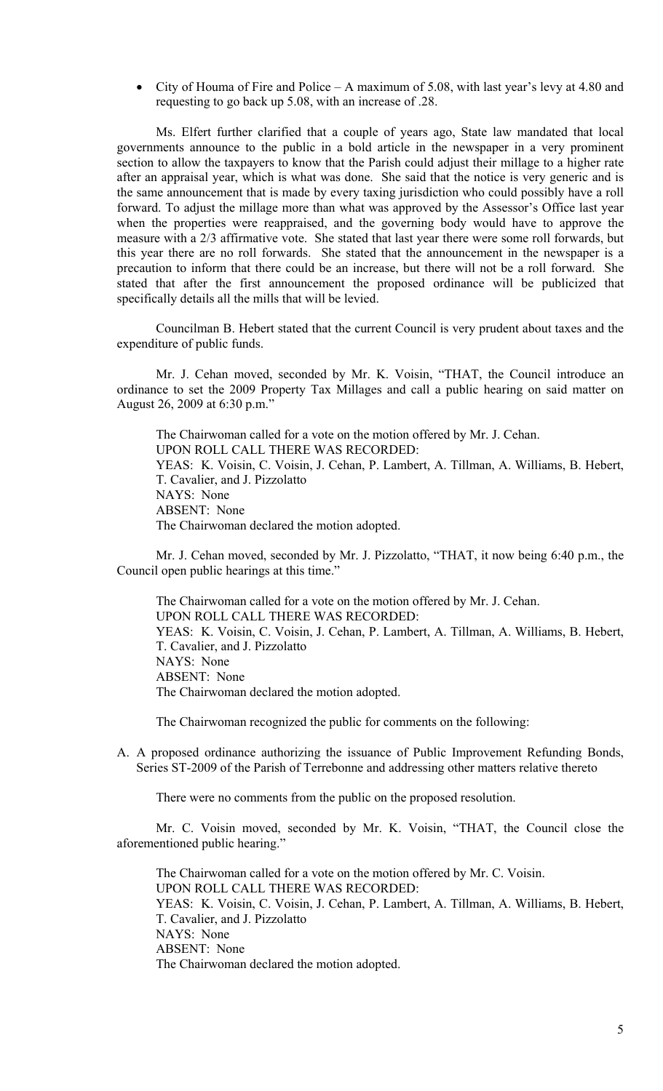• City of Houma of Fire and Police – A maximum of 5.08, with last year's levy at 4.80 and requesting to go back up 5.08, with an increase of .28.

Ms. Elfert further clarified that a couple of years ago, State law mandated that local governments announce to the public in a bold article in the newspaper in a very prominent section to allow the taxpayers to know that the Parish could adjust their millage to a higher rate after an appraisal year, which is what was done. She said that the notice is very generic and is the same announcement that is made by every taxing jurisdiction who could possibly have a roll forward. To adjust the millage more than what was approved by the Assessor's Office last year when the properties were reappraised, and the governing body would have to approve the measure with a 2/3 affirmative vote. She stated that last year there were some roll forwards, but this year there are no roll forwards. She stated that the announcement in the newspaper is a precaution to inform that there could be an increase, but there will not be a roll forward. She stated that after the first announcement the proposed ordinance will be publicized that specifically details all the mills that will be levied.

Councilman B. Hebert stated that the current Council is very prudent about taxes and the expenditure of public funds.

 Mr. J. Cehan moved, seconded by Mr. K. Voisin, "THAT, the Council introduce an ordinance to set the 2009 Property Tax Millages and call a public hearing on said matter on August 26, 2009 at 6:30 p.m."

 The Chairwoman called for a vote on the motion offered by Mr. J. Cehan. UPON ROLL CALL THERE WAS RECORDED: YEAS: K. Voisin, C. Voisin, J. Cehan, P. Lambert, A. Tillman, A. Williams, B. Hebert, T. Cavalier, and J. Pizzolatto NAYS: None ABSENT: None The Chairwoman declared the motion adopted.

 Mr. J. Cehan moved, seconded by Mr. J. Pizzolatto, "THAT, it now being 6:40 p.m., the Council open public hearings at this time."

 The Chairwoman called for a vote on the motion offered by Mr. J. Cehan. UPON ROLL CALL THERE WAS RECORDED: YEAS: K. Voisin, C. Voisin, J. Cehan, P. Lambert, A. Tillman, A. Williams, B. Hebert, T. Cavalier, and J. Pizzolatto NAYS: None ABSENT: None The Chairwoman declared the motion adopted.

The Chairwoman recognized the public for comments on the following:

A. A proposed ordinance authorizing the issuance of Public Improvement Refunding Bonds, Series ST-2009 of the Parish of Terrebonne and addressing other matters relative thereto

There were no comments from the public on the proposed resolution.

 Mr. C. Voisin moved, seconded by Mr. K. Voisin, "THAT, the Council close the aforementioned public hearing."

 The Chairwoman called for a vote on the motion offered by Mr. C. Voisin. UPON ROLL CALL THERE WAS RECORDED: YEAS: K. Voisin, C. Voisin, J. Cehan, P. Lambert, A. Tillman, A. Williams, B. Hebert, T. Cavalier, and J. Pizzolatto NAYS: None ABSENT: None The Chairwoman declared the motion adopted.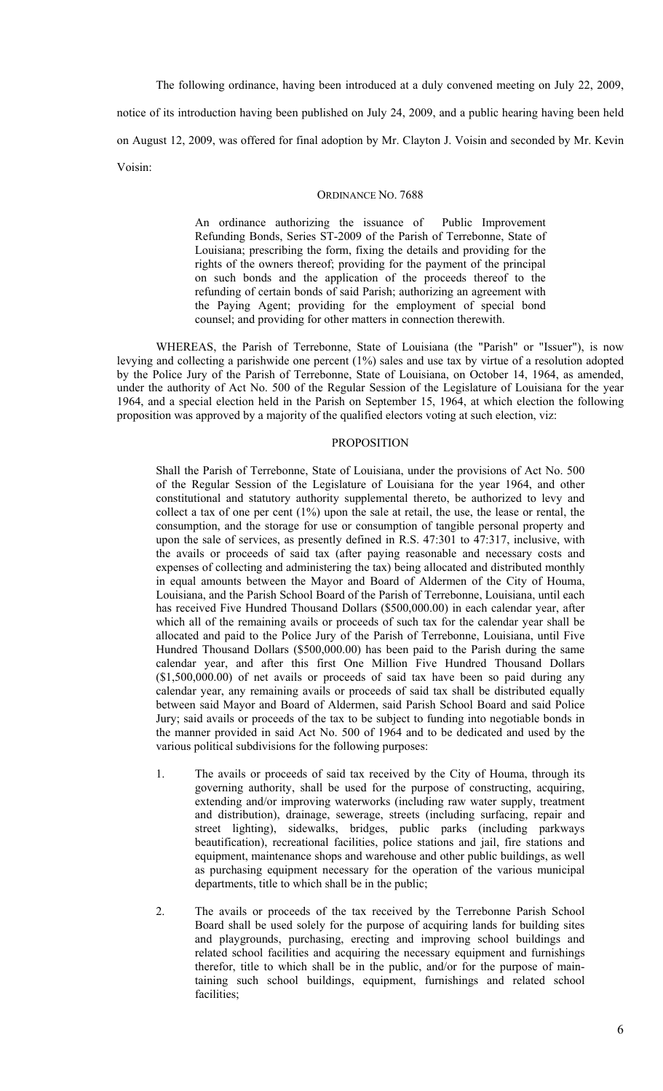The following ordinance, having been introduced at a duly convened meeting on July 22, 2009, notice of its introduction having been published on July 24, 2009, and a public hearing having been held on August 12, 2009, was offered for final adoption by Mr. Clayton J. Voisin and seconded by Mr. Kevin Voisin:

### ORDINANCE NO. 7688

An ordinance authorizing the issuance of Public Improvement Refunding Bonds, Series ST-2009 of the Parish of Terrebonne, State of Louisiana; prescribing the form, fixing the details and providing for the rights of the owners thereof; providing for the payment of the principal on such bonds and the application of the proceeds thereof to the refunding of certain bonds of said Parish; authorizing an agreement with the Paying Agent; providing for the employment of special bond counsel; and providing for other matters in connection therewith.

WHEREAS, the Parish of Terrebonne, State of Louisiana (the "Parish" or "Issuer"), is now levying and collecting a parishwide one percent (1%) sales and use tax by virtue of a resolution adopted by the Police Jury of the Parish of Terrebonne, State of Louisiana, on October 14, 1964, as amended, under the authority of Act No. 500 of the Regular Session of the Legislature of Louisiana for the year 1964, and a special election held in the Parish on September 15, 1964, at which election the following proposition was approved by a majority of the qualified electors voting at such election, viz:

#### PROPOSITION

Shall the Parish of Terrebonne, State of Louisiana, under the provisions of Act No. 500 of the Regular Session of the Legislature of Louisiana for the year 1964, and other constitutional and statutory authority supplemental thereto, be authorized to levy and collect a tax of one per cent (1%) upon the sale at retail, the use, the lease or rental, the consumption, and the storage for use or consumption of tangible personal property and upon the sale of services, as presently defined in R.S. 47:301 to 47:317, inclusive, with the avails or proceeds of said tax (after paying reasonable and necessary costs and expenses of collecting and administering the tax) being allocated and distributed monthly in equal amounts between the Mayor and Board of Aldermen of the City of Houma, Louisiana, and the Parish School Board of the Parish of Terrebonne, Louisiana, until each has received Five Hundred Thousand Dollars (\$500,000.00) in each calendar year, after which all of the remaining avails or proceeds of such tax for the calendar year shall be allocated and paid to the Police Jury of the Parish of Terrebonne, Louisiana, until Five Hundred Thousand Dollars (\$500,000.00) has been paid to the Parish during the same calendar year, and after this first One Million Five Hundred Thousand Dollars (\$1,500,000.00) of net avails or proceeds of said tax have been so paid during any calendar year, any remaining avails or proceeds of said tax shall be distributed equally between said Mayor and Board of Aldermen, said Parish School Board and said Police Jury; said avails or proceeds of the tax to be subject to funding into negotiable bonds in the manner provided in said Act No. 500 of 1964 and to be dedicated and used by the various political subdivisions for the following purposes:

- 1. The avails or proceeds of said tax received by the City of Houma, through its governing authority, shall be used for the purpose of constructing, acquiring, extending and/or improving waterworks (including raw water supply, treatment and distribution), drainage, sewerage, streets (including surfacing, repair and street lighting), sidewalks, bridges, public parks (including parkways beautification), recreational facilities, police stations and jail, fire stations and equipment, maintenance shops and warehouse and other public buildings, as well as purchasing equipment necessary for the operation of the various municipal departments, title to which shall be in the public;
- 2. The avails or proceeds of the tax received by the Terrebonne Parish School Board shall be used solely for the purpose of acquiring lands for building sites and playgrounds, purchasing, erecting and improving school buildings and related school facilities and acquiring the necessary equipment and furnishings therefor, title to which shall be in the public, and/or for the purpose of maintaining such school buildings, equipment, furnishings and related school facilities: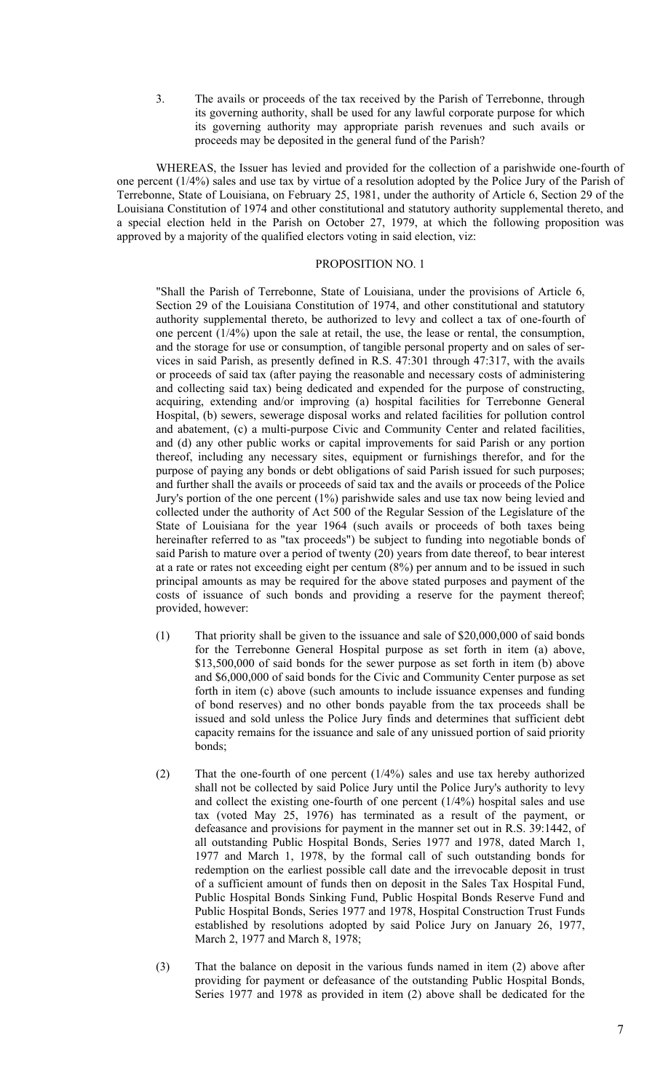3. The avails or proceeds of the tax received by the Parish of Terrebonne, through its governing authority, shall be used for any lawful corporate purpose for which its governing authority may appropriate parish revenues and such avails or proceeds may be deposited in the general fund of the Parish?

WHEREAS, the Issuer has levied and provided for the collection of a parishwide one-fourth of one percent (1/4%) sales and use tax by virtue of a resolution adopted by the Police Jury of the Parish of Terrebonne, State of Louisiana, on February 25, 1981, under the authority of Article 6, Section 29 of the Louisiana Constitution of 1974 and other constitutional and statutory authority supplemental thereto, and a special election held in the Parish on October 27, 1979, at which the following proposition was approved by a majority of the qualified electors voting in said election, viz:

#### PROPOSITION NO. 1

"Shall the Parish of Terrebonne, State of Louisiana, under the provisions of Article 6, Section 29 of the Louisiana Constitution of 1974, and other constitutional and statutory authority supplemental thereto, be authorized to levy and collect a tax of one-fourth of one percent (1/4%) upon the sale at retail, the use, the lease or rental, the consumption, and the storage for use or consumption, of tangible personal property and on sales of services in said Parish, as presently defined in R.S. 47:301 through 47:317, with the avails or proceeds of said tax (after paying the reasonable and necessary costs of administering and collecting said tax) being dedicated and expended for the purpose of constructing, acquiring, extending and/or improving (a) hospital facilities for Terrebonne General Hospital, (b) sewers, sewerage disposal works and related facilities for pollution control and abatement, (c) a multi-purpose Civic and Community Center and related facilities, and (d) any other public works or capital improvements for said Parish or any portion thereof, including any necessary sites, equipment or furnishings therefor, and for the purpose of paying any bonds or debt obligations of said Parish issued for such purposes; and further shall the avails or proceeds of said tax and the avails or proceeds of the Police Jury's portion of the one percent (1%) parishwide sales and use tax now being levied and collected under the authority of Act 500 of the Regular Session of the Legislature of the State of Louisiana for the year 1964 (such avails or proceeds of both taxes being hereinafter referred to as "tax proceeds") be subject to funding into negotiable bonds of said Parish to mature over a period of twenty (20) years from date thereof, to bear interest at a rate or rates not exceeding eight per centum (8%) per annum and to be issued in such principal amounts as may be required for the above stated purposes and payment of the costs of issuance of such bonds and providing a reserve for the payment thereof; provided, however:

- (1) That priority shall be given to the issuance and sale of \$20,000,000 of said bonds for the Terrebonne General Hospital purpose as set forth in item (a) above, \$13,500,000 of said bonds for the sewer purpose as set forth in item (b) above and \$6,000,000 of said bonds for the Civic and Community Center purpose as set forth in item (c) above (such amounts to include issuance expenses and funding of bond reserves) and no other bonds payable from the tax proceeds shall be issued and sold unless the Police Jury finds and determines that sufficient debt capacity remains for the issuance and sale of any unissued portion of said priority bonds;
- (2) That the one-fourth of one percent (1/4%) sales and use tax hereby authorized shall not be collected by said Police Jury until the Police Jury's authority to levy and collect the existing one-fourth of one percent (1/4%) hospital sales and use tax (voted May 25, 1976) has terminated as a result of the payment, or defeasance and provisions for payment in the manner set out in R.S. 39:1442, of all outstanding Public Hospital Bonds, Series 1977 and 1978, dated March 1, 1977 and March 1, 1978, by the formal call of such outstanding bonds for redemption on the earliest possible call date and the irrevocable deposit in trust of a sufficient amount of funds then on deposit in the Sales Tax Hospital Fund, Public Hospital Bonds Sinking Fund, Public Hospital Bonds Reserve Fund and Public Hospital Bonds, Series 1977 and 1978, Hospital Construction Trust Funds established by resolutions adopted by said Police Jury on January 26, 1977, March 2, 1977 and March 8, 1978;
- (3) That the balance on deposit in the various funds named in item (2) above after providing for payment or defeasance of the outstanding Public Hospital Bonds, Series 1977 and 1978 as provided in item (2) above shall be dedicated for the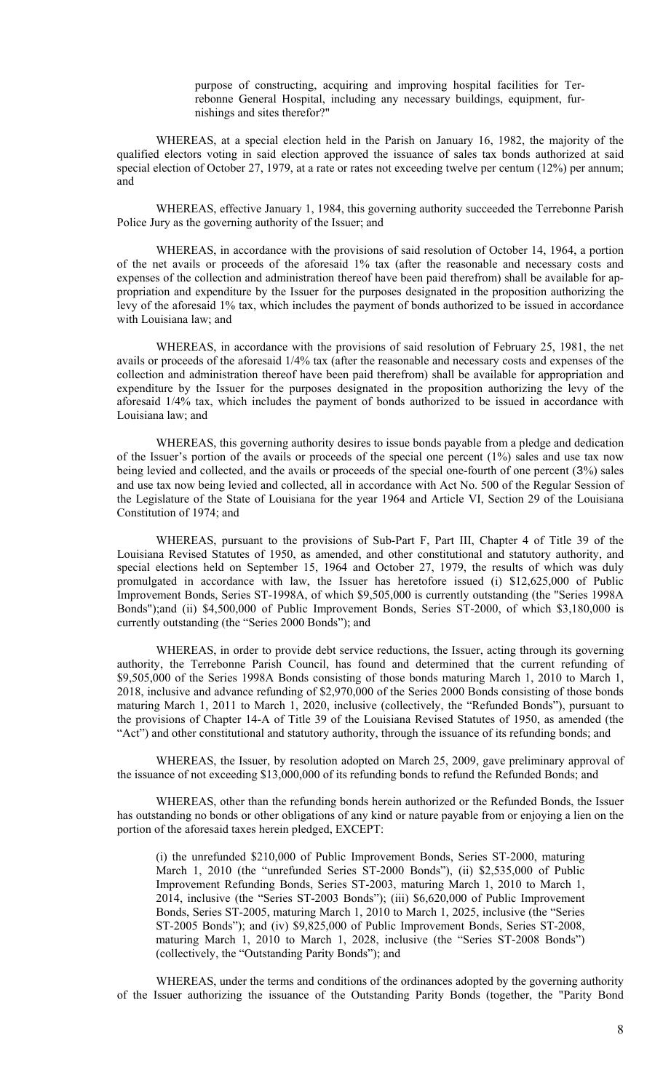purpose of constructing, acquiring and improving hospital facilities for Terrebonne General Hospital, including any necessary buildings, equipment, furnishings and sites therefor?"

WHEREAS, at a special election held in the Parish on January 16, 1982, the majority of the qualified electors voting in said election approved the issuance of sales tax bonds authorized at said special election of October 27, 1979, at a rate or rates not exceeding twelve per centum (12%) per annum; and

WHEREAS, effective January 1, 1984, this governing authority succeeded the Terrebonne Parish Police Jury as the governing authority of the Issuer; and

WHEREAS, in accordance with the provisions of said resolution of October 14, 1964, a portion of the net avails or proceeds of the aforesaid 1% tax (after the reasonable and necessary costs and expenses of the collection and administration thereof have been paid therefrom) shall be available for appropriation and expenditure by the Issuer for the purposes designated in the proposition authorizing the levy of the aforesaid 1% tax, which includes the payment of bonds authorized to be issued in accordance with Louisiana law; and

WHEREAS, in accordance with the provisions of said resolution of February 25, 1981, the net avails or proceeds of the aforesaid 1/4% tax (after the reasonable and necessary costs and expenses of the collection and administration thereof have been paid therefrom) shall be available for appropriation and expenditure by the Issuer for the purposes designated in the proposition authorizing the levy of the aforesaid 1/4% tax, which includes the payment of bonds authorized to be issued in accordance with Louisiana law; and

WHEREAS, this governing authority desires to issue bonds payable from a pledge and dedication of the Issuer's portion of the avails or proceeds of the special one percent (1%) sales and use tax now being levied and collected, and the avails or proceeds of the special one-fourth of one percent (3%) sales and use tax now being levied and collected, all in accordance with Act No. 500 of the Regular Session of the Legislature of the State of Louisiana for the year 1964 and Article VI, Section 29 of the Louisiana Constitution of 1974; and

WHEREAS, pursuant to the provisions of Sub-Part F, Part III, Chapter 4 of Title 39 of the Louisiana Revised Statutes of 1950, as amended, and other constitutional and statutory authority, and special elections held on September 15, 1964 and October 27, 1979, the results of which was duly promulgated in accordance with law, the Issuer has heretofore issued (i) \$12,625,000 of Public Improvement Bonds, Series ST-1998A, of which \$9,505,000 is currently outstanding (the "Series 1998A Bonds");and (ii) \$4,500,000 of Public Improvement Bonds, Series ST-2000, of which \$3,180,000 is currently outstanding (the "Series 2000 Bonds"); and

WHEREAS, in order to provide debt service reductions, the Issuer, acting through its governing authority, the Terrebonne Parish Council, has found and determined that the current refunding of \$9,505,000 of the Series 1998A Bonds consisting of those bonds maturing March 1, 2010 to March 1, 2018, inclusive and advance refunding of \$2,970,000 of the Series 2000 Bonds consisting of those bonds maturing March 1, 2011 to March 1, 2020, inclusive (collectively, the "Refunded Bonds"), pursuant to the provisions of Chapter 14-A of Title 39 of the Louisiana Revised Statutes of 1950, as amended (the "Act") and other constitutional and statutory authority, through the issuance of its refunding bonds; and

WHEREAS, the Issuer, by resolution adopted on March 25, 2009, gave preliminary approval of the issuance of not exceeding \$13,000,000 of its refunding bonds to refund the Refunded Bonds; and

WHEREAS, other than the refunding bonds herein authorized or the Refunded Bonds, the Issuer has outstanding no bonds or other obligations of any kind or nature payable from or enjoying a lien on the portion of the aforesaid taxes herein pledged, EXCEPT:

(i) the unrefunded \$210,000 of Public Improvement Bonds, Series ST-2000, maturing March 1, 2010 (the "unrefunded Series ST-2000 Bonds"), (ii) \$2,535,000 of Public Improvement Refunding Bonds, Series ST-2003, maturing March 1, 2010 to March 1, 2014, inclusive (the "Series ST-2003 Bonds"); (iii) \$6,620,000 of Public Improvement Bonds, Series ST-2005, maturing March 1, 2010 to March 1, 2025, inclusive (the "Series ST-2005 Bonds"); and (iv) \$9,825,000 of Public Improvement Bonds, Series ST-2008, maturing March 1, 2010 to March 1, 2028, inclusive (the "Series ST-2008 Bonds") (collectively, the "Outstanding Parity Bonds"); and

WHEREAS, under the terms and conditions of the ordinances adopted by the governing authority of the Issuer authorizing the issuance of the Outstanding Parity Bonds (together, the "Parity Bond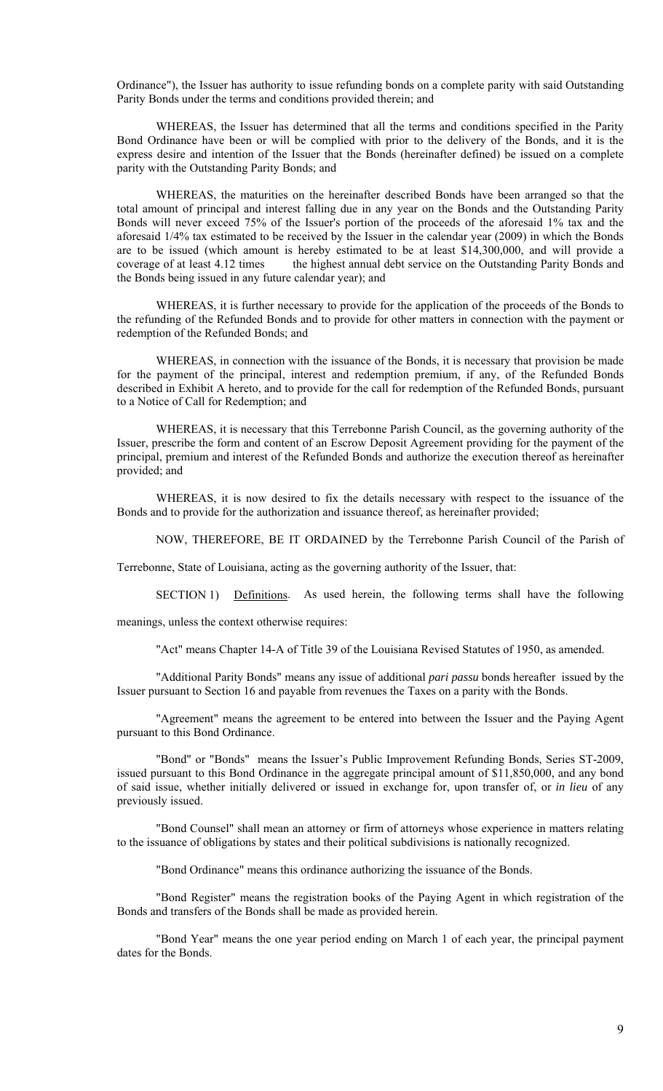Ordinance"), the Issuer has authority to issue refunding bonds on a complete parity with said Outstanding Parity Bonds under the terms and conditions provided therein; and

WHEREAS, the Issuer has determined that all the terms and conditions specified in the Parity Bond Ordinance have been or will be complied with prior to the delivery of the Bonds, and it is the express desire and intention of the Issuer that the Bonds (hereinafter defined) be issued on a complete parity with the Outstanding Parity Bonds; and

WHEREAS, the maturities on the hereinafter described Bonds have been arranged so that the total amount of principal and interest falling due in any year on the Bonds and the Outstanding Parity Bonds will never exceed 75% of the Issuer's portion of the proceeds of the aforesaid 1% tax and the aforesaid 1/4% tax estimated to be received by the Issuer in the calendar year (2009) in which the Bonds are to be issued (which amount is hereby estimated to be at least \$14,300,000, and will provide a coverage of at least 4.12 times the highest annual debt service on the Outstanding Parity Bonds and the Bonds being issued in any future calendar year); and

WHEREAS, it is further necessary to provide for the application of the proceeds of the Bonds to the refunding of the Refunded Bonds and to provide for other matters in connection with the payment or redemption of the Refunded Bonds; and

WHEREAS, in connection with the issuance of the Bonds, it is necessary that provision be made for the payment of the principal, interest and redemption premium, if any, of the Refunded Bonds described in Exhibit A hereto, and to provide for the call for redemption of the Refunded Bonds, pursuant to a Notice of Call for Redemption; and

WHEREAS, it is necessary that this Terrebonne Parish Council, as the governing authority of the Issuer, prescribe the form and content of an Escrow Deposit Agreement providing for the payment of the principal, premium and interest of the Refunded Bonds and authorize the execution thereof as hereinafter provided; and

WHEREAS, it is now desired to fix the details necessary with respect to the issuance of the Bonds and to provide for the authorization and issuance thereof, as hereinafter provided;

NOW, THEREFORE, BE IT ORDAINED by the Terrebonne Parish Council of the Parish of

Terrebonne, State of Louisiana, acting as the governing authority of the Issuer, that:

SECTION 1) Definitions. As used herein, the following terms shall have the following

meanings, unless the context otherwise requires:

"Act" means Chapter 14-A of Title 39 of the Louisiana Revised Statutes of 1950, as amended.

"Additional Parity Bonds" means any issue of additional *pari passu* bonds hereafter issued by the Issuer pursuant to Section 16 and payable from revenues the Taxes on a parity with the Bonds.

"Agreement" means the agreement to be entered into between the Issuer and the Paying Agent pursuant to this Bond Ordinance.

"Bond" or "Bonds" means the Issuer's Public Improvement Refunding Bonds, Series ST-2009, issued pursuant to this Bond Ordinance in the aggregate principal amount of \$11,850,000, and any bond of said issue, whether initially delivered or issued in exchange for, upon transfer of, or *in lieu* of any previously issued.

"Bond Counsel" shall mean an attorney or firm of attorneys whose experience in matters relating to the issuance of obligations by states and their political subdivisions is nationally recognized.

"Bond Ordinance" means this ordinance authorizing the issuance of the Bonds.

"Bond Register" means the registration books of the Paying Agent in which registration of the Bonds and transfers of the Bonds shall be made as provided herein.

"Bond Year" means the one year period ending on March 1 of each year, the principal payment dates for the Bonds.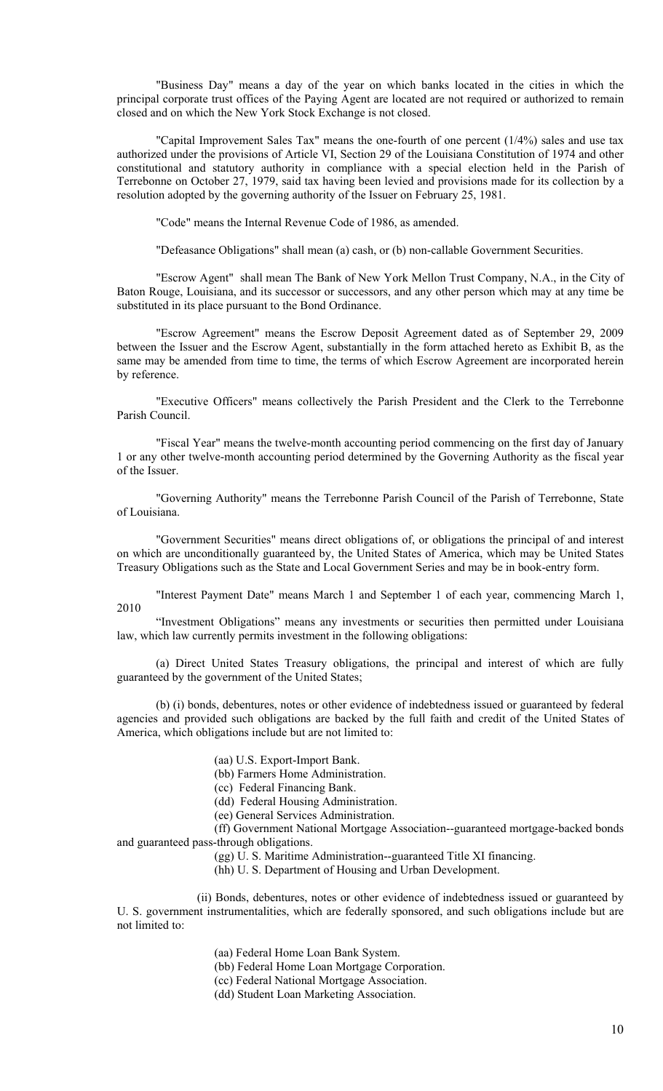"Business Day" means a day of the year on which banks located in the cities in which the principal corporate trust offices of the Paying Agent are located are not required or authorized to remain closed and on which the New York Stock Exchange is not closed.

"Capital Improvement Sales Tax" means the one-fourth of one percent (1/4%) sales and use tax authorized under the provisions of Article VI, Section 29 of the Louisiana Constitution of 1974 and other constitutional and statutory authority in compliance with a special election held in the Parish of Terrebonne on October 27, 1979, said tax having been levied and provisions made for its collection by a resolution adopted by the governing authority of the Issuer on February 25, 1981.

"Code" means the Internal Revenue Code of 1986, as amended.

"Defeasance Obligations" shall mean (a) cash, or (b) non-callable Government Securities.

"Escrow Agent" shall mean The Bank of New York Mellon Trust Company, N.A., in the City of Baton Rouge, Louisiana, and its successor or successors, and any other person which may at any time be substituted in its place pursuant to the Bond Ordinance.

"Escrow Agreement" means the Escrow Deposit Agreement dated as of September 29, 2009 between the Issuer and the Escrow Agent, substantially in the form attached hereto as Exhibit B, as the same may be amended from time to time, the terms of which Escrow Agreement are incorporated herein by reference.

"Executive Officers" means collectively the Parish President and the Clerk to the Terrebonne Parish Council.

"Fiscal Year" means the twelve-month accounting period commencing on the first day of January 1 or any other twelve-month accounting period determined by the Governing Authority as the fiscal year of the Issuer.

"Governing Authority" means the Terrebonne Parish Council of the Parish of Terrebonne, State of Louisiana.

"Government Securities" means direct obligations of, or obligations the principal of and interest on which are unconditionally guaranteed by, the United States of America, which may be United States Treasury Obligations such as the State and Local Government Series and may be in book-entry form.

"Interest Payment Date" means March 1 and September 1 of each year, commencing March 1, 2010

"Investment Obligations" means any investments or securities then permitted under Louisiana law, which law currently permits investment in the following obligations:

(a) Direct United States Treasury obligations, the principal and interest of which are fully guaranteed by the government of the United States;

(b) (i) bonds, debentures, notes or other evidence of indebtedness issued or guaranteed by federal agencies and provided such obligations are backed by the full faith and credit of the United States of America, which obligations include but are not limited to:

(aa) U.S. Export-Import Bank.

(bb) Farmers Home Administration.

(cc) Federal Financing Bank.

(dd) Federal Housing Administration.

(ee) General Services Administration.

(ff) Government National Mortgage Association--guaranteed mortgage-backed bonds and guaranteed pass-through obligations.

(gg) U. S. Maritime Administration--guaranteed Title XI financing.

(hh) U. S. Department of Housing and Urban Development.

(ii) Bonds, debentures, notes or other evidence of indebtedness issued or guaranteed by U. S. government instrumentalities, which are federally sponsored, and such obligations include but are not limited to:

(aa) Federal Home Loan Bank System.

(bb) Federal Home Loan Mortgage Corporation.

(cc) Federal National Mortgage Association.

(dd) Student Loan Marketing Association.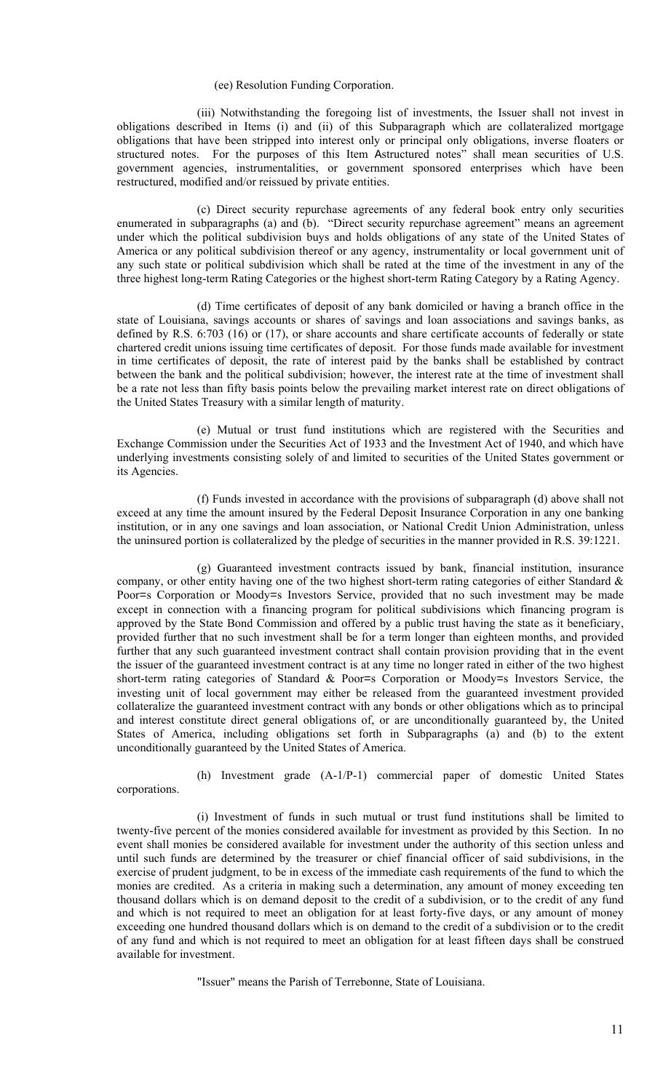#### (ee) Resolution Funding Corporation.

(iii) Notwithstanding the foregoing list of investments, the Issuer shall not invest in obligations described in Items (i) and (ii) of this Subparagraph which are collateralized mortgage obligations that have been stripped into interest only or principal only obligations, inverse floaters or structured notes. For the purposes of this Item Astructured notes" shall mean securities of U.S. government agencies, instrumentalities, or government sponsored enterprises which have been restructured, modified and/or reissued by private entities.

(c) Direct security repurchase agreements of any federal book entry only securities enumerated in subparagraphs (a) and (b). "Direct security repurchase agreement" means an agreement under which the political subdivision buys and holds obligations of any state of the United States of America or any political subdivision thereof or any agency, instrumentality or local government unit of any such state or political subdivision which shall be rated at the time of the investment in any of the three highest long-term Rating Categories or the highest short-term Rating Category by a Rating Agency.

(d) Time certificates of deposit of any bank domiciled or having a branch office in the state of Louisiana, savings accounts or shares of savings and loan associations and savings banks, as defined by R.S. 6:703 (16) or (17), or share accounts and share certificate accounts of federally or state chartered credit unions issuing time certificates of deposit. For those funds made available for investment in time certificates of deposit, the rate of interest paid by the banks shall be established by contract between the bank and the political subdivision; however, the interest rate at the time of investment shall be a rate not less than fifty basis points below the prevailing market interest rate on direct obligations of the United States Treasury with a similar length of maturity.

(e) Mutual or trust fund institutions which are registered with the Securities and Exchange Commission under the Securities Act of 1933 and the Investment Act of 1940, and which have underlying investments consisting solely of and limited to securities of the United States government or its Agencies.

(f) Funds invested in accordance with the provisions of subparagraph (d) above shall not exceed at any time the amount insured by the Federal Deposit Insurance Corporation in any one banking institution, or in any one savings and loan association, or National Credit Union Administration, unless the uninsured portion is collateralized by the pledge of securities in the manner provided in R.S. 39:1221.

(g) Guaranteed investment contracts issued by bank, financial institution, insurance company, or other entity having one of the two highest short-term rating categories of either Standard  $\&$ Poor=s Corporation or Moody=s Investors Service, provided that no such investment may be made except in connection with a financing program for political subdivisions which financing program is approved by the State Bond Commission and offered by a public trust having the state as it beneficiary, provided further that no such investment shall be for a term longer than eighteen months, and provided further that any such guaranteed investment contract shall contain provision providing that in the event the issuer of the guaranteed investment contract is at any time no longer rated in either of the two highest short-term rating categories of Standard & Poor=s Corporation or Moody=s Investors Service, the investing unit of local government may either be released from the guaranteed investment provided collateralize the guaranteed investment contract with any bonds or other obligations which as to principal and interest constitute direct general obligations of, or are unconditionally guaranteed by, the United States of America, including obligations set forth in Subparagraphs (a) and (b) to the extent unconditionally guaranteed by the United States of America.

corporations.

(h) Investment grade (A-1/P-1) commercial paper of domestic United States

(i) Investment of funds in such mutual or trust fund institutions shall be limited to twenty-five percent of the monies considered available for investment as provided by this Section. In no event shall monies be considered available for investment under the authority of this section unless and until such funds are determined by the treasurer or chief financial officer of said subdivisions, in the exercise of prudent judgment, to be in excess of the immediate cash requirements of the fund to which the monies are credited. As a criteria in making such a determination, any amount of money exceeding ten thousand dollars which is on demand deposit to the credit of a subdivision, or to the credit of any fund and which is not required to meet an obligation for at least forty-five days, or any amount of money exceeding one hundred thousand dollars which is on demand to the credit of a subdivision or to the credit of any fund and which is not required to meet an obligation for at least fifteen days shall be construed available for investment.

"Issuer" means the Parish of Terrebonne, State of Louisiana.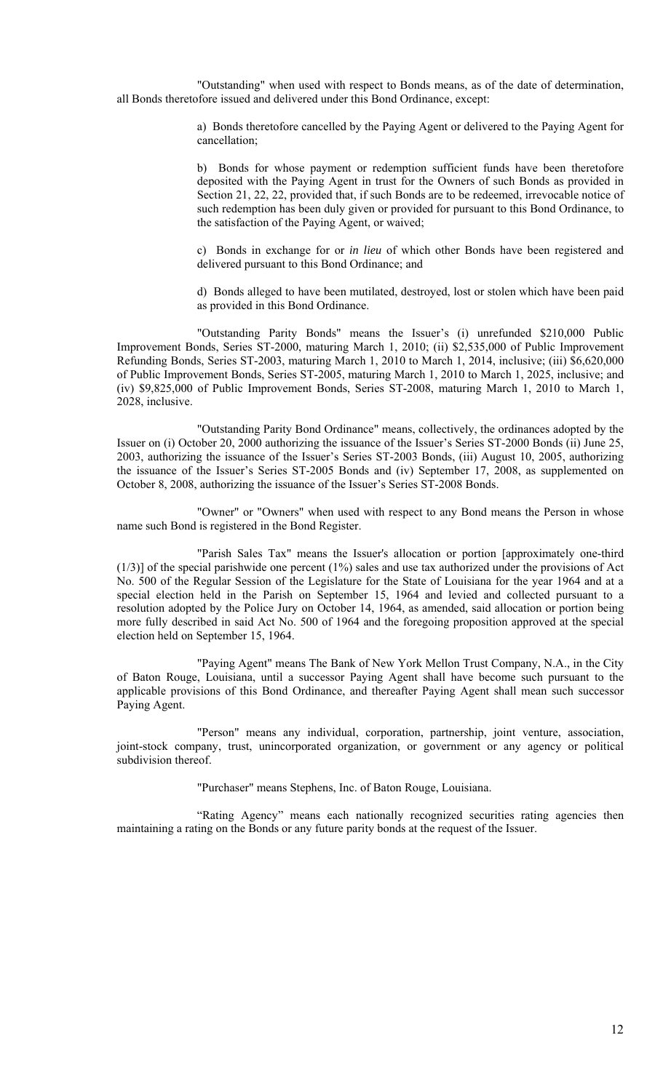"Outstanding" when used with respect to Bonds means, as of the date of determination, all Bonds theretofore issued and delivered under this Bond Ordinance, except:

> a) Bonds theretofore cancelled by the Paying Agent or delivered to the Paying Agent for cancellation;

> b) Bonds for whose payment or redemption sufficient funds have been theretofore deposited with the Paying Agent in trust for the Owners of such Bonds as provided in Section 21, 22, 22, provided that, if such Bonds are to be redeemed, irrevocable notice of such redemption has been duly given or provided for pursuant to this Bond Ordinance, to the satisfaction of the Paying Agent, or waived;

> c) Bonds in exchange for or *in lieu* of which other Bonds have been registered and delivered pursuant to this Bond Ordinance; and

> d) Bonds alleged to have been mutilated, destroyed, lost or stolen which have been paid as provided in this Bond Ordinance.

"Outstanding Parity Bonds" means the Issuer's (i) unrefunded \$210,000 Public Improvement Bonds, Series ST-2000, maturing March 1, 2010; (ii) \$2,535,000 of Public Improvement Refunding Bonds, Series ST-2003, maturing March 1, 2010 to March 1, 2014, inclusive; (iii) \$6,620,000 of Public Improvement Bonds, Series ST-2005, maturing March 1, 2010 to March 1, 2025, inclusive; and (iv) \$9,825,000 of Public Improvement Bonds, Series ST-2008, maturing March 1, 2010 to March 1, 2028, inclusive.

"Outstanding Parity Bond Ordinance" means, collectively, the ordinances adopted by the Issuer on (i) October 20, 2000 authorizing the issuance of the Issuer's Series ST-2000 Bonds (ii) June 25, 2003, authorizing the issuance of the Issuer's Series ST-2003 Bonds, (iii) August 10, 2005, authorizing the issuance of the Issuer's Series ST-2005 Bonds and (iv) September 17, 2008, as supplemented on October 8, 2008, authorizing the issuance of the Issuer's Series ST-2008 Bonds.

"Owner" or "Owners" when used with respect to any Bond means the Person in whose name such Bond is registered in the Bond Register.

"Parish Sales Tax" means the Issuer's allocation or portion [approximately one-third  $(1/3)$ ] of the special parishwide one percent  $(1%)$  sales and use tax authorized under the provisions of Act No. 500 of the Regular Session of the Legislature for the State of Louisiana for the year 1964 and at a special election held in the Parish on September 15, 1964 and levied and collected pursuant to a resolution adopted by the Police Jury on October 14, 1964, as amended, said allocation or portion being more fully described in said Act No. 500 of 1964 and the foregoing proposition approved at the special election held on September 15, 1964.

"Paying Agent" means The Bank of New York Mellon Trust Company, N.A., in the City of Baton Rouge, Louisiana, until a successor Paying Agent shall have become such pursuant to the applicable provisions of this Bond Ordinance, and thereafter Paying Agent shall mean such successor Paying Agent.

"Person" means any individual, corporation, partnership, joint venture, association, joint-stock company, trust, unincorporated organization, or government or any agency or political subdivision thereof.

"Purchaser" means Stephens, Inc. of Baton Rouge, Louisiana.

"Rating Agency" means each nationally recognized securities rating agencies then maintaining a rating on the Bonds or any future parity bonds at the request of the Issuer.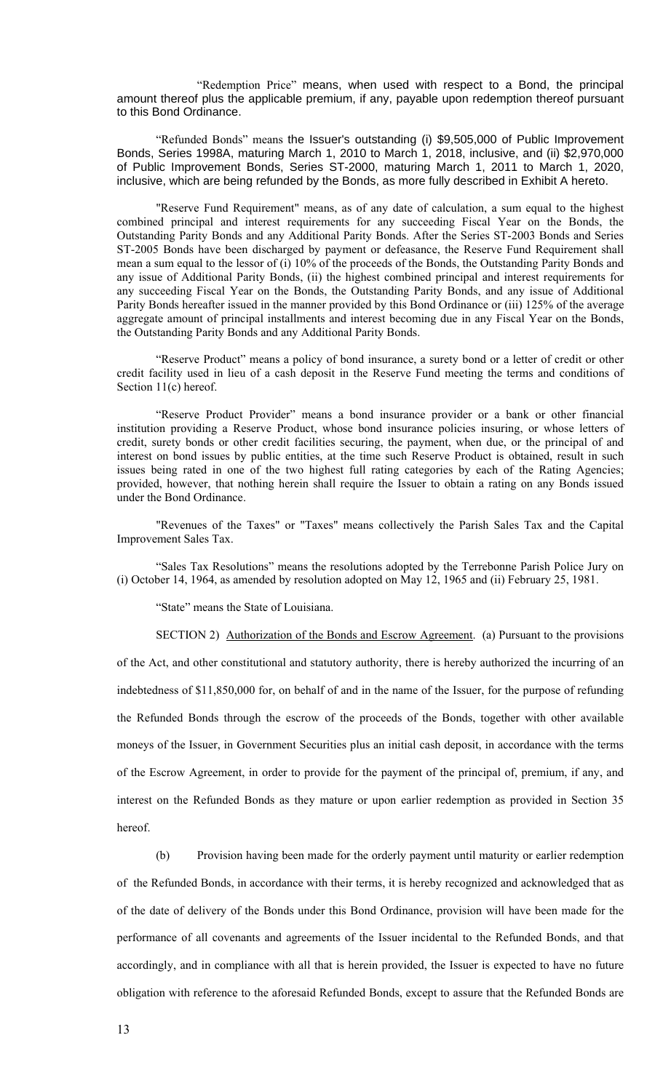"Redemption Price" means, when used with respect to a Bond, the principal amount thereof plus the applicable premium, if any, payable upon redemption thereof pursuant to this Bond Ordinance.

"Refunded Bonds" means the Issuer's outstanding (i) \$9,505,000 of Public Improvement Bonds, Series 1998A, maturing March 1, 2010 to March 1, 2018, inclusive, and (ii) \$2,970,000 of Public Improvement Bonds, Series ST-2000, maturing March 1, 2011 to March 1, 2020, inclusive, which are being refunded by the Bonds, as more fully described in Exhibit A hereto.

"Reserve Fund Requirement" means, as of any date of calculation, a sum equal to the highest combined principal and interest requirements for any succeeding Fiscal Year on the Bonds, the Outstanding Parity Bonds and any Additional Parity Bonds. After the Series ST-2003 Bonds and Series ST-2005 Bonds have been discharged by payment or defeasance, the Reserve Fund Requirement shall mean a sum equal to the lessor of (i) 10% of the proceeds of the Bonds, the Outstanding Parity Bonds and any issue of Additional Parity Bonds, (ii) the highest combined principal and interest requirements for any succeeding Fiscal Year on the Bonds, the Outstanding Parity Bonds, and any issue of Additional Parity Bonds hereafter issued in the manner provided by this Bond Ordinance or (iii) 125% of the average aggregate amount of principal installments and interest becoming due in any Fiscal Year on the Bonds, the Outstanding Parity Bonds and any Additional Parity Bonds.

"Reserve Product" means a policy of bond insurance, a surety bond or a letter of credit or other credit facility used in lieu of a cash deposit in the Reserve Fund meeting the terms and conditions of Section 11(c) hereof.

"Reserve Product Provider" means a bond insurance provider or a bank or other financial institution providing a Reserve Product, whose bond insurance policies insuring, or whose letters of credit, surety bonds or other credit facilities securing, the payment, when due, or the principal of and interest on bond issues by public entities, at the time such Reserve Product is obtained, result in such issues being rated in one of the two highest full rating categories by each of the Rating Agencies; provided, however, that nothing herein shall require the Issuer to obtain a rating on any Bonds issued under the Bond Ordinance.

"Revenues of the Taxes" or "Taxes" means collectively the Parish Sales Tax and the Capital Improvement Sales Tax.

"Sales Tax Resolutions" means the resolutions adopted by the Terrebonne Parish Police Jury on (i) October 14, 1964, as amended by resolution adopted on May 12, 1965 and (ii) February 25, 1981.

"State" means the State of Louisiana.

SECTION 2) Authorization of the Bonds and Escrow Agreement. (a) Pursuant to the provisions of the Act, and other constitutional and statutory authority, there is hereby authorized the incurring of an indebtedness of \$11,850,000 for, on behalf of and in the name of the Issuer, for the purpose of refunding the Refunded Bonds through the escrow of the proceeds of the Bonds, together with other available moneys of the Issuer, in Government Securities plus an initial cash deposit, in accordance with the terms of the Escrow Agreement, in order to provide for the payment of the principal of, premium, if any, and interest on the Refunded Bonds as they mature or upon earlier redemption as provided in Section 35 hereof.

(b) Provision having been made for the orderly payment until maturity or earlier redemption of the Refunded Bonds, in accordance with their terms, it is hereby recognized and acknowledged that as of the date of delivery of the Bonds under this Bond Ordinance, provision will have been made for the performance of all covenants and agreements of the Issuer incidental to the Refunded Bonds, and that accordingly, and in compliance with all that is herein provided, the Issuer is expected to have no future obligation with reference to the aforesaid Refunded Bonds, except to assure that the Refunded Bonds are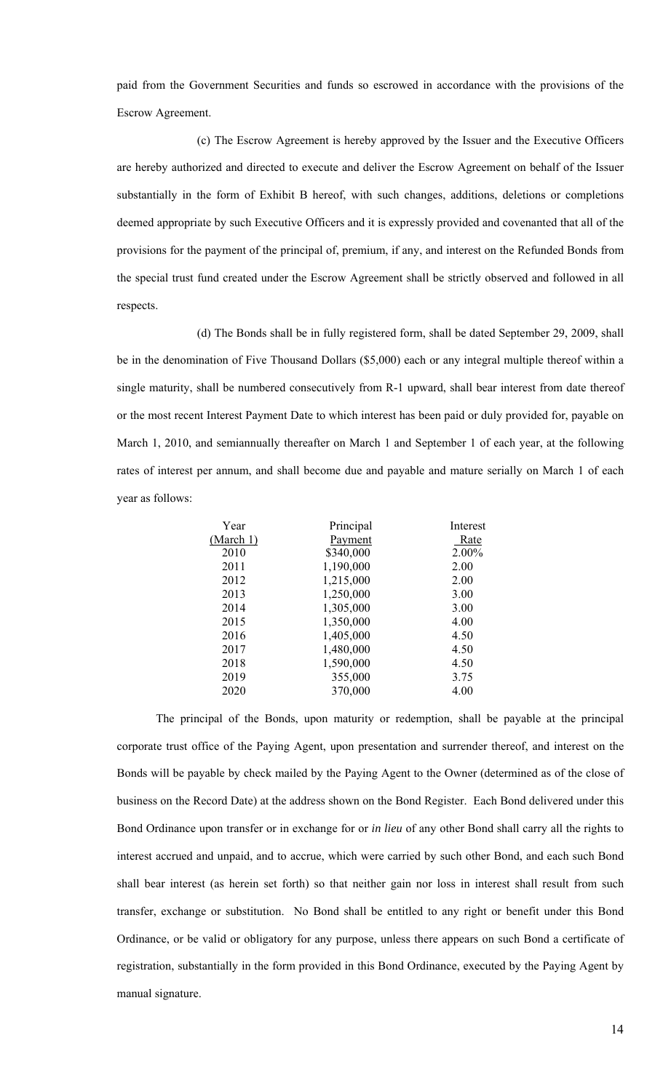paid from the Government Securities and funds so escrowed in accordance with the provisions of the Escrow Agreement.

(c) The Escrow Agreement is hereby approved by the Issuer and the Executive Officers are hereby authorized and directed to execute and deliver the Escrow Agreement on behalf of the Issuer substantially in the form of Exhibit B hereof, with such changes, additions, deletions or completions deemed appropriate by such Executive Officers and it is expressly provided and covenanted that all of the provisions for the payment of the principal of, premium, if any, and interest on the Refunded Bonds from the special trust fund created under the Escrow Agreement shall be strictly observed and followed in all respects.

(d) The Bonds shall be in fully registered form, shall be dated September 29, 2009, shall be in the denomination of Five Thousand Dollars (\$5,000) each or any integral multiple thereof within a single maturity, shall be numbered consecutively from R-1 upward, shall bear interest from date thereof or the most recent Interest Payment Date to which interest has been paid or duly provided for, payable on March 1, 2010, and semiannually thereafter on March 1 and September 1 of each year, at the following rates of interest per annum, and shall become due and payable and mature serially on March 1 of each year as follows:

| Year      | Principal | Interest |
|-----------|-----------|----------|
| (March 1) | Payment   | Rate     |
| 2010      | \$340,000 | 2.00%    |
| 2011      | 1,190,000 | 2.00     |
| 2012      | 1,215,000 | 2.00     |
| 2013      | 1,250,000 | 3.00     |
| 2014      | 1,305,000 | 3.00     |
| 2015      | 1,350,000 | 4.00     |
| 2016      | 1,405,000 | 4.50     |
| 2017      | 1,480,000 | 4.50     |
| 2018      | 1,590,000 | 4.50     |
| 2019      | 355,000   | 3.75     |
| 2020      | 370,000   | 4.00     |
|           |           |          |

The principal of the Bonds, upon maturity or redemption, shall be payable at the principal corporate trust office of the Paying Agent, upon presentation and surrender thereof, and interest on the Bonds will be payable by check mailed by the Paying Agent to the Owner (determined as of the close of business on the Record Date) at the address shown on the Bond Register. Each Bond delivered under this Bond Ordinance upon transfer or in exchange for or *in lieu* of any other Bond shall carry all the rights to interest accrued and unpaid, and to accrue, which were carried by such other Bond, and each such Bond shall bear interest (as herein set forth) so that neither gain nor loss in interest shall result from such transfer, exchange or substitution. No Bond shall be entitled to any right or benefit under this Bond Ordinance, or be valid or obligatory for any purpose, unless there appears on such Bond a certificate of registration, substantially in the form provided in this Bond Ordinance, executed by the Paying Agent by manual signature.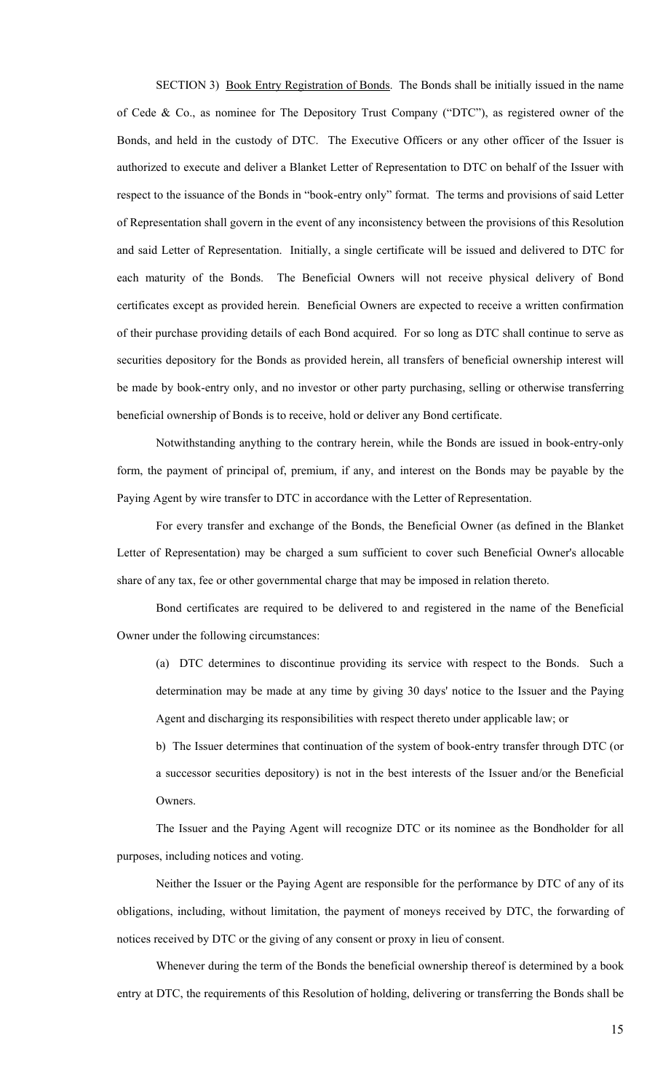SECTION 3) Book Entry Registration of Bonds. The Bonds shall be initially issued in the name of Cede & Co., as nominee for The Depository Trust Company ("DTC"), as registered owner of the Bonds, and held in the custody of DTC. The Executive Officers or any other officer of the Issuer is authorized to execute and deliver a Blanket Letter of Representation to DTC on behalf of the Issuer with respect to the issuance of the Bonds in "book-entry only" format. The terms and provisions of said Letter of Representation shall govern in the event of any inconsistency between the provisions of this Resolution and said Letter of Representation. Initially, a single certificate will be issued and delivered to DTC for each maturity of the Bonds. The Beneficial Owners will not receive physical delivery of Bond certificates except as provided herein. Beneficial Owners are expected to receive a written confirmation of their purchase providing details of each Bond acquired. For so long as DTC shall continue to serve as securities depository for the Bonds as provided herein, all transfers of beneficial ownership interest will be made by book-entry only, and no investor or other party purchasing, selling or otherwise transferring beneficial ownership of Bonds is to receive, hold or deliver any Bond certificate.

Notwithstanding anything to the contrary herein, while the Bonds are issued in book-entry-only form, the payment of principal of, premium, if any, and interest on the Bonds may be payable by the Paying Agent by wire transfer to DTC in accordance with the Letter of Representation.

For every transfer and exchange of the Bonds, the Beneficial Owner (as defined in the Blanket Letter of Representation) may be charged a sum sufficient to cover such Beneficial Owner's allocable share of any tax, fee or other governmental charge that may be imposed in relation thereto.

Bond certificates are required to be delivered to and registered in the name of the Beneficial Owner under the following circumstances:

(a) DTC determines to discontinue providing its service with respect to the Bonds. Such a determination may be made at any time by giving 30 days' notice to the Issuer and the Paying Agent and discharging its responsibilities with respect thereto under applicable law; or

b) The Issuer determines that continuation of the system of book-entry transfer through DTC (or a successor securities depository) is not in the best interests of the Issuer and/or the Beneficial Owners.

The Issuer and the Paying Agent will recognize DTC or its nominee as the Bondholder for all purposes, including notices and voting.

Neither the Issuer or the Paying Agent are responsible for the performance by DTC of any of its obligations, including, without limitation, the payment of moneys received by DTC, the forwarding of notices received by DTC or the giving of any consent or proxy in lieu of consent.

Whenever during the term of the Bonds the beneficial ownership thereof is determined by a book entry at DTC, the requirements of this Resolution of holding, delivering or transferring the Bonds shall be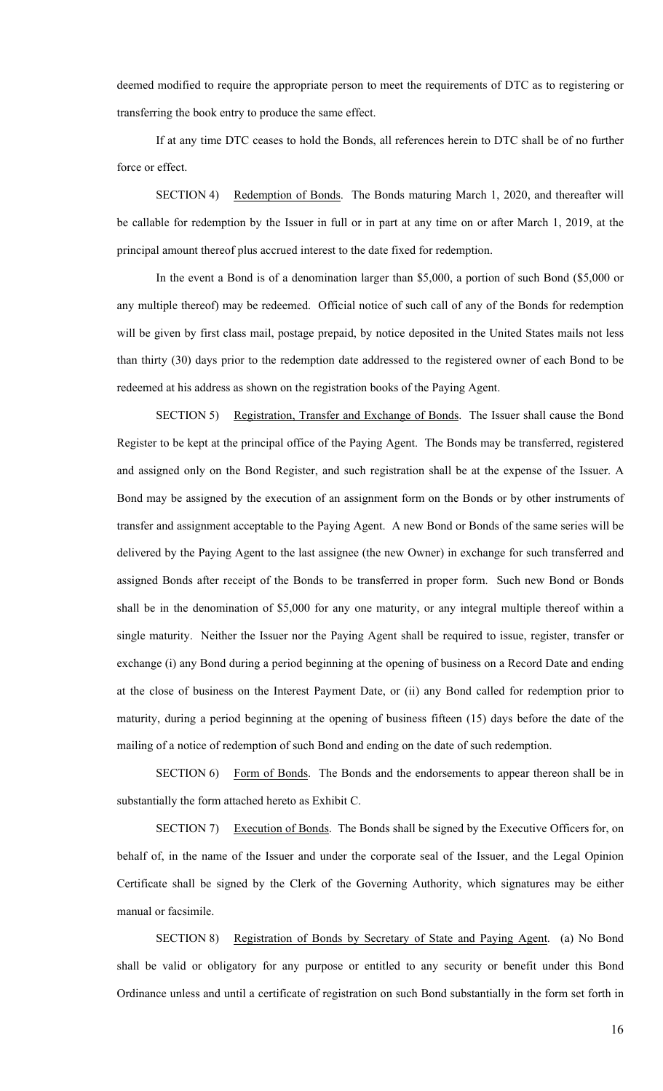deemed modified to require the appropriate person to meet the requirements of DTC as to registering or transferring the book entry to produce the same effect.

If at any time DTC ceases to hold the Bonds, all references herein to DTC shall be of no further force or effect.

SECTION 4) Redemption of Bonds. The Bonds maturing March 1, 2020, and thereafter will be callable for redemption by the Issuer in full or in part at any time on or after March 1, 2019, at the principal amount thereof plus accrued interest to the date fixed for redemption.

In the event a Bond is of a denomination larger than \$5,000, a portion of such Bond (\$5,000 or any multiple thereof) may be redeemed. Official notice of such call of any of the Bonds for redemption will be given by first class mail, postage prepaid, by notice deposited in the United States mails not less than thirty (30) days prior to the redemption date addressed to the registered owner of each Bond to be redeemed at his address as shown on the registration books of the Paying Agent.

SECTION 5) Registration, Transfer and Exchange of Bonds. The Issuer shall cause the Bond Register to be kept at the principal office of the Paying Agent. The Bonds may be transferred, registered and assigned only on the Bond Register, and such registration shall be at the expense of the Issuer. A Bond may be assigned by the execution of an assignment form on the Bonds or by other instruments of transfer and assignment acceptable to the Paying Agent. A new Bond or Bonds of the same series will be delivered by the Paying Agent to the last assignee (the new Owner) in exchange for such transferred and assigned Bonds after receipt of the Bonds to be transferred in proper form. Such new Bond or Bonds shall be in the denomination of \$5,000 for any one maturity, or any integral multiple thereof within a single maturity. Neither the Issuer nor the Paying Agent shall be required to issue, register, transfer or exchange (i) any Bond during a period beginning at the opening of business on a Record Date and ending at the close of business on the Interest Payment Date, or (ii) any Bond called for redemption prior to maturity, during a period beginning at the opening of business fifteen (15) days before the date of the mailing of a notice of redemption of such Bond and ending on the date of such redemption.

SECTION 6) Form of Bonds. The Bonds and the endorsements to appear thereon shall be in substantially the form attached hereto as Exhibit C.

SECTION 7) Execution of Bonds. The Bonds shall be signed by the Executive Officers for, on behalf of, in the name of the Issuer and under the corporate seal of the Issuer, and the Legal Opinion Certificate shall be signed by the Clerk of the Governing Authority, which signatures may be either manual or facsimile.

SECTION 8) Registration of Bonds by Secretary of State and Paying Agent. (a) No Bond shall be valid or obligatory for any purpose or entitled to any security or benefit under this Bond Ordinance unless and until a certificate of registration on such Bond substantially in the form set forth in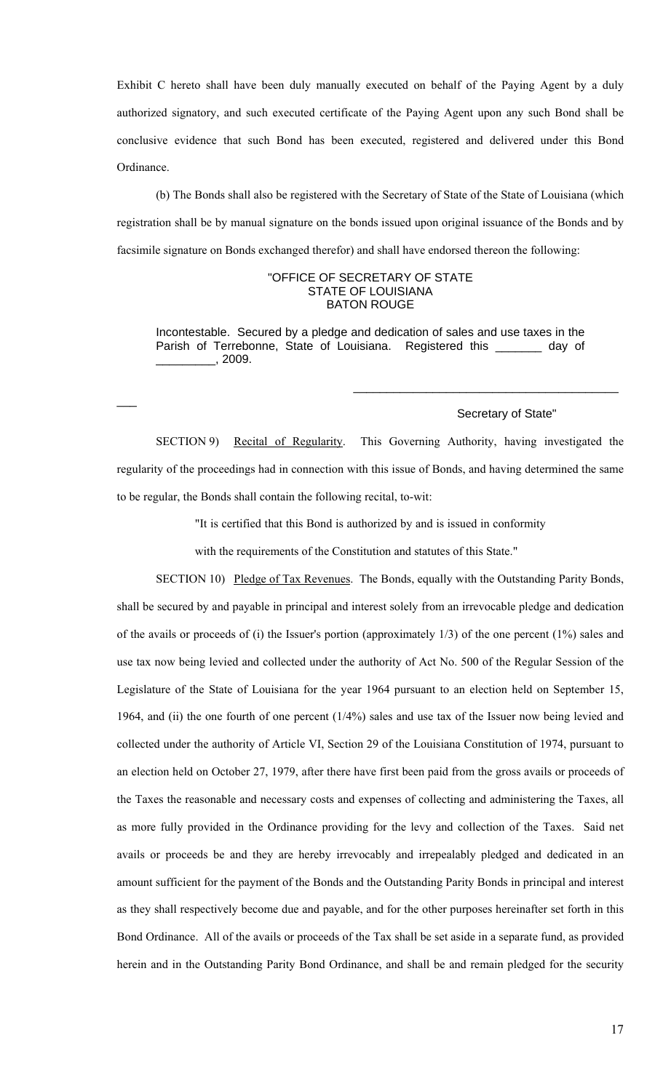Exhibit C hereto shall have been duly manually executed on behalf of the Paying Agent by a duly authorized signatory, and such executed certificate of the Paying Agent upon any such Bond shall be conclusive evidence that such Bond has been executed, registered and delivered under this Bond Ordinance.

(b) The Bonds shall also be registered with the Secretary of State of the State of Louisiana (which registration shall be by manual signature on the bonds issued upon original issuance of the Bonds and by facsimile signature on Bonds exchanged therefor) and shall have endorsed thereon the following:

### "OFFICE OF SECRETARY OF STATE STATE OF LOUISIANA BATON ROUGE

Incontestable. Secured by a pledge and dedication of sales and use taxes in the Parish of Terrebonne, State of Louisiana. Registered this \_\_\_\_\_\_\_ day of  $, 2009.$ 

 $\overline{\phantom{a}}$ 

#### Secretary of State"

\_\_\_\_\_\_\_\_\_\_\_\_\_\_\_\_\_\_\_\_\_\_\_\_\_\_\_\_\_\_\_\_\_\_\_\_\_\_\_\_

SECTION 9) Recital of Regularity. This Governing Authority, having investigated the regularity of the proceedings had in connection with this issue of Bonds, and having determined the same to be regular, the Bonds shall contain the following recital, to-wit:

"It is certified that this Bond is authorized by and is issued in conformity

with the requirements of the Constitution and statutes of this State."

SECTION 10) Pledge of Tax Revenues. The Bonds, equally with the Outstanding Parity Bonds, shall be secured by and payable in principal and interest solely from an irrevocable pledge and dedication of the avails or proceeds of (i) the Issuer's portion (approximately 1/3) of the one percent (1%) sales and use tax now being levied and collected under the authority of Act No. 500 of the Regular Session of the Legislature of the State of Louisiana for the year 1964 pursuant to an election held on September 15, 1964, and (ii) the one fourth of one percent (1/4%) sales and use tax of the Issuer now being levied and collected under the authority of Article VI, Section 29 of the Louisiana Constitution of 1974, pursuant to an election held on October 27, 1979, after there have first been paid from the gross avails or proceeds of the Taxes the reasonable and necessary costs and expenses of collecting and administering the Taxes, all as more fully provided in the Ordinance providing for the levy and collection of the Taxes. Said net avails or proceeds be and they are hereby irrevocably and irrepealably pledged and dedicated in an amount sufficient for the payment of the Bonds and the Outstanding Parity Bonds in principal and interest as they shall respectively become due and payable, and for the other purposes hereinafter set forth in this Bond Ordinance. All of the avails or proceeds of the Tax shall be set aside in a separate fund, as provided herein and in the Outstanding Parity Bond Ordinance, and shall be and remain pledged for the security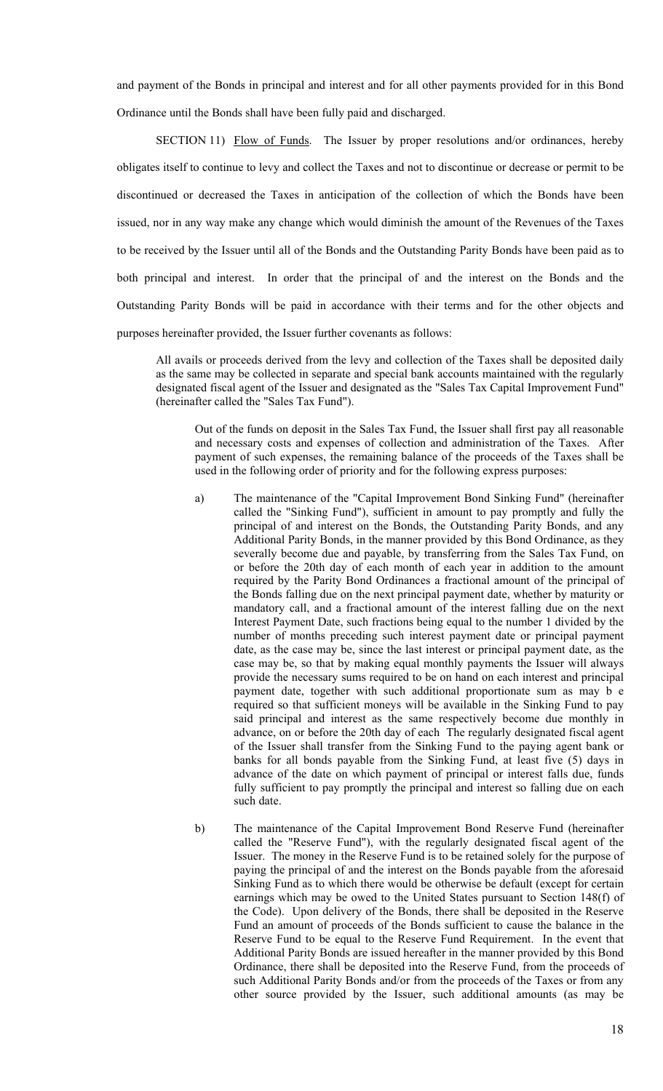and payment of the Bonds in principal and interest and for all other payments provided for in this Bond Ordinance until the Bonds shall have been fully paid and discharged.

SECTION 11) Flow of Funds. The Issuer by proper resolutions and/or ordinances, hereby obligates itself to continue to levy and collect the Taxes and not to discontinue or decrease or permit to be discontinued or decreased the Taxes in anticipation of the collection of which the Bonds have been issued, nor in any way make any change which would diminish the amount of the Revenues of the Taxes to be received by the Issuer until all of the Bonds and the Outstanding Parity Bonds have been paid as to both principal and interest. In order that the principal of and the interest on the Bonds and the Outstanding Parity Bonds will be paid in accordance with their terms and for the other objects and purposes hereinafter provided, the Issuer further covenants as follows:

All avails or proceeds derived from the levy and collection of the Taxes shall be deposited daily as the same may be collected in separate and special bank accounts maintained with the regularly designated fiscal agent of the Issuer and designated as the "Sales Tax Capital Improvement Fund" (hereinafter called the "Sales Tax Fund").

Out of the funds on deposit in the Sales Tax Fund, the Issuer shall first pay all reasonable and necessary costs and expenses of collection and administration of the Taxes. After payment of such expenses, the remaining balance of the proceeds of the Taxes shall be used in the following order of priority and for the following express purposes:

- a) The maintenance of the "Capital Improvement Bond Sinking Fund" (hereinafter called the "Sinking Fund"), sufficient in amount to pay promptly and fully the principal of and interest on the Bonds, the Outstanding Parity Bonds, and any Additional Parity Bonds, in the manner provided by this Bond Ordinance, as they severally become due and payable, by transferring from the Sales Tax Fund, on or before the 20th day of each month of each year in addition to the amount required by the Parity Bond Ordinances a fractional amount of the principal of the Bonds falling due on the next principal payment date, whether by maturity or mandatory call, and a fractional amount of the interest falling due on the next Interest Payment Date, such fractions being equal to the number 1 divided by the number of months preceding such interest payment date or principal payment date, as the case may be, since the last interest or principal payment date, as the case may be, so that by making equal monthly payments the Issuer will always provide the necessary sums required to be on hand on each interest and principal payment date, together with such additional proportionate sum as may b e required so that sufficient moneys will be available in the Sinking Fund to pay said principal and interest as the same respectively become due monthly in advance, on or before the 20th day of each The regularly designated fiscal agent of the Issuer shall transfer from the Sinking Fund to the paying agent bank or banks for all bonds payable from the Sinking Fund, at least five (5) days in advance of the date on which payment of principal or interest falls due, funds fully sufficient to pay promptly the principal and interest so falling due on each such date.
- b) The maintenance of the Capital Improvement Bond Reserve Fund (hereinafter called the "Reserve Fund"), with the regularly designated fiscal agent of the Issuer. The money in the Reserve Fund is to be retained solely for the purpose of paying the principal of and the interest on the Bonds payable from the aforesaid Sinking Fund as to which there would be otherwise be default (except for certain earnings which may be owed to the United States pursuant to Section 148(f) of the Code). Upon delivery of the Bonds, there shall be deposited in the Reserve Fund an amount of proceeds of the Bonds sufficient to cause the balance in the Reserve Fund to be equal to the Reserve Fund Requirement. In the event that Additional Parity Bonds are issued hereafter in the manner provided by this Bond Ordinance, there shall be deposited into the Reserve Fund, from the proceeds of such Additional Parity Bonds and/or from the proceeds of the Taxes or from any other source provided by the Issuer, such additional amounts (as may be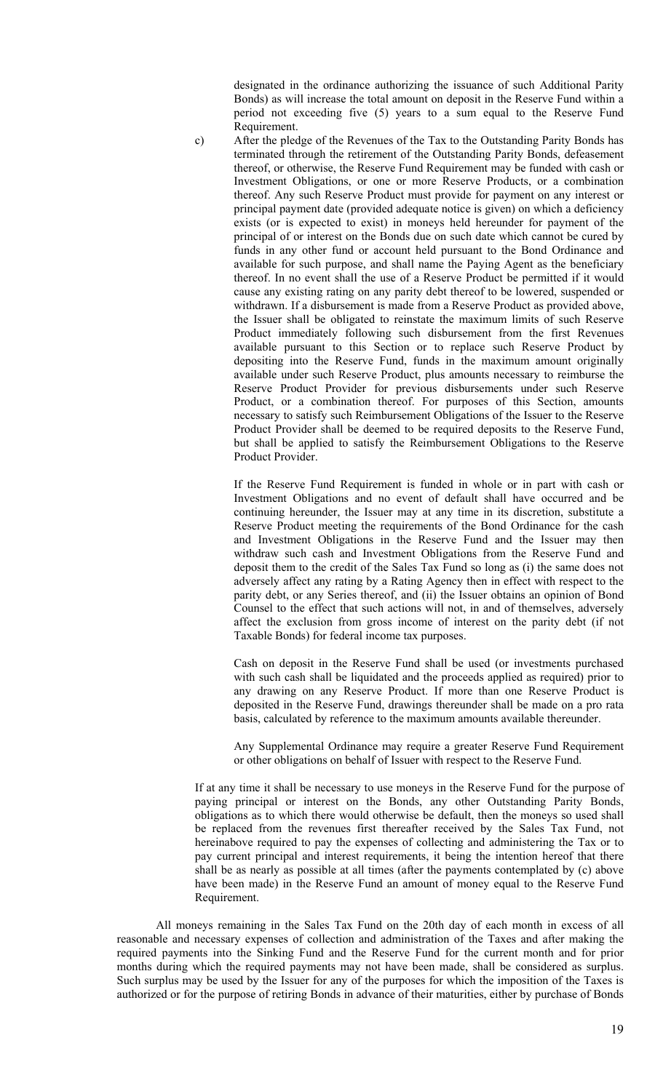designated in the ordinance authorizing the issuance of such Additional Parity Bonds) as will increase the total amount on deposit in the Reserve Fund within a period not exceeding five (5) years to a sum equal to the Reserve Fund Requirement.

c) After the pledge of the Revenues of the Tax to the Outstanding Parity Bonds has terminated through the retirement of the Outstanding Parity Bonds, defeasement thereof, or otherwise, the Reserve Fund Requirement may be funded with cash or Investment Obligations, or one or more Reserve Products, or a combination thereof. Any such Reserve Product must provide for payment on any interest or principal payment date (provided adequate notice is given) on which a deficiency exists (or is expected to exist) in moneys held hereunder for payment of the principal of or interest on the Bonds due on such date which cannot be cured by funds in any other fund or account held pursuant to the Bond Ordinance and available for such purpose, and shall name the Paying Agent as the beneficiary thereof. In no event shall the use of a Reserve Product be permitted if it would cause any existing rating on any parity debt thereof to be lowered, suspended or withdrawn. If a disbursement is made from a Reserve Product as provided above, the Issuer shall be obligated to reinstate the maximum limits of such Reserve Product immediately following such disbursement from the first Revenues available pursuant to this Section or to replace such Reserve Product by depositing into the Reserve Fund, funds in the maximum amount originally available under such Reserve Product, plus amounts necessary to reimburse the Reserve Product Provider for previous disbursements under such Reserve Product, or a combination thereof. For purposes of this Section, amounts necessary to satisfy such Reimbursement Obligations of the Issuer to the Reserve Product Provider shall be deemed to be required deposits to the Reserve Fund, but shall be applied to satisfy the Reimbursement Obligations to the Reserve Product Provider.

If the Reserve Fund Requirement is funded in whole or in part with cash or Investment Obligations and no event of default shall have occurred and be continuing hereunder, the Issuer may at any time in its discretion, substitute a Reserve Product meeting the requirements of the Bond Ordinance for the cash and Investment Obligations in the Reserve Fund and the Issuer may then withdraw such cash and Investment Obligations from the Reserve Fund and deposit them to the credit of the Sales Tax Fund so long as (i) the same does not adversely affect any rating by a Rating Agency then in effect with respect to the parity debt, or any Series thereof, and (ii) the Issuer obtains an opinion of Bond Counsel to the effect that such actions will not, in and of themselves, adversely affect the exclusion from gross income of interest on the parity debt (if not Taxable Bonds) for federal income tax purposes.

Cash on deposit in the Reserve Fund shall be used (or investments purchased with such cash shall be liquidated and the proceeds applied as required) prior to any drawing on any Reserve Product. If more than one Reserve Product is deposited in the Reserve Fund, drawings thereunder shall be made on a pro rata basis, calculated by reference to the maximum amounts available thereunder.

Any Supplemental Ordinance may require a greater Reserve Fund Requirement or other obligations on behalf of Issuer with respect to the Reserve Fund.

If at any time it shall be necessary to use moneys in the Reserve Fund for the purpose of paying principal or interest on the Bonds, any other Outstanding Parity Bonds, obligations as to which there would otherwise be default, then the moneys so used shall be replaced from the revenues first thereafter received by the Sales Tax Fund, not hereinabove required to pay the expenses of collecting and administering the Tax or to pay current principal and interest requirements, it being the intention hereof that there shall be as nearly as possible at all times (after the payments contemplated by (c) above have been made) in the Reserve Fund an amount of money equal to the Reserve Fund Requirement.

All moneys remaining in the Sales Tax Fund on the 20th day of each month in excess of all reasonable and necessary expenses of collection and administration of the Taxes and after making the required payments into the Sinking Fund and the Reserve Fund for the current month and for prior months during which the required payments may not have been made, shall be considered as surplus. Such surplus may be used by the Issuer for any of the purposes for which the imposition of the Taxes is authorized or for the purpose of retiring Bonds in advance of their maturities, either by purchase of Bonds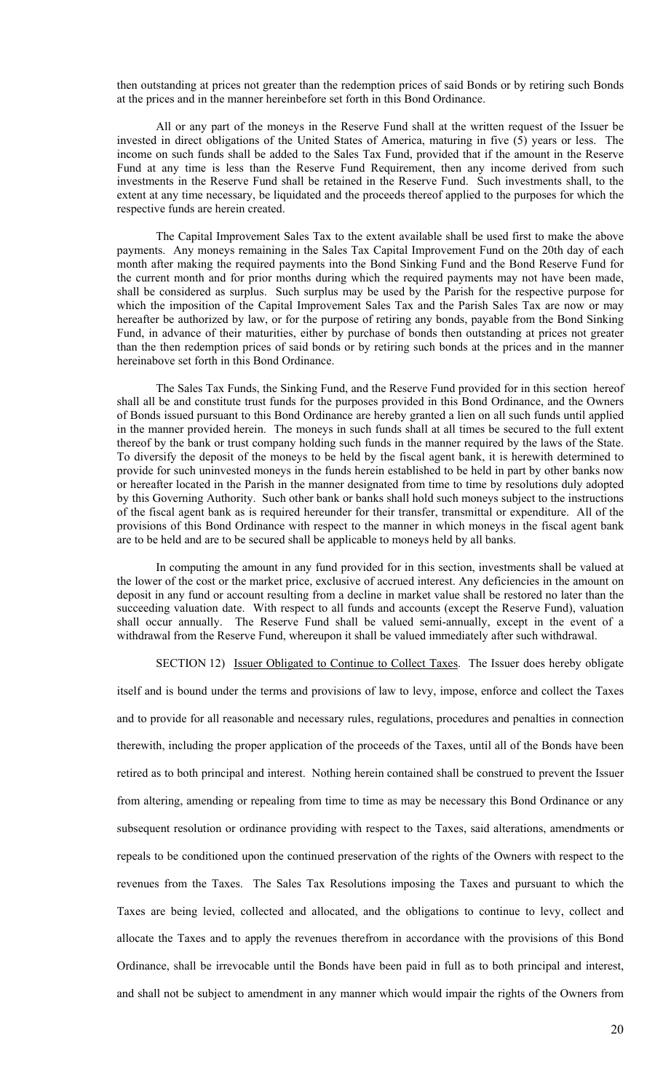then outstanding at prices not greater than the redemption prices of said Bonds or by retiring such Bonds at the prices and in the manner hereinbefore set forth in this Bond Ordinance.

All or any part of the moneys in the Reserve Fund shall at the written request of the Issuer be invested in direct obligations of the United States of America, maturing in five (5) years or less. The income on such funds shall be added to the Sales Tax Fund, provided that if the amount in the Reserve Fund at any time is less than the Reserve Fund Requirement, then any income derived from such investments in the Reserve Fund shall be retained in the Reserve Fund. Such investments shall, to the extent at any time necessary, be liquidated and the proceeds thereof applied to the purposes for which the respective funds are herein created.

The Capital Improvement Sales Tax to the extent available shall be used first to make the above payments. Any moneys remaining in the Sales Tax Capital Improvement Fund on the 20th day of each month after making the required payments into the Bond Sinking Fund and the Bond Reserve Fund for the current month and for prior months during which the required payments may not have been made, shall be considered as surplus. Such surplus may be used by the Parish for the respective purpose for which the imposition of the Capital Improvement Sales Tax and the Parish Sales Tax are now or may hereafter be authorized by law, or for the purpose of retiring any bonds, payable from the Bond Sinking Fund, in advance of their maturities, either by purchase of bonds then outstanding at prices not greater than the then redemption prices of said bonds or by retiring such bonds at the prices and in the manner hereinabove set forth in this Bond Ordinance.

The Sales Tax Funds, the Sinking Fund, and the Reserve Fund provided for in this section hereof shall all be and constitute trust funds for the purposes provided in this Bond Ordinance, and the Owners of Bonds issued pursuant to this Bond Ordinance are hereby granted a lien on all such funds until applied in the manner provided herein. The moneys in such funds shall at all times be secured to the full extent thereof by the bank or trust company holding such funds in the manner required by the laws of the State. To diversify the deposit of the moneys to be held by the fiscal agent bank, it is herewith determined to provide for such uninvested moneys in the funds herein established to be held in part by other banks now or hereafter located in the Parish in the manner designated from time to time by resolutions duly adopted by this Governing Authority. Such other bank or banks shall hold such moneys subject to the instructions of the fiscal agent bank as is required hereunder for their transfer, transmittal or expenditure. All of the provisions of this Bond Ordinance with respect to the manner in which moneys in the fiscal agent bank are to be held and are to be secured shall be applicable to moneys held by all banks.

In computing the amount in any fund provided for in this section, investments shall be valued at the lower of the cost or the market price, exclusive of accrued interest. Any deficiencies in the amount on deposit in any fund or account resulting from a decline in market value shall be restored no later than the succeeding valuation date. With respect to all funds and accounts (except the Reserve Fund), valuation shall occur annually. The Reserve Fund shall be valued semi-annually, except in the event of a withdrawal from the Reserve Fund, whereupon it shall be valued immediately after such withdrawal.

SECTION 12) Issuer Obligated to Continue to Collect Taxes. The Issuer does hereby obligate

itself and is bound under the terms and provisions of law to levy, impose, enforce and collect the Taxes and to provide for all reasonable and necessary rules, regulations, procedures and penalties in connection therewith, including the proper application of the proceeds of the Taxes, until all of the Bonds have been retired as to both principal and interest. Nothing herein contained shall be construed to prevent the Issuer from altering, amending or repealing from time to time as may be necessary this Bond Ordinance or any subsequent resolution or ordinance providing with respect to the Taxes, said alterations, amendments or repeals to be conditioned upon the continued preservation of the rights of the Owners with respect to the revenues from the Taxes. The Sales Tax Resolutions imposing the Taxes and pursuant to which the Taxes are being levied, collected and allocated, and the obligations to continue to levy, collect and allocate the Taxes and to apply the revenues therefrom in accordance with the provisions of this Bond Ordinance, shall be irrevocable until the Bonds have been paid in full as to both principal and interest, and shall not be subject to amendment in any manner which would impair the rights of the Owners from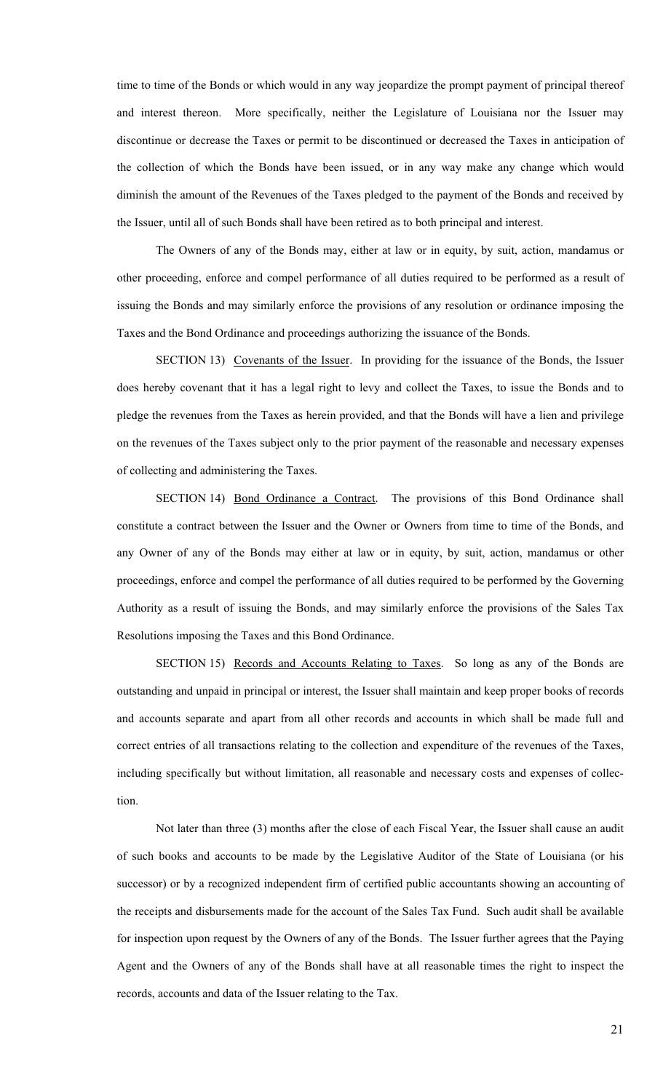time to time of the Bonds or which would in any way jeopardize the prompt payment of principal thereof and interest thereon. More specifically, neither the Legislature of Louisiana nor the Issuer may discontinue or decrease the Taxes or permit to be discontinued or decreased the Taxes in anticipation of the collection of which the Bonds have been issued, or in any way make any change which would diminish the amount of the Revenues of the Taxes pledged to the payment of the Bonds and received by the Issuer, until all of such Bonds shall have been retired as to both principal and interest.

The Owners of any of the Bonds may, either at law or in equity, by suit, action, mandamus or other proceeding, enforce and compel performance of all duties required to be performed as a result of issuing the Bonds and may similarly enforce the provisions of any resolution or ordinance imposing the Taxes and the Bond Ordinance and proceedings authorizing the issuance of the Bonds.

SECTION 13) Covenants of the Issuer. In providing for the issuance of the Bonds, the Issuer does hereby covenant that it has a legal right to levy and collect the Taxes, to issue the Bonds and to pledge the revenues from the Taxes as herein provided, and that the Bonds will have a lien and privilege on the revenues of the Taxes subject only to the prior payment of the reasonable and necessary expenses of collecting and administering the Taxes.

SECTION 14) Bond Ordinance a Contract. The provisions of this Bond Ordinance shall constitute a contract between the Issuer and the Owner or Owners from time to time of the Bonds, and any Owner of any of the Bonds may either at law or in equity, by suit, action, mandamus or other proceedings, enforce and compel the performance of all duties required to be performed by the Governing Authority as a result of issuing the Bonds, and may similarly enforce the provisions of the Sales Tax Resolutions imposing the Taxes and this Bond Ordinance.

SECTION 15) Records and Accounts Relating to Taxes. So long as any of the Bonds are outstanding and unpaid in principal or interest, the Issuer shall maintain and keep proper books of records and accounts separate and apart from all other records and accounts in which shall be made full and correct entries of all transactions relating to the collection and expenditure of the revenues of the Taxes, including specifically but without limitation, all reasonable and necessary costs and expenses of collection.

Not later than three (3) months after the close of each Fiscal Year, the Issuer shall cause an audit of such books and accounts to be made by the Legislative Auditor of the State of Louisiana (or his successor) or by a recognized independent firm of certified public accountants showing an accounting of the receipts and disbursements made for the account of the Sales Tax Fund. Such audit shall be available for inspection upon request by the Owners of any of the Bonds. The Issuer further agrees that the Paying Agent and the Owners of any of the Bonds shall have at all reasonable times the right to inspect the records, accounts and data of the Issuer relating to the Tax.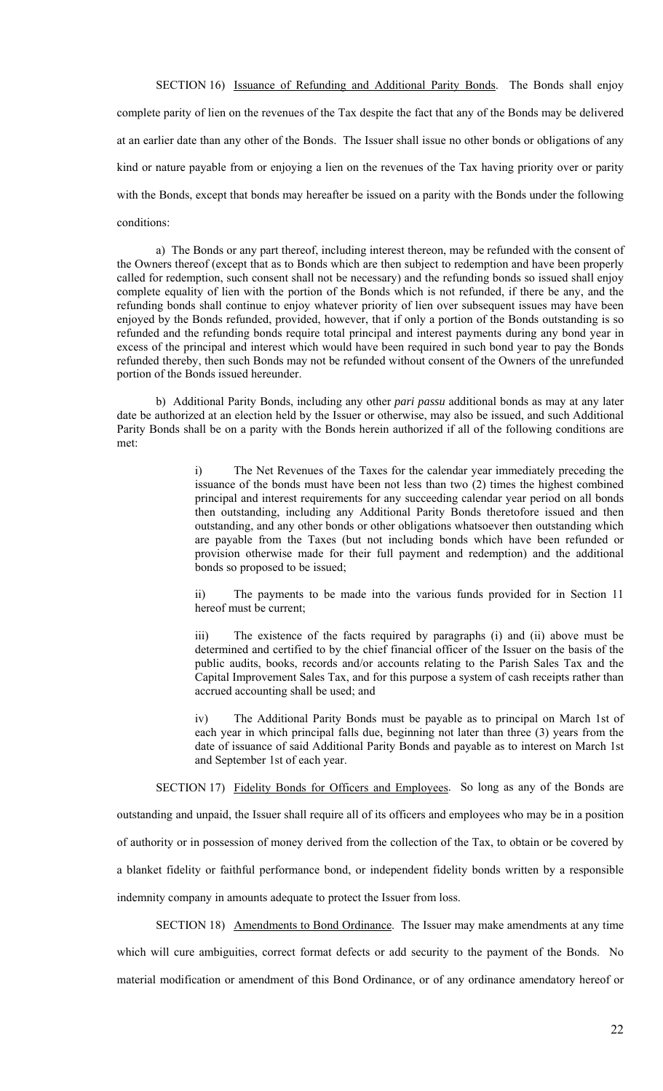SECTION 16) Issuance of Refunding and Additional Parity Bonds. The Bonds shall enjoy complete parity of lien on the revenues of the Tax despite the fact that any of the Bonds may be delivered at an earlier date than any other of the Bonds. The Issuer shall issue no other bonds or obligations of any kind or nature payable from or enjoying a lien on the revenues of the Tax having priority over or parity with the Bonds, except that bonds may hereafter be issued on a parity with the Bonds under the following conditions:

a) The Bonds or any part thereof, including interest thereon, may be refunded with the consent of the Owners thereof (except that as to Bonds which are then subject to redemption and have been properly called for redemption, such consent shall not be necessary) and the refunding bonds so issued shall enjoy complete equality of lien with the portion of the Bonds which is not refunded, if there be any, and the refunding bonds shall continue to enjoy whatever priority of lien over subsequent issues may have been enjoyed by the Bonds refunded, provided, however, that if only a portion of the Bonds outstanding is so refunded and the refunding bonds require total principal and interest payments during any bond year in excess of the principal and interest which would have been required in such bond year to pay the Bonds refunded thereby, then such Bonds may not be refunded without consent of the Owners of the unrefunded portion of the Bonds issued hereunder.

b) Additional Parity Bonds, including any other *pari passu* additional bonds as may at any later date be authorized at an election held by the Issuer or otherwise, may also be issued, and such Additional Parity Bonds shall be on a parity with the Bonds herein authorized if all of the following conditions are met:

> i) The Net Revenues of the Taxes for the calendar year immediately preceding the issuance of the bonds must have been not less than two (2) times the highest combined principal and interest requirements for any succeeding calendar year period on all bonds then outstanding, including any Additional Parity Bonds theretofore issued and then outstanding, and any other bonds or other obligations whatsoever then outstanding which are payable from the Taxes (but not including bonds which have been refunded or provision otherwise made for their full payment and redemption) and the additional bonds so proposed to be issued;

> ii) The payments to be made into the various funds provided for in Section 11 hereof must be current;

> iii) The existence of the facts required by paragraphs (i) and (ii) above must be determined and certified to by the chief financial officer of the Issuer on the basis of the public audits, books, records and/or accounts relating to the Parish Sales Tax and the Capital Improvement Sales Tax, and for this purpose a system of cash receipts rather than accrued accounting shall be used; and

> iv) The Additional Parity Bonds must be payable as to principal on March 1st of each year in which principal falls due, beginning not later than three (3) years from the date of issuance of said Additional Parity Bonds and payable as to interest on March 1st and September 1st of each year.

SECTION 17) Fidelity Bonds for Officers and Employees. So long as any of the Bonds are

outstanding and unpaid, the Issuer shall require all of its officers and employees who may be in a position of authority or in possession of money derived from the collection of the Tax, to obtain or be covered by a blanket fidelity or faithful performance bond, or independent fidelity bonds written by a responsible indemnity company in amounts adequate to protect the Issuer from loss.

SECTION 18) Amendments to Bond Ordinance. The Issuer may make amendments at any time which will cure ambiguities, correct format defects or add security to the payment of the Bonds. No material modification or amendment of this Bond Ordinance, or of any ordinance amendatory hereof or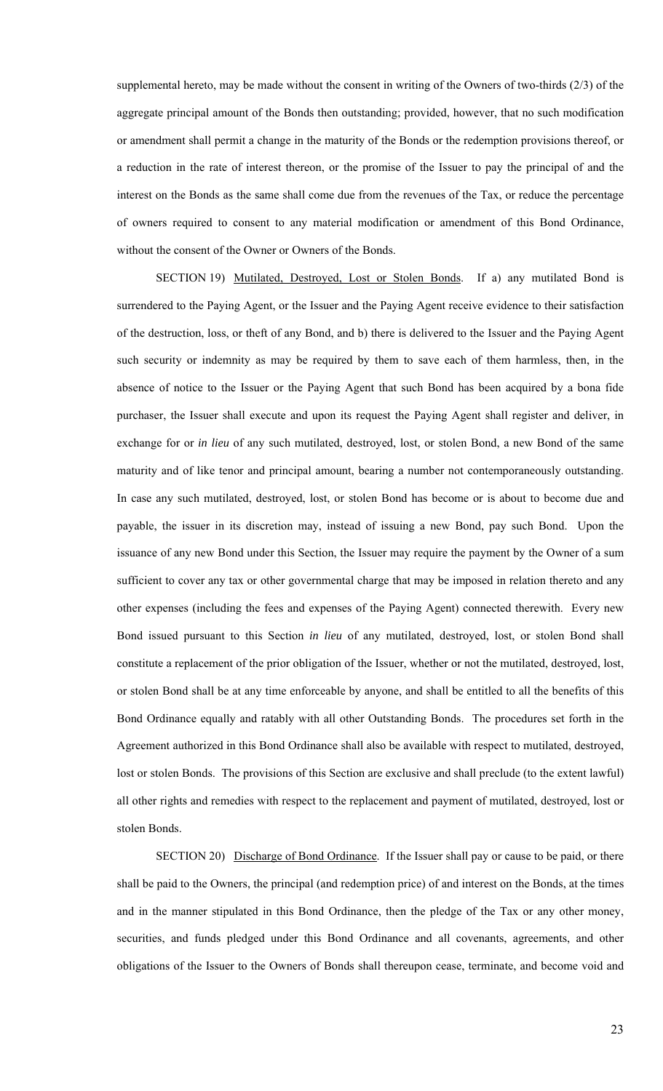supplemental hereto, may be made without the consent in writing of the Owners of two-thirds (2/3) of the aggregate principal amount of the Bonds then outstanding; provided, however, that no such modification or amendment shall permit a change in the maturity of the Bonds or the redemption provisions thereof, or a reduction in the rate of interest thereon, or the promise of the Issuer to pay the principal of and the interest on the Bonds as the same shall come due from the revenues of the Tax, or reduce the percentage of owners required to consent to any material modification or amendment of this Bond Ordinance, without the consent of the Owner or Owners of the Bonds.

SECTION 19) Mutilated, Destroyed, Lost or Stolen Bonds. If a) any mutilated Bond is surrendered to the Paying Agent, or the Issuer and the Paying Agent receive evidence to their satisfaction of the destruction, loss, or theft of any Bond, and b) there is delivered to the Issuer and the Paying Agent such security or indemnity as may be required by them to save each of them harmless, then, in the absence of notice to the Issuer or the Paying Agent that such Bond has been acquired by a bona fide purchaser, the Issuer shall execute and upon its request the Paying Agent shall register and deliver, in exchange for or *in lieu* of any such mutilated, destroyed, lost, or stolen Bond, a new Bond of the same maturity and of like tenor and principal amount, bearing a number not contemporaneously outstanding. In case any such mutilated, destroyed, lost, or stolen Bond has become or is about to become due and payable, the issuer in its discretion may, instead of issuing a new Bond, pay such Bond. Upon the issuance of any new Bond under this Section, the Issuer may require the payment by the Owner of a sum sufficient to cover any tax or other governmental charge that may be imposed in relation thereto and any other expenses (including the fees and expenses of the Paying Agent) connected therewith. Every new Bond issued pursuant to this Section *in lieu* of any mutilated, destroyed, lost, or stolen Bond shall constitute a replacement of the prior obligation of the Issuer, whether or not the mutilated, destroyed, lost, or stolen Bond shall be at any time enforceable by anyone, and shall be entitled to all the benefits of this Bond Ordinance equally and ratably with all other Outstanding Bonds. The procedures set forth in the Agreement authorized in this Bond Ordinance shall also be available with respect to mutilated, destroyed, lost or stolen Bonds. The provisions of this Section are exclusive and shall preclude (to the extent lawful) all other rights and remedies with respect to the replacement and payment of mutilated, destroyed, lost or stolen Bonds.

SECTION 20) Discharge of Bond Ordinance. If the Issuer shall pay or cause to be paid, or there shall be paid to the Owners, the principal (and redemption price) of and interest on the Bonds, at the times and in the manner stipulated in this Bond Ordinance, then the pledge of the Tax or any other money, securities, and funds pledged under this Bond Ordinance and all covenants, agreements, and other obligations of the Issuer to the Owners of Bonds shall thereupon cease, terminate, and become void and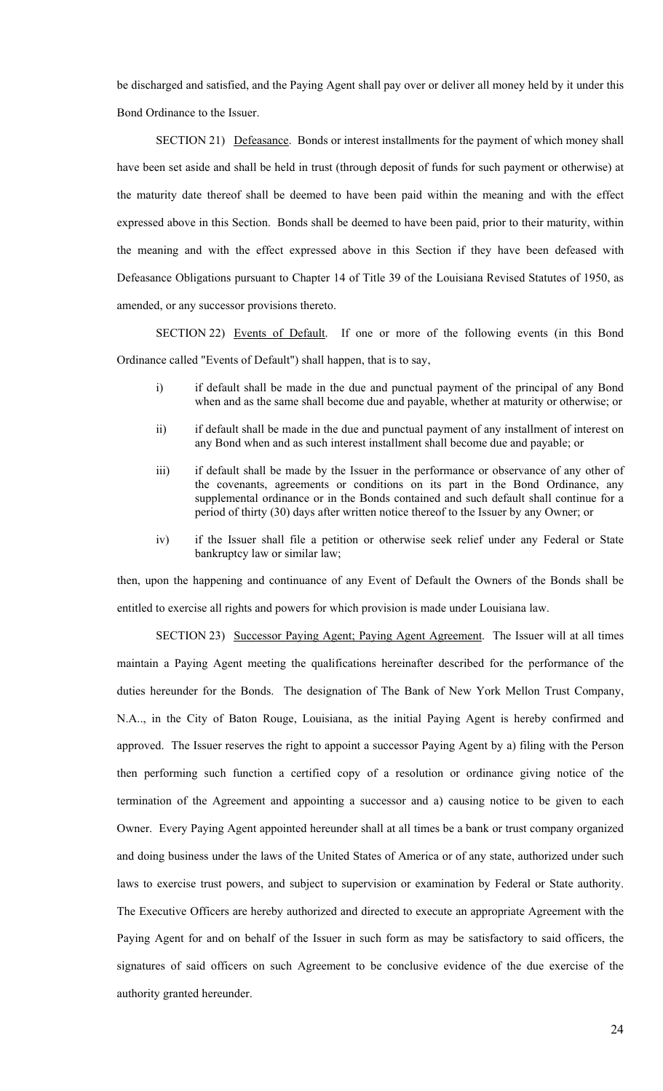be discharged and satisfied, and the Paying Agent shall pay over or deliver all money held by it under this Bond Ordinance to the Issuer.

SECTION 21) Defeasance. Bonds or interest installments for the payment of which money shall have been set aside and shall be held in trust (through deposit of funds for such payment or otherwise) at the maturity date thereof shall be deemed to have been paid within the meaning and with the effect expressed above in this Section. Bonds shall be deemed to have been paid, prior to their maturity, within the meaning and with the effect expressed above in this Section if they have been defeased with Defeasance Obligations pursuant to Chapter 14 of Title 39 of the Louisiana Revised Statutes of 1950, as amended, or any successor provisions thereto.

SECTION 22) Events of Default. If one or more of the following events (in this Bond Ordinance called "Events of Default") shall happen, that is to say,

- i) if default shall be made in the due and punctual payment of the principal of any Bond when and as the same shall become due and payable, whether at maturity or otherwise; or
- ii) if default shall be made in the due and punctual payment of any installment of interest on any Bond when and as such interest installment shall become due and payable; or
- iii) if default shall be made by the Issuer in the performance or observance of any other of the covenants, agreements or conditions on its part in the Bond Ordinance, any supplemental ordinance or in the Bonds contained and such default shall continue for a period of thirty (30) days after written notice thereof to the Issuer by any Owner; or
- iv) if the Issuer shall file a petition or otherwise seek relief under any Federal or State bankruptcy law or similar law;

then, upon the happening and continuance of any Event of Default the Owners of the Bonds shall be entitled to exercise all rights and powers for which provision is made under Louisiana law.

SECTION 23) Successor Paying Agent; Paying Agent Agreement. The Issuer will at all times maintain a Paying Agent meeting the qualifications hereinafter described for the performance of the duties hereunder for the Bonds. The designation of The Bank of New York Mellon Trust Company, N.A.., in the City of Baton Rouge, Louisiana, as the initial Paying Agent is hereby confirmed and approved. The Issuer reserves the right to appoint a successor Paying Agent by a) filing with the Person then performing such function a certified copy of a resolution or ordinance giving notice of the termination of the Agreement and appointing a successor and a) causing notice to be given to each Owner. Every Paying Agent appointed hereunder shall at all times be a bank or trust company organized and doing business under the laws of the United States of America or of any state, authorized under such laws to exercise trust powers, and subject to supervision or examination by Federal or State authority. The Executive Officers are hereby authorized and directed to execute an appropriate Agreement with the Paying Agent for and on behalf of the Issuer in such form as may be satisfactory to said officers, the signatures of said officers on such Agreement to be conclusive evidence of the due exercise of the authority granted hereunder.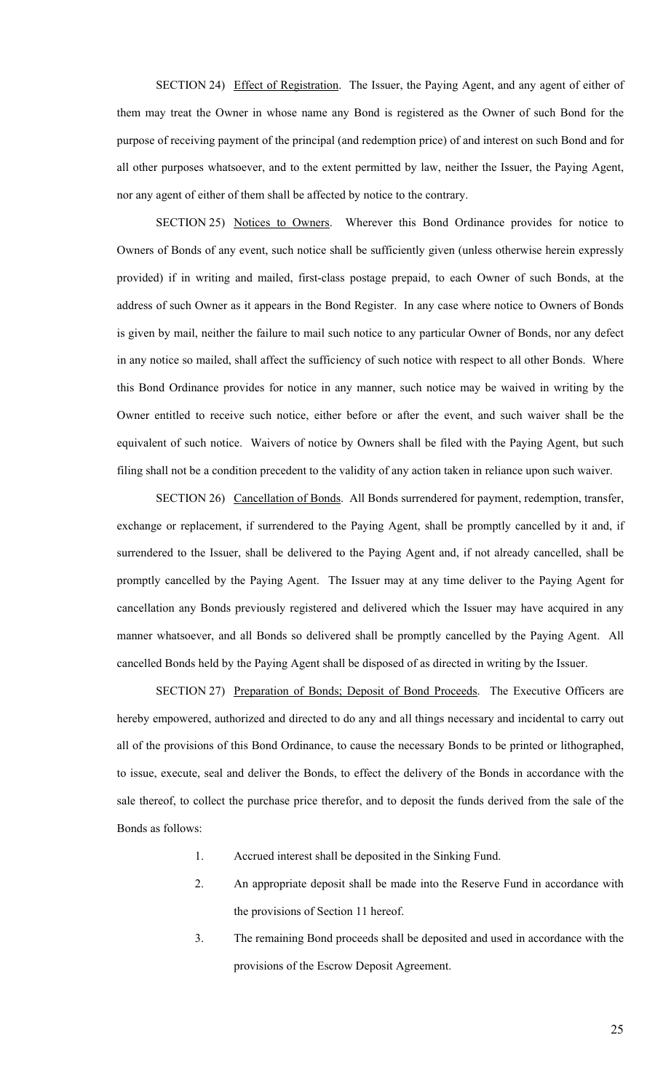SECTION 24) Effect of Registration. The Issuer, the Paying Agent, and any agent of either of them may treat the Owner in whose name any Bond is registered as the Owner of such Bond for the purpose of receiving payment of the principal (and redemption price) of and interest on such Bond and for all other purposes whatsoever, and to the extent permitted by law, neither the Issuer, the Paying Agent, nor any agent of either of them shall be affected by notice to the contrary.

SECTION 25) Notices to Owners. Wherever this Bond Ordinance provides for notice to Owners of Bonds of any event, such notice shall be sufficiently given (unless otherwise herein expressly provided) if in writing and mailed, first-class postage prepaid, to each Owner of such Bonds, at the address of such Owner as it appears in the Bond Register. In any case where notice to Owners of Bonds is given by mail, neither the failure to mail such notice to any particular Owner of Bonds, nor any defect in any notice so mailed, shall affect the sufficiency of such notice with respect to all other Bonds. Where this Bond Ordinance provides for notice in any manner, such notice may be waived in writing by the Owner entitled to receive such notice, either before or after the event, and such waiver shall be the equivalent of such notice. Waivers of notice by Owners shall be filed with the Paying Agent, but such filing shall not be a condition precedent to the validity of any action taken in reliance upon such waiver.

SECTION 26) Cancellation of Bonds. All Bonds surrendered for payment, redemption, transfer, exchange or replacement, if surrendered to the Paying Agent, shall be promptly cancelled by it and, if surrendered to the Issuer, shall be delivered to the Paying Agent and, if not already cancelled, shall be promptly cancelled by the Paying Agent. The Issuer may at any time deliver to the Paying Agent for cancellation any Bonds previously registered and delivered which the Issuer may have acquired in any manner whatsoever, and all Bonds so delivered shall be promptly cancelled by the Paying Agent. All cancelled Bonds held by the Paying Agent shall be disposed of as directed in writing by the Issuer.

SECTION 27) Preparation of Bonds; Deposit of Bond Proceeds. The Executive Officers are hereby empowered, authorized and directed to do any and all things necessary and incidental to carry out all of the provisions of this Bond Ordinance, to cause the necessary Bonds to be printed or lithographed, to issue, execute, seal and deliver the Bonds, to effect the delivery of the Bonds in accordance with the sale thereof, to collect the purchase price therefor, and to deposit the funds derived from the sale of the Bonds as follows:

- 1. Accrued interest shall be deposited in the Sinking Fund.
- 2. An appropriate deposit shall be made into the Reserve Fund in accordance with the provisions of Section 11 hereof.
- 3. The remaining Bond proceeds shall be deposited and used in accordance with the provisions of the Escrow Deposit Agreement.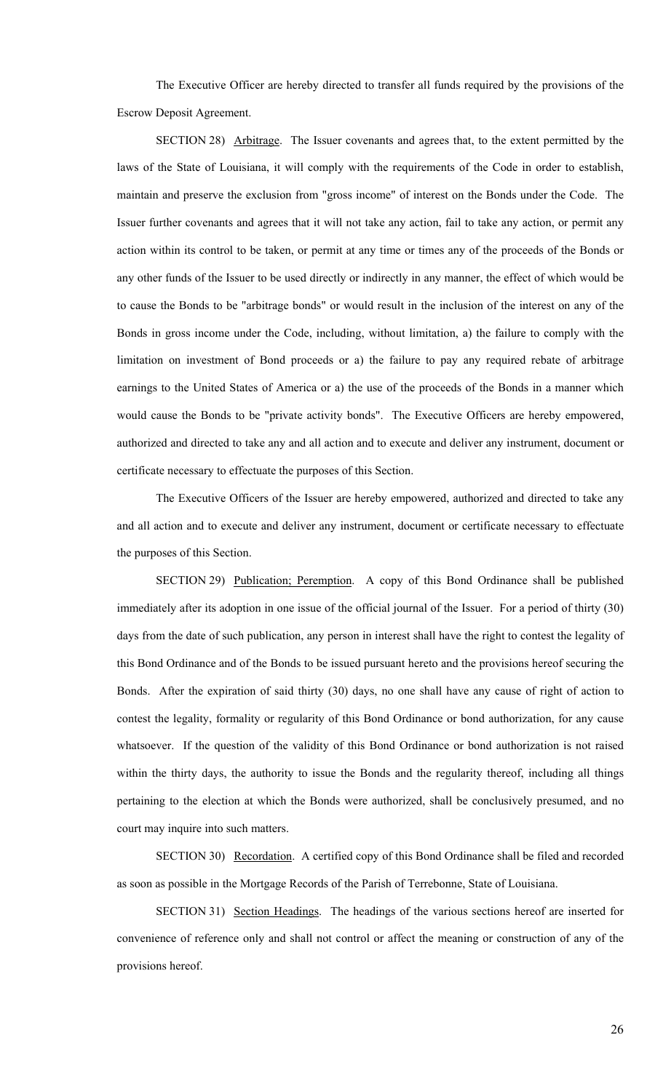The Executive Officer are hereby directed to transfer all funds required by the provisions of the Escrow Deposit Agreement.

SECTION 28) Arbitrage. The Issuer covenants and agrees that, to the extent permitted by the laws of the State of Louisiana, it will comply with the requirements of the Code in order to establish, maintain and preserve the exclusion from "gross income" of interest on the Bonds under the Code. The Issuer further covenants and agrees that it will not take any action, fail to take any action, or permit any action within its control to be taken, or permit at any time or times any of the proceeds of the Bonds or any other funds of the Issuer to be used directly or indirectly in any manner, the effect of which would be to cause the Bonds to be "arbitrage bonds" or would result in the inclusion of the interest on any of the Bonds in gross income under the Code, including, without limitation, a) the failure to comply with the limitation on investment of Bond proceeds or a) the failure to pay any required rebate of arbitrage earnings to the United States of America or a) the use of the proceeds of the Bonds in a manner which would cause the Bonds to be "private activity bonds". The Executive Officers are hereby empowered, authorized and directed to take any and all action and to execute and deliver any instrument, document or certificate necessary to effectuate the purposes of this Section.

The Executive Officers of the Issuer are hereby empowered, authorized and directed to take any and all action and to execute and deliver any instrument, document or certificate necessary to effectuate the purposes of this Section.

SECTION 29) Publication; Peremption. A copy of this Bond Ordinance shall be published immediately after its adoption in one issue of the official journal of the Issuer. For a period of thirty (30) days from the date of such publication, any person in interest shall have the right to contest the legality of this Bond Ordinance and of the Bonds to be issued pursuant hereto and the provisions hereof securing the Bonds. After the expiration of said thirty (30) days, no one shall have any cause of right of action to contest the legality, formality or regularity of this Bond Ordinance or bond authorization, for any cause whatsoever. If the question of the validity of this Bond Ordinance or bond authorization is not raised within the thirty days, the authority to issue the Bonds and the regularity thereof, including all things pertaining to the election at which the Bonds were authorized, shall be conclusively presumed, and no court may inquire into such matters.

SECTION 30) Recordation. A certified copy of this Bond Ordinance shall be filed and recorded as soon as possible in the Mortgage Records of the Parish of Terrebonne, State of Louisiana.

SECTION 31) Section Headings. The headings of the various sections hereof are inserted for convenience of reference only and shall not control or affect the meaning or construction of any of the provisions hereof.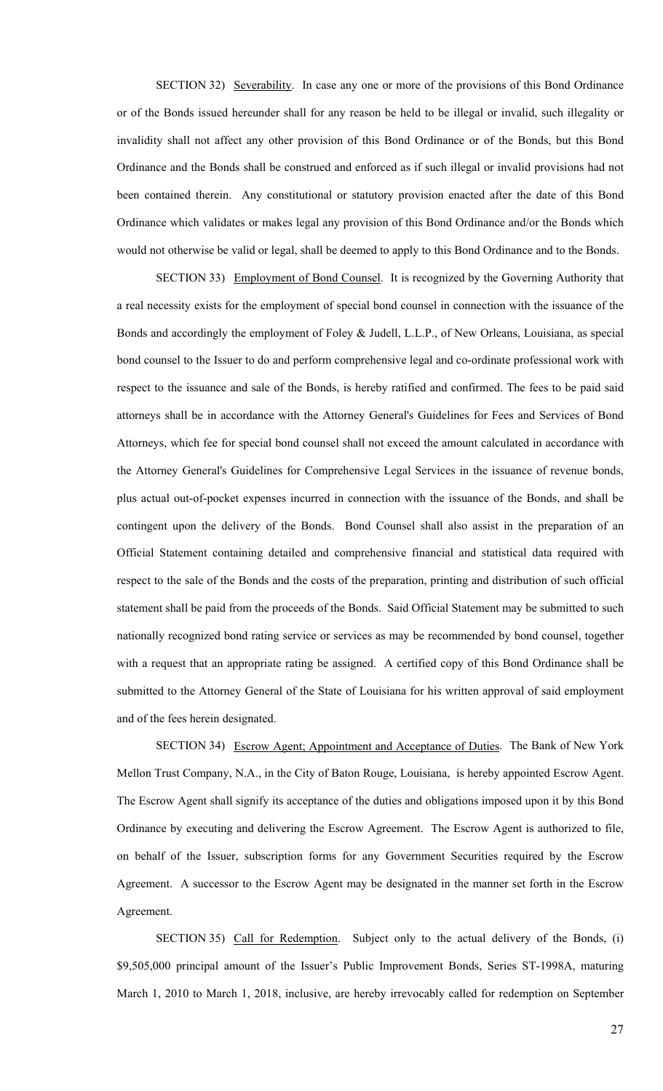SECTION 32) Severability. In case any one or more of the provisions of this Bond Ordinance or of the Bonds issued hereunder shall for any reason be held to be illegal or invalid, such illegality or invalidity shall not affect any other provision of this Bond Ordinance or of the Bonds, but this Bond Ordinance and the Bonds shall be construed and enforced as if such illegal or invalid provisions had not been contained therein. Any constitutional or statutory provision enacted after the date of this Bond Ordinance which validates or makes legal any provision of this Bond Ordinance and/or the Bonds which would not otherwise be valid or legal, shall be deemed to apply to this Bond Ordinance and to the Bonds.

SECTION 33) Employment of Bond Counsel. It is recognized by the Governing Authority that a real necessity exists for the employment of special bond counsel in connection with the issuance of the Bonds and accordingly the employment of Foley & Judell, L.L.P., of New Orleans, Louisiana, as special bond counsel to the Issuer to do and perform comprehensive legal and co-ordinate professional work with respect to the issuance and sale of the Bonds, is hereby ratified and confirmed. The fees to be paid said attorneys shall be in accordance with the Attorney General's Guidelines for Fees and Services of Bond Attorneys, which fee for special bond counsel shall not exceed the amount calculated in accordance with the Attorney General's Guidelines for Comprehensive Legal Services in the issuance of revenue bonds, plus actual out-of-pocket expenses incurred in connection with the issuance of the Bonds, and shall be contingent upon the delivery of the Bonds. Bond Counsel shall also assist in the preparation of an Official Statement containing detailed and comprehensive financial and statistical data required with respect to the sale of the Bonds and the costs of the preparation, printing and distribution of such official statement shall be paid from the proceeds of the Bonds. Said Official Statement may be submitted to such nationally recognized bond rating service or services as may be recommended by bond counsel, together with a request that an appropriate rating be assigned. A certified copy of this Bond Ordinance shall be submitted to the Attorney General of the State of Louisiana for his written approval of said employment and of the fees herein designated.

SECTION 34) Escrow Agent; Appointment and Acceptance of Duties. The Bank of New York Mellon Trust Company, N.A., in the City of Baton Rouge, Louisiana, is hereby appointed Escrow Agent. The Escrow Agent shall signify its acceptance of the duties and obligations imposed upon it by this Bond Ordinance by executing and delivering the Escrow Agreement. The Escrow Agent is authorized to file, on behalf of the Issuer, subscription forms for any Government Securities required by the Escrow Agreement. A successor to the Escrow Agent may be designated in the manner set forth in the Escrow Agreement.

SECTION 35) Call for Redemption. Subject only to the actual delivery of the Bonds, (i) \$9,505,000 principal amount of the Issuer's Public Improvement Bonds, Series ST-1998A, maturing March 1, 2010 to March 1, 2018, inclusive, are hereby irrevocably called for redemption on September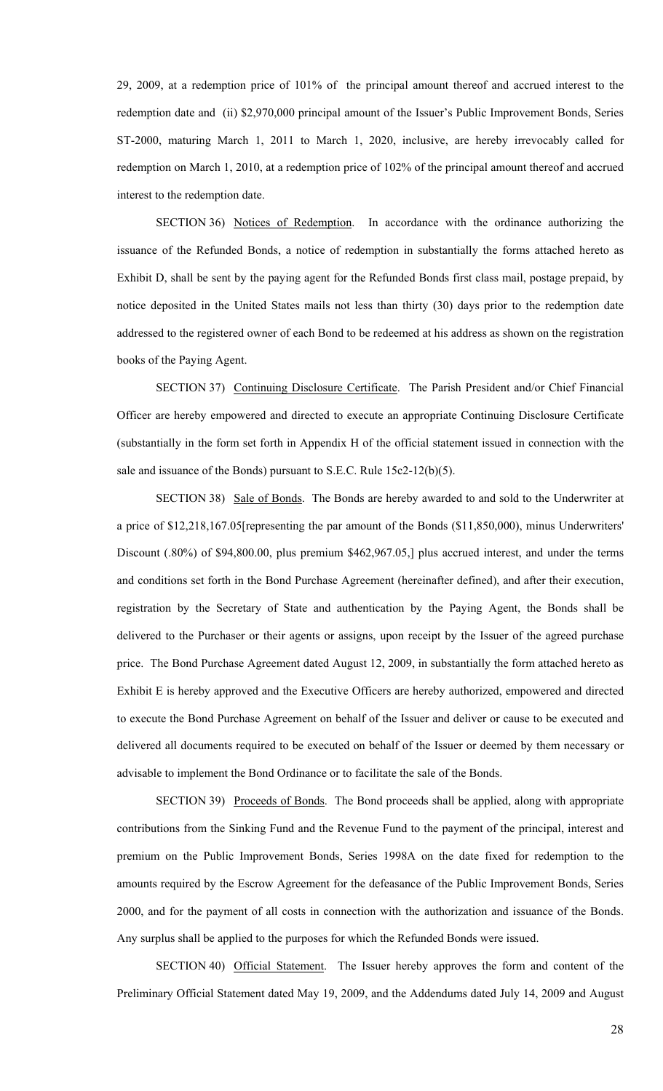29, 2009, at a redemption price of 101% of the principal amount thereof and accrued interest to the redemption date and (ii) \$2,970,000 principal amount of the Issuer's Public Improvement Bonds, Series ST-2000, maturing March 1, 2011 to March 1, 2020, inclusive, are hereby irrevocably called for redemption on March 1, 2010, at a redemption price of 102% of the principal amount thereof and accrued interest to the redemption date.

SECTION 36) Notices of Redemption. In accordance with the ordinance authorizing the issuance of the Refunded Bonds, a notice of redemption in substantially the forms attached hereto as Exhibit D, shall be sent by the paying agent for the Refunded Bonds first class mail, postage prepaid, by notice deposited in the United States mails not less than thirty (30) days prior to the redemption date addressed to the registered owner of each Bond to be redeemed at his address as shown on the registration books of the Paying Agent.

SECTION 37) Continuing Disclosure Certificate. The Parish President and/or Chief Financial Officer are hereby empowered and directed to execute an appropriate Continuing Disclosure Certificate (substantially in the form set forth in Appendix H of the official statement issued in connection with the sale and issuance of the Bonds) pursuant to S.E.C. Rule 15c2-12(b)(5).

SECTION 38) Sale of Bonds. The Bonds are hereby awarded to and sold to the Underwriter at a price of \$12,218,167.05[representing the par amount of the Bonds (\$11,850,000), minus Underwriters' Discount (.80%) of \$94,800.00, plus premium \$462,967.05,] plus accrued interest, and under the terms and conditions set forth in the Bond Purchase Agreement (hereinafter defined), and after their execution, registration by the Secretary of State and authentication by the Paying Agent, the Bonds shall be delivered to the Purchaser or their agents or assigns, upon receipt by the Issuer of the agreed purchase price. The Bond Purchase Agreement dated August 12, 2009, in substantially the form attached hereto as Exhibit E is hereby approved and the Executive Officers are hereby authorized, empowered and directed to execute the Bond Purchase Agreement on behalf of the Issuer and deliver or cause to be executed and delivered all documents required to be executed on behalf of the Issuer or deemed by them necessary or advisable to implement the Bond Ordinance or to facilitate the sale of the Bonds.

SECTION 39) Proceeds of Bonds. The Bond proceeds shall be applied, along with appropriate contributions from the Sinking Fund and the Revenue Fund to the payment of the principal, interest and premium on the Public Improvement Bonds, Series 1998A on the date fixed for redemption to the amounts required by the Escrow Agreement for the defeasance of the Public Improvement Bonds, Series 2000, and for the payment of all costs in connection with the authorization and issuance of the Bonds. Any surplus shall be applied to the purposes for which the Refunded Bonds were issued.

SECTION 40) Official Statement. The Issuer hereby approves the form and content of the Preliminary Official Statement dated May 19, 2009, and the Addendums dated July 14, 2009 and August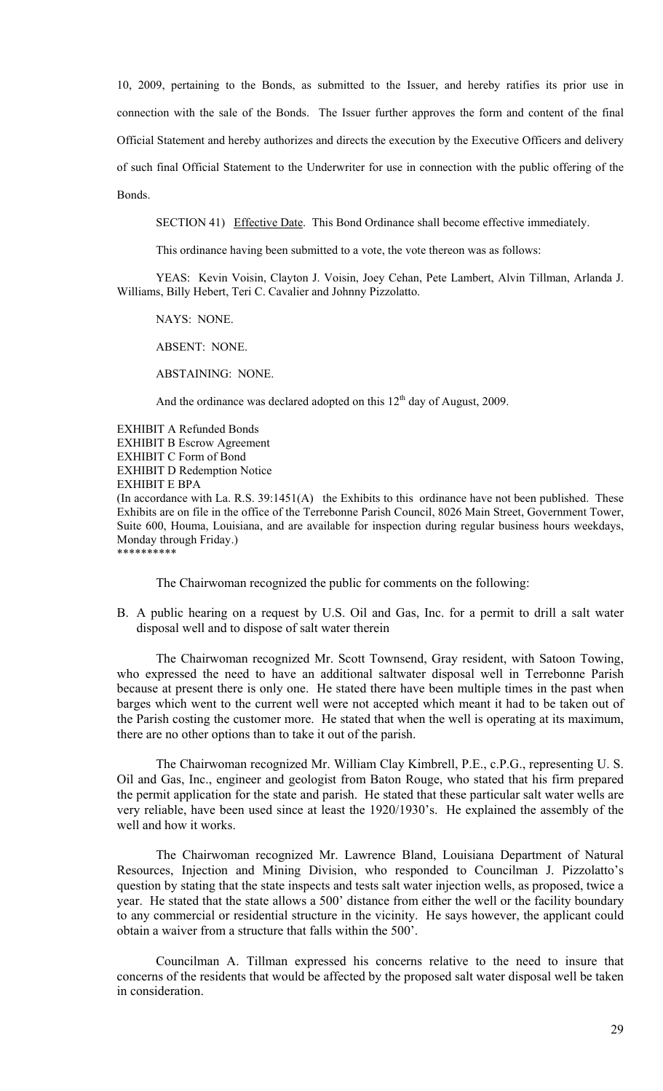10, 2009, pertaining to the Bonds, as submitted to the Issuer, and hereby ratifies its prior use in connection with the sale of the Bonds. The Issuer further approves the form and content of the final Official Statement and hereby authorizes and directs the execution by the Executive Officers and delivery of such final Official Statement to the Underwriter for use in connection with the public offering of the Bonds.

SECTION 41) Effective Date. This Bond Ordinance shall become effective immediately.

This ordinance having been submitted to a vote, the vote thereon was as follows:

YEAS: Kevin Voisin, Clayton J. Voisin, Joey Cehan, Pete Lambert, Alvin Tillman, Arlanda J. Williams, Billy Hebert, Teri C. Cavalier and Johnny Pizzolatto.

NAYS: NONE.

ABSENT: NONE.

ABSTAINING: NONE.

And the ordinance was declared adopted on this  $12<sup>th</sup>$  day of August, 2009.

EXHIBIT A Refunded Bonds EXHIBIT B Escrow Agreement EXHIBIT C Form of Bond EXHIBIT D Redemption Notice EXHIBIT E BPA (In accordance with La. R.S. 39:1451(A) the Exhibits to this ordinance have not been published. These Exhibits are on file in the office of the Terrebonne Parish Council, 8026 Main Street, Government Tower, Suite 600, Houma, Louisiana, and are available for inspection during regular business hours weekdays, Monday through Friday.) \*\*\*\*\*\*\*\*\*\*

The Chairwoman recognized the public for comments on the following:

B. A public hearing on a request by U.S. Oil and Gas, Inc. for a permit to drill a salt water disposal well and to dispose of salt water therein

 The Chairwoman recognized Mr. Scott Townsend, Gray resident, with Satoon Towing, who expressed the need to have an additional saltwater disposal well in Terrebonne Parish because at present there is only one. He stated there have been multiple times in the past when barges which went to the current well were not accepted which meant it had to be taken out of the Parish costing the customer more. He stated that when the well is operating at its maximum, there are no other options than to take it out of the parish.

 The Chairwoman recognized Mr. William Clay Kimbrell, P.E., c.P.G., representing U. S. Oil and Gas, Inc., engineer and geologist from Baton Rouge, who stated that his firm prepared the permit application for the state and parish. He stated that these particular salt water wells are very reliable, have been used since at least the 1920/1930's. He explained the assembly of the well and how it works.

 The Chairwoman recognized Mr. Lawrence Bland, Louisiana Department of Natural Resources, Injection and Mining Division, who responded to Councilman J. Pizzolatto's question by stating that the state inspects and tests salt water injection wells, as proposed, twice a year. He stated that the state allows a 500' distance from either the well or the facility boundary to any commercial or residential structure in the vicinity. He says however, the applicant could obtain a waiver from a structure that falls within the 500'.

 Councilman A. Tillman expressed his concerns relative to the need to insure that concerns of the residents that would be affected by the proposed salt water disposal well be taken in consideration.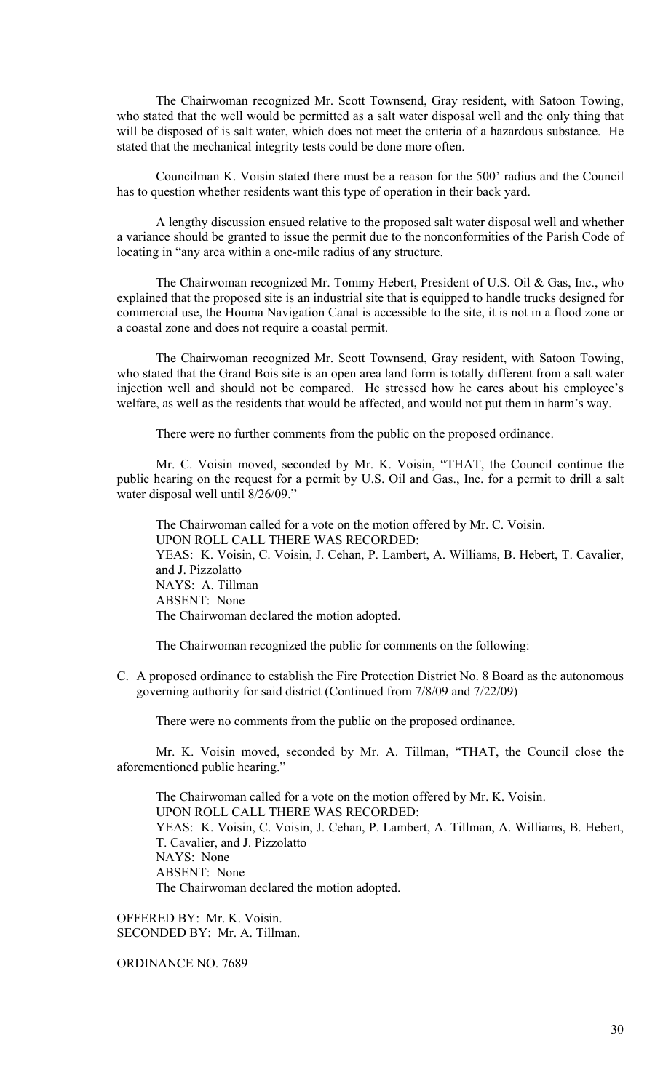The Chairwoman recognized Mr. Scott Townsend, Gray resident, with Satoon Towing, who stated that the well would be permitted as a salt water disposal well and the only thing that will be disposed of is salt water, which does not meet the criteria of a hazardous substance. He stated that the mechanical integrity tests could be done more often.

 Councilman K. Voisin stated there must be a reason for the 500' radius and the Council has to question whether residents want this type of operation in their back yard.

 A lengthy discussion ensued relative to the proposed salt water disposal well and whether a variance should be granted to issue the permit due to the nonconformities of the Parish Code of locating in "any area within a one-mile radius of any structure.

 The Chairwoman recognized Mr. Tommy Hebert, President of U.S. Oil & Gas, Inc., who explained that the proposed site is an industrial site that is equipped to handle trucks designed for commercial use, the Houma Navigation Canal is accessible to the site, it is not in a flood zone or a coastal zone and does not require a coastal permit.

 The Chairwoman recognized Mr. Scott Townsend, Gray resident, with Satoon Towing, who stated that the Grand Bois site is an open area land form is totally different from a salt water injection well and should not be compared. He stressed how he cares about his employee's welfare, as well as the residents that would be affected, and would not put them in harm's way.

There were no further comments from the public on the proposed ordinance.

 Mr. C. Voisin moved, seconded by Mr. K. Voisin, "THAT, the Council continue the public hearing on the request for a permit by U.S. Oil and Gas., Inc. for a permit to drill a salt water disposal well until 8/26/09."

 The Chairwoman called for a vote on the motion offered by Mr. C. Voisin. UPON ROLL CALL THERE WAS RECORDED: YEAS: K. Voisin, C. Voisin, J. Cehan, P. Lambert, A. Williams, B. Hebert, T. Cavalier, and J. Pizzolatto NAYS: A. Tillman ABSENT: None The Chairwoman declared the motion adopted.

The Chairwoman recognized the public for comments on the following:

C. A proposed ordinance to establish the Fire Protection District No. 8 Board as the autonomous governing authority for said district (Continued from 7/8/09 and 7/22/09)

There were no comments from the public on the proposed ordinance.

 Mr. K. Voisin moved, seconded by Mr. A. Tillman, "THAT, the Council close the aforementioned public hearing."

 The Chairwoman called for a vote on the motion offered by Mr. K. Voisin. UPON ROLL CALL THERE WAS RECORDED: YEAS: K. Voisin, C. Voisin, J. Cehan, P. Lambert, A. Tillman, A. Williams, B. Hebert, T. Cavalier, and J. Pizzolatto NAYS: None ABSENT: None The Chairwoman declared the motion adopted.

OFFERED BY: Mr. K. Voisin. SECONDED BY: Mr. A. Tillman.

ORDINANCE NO. 7689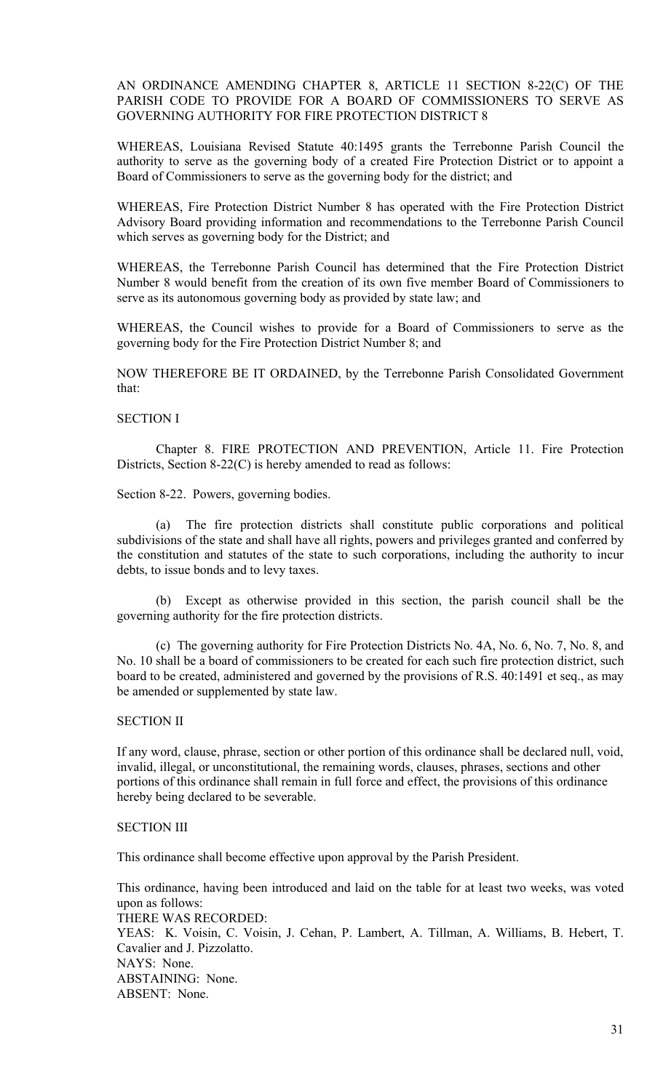AN ORDINANCE AMENDING CHAPTER 8, ARTICLE 11 SECTION 8-22(C) OF THE PARISH CODE TO PROVIDE FOR A BOARD OF COMMISSIONERS TO SERVE AS GOVERNING AUTHORITY FOR FIRE PROTECTION DISTRICT 8

WHEREAS, Louisiana Revised Statute 40:1495 grants the Terrebonne Parish Council the authority to serve as the governing body of a created Fire Protection District or to appoint a Board of Commissioners to serve as the governing body for the district; and

WHEREAS, Fire Protection District Number 8 has operated with the Fire Protection District Advisory Board providing information and recommendations to the Terrebonne Parish Council which serves as governing body for the District; and

WHEREAS, the Terrebonne Parish Council has determined that the Fire Protection District Number 8 would benefit from the creation of its own five member Board of Commissioners to serve as its autonomous governing body as provided by state law; and

WHEREAS, the Council wishes to provide for a Board of Commissioners to serve as the governing body for the Fire Protection District Number 8; and

NOW THEREFORE BE IT ORDAINED, by the Terrebonne Parish Consolidated Government that:

### SECTION I

 Chapter 8. FIRE PROTECTION AND PREVENTION, Article 11. Fire Protection Districts, Section 8-22(C) is hereby amended to read as follows:

Section 8-22. Powers, governing bodies.

 (a) The fire protection districts shall constitute public corporations and political subdivisions of the state and shall have all rights, powers and privileges granted and conferred by the constitution and statutes of the state to such corporations, including the authority to incur debts, to issue bonds and to levy taxes.

 (b) Except as otherwise provided in this section, the parish council shall be the governing authority for the fire protection districts.

 (c) The governing authority for Fire Protection Districts No. 4A, No. 6, No. 7, No. 8, and No. 10 shall be a board of commissioners to be created for each such fire protection district, such board to be created, administered and governed by the provisions of R.S. 40:1491 et seq., as may be amended or supplemented by state law.

#### SECTION II

If any word, clause, phrase, section or other portion of this ordinance shall be declared null, void, invalid, illegal, or unconstitutional, the remaining words, clauses, phrases, sections and other portions of this ordinance shall remain in full force and effect, the provisions of this ordinance hereby being declared to be severable.

### SECTION III

This ordinance shall become effective upon approval by the Parish President.

This ordinance, having been introduced and laid on the table for at least two weeks, was voted upon as follows: THERE WAS RECORDED: YEAS: K. Voisin, C. Voisin, J. Cehan, P. Lambert, A. Tillman, A. Williams, B. Hebert, T. Cavalier and J. Pizzolatto. NAYS: None. ABSTAINING: None. ABSENT: None.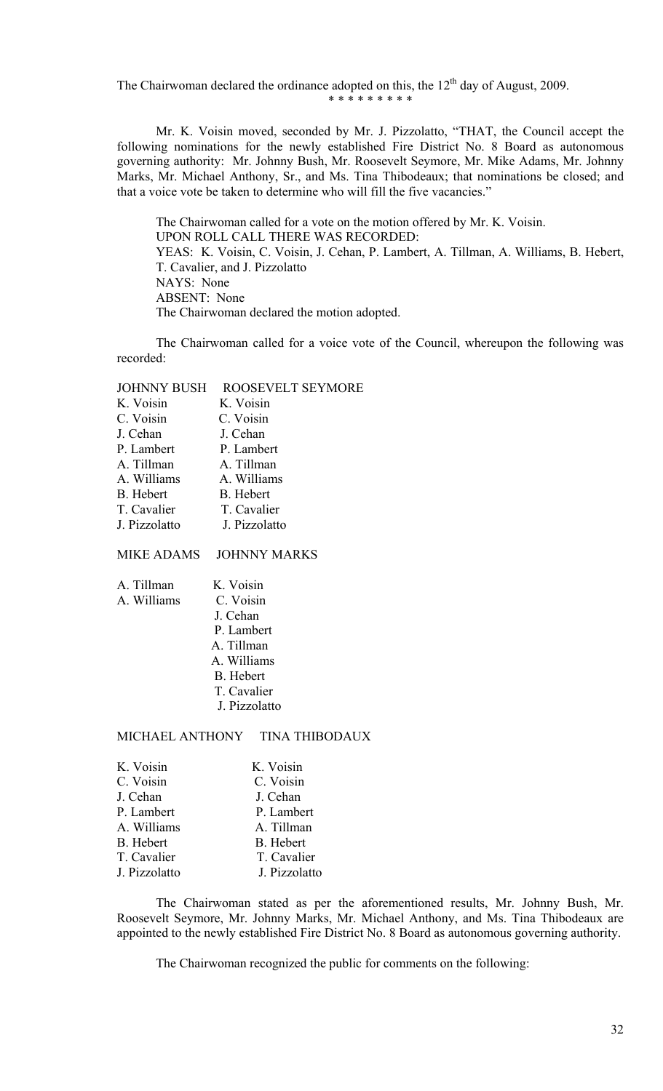The Chairwoman declared the ordinance adopted on this, the  $12<sup>th</sup>$  day of August, 2009.

\* \* \* \* \* \* \* \* \*

 Mr. K. Voisin moved, seconded by Mr. J. Pizzolatto, "THAT, the Council accept the following nominations for the newly established Fire District No. 8 Board as autonomous governing authority: Mr. Johnny Bush, Mr. Roosevelt Seymore, Mr. Mike Adams, Mr. Johnny Marks, Mr. Michael Anthony, Sr., and Ms. Tina Thibodeaux; that nominations be closed; and that a voice vote be taken to determine who will fill the five vacancies."

 The Chairwoman called for a vote on the motion offered by Mr. K. Voisin. UPON ROLL CALL THERE WAS RECORDED: YEAS: K. Voisin, C. Voisin, J. Cehan, P. Lambert, A. Tillman, A. Williams, B. Hebert, T. Cavalier, and J. Pizzolatto NAYS: None ABSENT: None The Chairwoman declared the motion adopted.

 The Chairwoman called for a voice vote of the Council, whereupon the following was recorded:

JOHNNY BUSH ROOSEVELT SEYMORE

| K. Voisin        | K. Voisin        |
|------------------|------------------|
| C. Voisin        | C. Voisin        |
| J. Cehan         | J. Cehan         |
| P. Lambert       | P. Lambert       |
| A. Tillman       | A. Tillman       |
| A. Williams      | A. Williams      |
| <b>B.</b> Hebert | <b>B.</b> Hebert |
| T. Cavalier      | T. Cavalier      |
| J. Pizzolatto    | J. Pizzolatto    |
|                  |                  |

MIKE ADAMS JOHNNY MARKS

| A. Tillman  | K. Voisin     |
|-------------|---------------|
| A. Williams | C. Voisin     |
|             | J. Cehan      |
|             | P. Lambert    |
|             | A. Tillman    |
|             | A. Williams   |
|             | B. Hebert     |
|             | T. Cavalier   |
|             | J. Pizzolatto |
|             |               |

MICHAEL ANTHONY TINA THIBODAUX

| K. Voisin     | K. Voisin     |
|---------------|---------------|
| C. Voisin     | C. Voisin     |
| J. Cehan      | J. Cehan      |
| P. Lambert    | P. Lambert    |
| A. Williams   | A. Tillman    |
| B. Hebert     | B. Hebert     |
| T. Cavalier   | T. Cavalier   |
| J. Pizzolatto | J. Pizzolatto |

 The Chairwoman stated as per the aforementioned results, Mr. Johnny Bush, Mr. Roosevelt Seymore, Mr. Johnny Marks, Mr. Michael Anthony, and Ms. Tina Thibodeaux are appointed to the newly established Fire District No. 8 Board as autonomous governing authority.

The Chairwoman recognized the public for comments on the following: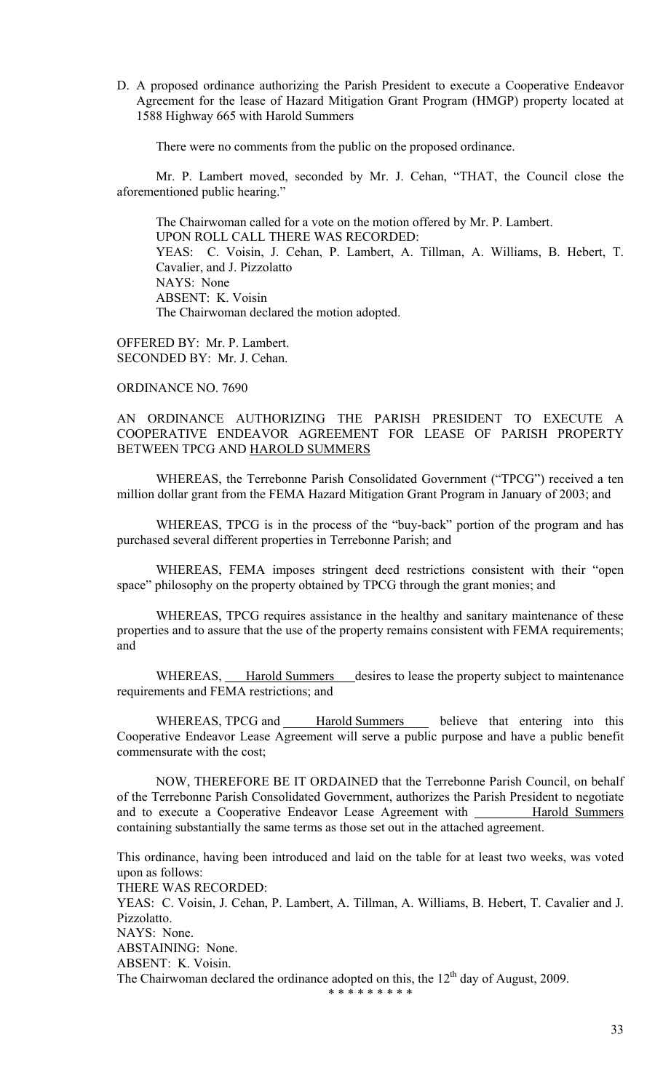D. A proposed ordinance authorizing the Parish President to execute a Cooperative Endeavor Agreement for the lease of Hazard Mitigation Grant Program (HMGP) property located at 1588 Highway 665 with Harold Summers

There were no comments from the public on the proposed ordinance.

 Mr. P. Lambert moved, seconded by Mr. J. Cehan, "THAT, the Council close the aforementioned public hearing."

 The Chairwoman called for a vote on the motion offered by Mr. P. Lambert. UPON ROLL CALL THERE WAS RECORDED: YEAS: C. Voisin, J. Cehan, P. Lambert, A. Tillman, A. Williams, B. Hebert, T. Cavalier, and J. Pizzolatto NAYS: None ABSENT: K. Voisin The Chairwoman declared the motion adopted.

OFFERED BY: Mr. P. Lambert. SECONDED BY: Mr. J. Cehan.

### ORDINANCE NO. 7690

# AN ORDINANCE AUTHORIZING THE PARISH PRESIDENT TO EXECUTE A COOPERATIVE ENDEAVOR AGREEMENT FOR LEASE OF PARISH PROPERTY BETWEEN TPCG AND HAROLD SUMMERS

WHEREAS, the Terrebonne Parish Consolidated Government ("TPCG") received a ten million dollar grant from the FEMA Hazard Mitigation Grant Program in January of 2003; and

 WHEREAS, TPCG is in the process of the "buy-back" portion of the program and has purchased several different properties in Terrebonne Parish; and

 WHEREAS, FEMA imposes stringent deed restrictions consistent with their "open space" philosophy on the property obtained by TPCG through the grant monies; and

WHEREAS, TPCG requires assistance in the healthy and sanitary maintenance of these properties and to assure that the use of the property remains consistent with FEMA requirements; and

WHEREAS, Harold Summers desires to lease the property subject to maintenance requirements and FEMA restrictions; and

WHEREAS, TPCG and Harold Summers believe that entering into this Cooperative Endeavor Lease Agreement will serve a public purpose and have a public benefit commensurate with the cost;

 NOW, THEREFORE BE IT ORDAINED that the Terrebonne Parish Council, on behalf of the Terrebonne Parish Consolidated Government, authorizes the Parish President to negotiate and to execute a Cooperative Endeavor Lease Agreement with Harold Summers containing substantially the same terms as those set out in the attached agreement.

This ordinance, having been introduced and laid on the table for at least two weeks, was voted upon as follows:

THERE WAS RECORDED: YEAS: C. Voisin, J. Cehan, P. Lambert, A. Tillman, A. Williams, B. Hebert, T. Cavalier and J. Pizzolatto. NAYS: None. ABSTAINING: None. ABSENT: K. Voisin.

\* \* \* \* \* \* \* \* \*

The Chairwoman declared the ordinance adopted on this, the  $12<sup>th</sup>$  day of August, 2009.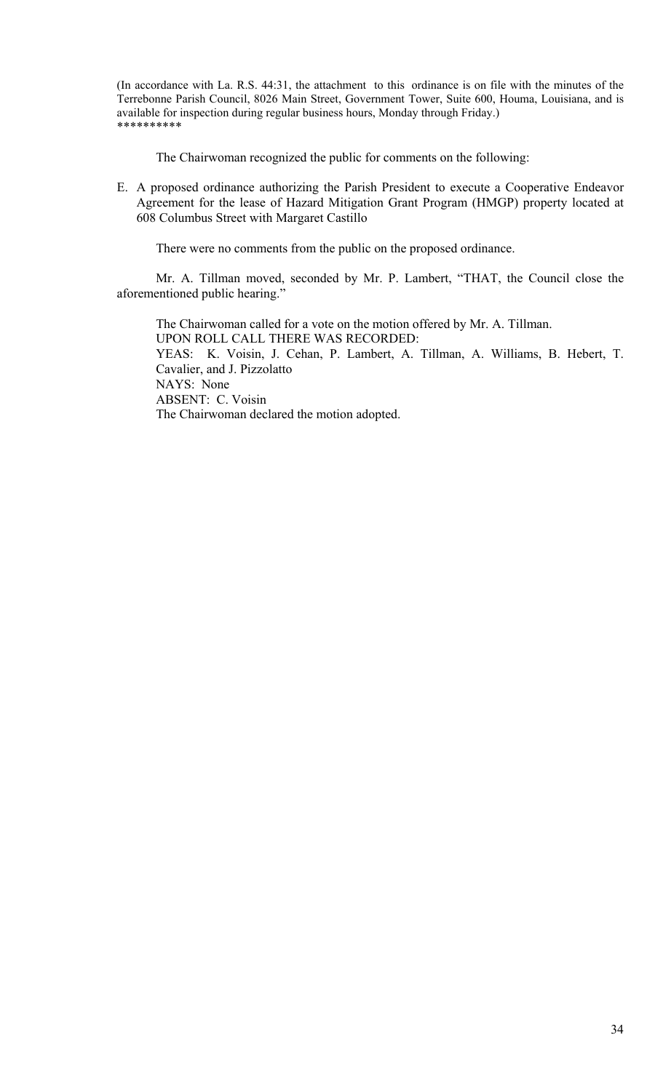(In accordance with La. R.S. 44:31, the attachment to this ordinance is on file with the minutes of the Terrebonne Parish Council, 8026 Main Street, Government Tower, Suite 600, Houma, Louisiana, and is available for inspection during regular business hours, Monday through Friday.) \*\*\*\*\*\*\*\*\*\*

The Chairwoman recognized the public for comments on the following:

E. A proposed ordinance authorizing the Parish President to execute a Cooperative Endeavor Agreement for the lease of Hazard Mitigation Grant Program (HMGP) property located at 608 Columbus Street with Margaret Castillo

There were no comments from the public on the proposed ordinance.

 Mr. A. Tillman moved, seconded by Mr. P. Lambert, "THAT, the Council close the aforementioned public hearing."

 The Chairwoman called for a vote on the motion offered by Mr. A. Tillman. UPON ROLL CALL THERE WAS RECORDED: YEAS: K. Voisin, J. Cehan, P. Lambert, A. Tillman, A. Williams, B. Hebert, T. Cavalier, and J. Pizzolatto NAYS: None ABSENT: C. Voisin The Chairwoman declared the motion adopted.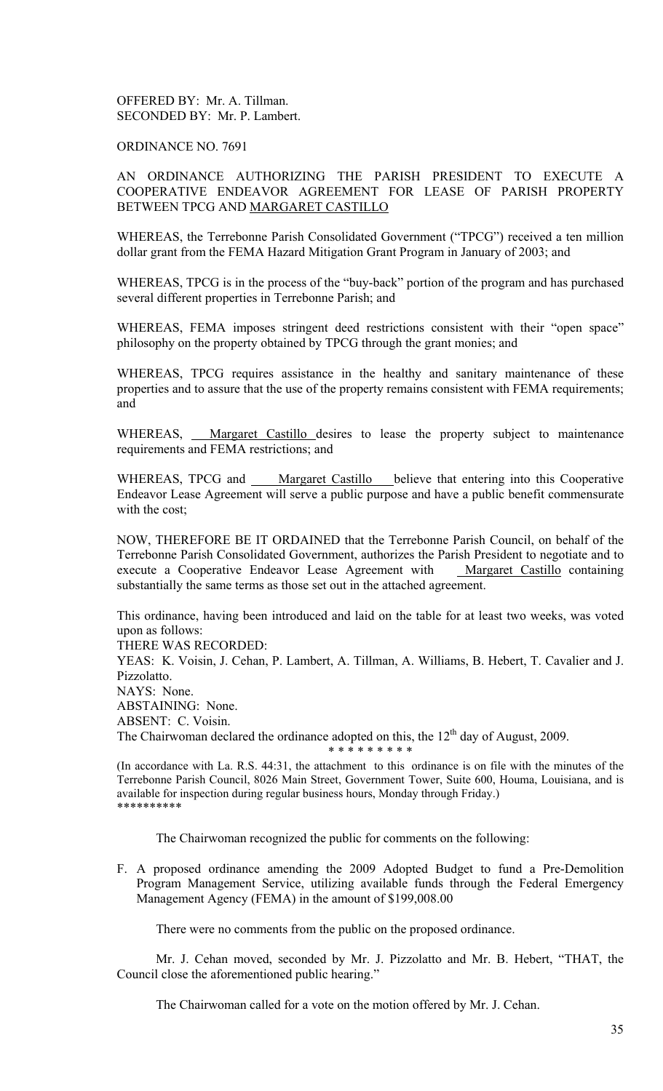# OFFERED BY: Mr. A. Tillman. SECONDED BY: Mr. P. Lambert.

### ORDINANCE NO. 7691

# AN ORDINANCE AUTHORIZING THE PARISH PRESIDENT TO EXECUTE A COOPERATIVE ENDEAVOR AGREEMENT FOR LEASE OF PARISH PROPERTY BETWEEN TPCG AND MARGARET CASTILLO

WHEREAS, the Terrebonne Parish Consolidated Government ("TPCG") received a ten million dollar grant from the FEMA Hazard Mitigation Grant Program in January of 2003; and

WHEREAS, TPCG is in the process of the "buy-back" portion of the program and has purchased several different properties in Terrebonne Parish; and

WHEREAS, FEMA imposes stringent deed restrictions consistent with their "open space" philosophy on the property obtained by TPCG through the grant monies; and

WHEREAS, TPCG requires assistance in the healthy and sanitary maintenance of these properties and to assure that the use of the property remains consistent with FEMA requirements; and

WHEREAS, Margaret Castillo desires to lease the property subject to maintenance requirements and FEMA restrictions; and

WHEREAS, TPCG and Margaret Castillo believe that entering into this Cooperative Endeavor Lease Agreement will serve a public purpose and have a public benefit commensurate with the cost;

NOW, THEREFORE BE IT ORDAINED that the Terrebonne Parish Council, on behalf of the Terrebonne Parish Consolidated Government, authorizes the Parish President to negotiate and to execute a Cooperative Endeavor Lease Agreement with Margaret Castillo containing substantially the same terms as those set out in the attached agreement.

This ordinance, having been introduced and laid on the table for at least two weeks, was voted upon as follows:

THERE WAS RECORDED:

YEAS: K. Voisin, J. Cehan, P. Lambert, A. Tillman, A. Williams, B. Hebert, T. Cavalier and J. Pizzolatto. NAYS: None. ABSTAINING: None. ABSENT: C. Voisin. The Chairwoman declared the ordinance adopted on this, the  $12<sup>th</sup>$  day of August, 2009.

(In accordance with La. R.S. 44:31, the attachment to this ordinance is on file with the minutes of the Terrebonne Parish Council, 8026 Main Street, Government Tower, Suite 600, Houma, Louisiana, and is available for inspection during regular business hours, Monday through Friday.) \*\*\*\*\*\*\*\*\*\*

\* \* \* \* \* \* \* \* \*

The Chairwoman recognized the public for comments on the following:

F. A proposed ordinance amending the 2009 Adopted Budget to fund a Pre-Demolition Program Management Service, utilizing available funds through the Federal Emergency Management Agency (FEMA) in the amount of \$199,008.00

There were no comments from the public on the proposed ordinance.

 Mr. J. Cehan moved, seconded by Mr. J. Pizzolatto and Mr. B. Hebert, "THAT, the Council close the aforementioned public hearing."

The Chairwoman called for a vote on the motion offered by Mr. J. Cehan.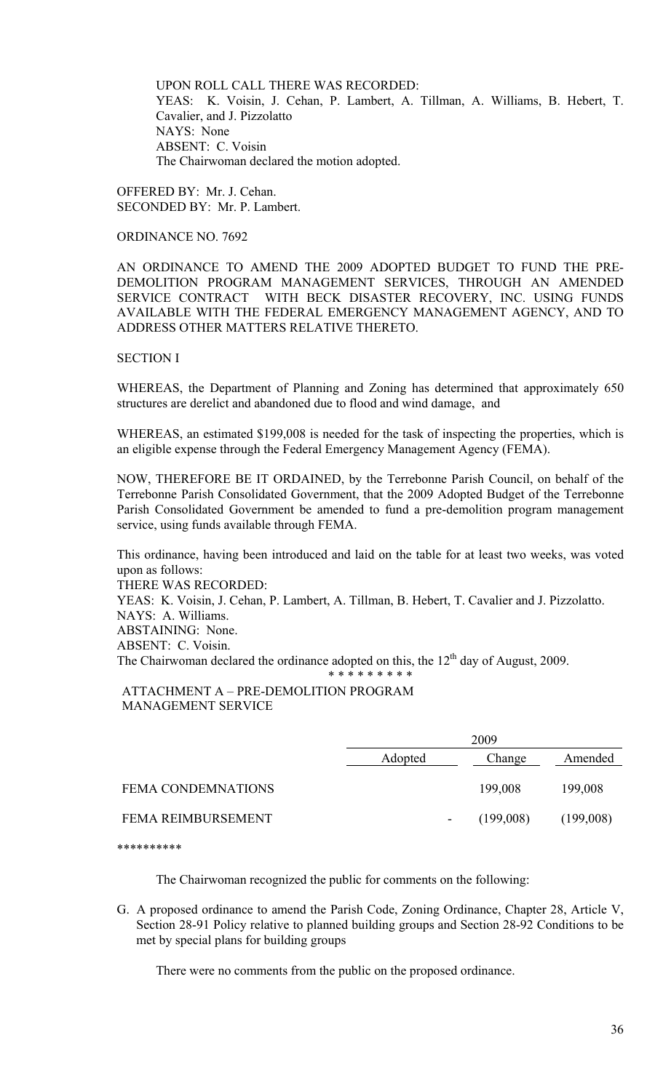UPON ROLL CALL THERE WAS RECORDED: YEAS: K. Voisin, J. Cehan, P. Lambert, A. Tillman, A. Williams, B. Hebert, T. Cavalier, and J. Pizzolatto NAYS: None ABSENT: C. Voisin The Chairwoman declared the motion adopted.

OFFERED BY: Mr. J. Cehan. SECONDED BY: Mr. P. Lambert.

ORDINANCE NO. 7692

AN ORDINANCE TO AMEND THE 2009 ADOPTED BUDGET TO FUND THE PRE-DEMOLITION PROGRAM MANAGEMENT SERVICES, THROUGH AN AMENDED SERVICE CONTRACT WITH BECK DISASTER RECOVERY, INC. USING FUNDS AVAILABLE WITH THE FEDERAL EMERGENCY MANAGEMENT AGENCY, AND TO ADDRESS OTHER MATTERS RELATIVE THERETO.

# SECTION I

WHEREAS, the Department of Planning and Zoning has determined that approximately 650 structures are derelict and abandoned due to flood and wind damage, and

WHEREAS, an estimated \$199,008 is needed for the task of inspecting the properties, which is an eligible expense through the Federal Emergency Management Agency (FEMA).

NOW, THEREFORE BE IT ORDAINED, by the Terrebonne Parish Council, on behalf of the Terrebonne Parish Consolidated Government, that the 2009 Adopted Budget of the Terrebonne Parish Consolidated Government be amended to fund a pre-demolition program management service, using funds available through FEMA.

This ordinance, having been introduced and laid on the table for at least two weeks, was voted upon as follows:

THERE WAS RECORDED:

YEAS: K. Voisin, J. Cehan, P. Lambert, A. Tillman, B. Hebert, T. Cavalier and J. Pizzolatto. NAYS: A. Williams.

ABSTAINING: None.

ABSENT: C. Voisin.

The Chairwoman declared the ordinance adopted on this, the  $12<sup>th</sup>$  day of August, 2009.

\* \* \* \* \* \* \* \* \*

### ATTACHMENT A – PRE-DEMOLITION PROGRAM MANAGEMENT SERVICE

|                           | 2009    |           |           |
|---------------------------|---------|-----------|-----------|
|                           | Adopted | Change    | Amended   |
| <b>FEMA CONDEMNATIONS</b> |         | 199,008   | 199,008   |
| <b>FEMA REIMBURSEMENT</b> | -       | (199,008) | (199,008) |

\*\*\*\*\*\*\*\*\*\*

The Chairwoman recognized the public for comments on the following:

G. A proposed ordinance to amend the Parish Code, Zoning Ordinance, Chapter 28, Article V, Section 28-91 Policy relative to planned building groups and Section 28-92 Conditions to be met by special plans for building groups

There were no comments from the public on the proposed ordinance.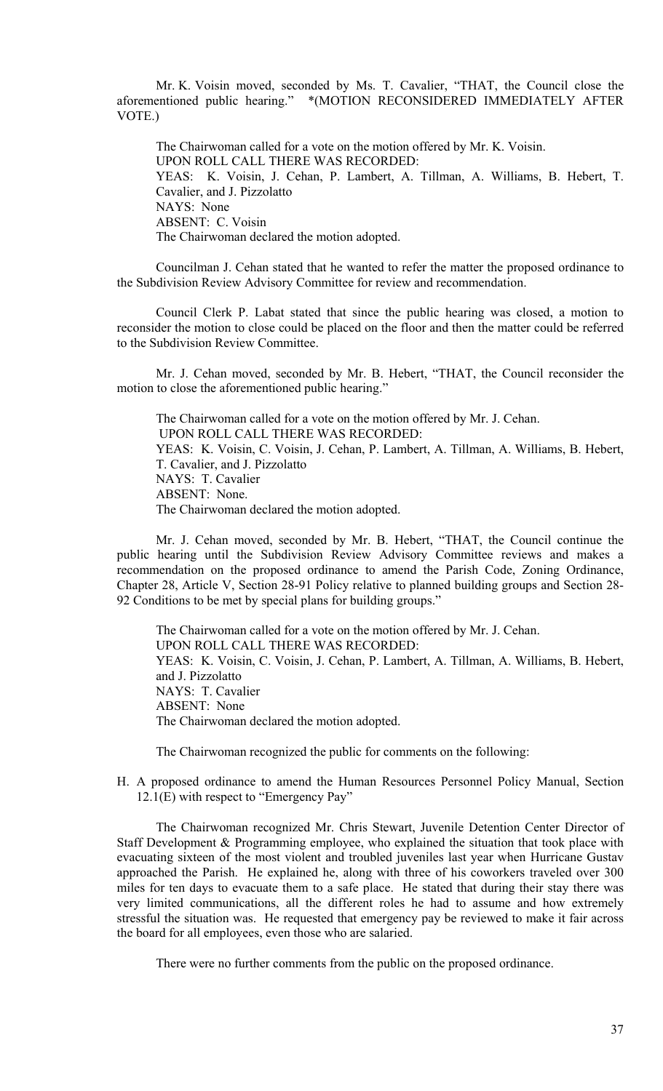Mr. K. Voisin moved, seconded by Ms. T. Cavalier, "THAT, the Council close the aforementioned public hearing." \*(MOTION RECONSIDERED IMMEDIATELY AFTER VOTE.)

 The Chairwoman called for a vote on the motion offered by Mr. K. Voisin. UPON ROLL CALL THERE WAS RECORDED: YEAS: K. Voisin, J. Cehan, P. Lambert, A. Tillman, A. Williams, B. Hebert, T. Cavalier, and J. Pizzolatto NAYS: None ABSENT: C. Voisin The Chairwoman declared the motion adopted.

 Councilman J. Cehan stated that he wanted to refer the matter the proposed ordinance to the Subdivision Review Advisory Committee for review and recommendation.

 Council Clerk P. Labat stated that since the public hearing was closed, a motion to reconsider the motion to close could be placed on the floor and then the matter could be referred to the Subdivision Review Committee.

 Mr. J. Cehan moved, seconded by Mr. B. Hebert, "THAT, the Council reconsider the motion to close the aforementioned public hearing."

 The Chairwoman called for a vote on the motion offered by Mr. J. Cehan. UPON ROLL CALL THERE WAS RECORDED: YEAS: K. Voisin, C. Voisin, J. Cehan, P. Lambert, A. Tillman, A. Williams, B. Hebert, T. Cavalier, and J. Pizzolatto NAYS: T. Cavalier ABSENT: None. The Chairwoman declared the motion adopted.

 Mr. J. Cehan moved, seconded by Mr. B. Hebert, "THAT, the Council continue the public hearing until the Subdivision Review Advisory Committee reviews and makes a recommendation on the proposed ordinance to amend the Parish Code, Zoning Ordinance, Chapter 28, Article V, Section 28-91 Policy relative to planned building groups and Section 28- 92 Conditions to be met by special plans for building groups."

 The Chairwoman called for a vote on the motion offered by Mr. J. Cehan. UPON ROLL CALL THERE WAS RECORDED: YEAS: K. Voisin, C. Voisin, J. Cehan, P. Lambert, A. Tillman, A. Williams, B. Hebert, and J. Pizzolatto NAYS: T. Cavalier ABSENT: None The Chairwoman declared the motion adopted.

The Chairwoman recognized the public for comments on the following:

H. A proposed ordinance to amend the Human Resources Personnel Policy Manual, Section 12.1(E) with respect to "Emergency Pay"

 The Chairwoman recognized Mr. Chris Stewart, Juvenile Detention Center Director of Staff Development & Programming employee, who explained the situation that took place with evacuating sixteen of the most violent and troubled juveniles last year when Hurricane Gustav approached the Parish. He explained he, along with three of his coworkers traveled over 300 miles for ten days to evacuate them to a safe place. He stated that during their stay there was very limited communications, all the different roles he had to assume and how extremely stressful the situation was. He requested that emergency pay be reviewed to make it fair across the board for all employees, even those who are salaried.

There were no further comments from the public on the proposed ordinance.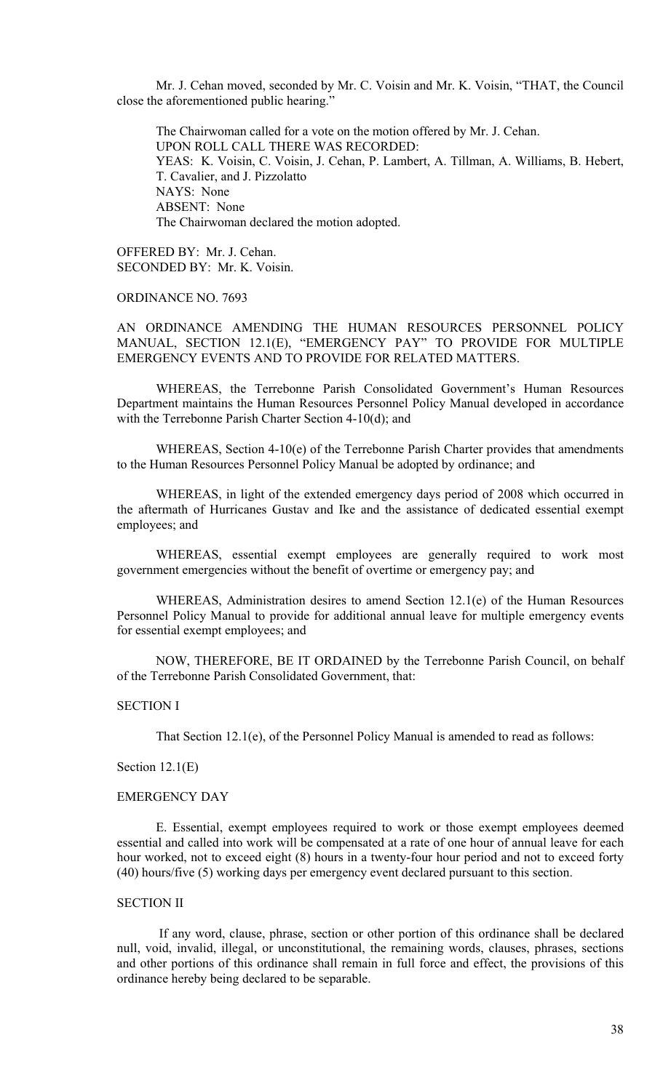Mr. J. Cehan moved, seconded by Mr. C. Voisin and Mr. K. Voisin, "THAT, the Council close the aforementioned public hearing."

 The Chairwoman called for a vote on the motion offered by Mr. J. Cehan. UPON ROLL CALL THERE WAS RECORDED: YEAS: K. Voisin, C. Voisin, J. Cehan, P. Lambert, A. Tillman, A. Williams, B. Hebert, T. Cavalier, and J. Pizzolatto NAYS: None ABSENT: None The Chairwoman declared the motion adopted.

OFFERED BY: Mr. J. Cehan. SECONDED BY: Mr. K. Voisin.

### ORDINANCE NO. 7693

AN ORDINANCE AMENDING THE HUMAN RESOURCES PERSONNEL POLICY MANUAL, SECTION 12.1(E), "EMERGENCY PAY" TO PROVIDE FOR MULTIPLE EMERGENCY EVENTS AND TO PROVIDE FOR RELATED MATTERS.

 WHEREAS, the Terrebonne Parish Consolidated Government's Human Resources Department maintains the Human Resources Personnel Policy Manual developed in accordance with the Terrebonne Parish Charter Section 4-10(d); and

 WHEREAS, Section 4-10(e) of the Terrebonne Parish Charter provides that amendments to the Human Resources Personnel Policy Manual be adopted by ordinance; and

 WHEREAS, in light of the extended emergency days period of 2008 which occurred in the aftermath of Hurricanes Gustav and Ike and the assistance of dedicated essential exempt employees; and

 WHEREAS, essential exempt employees are generally required to work most government emergencies without the benefit of overtime or emergency pay; and

 WHEREAS, Administration desires to amend Section 12.1(e) of the Human Resources Personnel Policy Manual to provide for additional annual leave for multiple emergency events for essential exempt employees; and

 NOW, THEREFORE, BE IT ORDAINED by the Terrebonne Parish Council, on behalf of the Terrebonne Parish Consolidated Government, that:

# SECTION I

That Section 12.1(e), of the Personnel Policy Manual is amended to read as follows:

# Section 12.1(E)

### EMERGENCY DAY

 E. Essential, exempt employees required to work or those exempt employees deemed essential and called into work will be compensated at a rate of one hour of annual leave for each hour worked, not to exceed eight (8) hours in a twenty-four hour period and not to exceed forty (40) hours/five (5) working days per emergency event declared pursuant to this section.

# SECTION II

 If any word, clause, phrase, section or other portion of this ordinance shall be declared null, void, invalid, illegal, or unconstitutional, the remaining words, clauses, phrases, sections and other portions of this ordinance shall remain in full force and effect, the provisions of this ordinance hereby being declared to be separable.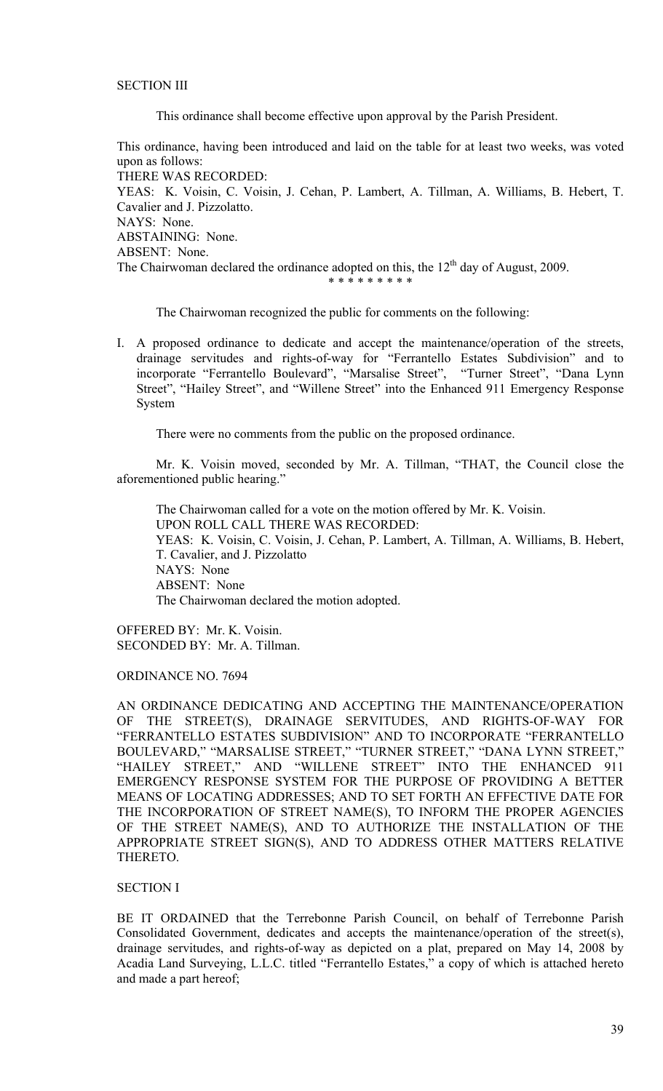# SECTION III

This ordinance shall become effective upon approval by the Parish President.

This ordinance, having been introduced and laid on the table for at least two weeks, was voted upon as follows: THERE WAS RECORDED: YEAS: K. Voisin, C. Voisin, J. Cehan, P. Lambert, A. Tillman, A. Williams, B. Hebert, T. Cavalier and J. Pizzolatto. NAYS: None. ABSTAINING: None. ABSENT: None. The Chairwoman declared the ordinance adopted on this, the  $12<sup>th</sup>$  day of August, 2009.

\* \* \* \* \* \* \* \* \*

The Chairwoman recognized the public for comments on the following:

I. A proposed ordinance to dedicate and accept the maintenance/operation of the streets, drainage servitudes and rights-of-way for "Ferrantello Estates Subdivision" and to incorporate "Ferrantello Boulevard", "Marsalise Street", "Turner Street", "Dana Lynn Street", "Hailey Street", and "Willene Street" into the Enhanced 911 Emergency Response System

There were no comments from the public on the proposed ordinance.

 Mr. K. Voisin moved, seconded by Mr. A. Tillman, "THAT, the Council close the aforementioned public hearing."

 The Chairwoman called for a vote on the motion offered by Mr. K. Voisin. UPON ROLL CALL THERE WAS RECORDED: YEAS: K. Voisin, C. Voisin, J. Cehan, P. Lambert, A. Tillman, A. Williams, B. Hebert, T. Cavalier, and J. Pizzolatto NAYS: None ABSENT: None The Chairwoman declared the motion adopted.

OFFERED BY: Mr. K. Voisin. SECONDED BY: Mr. A. Tillman.

ORDINANCE NO. 7694

AN ORDINANCE DEDICATING AND ACCEPTING THE MAINTENANCE/OPERATION OF THE STREET(S), DRAINAGE SERVITUDES, AND RIGHTS-OF-WAY FOR "FERRANTELLO ESTATES SUBDIVISION" AND TO INCORPORATE "FERRANTELLO BOULEVARD," "MARSALISE STREET," "TURNER STREET," "DANA LYNN STREET," "HAILEY STREET," AND "WILLENE STREET" INTO THE ENHANCED 911 EMERGENCY RESPONSE SYSTEM FOR THE PURPOSE OF PROVIDING A BETTER MEANS OF LOCATING ADDRESSES; AND TO SET FORTH AN EFFECTIVE DATE FOR THE INCORPORATION OF STREET NAME(S), TO INFORM THE PROPER AGENCIES OF THE STREET NAME(S), AND TO AUTHORIZE THE INSTALLATION OF THE APPROPRIATE STREET SIGN(S), AND TO ADDRESS OTHER MATTERS RELATIVE THERETO.

## SECTION I

BE IT ORDAINED that the Terrebonne Parish Council, on behalf of Terrebonne Parish Consolidated Government, dedicates and accepts the maintenance/operation of the street(s), drainage servitudes, and rights-of-way as depicted on a plat, prepared on May 14, 2008 by Acadia Land Surveying, L.L.C. titled "Ferrantello Estates," a copy of which is attached hereto and made a part hereof;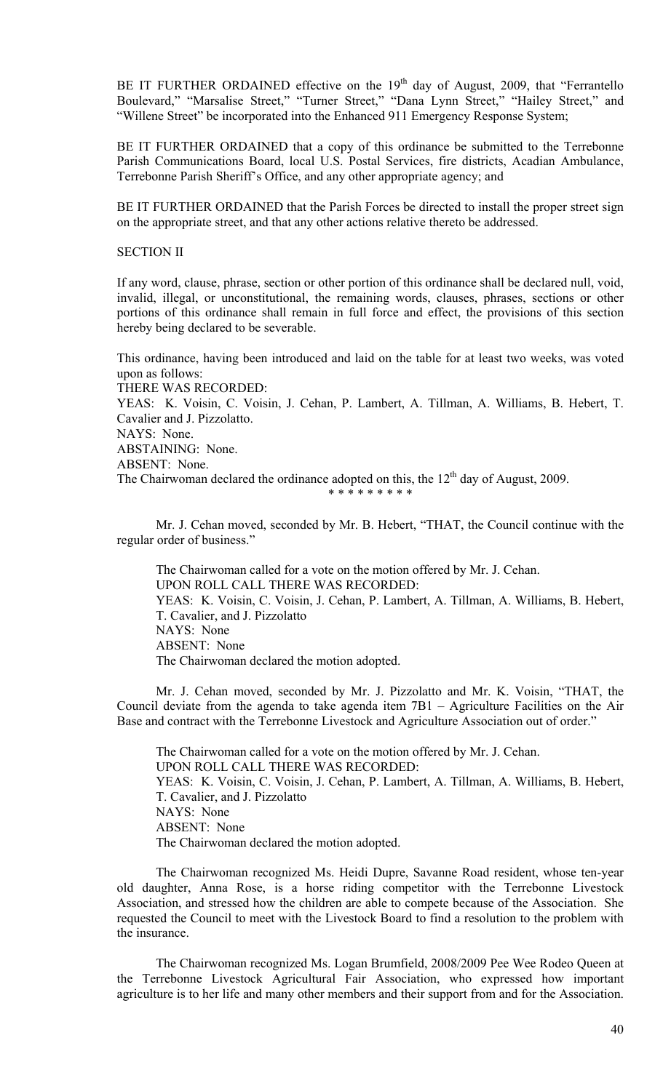BE IT FURTHER ORDAINED effective on the  $19<sup>th</sup>$  day of August, 2009, that "Ferrantello" Boulevard," "Marsalise Street," "Turner Street," "Dana Lynn Street," "Hailey Street," and "Willene Street" be incorporated into the Enhanced 911 Emergency Response System;

BE IT FURTHER ORDAINED that a copy of this ordinance be submitted to the Terrebonne Parish Communications Board, local U.S. Postal Services, fire districts, Acadian Ambulance, Terrebonne Parish Sheriff's Office, and any other appropriate agency; and

BE IT FURTHER ORDAINED that the Parish Forces be directed to install the proper street sign on the appropriate street, and that any other actions relative thereto be addressed.

# SECTION II

If any word, clause, phrase, section or other portion of this ordinance shall be declared null, void, invalid, illegal, or unconstitutional, the remaining words, clauses, phrases, sections or other portions of this ordinance shall remain in full force and effect, the provisions of this section hereby being declared to be severable.

This ordinance, having been introduced and laid on the table for at least two weeks, was voted upon as follows: THERE WAS RECORDED: YEAS: K. Voisin, C. Voisin, J. Cehan, P. Lambert, A. Tillman, A. Williams, B. Hebert, T. Cavalier and J. Pizzolatto.

NAYS: None.

ABSTAINING: None.

ABSENT: None.

The Chairwoman declared the ordinance adopted on this, the  $12<sup>th</sup>$  day of August, 2009. \* \* \* \* \* \* \* \* \*

Mr. J. Cehan moved, seconded by Mr. B. Hebert, "THAT, the Council continue with the regular order of business."

 The Chairwoman called for a vote on the motion offered by Mr. J. Cehan. UPON ROLL CALL THERE WAS RECORDED: YEAS: K. Voisin, C. Voisin, J. Cehan, P. Lambert, A. Tillman, A. Williams, B. Hebert, T. Cavalier, and J. Pizzolatto NAYS: None ABSENT: None The Chairwoman declared the motion adopted.

 Mr. J. Cehan moved, seconded by Mr. J. Pizzolatto and Mr. K. Voisin, "THAT, the Council deviate from the agenda to take agenda item 7B1 – Agriculture Facilities on the Air Base and contract with the Terrebonne Livestock and Agriculture Association out of order."

 The Chairwoman called for a vote on the motion offered by Mr. J. Cehan. UPON ROLL CALL THERE WAS RECORDED: YEAS: K. Voisin, C. Voisin, J. Cehan, P. Lambert, A. Tillman, A. Williams, B. Hebert, T. Cavalier, and J. Pizzolatto NAYS: None ABSENT: None The Chairwoman declared the motion adopted.

 The Chairwoman recognized Ms. Heidi Dupre, Savanne Road resident, whose ten-year old daughter, Anna Rose, is a horse riding competitor with the Terrebonne Livestock Association, and stressed how the children are able to compete because of the Association. She requested the Council to meet with the Livestock Board to find a resolution to the problem with the insurance.

 The Chairwoman recognized Ms. Logan Brumfield, 2008/2009 Pee Wee Rodeo Queen at the Terrebonne Livestock Agricultural Fair Association, who expressed how important agriculture is to her life and many other members and their support from and for the Association.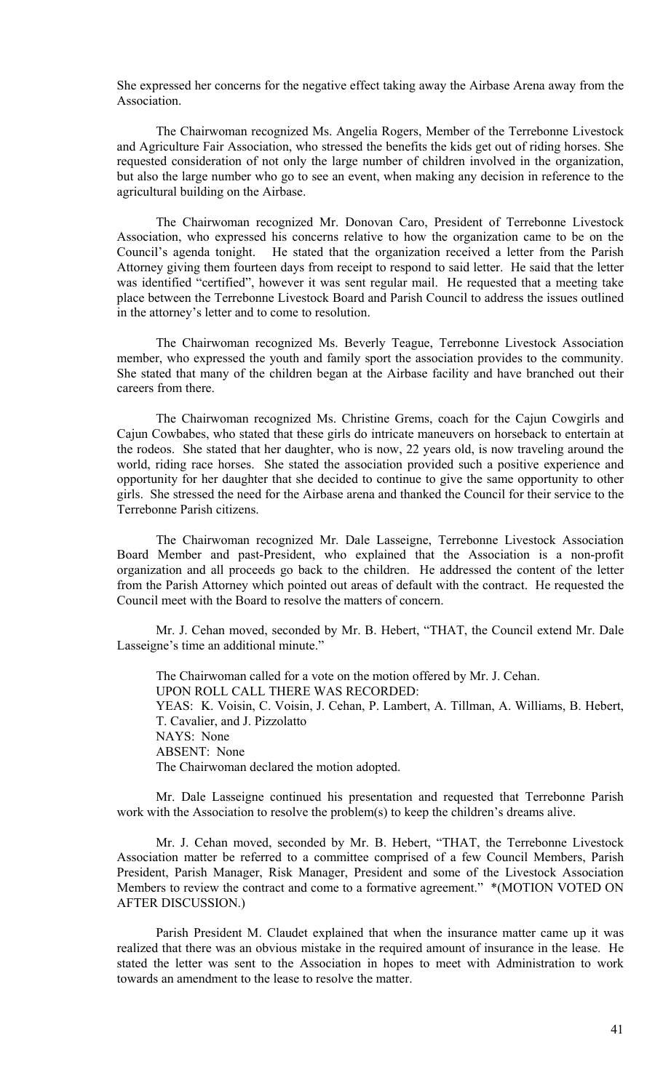She expressed her concerns for the negative effect taking away the Airbase Arena away from the Association.

 The Chairwoman recognized Ms. Angelia Rogers, Member of the Terrebonne Livestock and Agriculture Fair Association, who stressed the benefits the kids get out of riding horses. She requested consideration of not only the large number of children involved in the organization, but also the large number who go to see an event, when making any decision in reference to the agricultural building on the Airbase.

 The Chairwoman recognized Mr. Donovan Caro, President of Terrebonne Livestock Association, who expressed his concerns relative to how the organization came to be on the Council's agenda tonight. He stated that the organization received a letter from the Parish Attorney giving them fourteen days from receipt to respond to said letter. He said that the letter was identified "certified", however it was sent regular mail. He requested that a meeting take place between the Terrebonne Livestock Board and Parish Council to address the issues outlined in the attorney's letter and to come to resolution.

 The Chairwoman recognized Ms. Beverly Teague, Terrebonne Livestock Association member, who expressed the youth and family sport the association provides to the community. She stated that many of the children began at the Airbase facility and have branched out their careers from there.

 The Chairwoman recognized Ms. Christine Grems, coach for the Cajun Cowgirls and Cajun Cowbabes, who stated that these girls do intricate maneuvers on horseback to entertain at the rodeos. She stated that her daughter, who is now, 22 years old, is now traveling around the world, riding race horses. She stated the association provided such a positive experience and opportunity for her daughter that she decided to continue to give the same opportunity to other girls. She stressed the need for the Airbase arena and thanked the Council for their service to the Terrebonne Parish citizens.

 The Chairwoman recognized Mr. Dale Lasseigne, Terrebonne Livestock Association Board Member and past-President, who explained that the Association is a non-profit organization and all proceeds go back to the children. He addressed the content of the letter from the Parish Attorney which pointed out areas of default with the contract. He requested the Council meet with the Board to resolve the matters of concern.

 Mr. J. Cehan moved, seconded by Mr. B. Hebert, "THAT, the Council extend Mr. Dale Lasseigne's time an additional minute."

 The Chairwoman called for a vote on the motion offered by Mr. J. Cehan. UPON ROLL CALL THERE WAS RECORDED: YEAS: K. Voisin, C. Voisin, J. Cehan, P. Lambert, A. Tillman, A. Williams, B. Hebert, T. Cavalier, and J. Pizzolatto NAYS: None ABSENT: None The Chairwoman declared the motion adopted.

 Mr. Dale Lasseigne continued his presentation and requested that Terrebonne Parish work with the Association to resolve the problem(s) to keep the children's dreams alive.

 Mr. J. Cehan moved, seconded by Mr. B. Hebert, "THAT, the Terrebonne Livestock Association matter be referred to a committee comprised of a few Council Members, Parish President, Parish Manager, Risk Manager, President and some of the Livestock Association Members to review the contract and come to a formative agreement." \*(MOTION VOTED ON AFTER DISCUSSION.)

 Parish President M. Claudet explained that when the insurance matter came up it was realized that there was an obvious mistake in the required amount of insurance in the lease. He stated the letter was sent to the Association in hopes to meet with Administration to work towards an amendment to the lease to resolve the matter.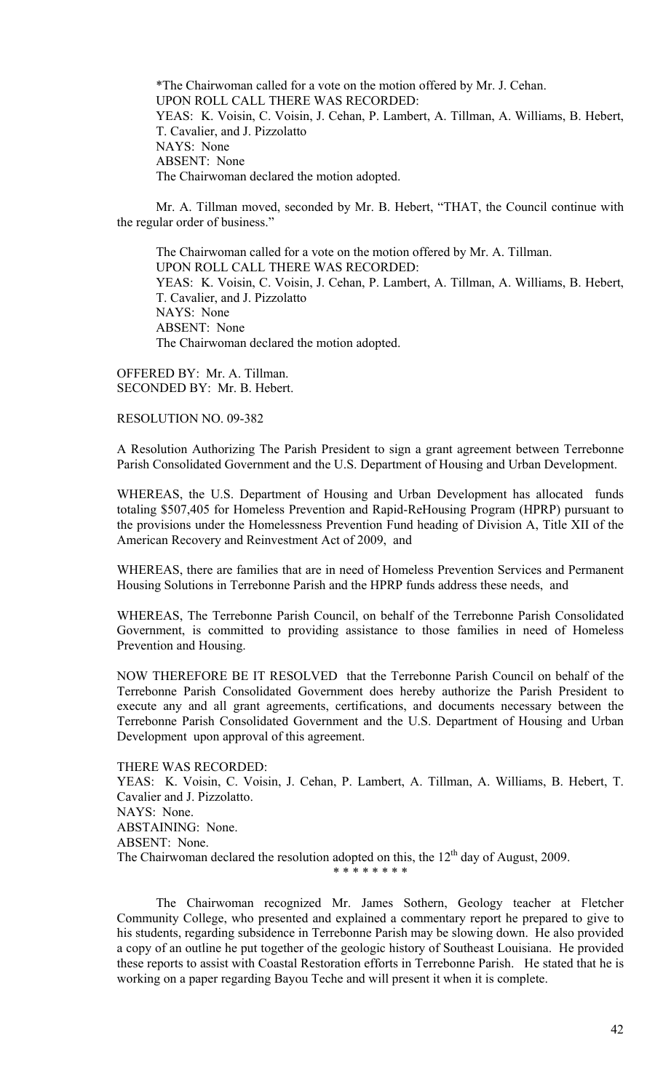\*The Chairwoman called for a vote on the motion offered by Mr. J. Cehan. UPON ROLL CALL THERE WAS RECORDED: YEAS: K. Voisin, C. Voisin, J. Cehan, P. Lambert, A. Tillman, A. Williams, B. Hebert, T. Cavalier, and J. Pizzolatto NAYS: None ABSENT: None The Chairwoman declared the motion adopted.

 Mr. A. Tillman moved, seconded by Mr. B. Hebert, "THAT, the Council continue with the regular order of business."

 The Chairwoman called for a vote on the motion offered by Mr. A. Tillman. UPON ROLL CALL THERE WAS RECORDED: YEAS: K. Voisin, C. Voisin, J. Cehan, P. Lambert, A. Tillman, A. Williams, B. Hebert, T. Cavalier, and J. Pizzolatto NAYS: None ABSENT: None The Chairwoman declared the motion adopted.

OFFERED BY: Mr. A. Tillman. SECONDED BY: Mr. B. Hebert.

# RESOLUTION NO. 09-382

A Resolution Authorizing The Parish President to sign a grant agreement between Terrebonne Parish Consolidated Government and the U.S. Department of Housing and Urban Development.

WHEREAS, the U.S. Department of Housing and Urban Development has allocated funds totaling \$507,405 for Homeless Prevention and Rapid-ReHousing Program (HPRP) pursuant to the provisions under the Homelessness Prevention Fund heading of Division A, Title XII of the American Recovery and Reinvestment Act of 2009, and

WHEREAS, there are families that are in need of Homeless Prevention Services and Permanent Housing Solutions in Terrebonne Parish and the HPRP funds address these needs, and

WHEREAS, The Terrebonne Parish Council, on behalf of the Terrebonne Parish Consolidated Government, is committed to providing assistance to those families in need of Homeless Prevention and Housing.

NOW THEREFORE BE IT RESOLVED that the Terrebonne Parish Council on behalf of the Terrebonne Parish Consolidated Government does hereby authorize the Parish President to execute any and all grant agreements, certifications, and documents necessary between the Terrebonne Parish Consolidated Government and the U.S. Department of Housing and Urban Development upon approval of this agreement.

THERE WAS RECORDED: YEAS: K. Voisin, C. Voisin, J. Cehan, P. Lambert, A. Tillman, A. Williams, B. Hebert, T. Cavalier and J. Pizzolatto. NAYS: None. ABSTAINING: None. ABSENT: None. The Chairwoman declared the resolution adopted on this, the  $12<sup>th</sup>$  day of August, 2009. \* \* \* \* \* \* \* \*

 The Chairwoman recognized Mr. James Sothern, Geology teacher at Fletcher Community College, who presented and explained a commentary report he prepared to give to his students, regarding subsidence in Terrebonne Parish may be slowing down. He also provided a copy of an outline he put together of the geologic history of Southeast Louisiana. He provided these reports to assist with Coastal Restoration efforts in Terrebonne Parish. He stated that he is working on a paper regarding Bayou Teche and will present it when it is complete.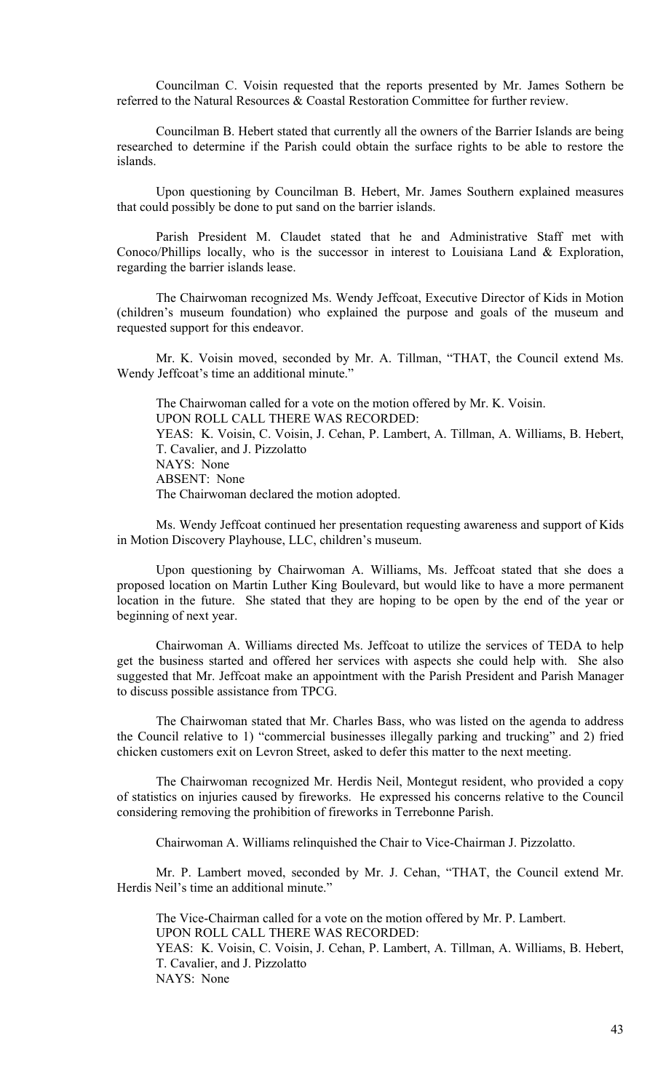Councilman C. Voisin requested that the reports presented by Mr. James Sothern be referred to the Natural Resources & Coastal Restoration Committee for further review.

 Councilman B. Hebert stated that currently all the owners of the Barrier Islands are being researched to determine if the Parish could obtain the surface rights to be able to restore the islands.

 Upon questioning by Councilman B. Hebert, Mr. James Southern explained measures that could possibly be done to put sand on the barrier islands.

 Parish President M. Claudet stated that he and Administrative Staff met with Conoco/Phillips locally, who is the successor in interest to Louisiana Land & Exploration, regarding the barrier islands lease.

 The Chairwoman recognized Ms. Wendy Jeffcoat, Executive Director of Kids in Motion (children's museum foundation) who explained the purpose and goals of the museum and requested support for this endeavor.

 Mr. K. Voisin moved, seconded by Mr. A. Tillman, "THAT, the Council extend Ms. Wendy Jeffcoat's time an additional minute."

 The Chairwoman called for a vote on the motion offered by Mr. K. Voisin. UPON ROLL CALL THERE WAS RECORDED: YEAS: K. Voisin, C. Voisin, J. Cehan, P. Lambert, A. Tillman, A. Williams, B. Hebert, T. Cavalier, and J. Pizzolatto NAYS: None ABSENT: None The Chairwoman declared the motion adopted.

 Ms. Wendy Jeffcoat continued her presentation requesting awareness and support of Kids in Motion Discovery Playhouse, LLC, children's museum.

 Upon questioning by Chairwoman A. Williams, Ms. Jeffcoat stated that she does a proposed location on Martin Luther King Boulevard, but would like to have a more permanent location in the future. She stated that they are hoping to be open by the end of the year or beginning of next year.

 Chairwoman A. Williams directed Ms. Jeffcoat to utilize the services of TEDA to help get the business started and offered her services with aspects she could help with. She also suggested that Mr. Jeffcoat make an appointment with the Parish President and Parish Manager to discuss possible assistance from TPCG.

 The Chairwoman stated that Mr. Charles Bass, who was listed on the agenda to address the Council relative to 1) "commercial businesses illegally parking and trucking" and 2) fried chicken customers exit on Levron Street, asked to defer this matter to the next meeting.

 The Chairwoman recognized Mr. Herdis Neil, Montegut resident, who provided a copy of statistics on injuries caused by fireworks. He expressed his concerns relative to the Council considering removing the prohibition of fireworks in Terrebonne Parish.

Chairwoman A. Williams relinquished the Chair to Vice-Chairman J. Pizzolatto.

 Mr. P. Lambert moved, seconded by Mr. J. Cehan, "THAT, the Council extend Mr. Herdis Neil's time an additional minute."

 The Vice-Chairman called for a vote on the motion offered by Mr. P. Lambert. UPON ROLL CALL THERE WAS RECORDED: YEAS: K. Voisin, C. Voisin, J. Cehan, P. Lambert, A. Tillman, A. Williams, B. Hebert, T. Cavalier, and J. Pizzolatto NAYS: None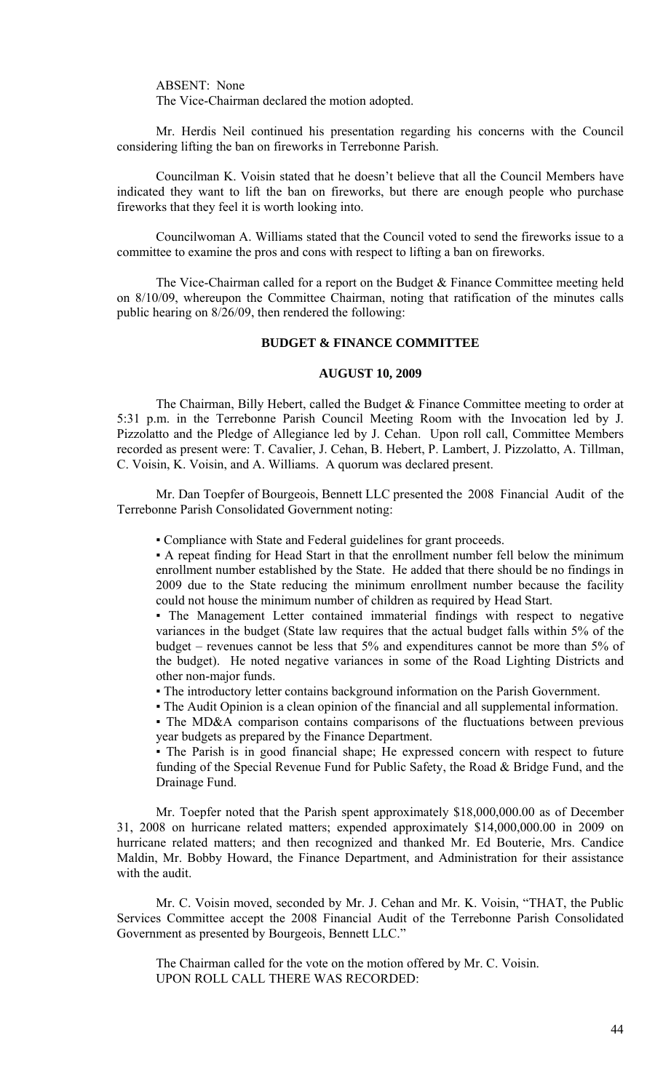ABSENT: None The Vice-Chairman declared the motion adopted.

 Mr. Herdis Neil continued his presentation regarding his concerns with the Council considering lifting the ban on fireworks in Terrebonne Parish.

 Councilman K. Voisin stated that he doesn't believe that all the Council Members have indicated they want to lift the ban on fireworks, but there are enough people who purchase fireworks that they feel it is worth looking into.

 Councilwoman A. Williams stated that the Council voted to send the fireworks issue to a committee to examine the pros and cons with respect to lifting a ban on fireworks.

 The Vice-Chairman called for a report on the Budget & Finance Committee meeting held on 8/10/09, whereupon the Committee Chairman, noting that ratification of the minutes calls public hearing on 8/26/09, then rendered the following:

# **BUDGET & FINANCE COMMITTEE**

# **AUGUST 10, 2009**

 The Chairman, Billy Hebert, called the Budget & Finance Committee meeting to order at 5:31 p.m. in the Terrebonne Parish Council Meeting Room with the Invocation led by J. Pizzolatto and the Pledge of Allegiance led by J. Cehan. Upon roll call, Committee Members recorded as present were: T. Cavalier, J. Cehan, B. Hebert, P. Lambert, J. Pizzolatto, A. Tillman, C. Voisin, K. Voisin, and A. Williams. A quorum was declared present.

 Mr. Dan Toepfer of Bourgeois, Bennett LLC presented the 2008 Financial Audit of the Terrebonne Parish Consolidated Government noting:

▪ Compliance with State and Federal guidelines for grant proceeds.

▪ A repeat finding for Head Start in that the enrollment number fell below the minimum enrollment number established by the State. He added that there should be no findings in 2009 due to the State reducing the minimum enrollment number because the facility could not house the minimum number of children as required by Head Start.

▪ The Management Letter contained immaterial findings with respect to negative variances in the budget (State law requires that the actual budget falls within 5% of the budget – revenues cannot be less that 5% and expenditures cannot be more than 5% of the budget). He noted negative variances in some of the Road Lighting Districts and other non-major funds.

▪ The introductory letter contains background information on the Parish Government.

▪ The Audit Opinion is a clean opinion of the financial and all supplemental information.

▪ The MD&A comparison contains comparisons of the fluctuations between previous year budgets as prepared by the Finance Department.

▪ The Parish is in good financial shape; He expressed concern with respect to future funding of the Special Revenue Fund for Public Safety, the Road & Bridge Fund, and the Drainage Fund.

 Mr. Toepfer noted that the Parish spent approximately \$18,000,000.00 as of December 31, 2008 on hurricane related matters; expended approximately \$14,000,000.00 in 2009 on hurricane related matters; and then recognized and thanked Mr. Ed Bouterie, Mrs. Candice Maldin, Mr. Bobby Howard, the Finance Department, and Administration for their assistance with the audit.

 Mr. C. Voisin moved, seconded by Mr. J. Cehan and Mr. K. Voisin, "THAT, the Public Services Committee accept the 2008 Financial Audit of the Terrebonne Parish Consolidated Government as presented by Bourgeois, Bennett LLC."

The Chairman called for the vote on the motion offered by Mr. C. Voisin. UPON ROLL CALL THERE WAS RECORDED: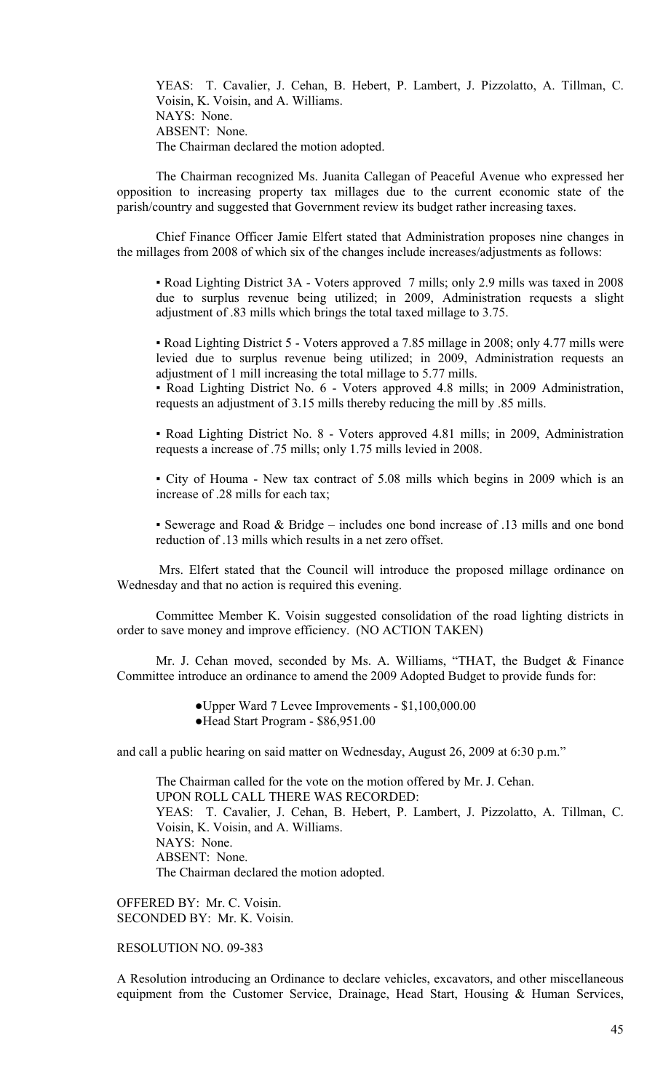YEAS: T. Cavalier, J. Cehan, B. Hebert, P. Lambert, J. Pizzolatto, A. Tillman, C. Voisin, K. Voisin, and A. Williams. NAYS: None. ABSENT: None. The Chairman declared the motion adopted.

 The Chairman recognized Ms. Juanita Callegan of Peaceful Avenue who expressed her opposition to increasing property tax millages due to the current economic state of the parish/country and suggested that Government review its budget rather increasing taxes.

 Chief Finance Officer Jamie Elfert stated that Administration proposes nine changes in the millages from 2008 of which six of the changes include increases/adjustments as follows:

▪ Road Lighting District 3A - Voters approved 7 mills; only 2.9 mills was taxed in 2008 due to surplus revenue being utilized; in 2009, Administration requests a slight adjustment of .83 mills which brings the total taxed millage to 3.75.

▪ Road Lighting District 5 - Voters approved a 7.85 millage in 2008; only 4.77 mills were levied due to surplus revenue being utilized; in 2009, Administration requests an adjustment of 1 mill increasing the total millage to 5.77 mills.

▪ Road Lighting District No. 6 - Voters approved 4.8 mills; in 2009 Administration, requests an adjustment of 3.15 mills thereby reducing the mill by .85 mills.

▪ Road Lighting District No. 8 - Voters approved 4.81 mills; in 2009, Administration requests a increase of .75 mills; only 1.75 mills levied in 2008.

▪ City of Houma - New tax contract of 5.08 mills which begins in 2009 which is an increase of .28 mills for each tax;

▪ Sewerage and Road & Bridge – includes one bond increase of .13 mills and one bond reduction of .13 mills which results in a net zero offset.

 Mrs. Elfert stated that the Council will introduce the proposed millage ordinance on Wednesday and that no action is required this evening.

 Committee Member K. Voisin suggested consolidation of the road lighting districts in order to save money and improve efficiency. (NO ACTION TAKEN)

 Mr. J. Cehan moved, seconded by Ms. A. Williams, "THAT, the Budget & Finance Committee introduce an ordinance to amend the 2009 Adopted Budget to provide funds for:

●Upper Ward 7 Levee Improvements - \$1,100,000.00

●Head Start Program - \$86,951.00

and call a public hearing on said matter on Wednesday, August 26, 2009 at 6:30 p.m."

The Chairman called for the vote on the motion offered by Mr. J. Cehan. UPON ROLL CALL THERE WAS RECORDED: YEAS: T. Cavalier, J. Cehan, B. Hebert, P. Lambert, J. Pizzolatto, A. Tillman, C. Voisin, K. Voisin, and A. Williams. NAYS: None. ABSENT: None. The Chairman declared the motion adopted.

OFFERED BY: Mr. C. Voisin. SECONDED BY: Mr. K. Voisin.

# RESOLUTION NO. 09-383

A Resolution introducing an Ordinance to declare vehicles, excavators, and other miscellaneous equipment from the Customer Service, Drainage, Head Start, Housing & Human Services,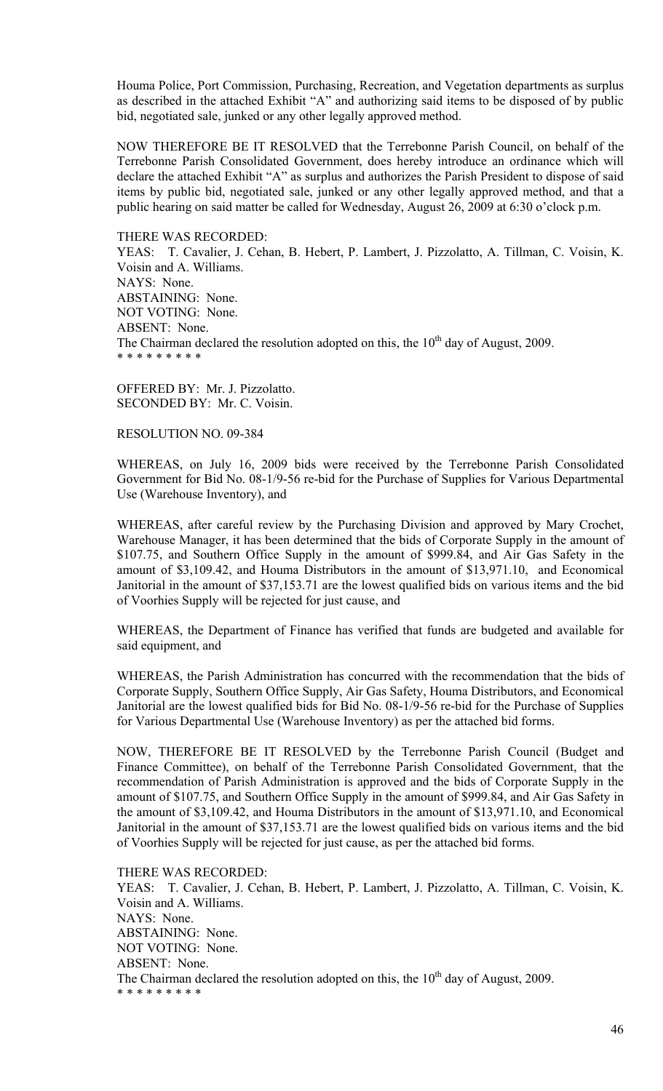Houma Police, Port Commission, Purchasing, Recreation, and Vegetation departments as surplus as described in the attached Exhibit "A" and authorizing said items to be disposed of by public bid, negotiated sale, junked or any other legally approved method.

NOW THEREFORE BE IT RESOLVED that the Terrebonne Parish Council, on behalf of the Terrebonne Parish Consolidated Government, does hereby introduce an ordinance which will declare the attached Exhibit "A" as surplus and authorizes the Parish President to dispose of said items by public bid, negotiated sale, junked or any other legally approved method, and that a public hearing on said matter be called for Wednesday, August 26, 2009 at 6:30 o'clock p.m.

THERE WAS RECORDED:

YEAS: T. Cavalier, J. Cehan, B. Hebert, P. Lambert, J. Pizzolatto, A. Tillman, C. Voisin, K. Voisin and A. Williams. NAYS: None. ABSTAINING: None. NOT VOTING: None. ABSENT: None. The Chairman declared the resolution adopted on this, the  $10<sup>th</sup>$  day of August, 2009. \* \* \* \* \* \* \* \* \*

OFFERED BY: Mr. J. Pizzolatto. SECONDED BY: Mr. C. Voisin.

RESOLUTION NO. 09-384

WHEREAS, on July 16, 2009 bids were received by the Terrebonne Parish Consolidated Government for Bid No. 08-1/9-56 re-bid for the Purchase of Supplies for Various Departmental Use (Warehouse Inventory), and

WHEREAS, after careful review by the Purchasing Division and approved by Mary Crochet, Warehouse Manager, it has been determined that the bids of Corporate Supply in the amount of \$107.75, and Southern Office Supply in the amount of \$999.84, and Air Gas Safety in the amount of \$3,109.42, and Houma Distributors in the amount of \$13,971.10, and Economical Janitorial in the amount of \$37,153.71 are the lowest qualified bids on various items and the bid of Voorhies Supply will be rejected for just cause, and

WHEREAS, the Department of Finance has verified that funds are budgeted and available for said equipment, and

WHEREAS, the Parish Administration has concurred with the recommendation that the bids of Corporate Supply, Southern Office Supply, Air Gas Safety, Houma Distributors, and Economical Janitorial are the lowest qualified bids for Bid No. 08-1/9-56 re-bid for the Purchase of Supplies for Various Departmental Use (Warehouse Inventory) as per the attached bid forms.

NOW, THEREFORE BE IT RESOLVED by the Terrebonne Parish Council (Budget and Finance Committee), on behalf of the Terrebonne Parish Consolidated Government, that the recommendation of Parish Administration is approved and the bids of Corporate Supply in the amount of \$107.75, and Southern Office Supply in the amount of \$999.84, and Air Gas Safety in the amount of \$3,109.42, and Houma Distributors in the amount of \$13,971.10, and Economical Janitorial in the amount of \$37,153.71 are the lowest qualified bids on various items and the bid of Voorhies Supply will be rejected for just cause, as per the attached bid forms.

THERE WAS RECORDED: YEAS: T. Cavalier, J. Cehan, B. Hebert, P. Lambert, J. Pizzolatto, A. Tillman, C. Voisin, K. Voisin and A. Williams. NAYS: None. ABSTAINING: None. NOT VOTING: None. ABSENT: None. The Chairman declared the resolution adopted on this, the  $10<sup>th</sup>$  day of August, 2009. \* \* \* \* \* \* \* \* \*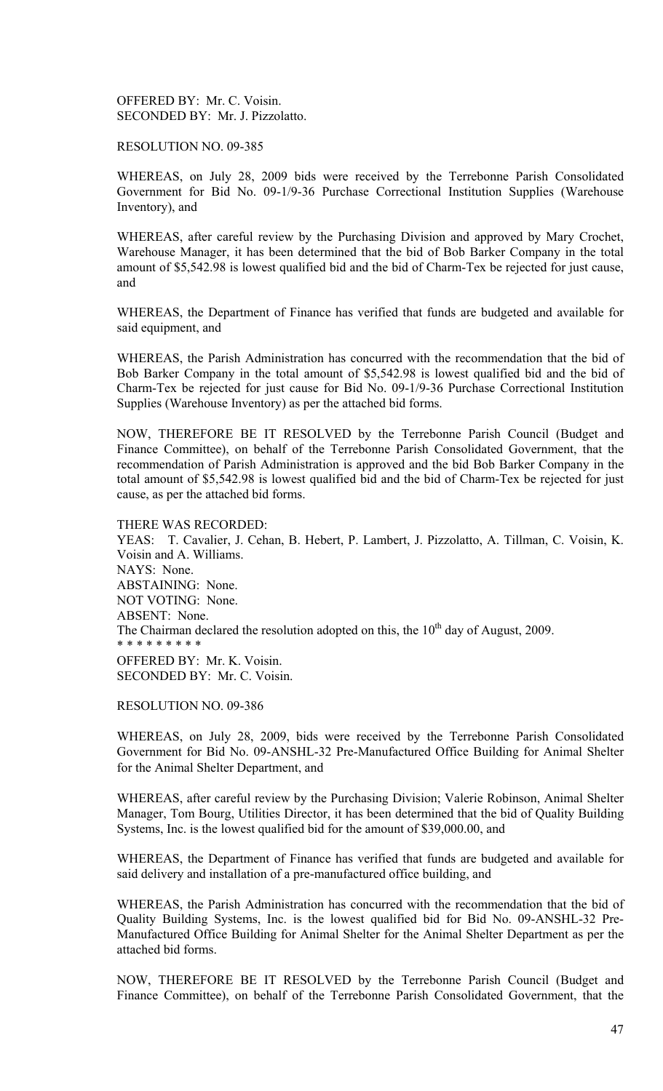OFFERED BY: Mr. C. Voisin. SECONDED BY: Mr. J. Pizzolatto.

RESOLUTION NO. 09-385

WHEREAS, on July 28, 2009 bids were received by the Terrebonne Parish Consolidated Government for Bid No. 09-1/9-36 Purchase Correctional Institution Supplies (Warehouse Inventory), and

WHEREAS, after careful review by the Purchasing Division and approved by Mary Crochet, Warehouse Manager, it has been determined that the bid of Bob Barker Company in the total amount of \$5,542.98 is lowest qualified bid and the bid of Charm-Tex be rejected for just cause, and

WHEREAS, the Department of Finance has verified that funds are budgeted and available for said equipment, and

WHEREAS, the Parish Administration has concurred with the recommendation that the bid of Bob Barker Company in the total amount of \$5,542.98 is lowest qualified bid and the bid of Charm-Tex be rejected for just cause for Bid No. 09-1/9-36 Purchase Correctional Institution Supplies (Warehouse Inventory) as per the attached bid forms.

NOW, THEREFORE BE IT RESOLVED by the Terrebonne Parish Council (Budget and Finance Committee), on behalf of the Terrebonne Parish Consolidated Government, that the recommendation of Parish Administration is approved and the bid Bob Barker Company in the total amount of \$5,542.98 is lowest qualified bid and the bid of Charm-Tex be rejected for just cause, as per the attached bid forms.

THERE WAS RECORDED: YEAS: T. Cavalier, J. Cehan, B. Hebert, P. Lambert, J. Pizzolatto, A. Tillman, C. Voisin, K. Voisin and A. Williams. NAYS: None. ABSTAINING: None. NOT VOTING: None. ABSENT: None. The Chairman declared the resolution adopted on this, the  $10<sup>th</sup>$  day of August, 2009. \* \* \* \* \* \* \* \* \* OFFERED BY: Mr. K. Voisin. SECONDED BY: Mr. C. Voisin.

RESOLUTION NO. 09-386

WHEREAS, on July 28, 2009, bids were received by the Terrebonne Parish Consolidated Government for Bid No. 09-ANSHL-32 Pre-Manufactured Office Building for Animal Shelter for the Animal Shelter Department, and

WHEREAS, after careful review by the Purchasing Division; Valerie Robinson, Animal Shelter Manager, Tom Bourg, Utilities Director, it has been determined that the bid of Quality Building Systems, Inc. is the lowest qualified bid for the amount of \$39,000.00, and

WHEREAS, the Department of Finance has verified that funds are budgeted and available for said delivery and installation of a pre-manufactured office building, and

WHEREAS, the Parish Administration has concurred with the recommendation that the bid of Quality Building Systems, Inc. is the lowest qualified bid for Bid No. 09-ANSHL-32 Pre-Manufactured Office Building for Animal Shelter for the Animal Shelter Department as per the attached bid forms.

NOW, THEREFORE BE IT RESOLVED by the Terrebonne Parish Council (Budget and Finance Committee), on behalf of the Terrebonne Parish Consolidated Government, that the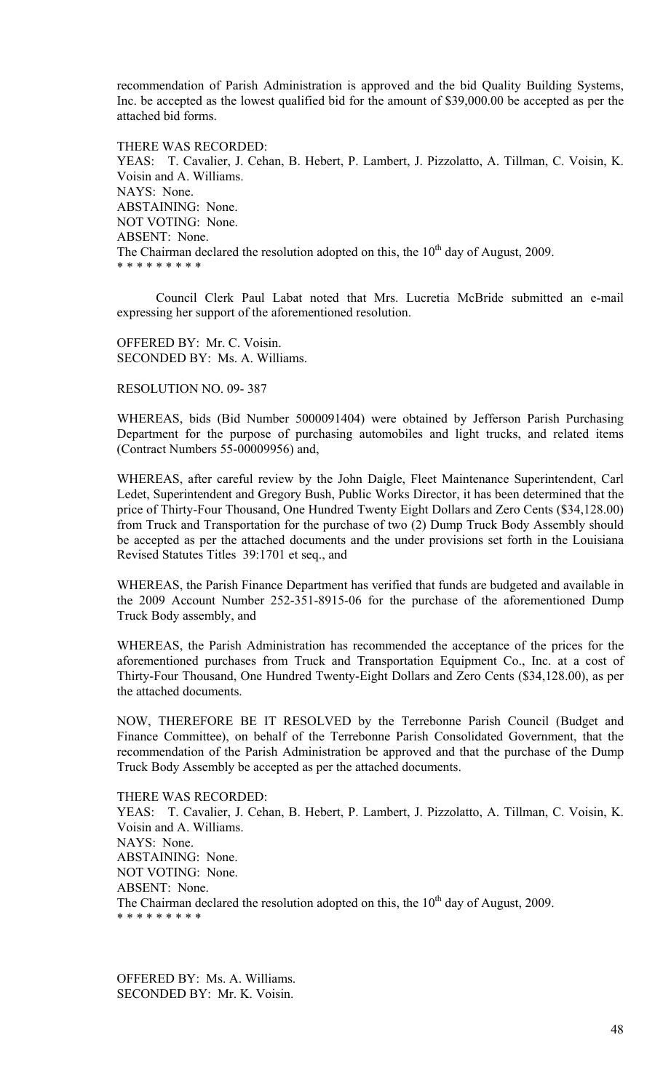recommendation of Parish Administration is approved and the bid Quality Building Systems, Inc. be accepted as the lowest qualified bid for the amount of \$39,000.00 be accepted as per the attached bid forms.

THERE WAS RECORDED: YEAS: T. Cavalier, J. Cehan, B. Hebert, P. Lambert, J. Pizzolatto, A. Tillman, C. Voisin, K. Voisin and A. Williams. NAYS: None. ABSTAINING: None. NOT VOTING: None. ABSENT: None. The Chairman declared the resolution adopted on this, the  $10<sup>th</sup>$  day of August, 2009. \* \* \* \* \* \* \* \* \*

 Council Clerk Paul Labat noted that Mrs. Lucretia McBride submitted an e-mail expressing her support of the aforementioned resolution.

OFFERED BY: Mr. C. Voisin. SECONDED BY: Ms. A. Williams.

## RESOLUTION NO. 09- 387

WHEREAS, bids (Bid Number 5000091404) were obtained by Jefferson Parish Purchasing Department for the purpose of purchasing automobiles and light trucks, and related items (Contract Numbers 55-00009956) and,

WHEREAS, after careful review by the John Daigle, Fleet Maintenance Superintendent, Carl Ledet, Superintendent and Gregory Bush, Public Works Director, it has been determined that the price of Thirty-Four Thousand, One Hundred Twenty Eight Dollars and Zero Cents (\$34,128.00) from Truck and Transportation for the purchase of two (2) Dump Truck Body Assembly should be accepted as per the attached documents and the under provisions set forth in the Louisiana Revised Statutes Titles 39:1701 et seq., and

WHEREAS, the Parish Finance Department has verified that funds are budgeted and available in the 2009 Account Number 252-351-8915-06 for the purchase of the aforementioned Dump Truck Body assembly, and

WHEREAS, the Parish Administration has recommended the acceptance of the prices for the aforementioned purchases from Truck and Transportation Equipment Co., Inc. at a cost of Thirty-Four Thousand, One Hundred Twenty-Eight Dollars and Zero Cents (\$34,128.00), as per the attached documents.

NOW, THEREFORE BE IT RESOLVED by the Terrebonne Parish Council (Budget and Finance Committee), on behalf of the Terrebonne Parish Consolidated Government, that the recommendation of the Parish Administration be approved and that the purchase of the Dump Truck Body Assembly be accepted as per the attached documents.

THERE WAS RECORDED: YEAS: T. Cavalier, J. Cehan, B. Hebert, P. Lambert, J. Pizzolatto, A. Tillman, C. Voisin, K. Voisin and A. Williams. NAYS: None. ABSTAINING: None. NOT VOTING: None. ABSENT: None. The Chairman declared the resolution adopted on this, the  $10<sup>th</sup>$  day of August, 2009. \* \* \* \* \* \* \* \* \*

OFFERED BY: Ms. A. Williams. SECONDED BY: Mr. K. Voisin.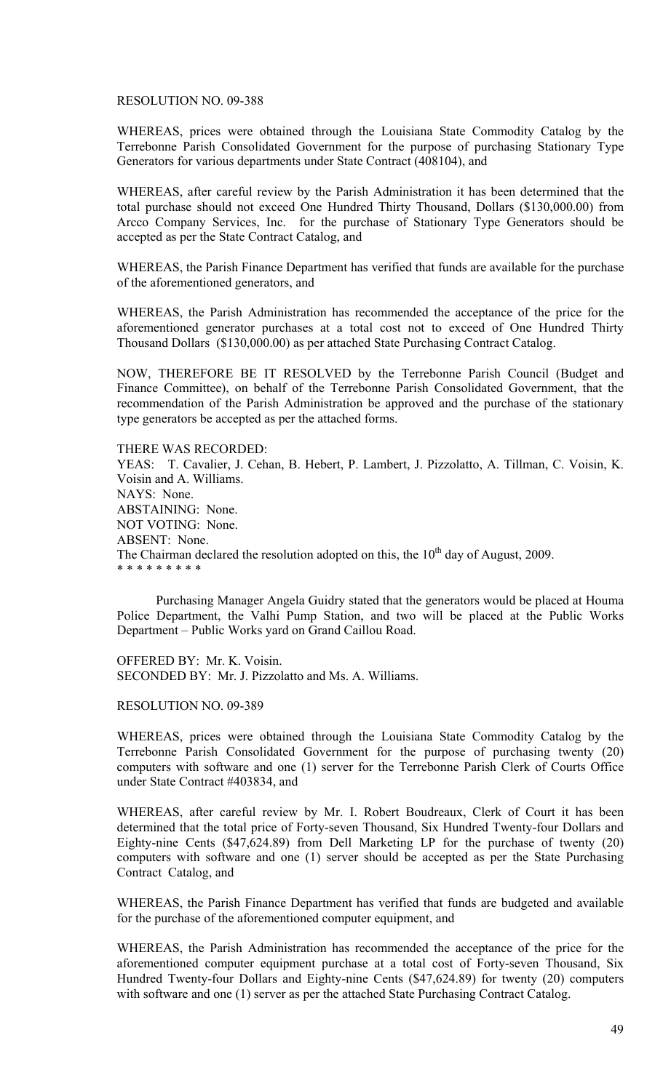#### RESOLUTION NO. 09-388

WHEREAS, prices were obtained through the Louisiana State Commodity Catalog by the Terrebonne Parish Consolidated Government for the purpose of purchasing Stationary Type Generators for various departments under State Contract (408104), and

WHEREAS, after careful review by the Parish Administration it has been determined that the total purchase should not exceed One Hundred Thirty Thousand, Dollars (\$130,000.00) from Arcco Company Services, Inc. for the purchase of Stationary Type Generators should be accepted as per the State Contract Catalog, and

WHEREAS, the Parish Finance Department has verified that funds are available for the purchase of the aforementioned generators, and

WHEREAS, the Parish Administration has recommended the acceptance of the price for the aforementioned generator purchases at a total cost not to exceed of One Hundred Thirty Thousand Dollars (\$130,000.00) as per attached State Purchasing Contract Catalog.

NOW, THEREFORE BE IT RESOLVED by the Terrebonne Parish Council (Budget and Finance Committee), on behalf of the Terrebonne Parish Consolidated Government, that the recommendation of the Parish Administration be approved and the purchase of the stationary type generators be accepted as per the attached forms.

THERE WAS RECORDED: YEAS: T. Cavalier, J. Cehan, B. Hebert, P. Lambert, J. Pizzolatto, A. Tillman, C. Voisin, K. Voisin and A. Williams. NAYS: None. ABSTAINING: None. NOT VOTING: None. ABSENT: None. The Chairman declared the resolution adopted on this, the  $10<sup>th</sup>$  day of August, 2009. \* \* \* \* \* \* \* \* \*

 Purchasing Manager Angela Guidry stated that the generators would be placed at Houma Police Department, the Valhi Pump Station, and two will be placed at the Public Works Department – Public Works yard on Grand Caillou Road.

OFFERED BY: Mr. K. Voisin. SECONDED BY: Mr. J. Pizzolatto and Ms. A. Williams.

RESOLUTION NO. 09-389

WHEREAS, prices were obtained through the Louisiana State Commodity Catalog by the Terrebonne Parish Consolidated Government for the purpose of purchasing twenty (20) computers with software and one (1) server for the Terrebonne Parish Clerk of Courts Office under State Contract #403834, and

WHEREAS, after careful review by Mr. I. Robert Boudreaux, Clerk of Court it has been determined that the total price of Forty-seven Thousand, Six Hundred Twenty-four Dollars and Eighty-nine Cents (\$47,624.89) from Dell Marketing LP for the purchase of twenty (20) computers with software and one (1) server should be accepted as per the State Purchasing Contract Catalog, and

WHEREAS, the Parish Finance Department has verified that funds are budgeted and available for the purchase of the aforementioned computer equipment, and

WHEREAS, the Parish Administration has recommended the acceptance of the price for the aforementioned computer equipment purchase at a total cost of Forty-seven Thousand, Six Hundred Twenty-four Dollars and Eighty-nine Cents (\$47,624.89) for twenty (20) computers with software and one (1) server as per the attached State Purchasing Contract Catalog.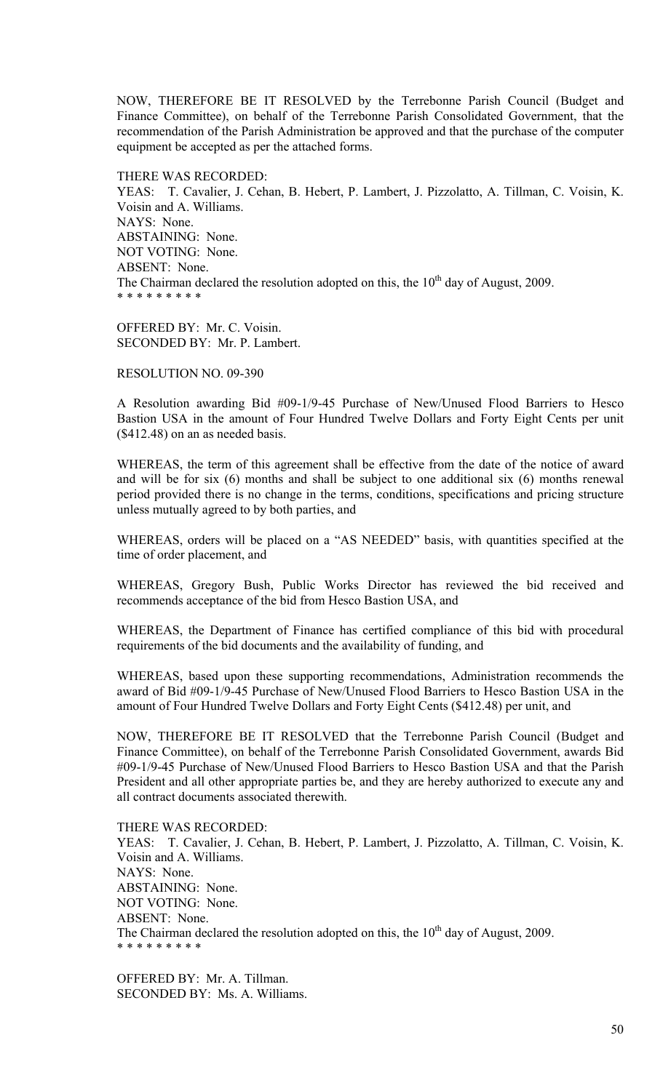NOW, THEREFORE BE IT RESOLVED by the Terrebonne Parish Council (Budget and Finance Committee), on behalf of the Terrebonne Parish Consolidated Government, that the recommendation of the Parish Administration be approved and that the purchase of the computer equipment be accepted as per the attached forms.

THERE WAS RECORDED: YEAS: T. Cavalier, J. Cehan, B. Hebert, P. Lambert, J. Pizzolatto, A. Tillman, C. Voisin, K. Voisin and A. Williams. NAYS: None. ABSTAINING: None. NOT VOTING: None. ABSENT: None. The Chairman declared the resolution adopted on this, the  $10<sup>th</sup>$  day of August, 2009. \* \* \* \* \* \* \* \* \*

OFFERED BY: Mr. C. Voisin. SECONDED BY: Mr. P. Lambert.

RESOLUTION NO. 09-390

A Resolution awarding Bid #09-1/9-45 Purchase of New/Unused Flood Barriers to Hesco Bastion USA in the amount of Four Hundred Twelve Dollars and Forty Eight Cents per unit (\$412.48) on an as needed basis.

WHEREAS, the term of this agreement shall be effective from the date of the notice of award and will be for six (6) months and shall be subject to one additional six (6) months renewal period provided there is no change in the terms, conditions, specifications and pricing structure unless mutually agreed to by both parties, and

WHEREAS, orders will be placed on a "AS NEEDED" basis, with quantities specified at the time of order placement, and

WHEREAS, Gregory Bush, Public Works Director has reviewed the bid received and recommends acceptance of the bid from Hesco Bastion USA, and

WHEREAS, the Department of Finance has certified compliance of this bid with procedural requirements of the bid documents and the availability of funding, and

WHEREAS, based upon these supporting recommendations, Administration recommends the award of Bid #09-1/9-45 Purchase of New/Unused Flood Barriers to Hesco Bastion USA in the amount of Four Hundred Twelve Dollars and Forty Eight Cents (\$412.48) per unit, and

NOW, THEREFORE BE IT RESOLVED that the Terrebonne Parish Council (Budget and Finance Committee), on behalf of the Terrebonne Parish Consolidated Government, awards Bid #09-1/9-45 Purchase of New/Unused Flood Barriers to Hesco Bastion USA and that the Parish President and all other appropriate parties be, and they are hereby authorized to execute any and all contract documents associated therewith.

THERE WAS RECORDED: YEAS: T. Cavalier, J. Cehan, B. Hebert, P. Lambert, J. Pizzolatto, A. Tillman, C. Voisin, K. Voisin and A. Williams. NAYS: None. ABSTAINING: None. NOT VOTING: None. ABSENT: None. The Chairman declared the resolution adopted on this, the  $10<sup>th</sup>$  day of August, 2009. \* \* \* \* \* \* \* \* \*

OFFERED BY: Mr. A. Tillman. SECONDED BY: Ms. A. Williams.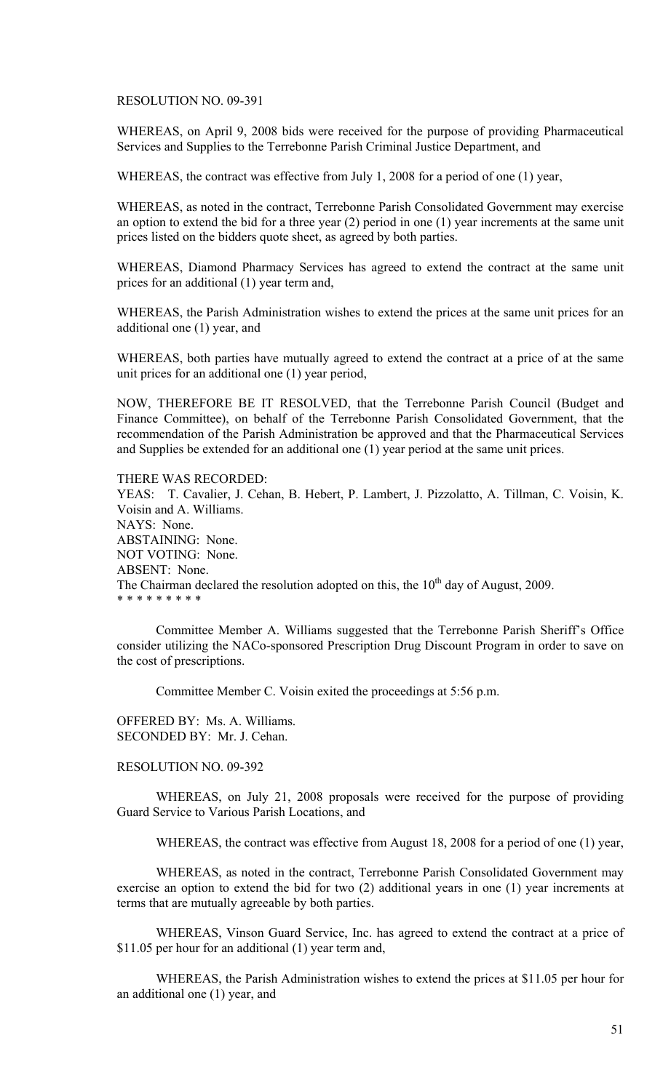RESOLUTION NO. 09-391

WHEREAS, on April 9, 2008 bids were received for the purpose of providing Pharmaceutical Services and Supplies to the Terrebonne Parish Criminal Justice Department, and

WHEREAS, the contract was effective from July 1, 2008 for a period of one (1) year,

WHEREAS, as noted in the contract, Terrebonne Parish Consolidated Government may exercise an option to extend the bid for a three year (2) period in one (1) year increments at the same unit prices listed on the bidders quote sheet, as agreed by both parties.

WHEREAS, Diamond Pharmacy Services has agreed to extend the contract at the same unit prices for an additional (1) year term and,

WHEREAS, the Parish Administration wishes to extend the prices at the same unit prices for an additional one (1) year, and

WHEREAS, both parties have mutually agreed to extend the contract at a price of at the same unit prices for an additional one (1) year period,

NOW, THEREFORE BE IT RESOLVED, that the Terrebonne Parish Council (Budget and Finance Committee), on behalf of the Terrebonne Parish Consolidated Government, that the recommendation of the Parish Administration be approved and that the Pharmaceutical Services and Supplies be extended for an additional one (1) year period at the same unit prices.

#### THERE WAS RECORDED:

YEAS: T. Cavalier, J. Cehan, B. Hebert, P. Lambert, J. Pizzolatto, A. Tillman, C. Voisin, K. Voisin and A. Williams. NAYS: None. ABSTAINING: None. NOT VOTING: None. ABSENT: None. The Chairman declared the resolution adopted on this, the  $10<sup>th</sup>$  day of August, 2009. \* \* \* \* \* \* \* \* \*

 Committee Member A. Williams suggested that the Terrebonne Parish Sheriff's Office consider utilizing the NACo-sponsored Prescription Drug Discount Program in order to save on the cost of prescriptions.

Committee Member C. Voisin exited the proceedings at 5:56 p.m.

OFFERED BY: Ms. A. Williams. SECONDED BY: Mr. J. Cehan.

### RESOLUTION NO. 09-392

WHEREAS, on July 21, 2008 proposals were received for the purpose of providing Guard Service to Various Parish Locations, and

WHEREAS, the contract was effective from August 18, 2008 for a period of one (1) year,

WHEREAS, as noted in the contract, Terrebonne Parish Consolidated Government may exercise an option to extend the bid for two (2) additional years in one (1) year increments at terms that are mutually agreeable by both parties.

WHEREAS, Vinson Guard Service, Inc. has agreed to extend the contract at a price of \$11.05 per hour for an additional (1) year term and,

WHEREAS, the Parish Administration wishes to extend the prices at \$11.05 per hour for an additional one (1) year, and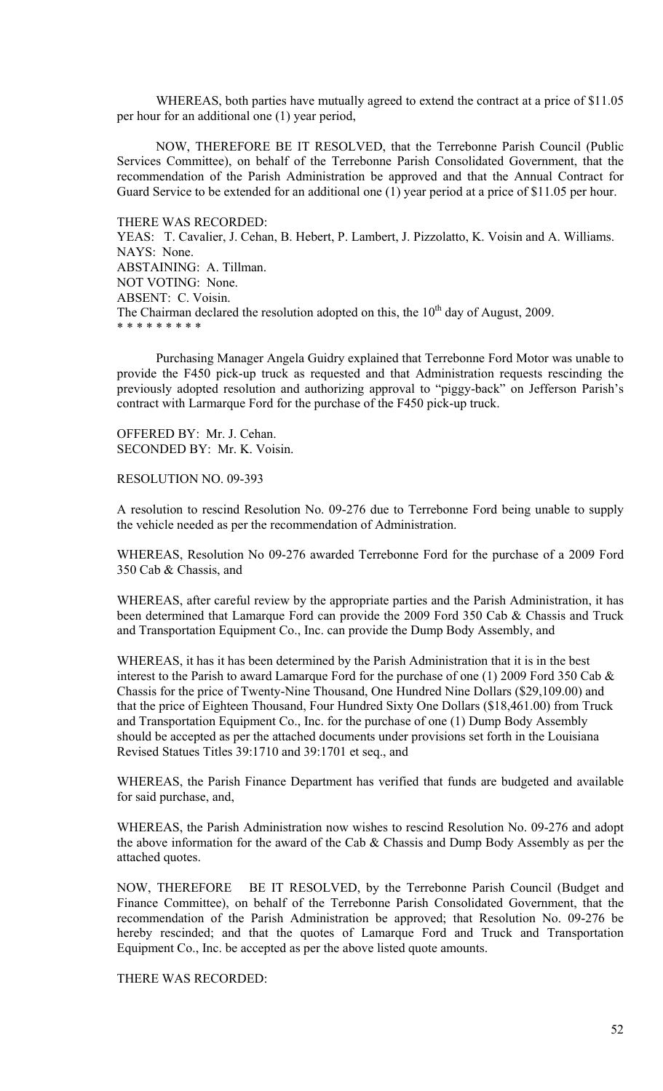WHEREAS, both parties have mutually agreed to extend the contract at a price of \$11.05 per hour for an additional one (1) year period,

NOW, THEREFORE BE IT RESOLVED, that the Terrebonne Parish Council (Public Services Committee), on behalf of the Terrebonne Parish Consolidated Government, that the recommendation of the Parish Administration be approved and that the Annual Contract for Guard Service to be extended for an additional one (1) year period at a price of \$11.05 per hour.

THERE WAS RECORDED: YEAS: T. Cavalier, J. Cehan, B. Hebert, P. Lambert, J. Pizzolatto, K. Voisin and A. Williams. NAYS: None. ABSTAINING: A. Tillman. NOT VOTING: None. ABSENT: C. Voisin. The Chairman declared the resolution adopted on this, the  $10<sup>th</sup>$  day of August, 2009. \* \* \* \* \* \* \* \* \*

Purchasing Manager Angela Guidry explained that Terrebonne Ford Motor was unable to provide the F450 pick-up truck as requested and that Administration requests rescinding the previously adopted resolution and authorizing approval to "piggy-back" on Jefferson Parish's contract with Larmarque Ford for the purchase of the F450 pick-up truck.

OFFERED BY: Mr. J. Cehan. SECONDED BY: Mr. K. Voisin.

RESOLUTION NO. 09-393

A resolution to rescind Resolution No. 09-276 due to Terrebonne Ford being unable to supply the vehicle needed as per the recommendation of Administration.

WHEREAS, Resolution No 09-276 awarded Terrebonne Ford for the purchase of a 2009 Ford 350 Cab & Chassis, and

WHEREAS, after careful review by the appropriate parties and the Parish Administration, it has been determined that Lamarque Ford can provide the 2009 Ford 350 Cab & Chassis and Truck and Transportation Equipment Co., Inc. can provide the Dump Body Assembly, and

WHEREAS, it has it has been determined by the Parish Administration that it is in the best interest to the Parish to award Lamarque Ford for the purchase of one (1) 2009 Ford 350 Cab & Chassis for the price of Twenty-Nine Thousand, One Hundred Nine Dollars (\$29,109.00) and that the price of Eighteen Thousand, Four Hundred Sixty One Dollars (\$18,461.00) from Truck and Transportation Equipment Co., Inc. for the purchase of one (1) Dump Body Assembly should be accepted as per the attached documents under provisions set forth in the Louisiana Revised Statues Titles 39:1710 and 39:1701 et seq., and

WHEREAS, the Parish Finance Department has verified that funds are budgeted and available for said purchase, and,

WHEREAS, the Parish Administration now wishes to rescind Resolution No. 09-276 and adopt the above information for the award of the Cab & Chassis and Dump Body Assembly as per the attached quotes.

NOW, THEREFORE BE IT RESOLVED, by the Terrebonne Parish Council (Budget and Finance Committee), on behalf of the Terrebonne Parish Consolidated Government, that the recommendation of the Parish Administration be approved; that Resolution No. 09-276 be hereby rescinded; and that the quotes of Lamarque Ford and Truck and Transportation Equipment Co., Inc. be accepted as per the above listed quote amounts.

THERE WAS RECORDED: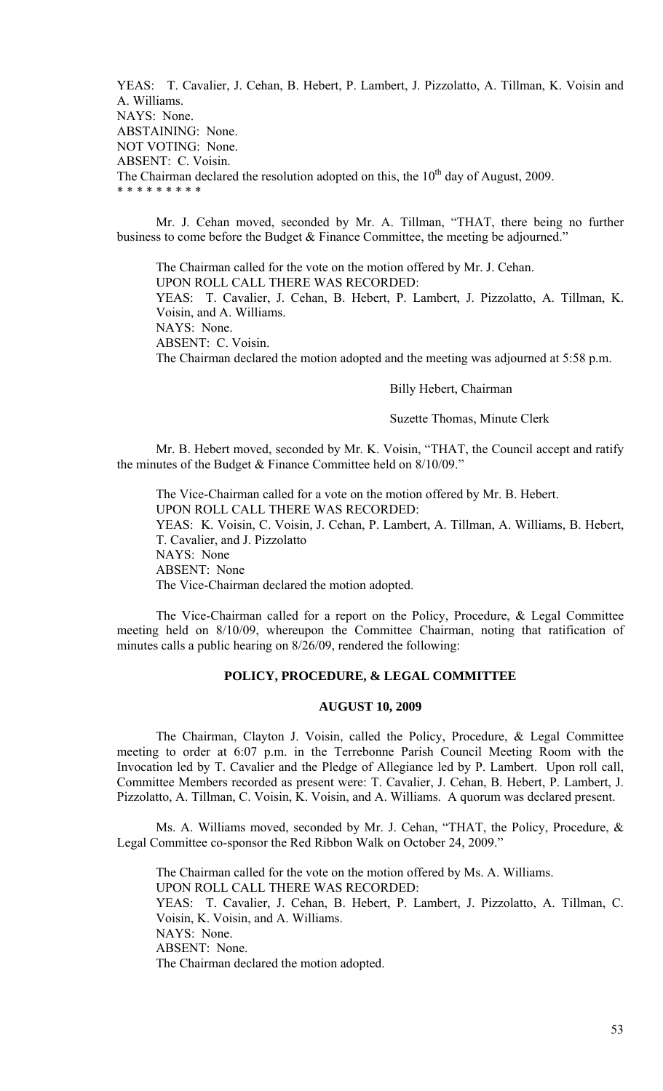YEAS: T. Cavalier, J. Cehan, B. Hebert, P. Lambert, J. Pizzolatto, A. Tillman, K. Voisin and A. Williams. NAYS: None. ABSTAINING: None. NOT VOTING: None. ABSENT: C. Voisin. The Chairman declared the resolution adopted on this, the  $10<sup>th</sup>$  day of August, 2009. \* \* \* \* \* \* \* \* \*

 Mr. J. Cehan moved, seconded by Mr. A. Tillman, "THAT, there being no further business to come before the Budget & Finance Committee, the meeting be adjourned."

 The Chairman called for the vote on the motion offered by Mr. J. Cehan. UPON ROLL CALL THERE WAS RECORDED: YEAS: T. Cavalier, J. Cehan, B. Hebert, P. Lambert, J. Pizzolatto, A. Tillman, K. Voisin, and A. Williams. NAYS: None. ABSENT: C. Voisin. The Chairman declared the motion adopted and the meeting was adjourned at 5:58 p.m.

Billy Hebert, Chairman

## Suzette Thomas, Minute Clerk

 Mr. B. Hebert moved, seconded by Mr. K. Voisin, "THAT, the Council accept and ratify the minutes of the Budget & Finance Committee held on 8/10/09."

 The Vice-Chairman called for a vote on the motion offered by Mr. B. Hebert. UPON ROLL CALL THERE WAS RECORDED: YEAS: K. Voisin, C. Voisin, J. Cehan, P. Lambert, A. Tillman, A. Williams, B. Hebert, T. Cavalier, and J. Pizzolatto NAYS: None ABSENT: None The Vice-Chairman declared the motion adopted.

 The Vice-Chairman called for a report on the Policy, Procedure, & Legal Committee meeting held on 8/10/09, whereupon the Committee Chairman, noting that ratification of minutes calls a public hearing on 8/26/09, rendered the following:

### **POLICY, PROCEDURE, & LEGAL COMMITTEE**

# **AUGUST 10, 2009**

 The Chairman, Clayton J. Voisin, called the Policy, Procedure, & Legal Committee meeting to order at 6:07 p.m. in the Terrebonne Parish Council Meeting Room with the Invocation led by T. Cavalier and the Pledge of Allegiance led by P. Lambert. Upon roll call, Committee Members recorded as present were: T. Cavalier, J. Cehan, B. Hebert, P. Lambert, J. Pizzolatto, A. Tillman, C. Voisin, K. Voisin, and A. Williams. A quorum was declared present.

 Ms. A. Williams moved, seconded by Mr. J. Cehan, "THAT, the Policy, Procedure, & Legal Committee co-sponsor the Red Ribbon Walk on October 24, 2009."

 The Chairman called for the vote on the motion offered by Ms. A. Williams. UPON ROLL CALL THERE WAS RECORDED: YEAS: T. Cavalier, J. Cehan, B. Hebert, P. Lambert, J. Pizzolatto, A. Tillman, C. Voisin, K. Voisin, and A. Williams. NAYS: None. ABSENT: None. The Chairman declared the motion adopted.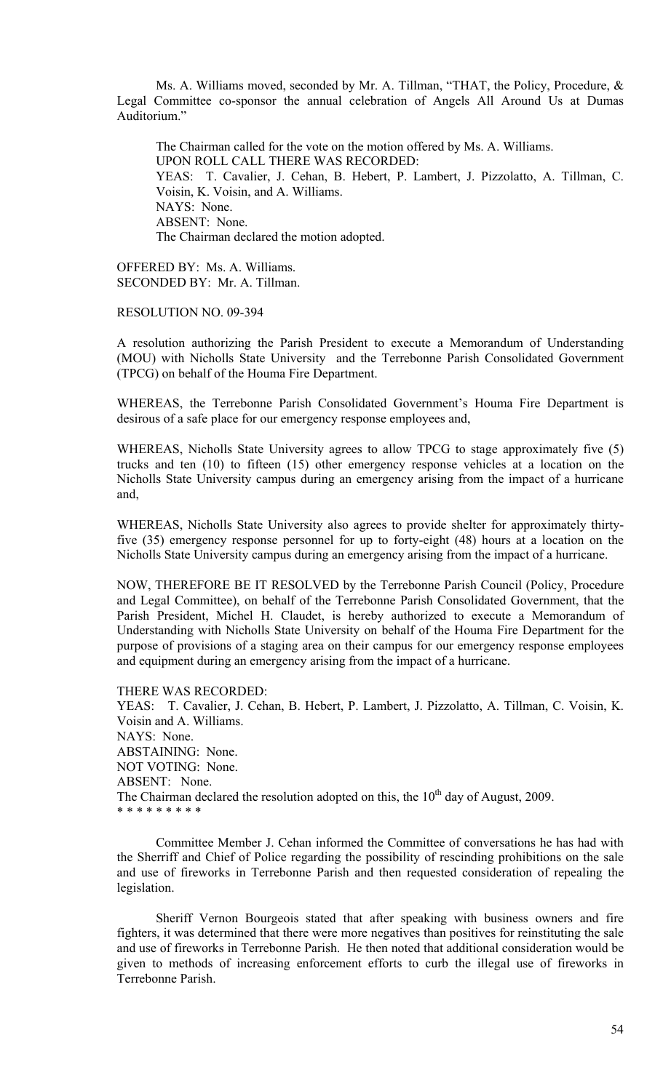Ms. A. Williams moved, seconded by Mr. A. Tillman, "THAT, the Policy, Procedure, & Legal Committee co-sponsor the annual celebration of Angels All Around Us at Dumas Auditorium."

 The Chairman called for the vote on the motion offered by Ms. A. Williams. UPON ROLL CALL THERE WAS RECORDED: YEAS: T. Cavalier, J. Cehan, B. Hebert, P. Lambert, J. Pizzolatto, A. Tillman, C. Voisin, K. Voisin, and A. Williams. NAYS: None. ABSENT: None. The Chairman declared the motion adopted.

OFFERED BY: Ms. A. Williams. SECONDED BY: Mr. A. Tillman.

RESOLUTION NO. 09-394

A resolution authorizing the Parish President to execute a Memorandum of Understanding (MOU) with Nicholls State University and the Terrebonne Parish Consolidated Government (TPCG) on behalf of the Houma Fire Department.

WHEREAS, the Terrebonne Parish Consolidated Government's Houma Fire Department is desirous of a safe place for our emergency response employees and,

WHEREAS, Nicholls State University agrees to allow TPCG to stage approximately five (5) trucks and ten (10) to fifteen (15) other emergency response vehicles at a location on the Nicholls State University campus during an emergency arising from the impact of a hurricane and,

WHEREAS, Nicholls State University also agrees to provide shelter for approximately thirtyfive (35) emergency response personnel for up to forty-eight (48) hours at a location on the Nicholls State University campus during an emergency arising from the impact of a hurricane.

NOW, THEREFORE BE IT RESOLVED by the Terrebonne Parish Council (Policy, Procedure and Legal Committee), on behalf of the Terrebonne Parish Consolidated Government, that the Parish President, Michel H. Claudet, is hereby authorized to execute a Memorandum of Understanding with Nicholls State University on behalf of the Houma Fire Department for the purpose of provisions of a staging area on their campus for our emergency response employees and equipment during an emergency arising from the impact of a hurricane.

THERE WAS RECORDED:

YEAS: T. Cavalier, J. Cehan, B. Hebert, P. Lambert, J. Pizzolatto, A. Tillman, C. Voisin, K. Voisin and A. Williams. NAYS: None. ABSTAINING: None. NOT VOTING: None. ABSENT: None. The Chairman declared the resolution adopted on this, the  $10<sup>th</sup>$  day of August, 2009. \* \* \* \* \* \* \* \* \*

 Committee Member J. Cehan informed the Committee of conversations he has had with the Sherriff and Chief of Police regarding the possibility of rescinding prohibitions on the sale and use of fireworks in Terrebonne Parish and then requested consideration of repealing the legislation.

 Sheriff Vernon Bourgeois stated that after speaking with business owners and fire fighters, it was determined that there were more negatives than positives for reinstituting the sale and use of fireworks in Terrebonne Parish. He then noted that additional consideration would be given to methods of increasing enforcement efforts to curb the illegal use of fireworks in Terrebonne Parish.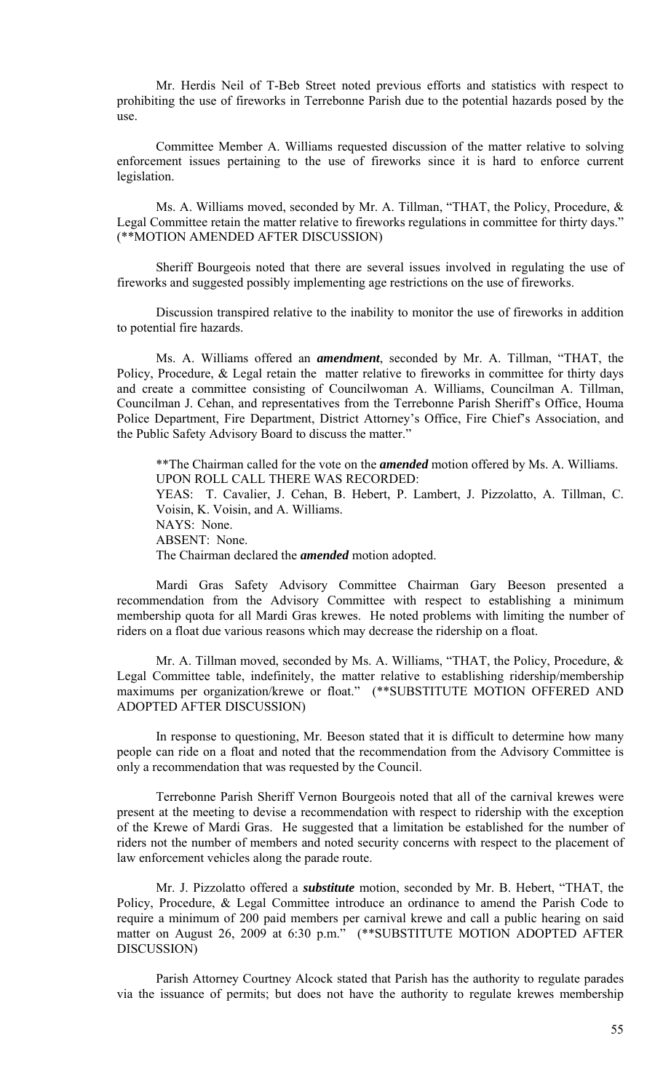Mr. Herdis Neil of T-Beb Street noted previous efforts and statistics with respect to prohibiting the use of fireworks in Terrebonne Parish due to the potential hazards posed by the use.

 Committee Member A. Williams requested discussion of the matter relative to solving enforcement issues pertaining to the use of fireworks since it is hard to enforce current legislation.

 Ms. A. Williams moved, seconded by Mr. A. Tillman, "THAT, the Policy, Procedure, & Legal Committee retain the matter relative to fireworks regulations in committee for thirty days." (\*\*MOTION AMENDED AFTER DISCUSSION)

 Sheriff Bourgeois noted that there are several issues involved in regulating the use of fireworks and suggested possibly implementing age restrictions on the use of fireworks.

 Discussion transpired relative to the inability to monitor the use of fireworks in addition to potential fire hazards.

 Ms. A. Williams offered an *amendment*, seconded by Mr. A. Tillman, "THAT, the Policy, Procedure, & Legal retain the matter relative to fireworks in committee for thirty days and create a committee consisting of Councilwoman A. Williams, Councilman A. Tillman, Councilman J. Cehan, and representatives from the Terrebonne Parish Sheriff's Office, Houma Police Department, Fire Department, District Attorney's Office, Fire Chief's Association, and the Public Safety Advisory Board to discuss the matter."

 \*\*The Chairman called for the vote on the *amended* motion offered by Ms. A. Williams. UPON ROLL CALL THERE WAS RECORDED: YEAS: T. Cavalier, J. Cehan, B. Hebert, P. Lambert, J. Pizzolatto, A. Tillman, C. Voisin, K. Voisin, and A. Williams. NAYS: None. ABSENT: None. The Chairman declared the *amended* motion adopted.

 Mardi Gras Safety Advisory Committee Chairman Gary Beeson presented a recommendation from the Advisory Committee with respect to establishing a minimum membership quota for all Mardi Gras krewes. He noted problems with limiting the number of riders on a float due various reasons which may decrease the ridership on a float.

 Mr. A. Tillman moved, seconded by Ms. A. Williams, "THAT, the Policy, Procedure, & Legal Committee table, indefinitely, the matter relative to establishing ridership/membership maximums per organization/krewe or float." (\*\*SUBSTITUTE MOTION OFFERED AND ADOPTED AFTER DISCUSSION)

 In response to questioning, Mr. Beeson stated that it is difficult to determine how many people can ride on a float and noted that the recommendation from the Advisory Committee is only a recommendation that was requested by the Council.

 Terrebonne Parish Sheriff Vernon Bourgeois noted that all of the carnival krewes were present at the meeting to devise a recommendation with respect to ridership with the exception of the Krewe of Mardi Gras. He suggested that a limitation be established for the number of riders not the number of members and noted security concerns with respect to the placement of law enforcement vehicles along the parade route.

 Mr. J. Pizzolatto offered a *substitute* motion, seconded by Mr. B. Hebert, "THAT, the Policy, Procedure, & Legal Committee introduce an ordinance to amend the Parish Code to require a minimum of 200 paid members per carnival krewe and call a public hearing on said matter on August 26, 2009 at 6:30 p.m." (\*\*SUBSTITUTE MOTION ADOPTED AFTER DISCUSSION)

 Parish Attorney Courtney Alcock stated that Parish has the authority to regulate parades via the issuance of permits; but does not have the authority to regulate krewes membership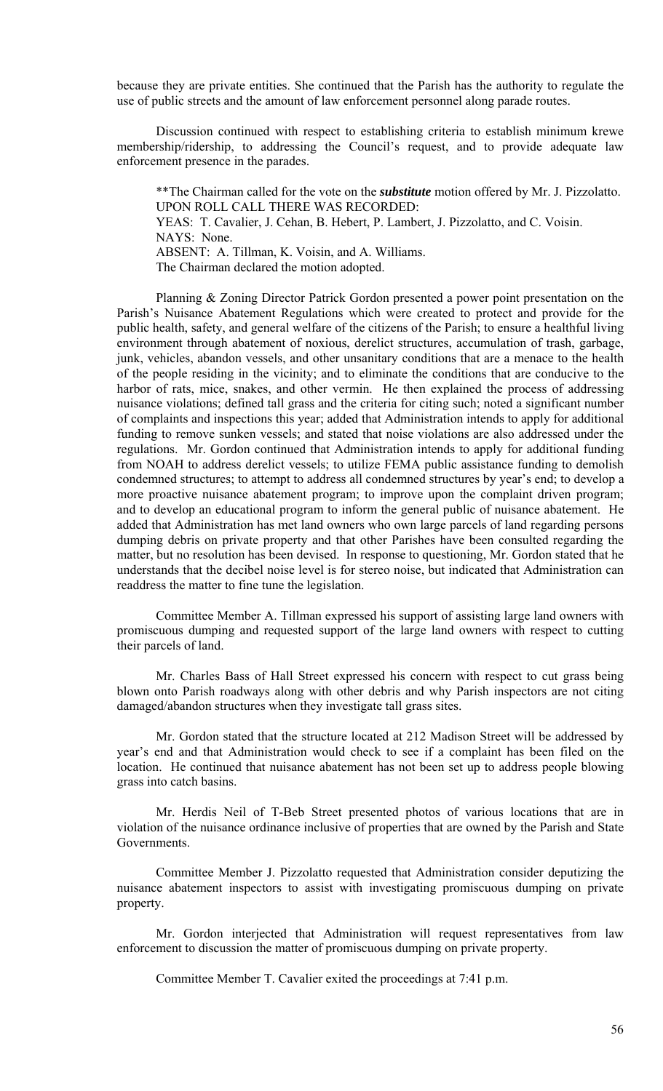because they are private entities. She continued that the Parish has the authority to regulate the use of public streets and the amount of law enforcement personnel along parade routes.

 Discussion continued with respect to establishing criteria to establish minimum krewe membership/ridership, to addressing the Council's request, and to provide adequate law enforcement presence in the parades.

\*\*The Chairman called for the vote on the *substitute* motion offered by Mr. J. Pizzolatto. UPON ROLL CALL THERE WAS RECORDED: YEAS: T. Cavalier, J. Cehan, B. Hebert, P. Lambert, J. Pizzolatto, and C. Voisin. NAYS: None. ABSENT: A. Tillman, K. Voisin, and A. Williams. The Chairman declared the motion adopted.

 Planning & Zoning Director Patrick Gordon presented a power point presentation on the Parish's Nuisance Abatement Regulations which were created to protect and provide for the public health, safety, and general welfare of the citizens of the Parish; to ensure a healthful living environment through abatement of noxious, derelict structures, accumulation of trash, garbage, junk, vehicles, abandon vessels, and other unsanitary conditions that are a menace to the health of the people residing in the vicinity; and to eliminate the conditions that are conducive to the harbor of rats, mice, snakes, and other vermin. He then explained the process of addressing nuisance violations; defined tall grass and the criteria for citing such; noted a significant number of complaints and inspections this year; added that Administration intends to apply for additional funding to remove sunken vessels; and stated that noise violations are also addressed under the regulations. Mr. Gordon continued that Administration intends to apply for additional funding from NOAH to address derelict vessels; to utilize FEMA public assistance funding to demolish condemned structures; to attempt to address all condemned structures by year's end; to develop a more proactive nuisance abatement program; to improve upon the complaint driven program; and to develop an educational program to inform the general public of nuisance abatement. He added that Administration has met land owners who own large parcels of land regarding persons dumping debris on private property and that other Parishes have been consulted regarding the matter, but no resolution has been devised. In response to questioning, Mr. Gordon stated that he understands that the decibel noise level is for stereo noise, but indicated that Administration can readdress the matter to fine tune the legislation.

 Committee Member A. Tillman expressed his support of assisting large land owners with promiscuous dumping and requested support of the large land owners with respect to cutting their parcels of land.

 Mr. Charles Bass of Hall Street expressed his concern with respect to cut grass being blown onto Parish roadways along with other debris and why Parish inspectors are not citing damaged/abandon structures when they investigate tall grass sites.

 Mr. Gordon stated that the structure located at 212 Madison Street will be addressed by year's end and that Administration would check to see if a complaint has been filed on the location. He continued that nuisance abatement has not been set up to address people blowing grass into catch basins.

 Mr. Herdis Neil of T-Beb Street presented photos of various locations that are in violation of the nuisance ordinance inclusive of properties that are owned by the Parish and State Governments.

 Committee Member J. Pizzolatto requested that Administration consider deputizing the nuisance abatement inspectors to assist with investigating promiscuous dumping on private property.

 Mr. Gordon interjected that Administration will request representatives from law enforcement to discussion the matter of promiscuous dumping on private property.

Committee Member T. Cavalier exited the proceedings at 7:41 p.m.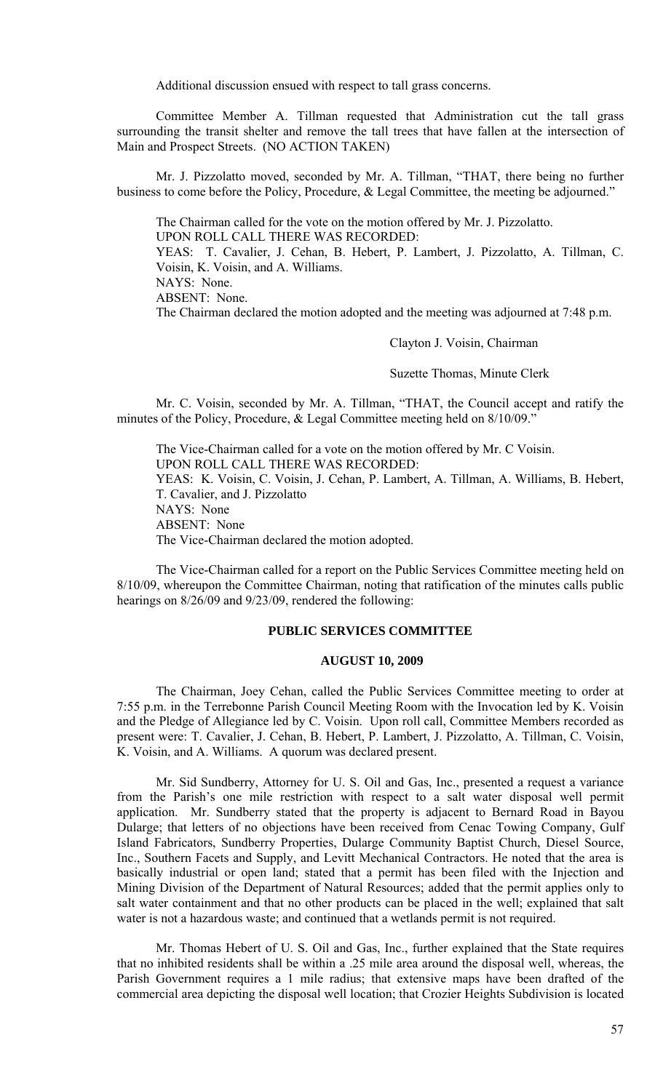Additional discussion ensued with respect to tall grass concerns.

 Committee Member A. Tillman requested that Administration cut the tall grass surrounding the transit shelter and remove the tall trees that have fallen at the intersection of Main and Prospect Streets. (NO ACTION TAKEN)

 Mr. J. Pizzolatto moved, seconded by Mr. A. Tillman, "THAT, there being no further business to come before the Policy, Procedure, & Legal Committee, the meeting be adjourned."

 The Chairman called for the vote on the motion offered by Mr. J. Pizzolatto. UPON ROLL CALL THERE WAS RECORDED: YEAS: T. Cavalier, J. Cehan, B. Hebert, P. Lambert, J. Pizzolatto, A. Tillman, C. Voisin, K. Voisin, and A. Williams. NAYS: None.

ABSENT: None.

The Chairman declared the motion adopted and the meeting was adjourned at 7:48 p.m.

Clayton J. Voisin, Chairman

Suzette Thomas, Minute Clerk

 Mr. C. Voisin, seconded by Mr. A. Tillman, "THAT, the Council accept and ratify the minutes of the Policy, Procedure, & Legal Committee meeting held on 8/10/09."

 The Vice-Chairman called for a vote on the motion offered by Mr. C Voisin. UPON ROLL CALL THERE WAS RECORDED: YEAS: K. Voisin, C. Voisin, J. Cehan, P. Lambert, A. Tillman, A. Williams, B. Hebert, T. Cavalier, and J. Pizzolatto NAYS: None ABSENT: None The Vice-Chairman declared the motion adopted.

 The Vice-Chairman called for a report on the Public Services Committee meeting held on 8/10/09, whereupon the Committee Chairman, noting that ratification of the minutes calls public hearings on 8/26/09 and 9/23/09, rendered the following:

# **PUBLIC SERVICES COMMITTEE**

## **AUGUST 10, 2009**

 The Chairman, Joey Cehan, called the Public Services Committee meeting to order at 7:55 p.m. in the Terrebonne Parish Council Meeting Room with the Invocation led by K. Voisin and the Pledge of Allegiance led by C. Voisin. Upon roll call, Committee Members recorded as present were: T. Cavalier, J. Cehan, B. Hebert, P. Lambert, J. Pizzolatto, A. Tillman, C. Voisin, K. Voisin, and A. Williams. A quorum was declared present.

 Mr. Sid Sundberry, Attorney for U. S. Oil and Gas, Inc., presented a request a variance from the Parish's one mile restriction with respect to a salt water disposal well permit application. Mr. Sundberry stated that the property is adjacent to Bernard Road in Bayou Dularge; that letters of no objections have been received from Cenac Towing Company, Gulf Island Fabricators, Sundberry Properties, Dularge Community Baptist Church, Diesel Source, Inc., Southern Facets and Supply, and Levitt Mechanical Contractors. He noted that the area is basically industrial or open land; stated that a permit has been filed with the Injection and Mining Division of the Department of Natural Resources; added that the permit applies only to salt water containment and that no other products can be placed in the well; explained that salt water is not a hazardous waste; and continued that a wetlands permit is not required.

 Mr. Thomas Hebert of U. S. Oil and Gas, Inc., further explained that the State requires that no inhibited residents shall be within a .25 mile area around the disposal well, whereas, the Parish Government requires a 1 mile radius; that extensive maps have been drafted of the commercial area depicting the disposal well location; that Crozier Heights Subdivision is located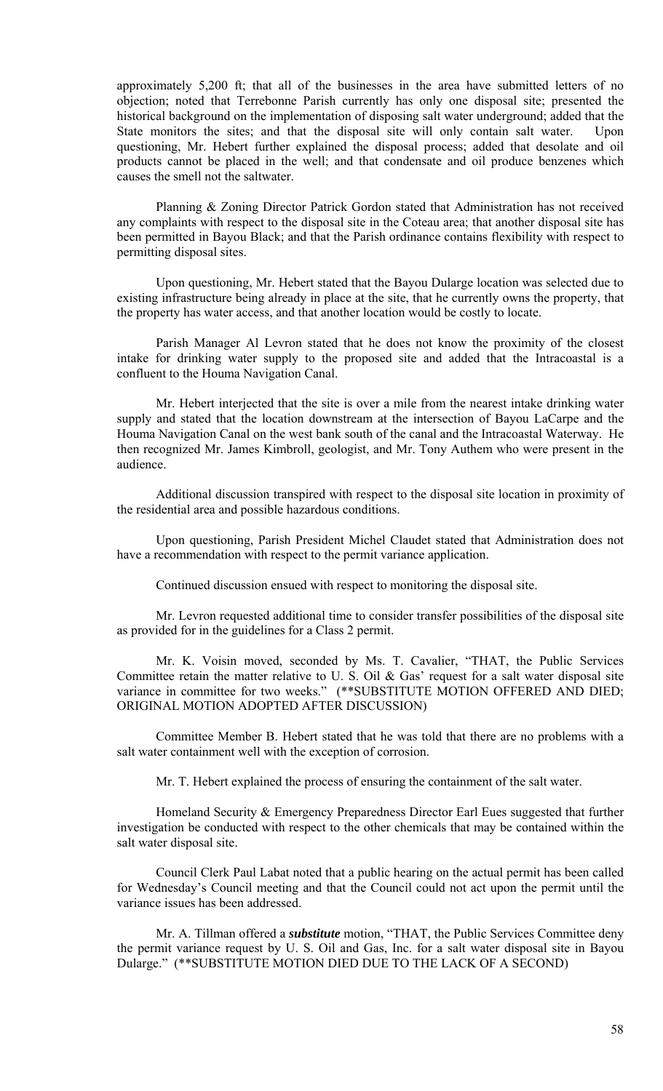approximately 5,200 ft; that all of the businesses in the area have submitted letters of no objection; noted that Terrebonne Parish currently has only one disposal site; presented the historical background on the implementation of disposing salt water underground; added that the State monitors the sites; and that the disposal site will only contain salt water. Upon questioning, Mr. Hebert further explained the disposal process; added that desolate and oil products cannot be placed in the well; and that condensate and oil produce benzenes which causes the smell not the saltwater.

 Planning & Zoning Director Patrick Gordon stated that Administration has not received any complaints with respect to the disposal site in the Coteau area; that another disposal site has been permitted in Bayou Black; and that the Parish ordinance contains flexibility with respect to permitting disposal sites.

 Upon questioning, Mr. Hebert stated that the Bayou Dularge location was selected due to existing infrastructure being already in place at the site, that he currently owns the property, that the property has water access, and that another location would be costly to locate.

 Parish Manager Al Levron stated that he does not know the proximity of the closest intake for drinking water supply to the proposed site and added that the Intracoastal is a confluent to the Houma Navigation Canal.

 Mr. Hebert interjected that the site is over a mile from the nearest intake drinking water supply and stated that the location downstream at the intersection of Bayou LaCarpe and the Houma Navigation Canal on the west bank south of the canal and the Intracoastal Waterway. He then recognized Mr. James Kimbroll, geologist, and Mr. Tony Authem who were present in the audience.

 Additional discussion transpired with respect to the disposal site location in proximity of the residential area and possible hazardous conditions.

 Upon questioning, Parish President Michel Claudet stated that Administration does not have a recommendation with respect to the permit variance application.

Continued discussion ensued with respect to monitoring the disposal site.

 Mr. Levron requested additional time to consider transfer possibilities of the disposal site as provided for in the guidelines for a Class 2 permit.

 Mr. K. Voisin moved, seconded by Ms. T. Cavalier, "THAT, the Public Services Committee retain the matter relative to U. S. Oil & Gas' request for a salt water disposal site variance in committee for two weeks." (\*\*SUBSTITUTE MOTION OFFERED AND DIED; ORIGINAL MOTION ADOPTED AFTER DISCUSSION)

 Committee Member B. Hebert stated that he was told that there are no problems with a salt water containment well with the exception of corrosion.

Mr. T. Hebert explained the process of ensuring the containment of the salt water.

 Homeland Security & Emergency Preparedness Director Earl Eues suggested that further investigation be conducted with respect to the other chemicals that may be contained within the salt water disposal site.

 Council Clerk Paul Labat noted that a public hearing on the actual permit has been called for Wednesday's Council meeting and that the Council could not act upon the permit until the variance issues has been addressed.

 Mr. A. Tillman offered a *substitute* motion, "THAT, the Public Services Committee deny the permit variance request by U. S. Oil and Gas, Inc. for a salt water disposal site in Bayou Dularge." (\*\*SUBSTITUTE MOTION DIED DUE TO THE LACK OF A SECOND)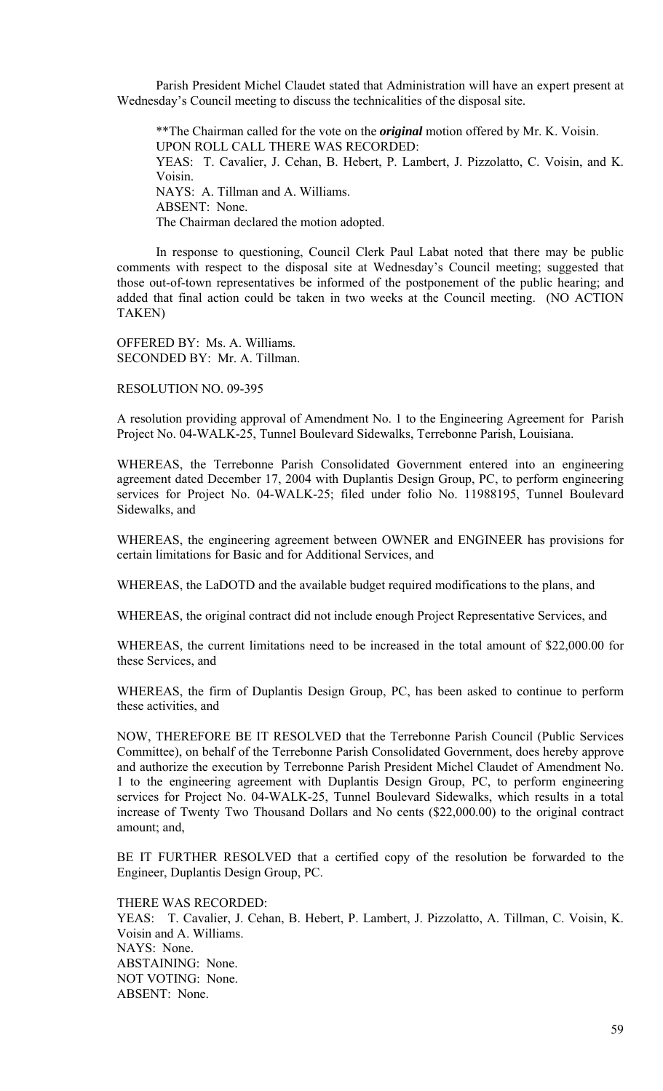Parish President Michel Claudet stated that Administration will have an expert present at Wednesday's Council meeting to discuss the technicalities of the disposal site.

 \*\*The Chairman called for the vote on the *original* motion offered by Mr. K. Voisin. UPON ROLL CALL THERE WAS RECORDED: YEAS: T. Cavalier, J. Cehan, B. Hebert, P. Lambert, J. Pizzolatto, C. Voisin, and K. Voisin. NAYS: A. Tillman and A. Williams. ABSENT: None. The Chairman declared the motion adopted.

 In response to questioning, Council Clerk Paul Labat noted that there may be public comments with respect to the disposal site at Wednesday's Council meeting; suggested that those out-of-town representatives be informed of the postponement of the public hearing; and added that final action could be taken in two weeks at the Council meeting. (NO ACTION TAKEN)

OFFERED BY: Ms. A. Williams. SECONDED BY: Mr. A. Tillman.

RESOLUTION NO. 09-395

A resolution providing approval of Amendment No. 1 to the Engineering Agreement for Parish Project No. 04-WALK-25, Tunnel Boulevard Sidewalks, Terrebonne Parish, Louisiana.

WHEREAS, the Terrebonne Parish Consolidated Government entered into an engineering agreement dated December 17, 2004 with Duplantis Design Group, PC, to perform engineering services for Project No. 04-WALK-25; filed under folio No. 11988195, Tunnel Boulevard Sidewalks, and

WHEREAS, the engineering agreement between OWNER and ENGINEER has provisions for certain limitations for Basic and for Additional Services, and

WHEREAS, the LaDOTD and the available budget required modifications to the plans, and

WHEREAS, the original contract did not include enough Project Representative Services, and

WHEREAS, the current limitations need to be increased in the total amount of \$22,000.00 for these Services, and

WHEREAS, the firm of Duplantis Design Group, PC, has been asked to continue to perform these activities, and

NOW, THEREFORE BE IT RESOLVED that the Terrebonne Parish Council (Public Services Committee), on behalf of the Terrebonne Parish Consolidated Government, does hereby approve and authorize the execution by Terrebonne Parish President Michel Claudet of Amendment No. 1 to the engineering agreement with Duplantis Design Group, PC, to perform engineering services for Project No. 04-WALK-25, Tunnel Boulevard Sidewalks, which results in a total increase of Twenty Two Thousand Dollars and No cents (\$22,000.00) to the original contract amount; and,

BE IT FURTHER RESOLVED that a certified copy of the resolution be forwarded to the Engineer, Duplantis Design Group, PC.

THERE WAS RECORDED: YEAS: T. Cavalier, J. Cehan, B. Hebert, P. Lambert, J. Pizzolatto, A. Tillman, C. Voisin, K. Voisin and A. Williams. NAYS: None. ABSTAINING: None. NOT VOTING: None. ABSENT: None.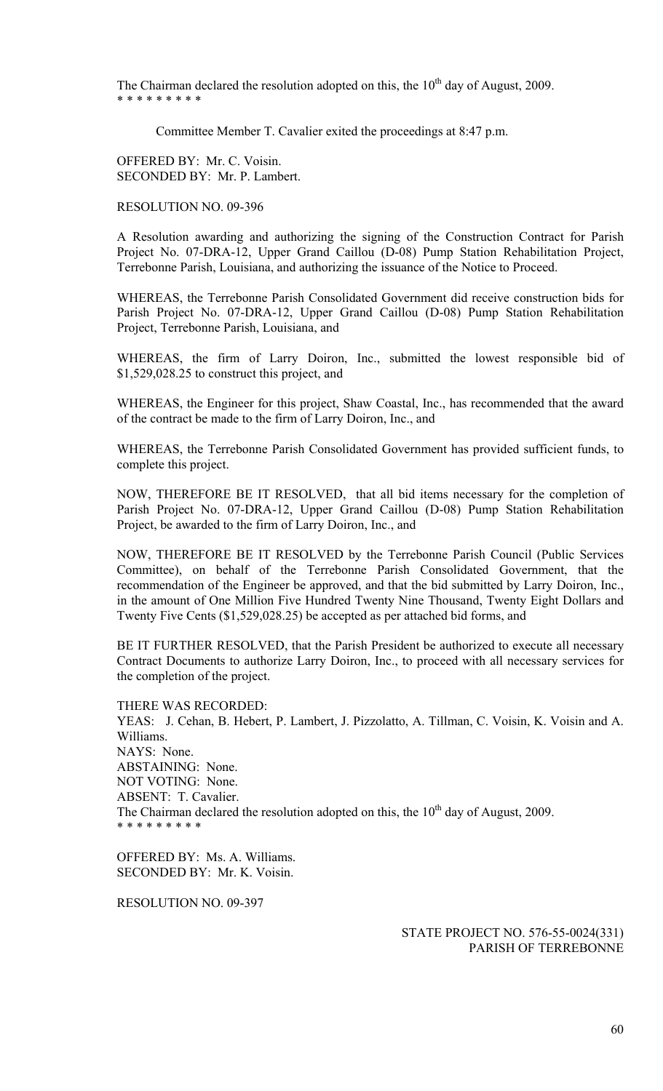The Chairman declared the resolution adopted on this, the  $10<sup>th</sup>$  day of August, 2009. \* \* \* \* \* \* \* \* \*

Committee Member T. Cavalier exited the proceedings at 8:47 p.m.

OFFERED BY: Mr. C. Voisin. SECONDED BY: Mr. P. Lambert.

RESOLUTION NO. 09-396

A Resolution awarding and authorizing the signing of the Construction Contract for Parish Project No. 07-DRA-12, Upper Grand Caillou (D-08) Pump Station Rehabilitation Project, Terrebonne Parish, Louisiana, and authorizing the issuance of the Notice to Proceed.

WHEREAS, the Terrebonne Parish Consolidated Government did receive construction bids for Parish Project No. 07-DRA-12, Upper Grand Caillou (D-08) Pump Station Rehabilitation Project, Terrebonne Parish, Louisiana, and

WHEREAS, the firm of Larry Doiron, Inc., submitted the lowest responsible bid of \$1,529,028.25 to construct this project, and

WHEREAS, the Engineer for this project, Shaw Coastal, Inc., has recommended that the award of the contract be made to the firm of Larry Doiron, Inc., and

WHEREAS, the Terrebonne Parish Consolidated Government has provided sufficient funds, to complete this project.

NOW, THEREFORE BE IT RESOLVED, that all bid items necessary for the completion of Parish Project No. 07-DRA-12, Upper Grand Caillou (D-08) Pump Station Rehabilitation Project, be awarded to the firm of Larry Doiron, Inc., and

NOW, THEREFORE BE IT RESOLVED by the Terrebonne Parish Council (Public Services Committee), on behalf of the Terrebonne Parish Consolidated Government, that the recommendation of the Engineer be approved, and that the bid submitted by Larry Doiron, Inc., in the amount of One Million Five Hundred Twenty Nine Thousand, Twenty Eight Dollars and Twenty Five Cents (\$1,529,028.25) be accepted as per attached bid forms, and

BE IT FURTHER RESOLVED, that the Parish President be authorized to execute all necessary Contract Documents to authorize Larry Doiron, Inc., to proceed with all necessary services for the completion of the project.

THERE WAS RECORDED: YEAS: J. Cehan, B. Hebert, P. Lambert, J. Pizzolatto, A. Tillman, C. Voisin, K. Voisin and A. Williams. NAYS: None. ABSTAINING: None. NOT VOTING: None. ABSENT: T. Cavalier. The Chairman declared the resolution adopted on this, the  $10<sup>th</sup>$  day of August, 2009. \* \* \* \* \* \* \* \* \*

OFFERED BY: Ms. A. Williams. SECONDED BY: Mr. K. Voisin.

RESOLUTION NO. 09-397

STATE PROJECT NO. 576-55-0024(331) PARISH OF TERREBONNE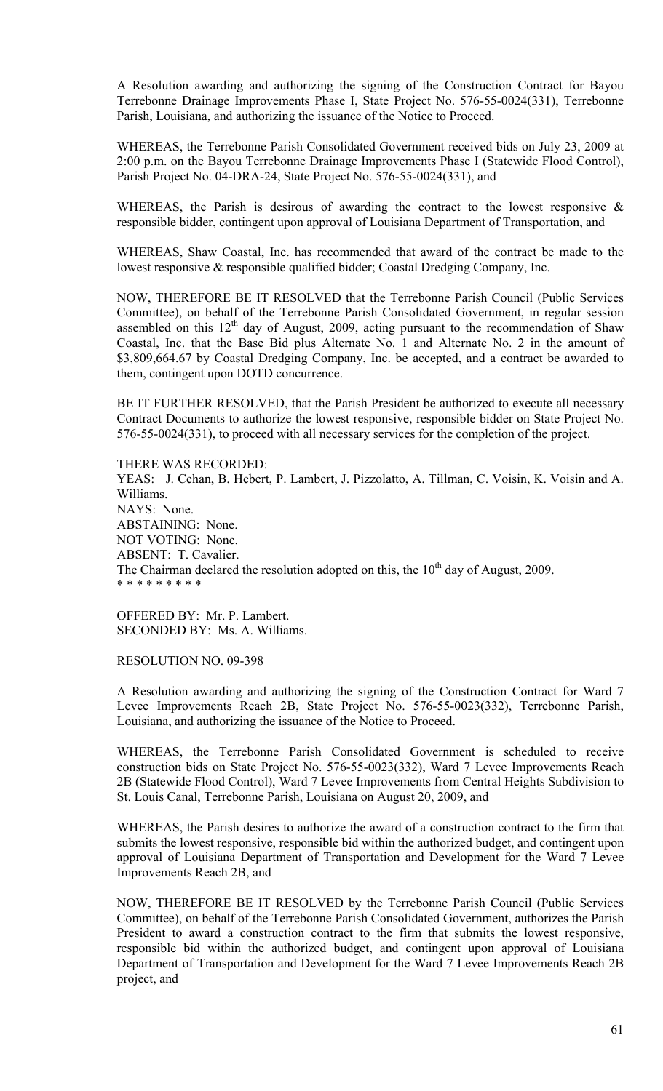A Resolution awarding and authorizing the signing of the Construction Contract for Bayou Terrebonne Drainage Improvements Phase I, State Project No. 576-55-0024(331), Terrebonne Parish, Louisiana, and authorizing the issuance of the Notice to Proceed.

WHEREAS, the Terrebonne Parish Consolidated Government received bids on July 23, 2009 at 2:00 p.m. on the Bayou Terrebonne Drainage Improvements Phase I (Statewide Flood Control), Parish Project No. 04-DRA-24, State Project No. 576-55-0024(331), and

WHEREAS, the Parish is desirous of awarding the contract to the lowest responsive  $\&$ responsible bidder, contingent upon approval of Louisiana Department of Transportation, and

WHEREAS, Shaw Coastal, Inc. has recommended that award of the contract be made to the lowest responsive & responsible qualified bidder; Coastal Dredging Company, Inc.

NOW, THEREFORE BE IT RESOLVED that the Terrebonne Parish Council (Public Services Committee), on behalf of the Terrebonne Parish Consolidated Government, in regular session assembled on this  $12<sup>th</sup>$  day of August, 2009, acting pursuant to the recommendation of Shaw Coastal, Inc. that the Base Bid plus Alternate No. 1 and Alternate No. 2 in the amount of \$3,809,664.67 by Coastal Dredging Company, Inc. be accepted, and a contract be awarded to them, contingent upon DOTD concurrence.

BE IT FURTHER RESOLVED, that the Parish President be authorized to execute all necessary Contract Documents to authorize the lowest responsive, responsible bidder on State Project No. 576-55-0024(331), to proceed with all necessary services for the completion of the project.

THERE WAS RECORDED:

YEAS: J. Cehan, B. Hebert, P. Lambert, J. Pizzolatto, A. Tillman, C. Voisin, K. Voisin and A. Williams. NAYS: None. ABSTAINING: None. NOT VOTING: None. ABSENT: T. Cavalier. The Chairman declared the resolution adopted on this, the  $10<sup>th</sup>$  day of August, 2009. \* \* \* \* \* \* \* \* \*

OFFERED BY: Mr. P. Lambert. SECONDED BY: Ms. A. Williams.

RESOLUTION NO. 09-398

A Resolution awarding and authorizing the signing of the Construction Contract for Ward 7 Levee Improvements Reach 2B, State Project No. 576-55-0023(332), Terrebonne Parish, Louisiana, and authorizing the issuance of the Notice to Proceed.

WHEREAS, the Terrebonne Parish Consolidated Government is scheduled to receive construction bids on State Project No. 576-55-0023(332), Ward 7 Levee Improvements Reach 2B (Statewide Flood Control), Ward 7 Levee Improvements from Central Heights Subdivision to St. Louis Canal, Terrebonne Parish, Louisiana on August 20, 2009, and

WHEREAS, the Parish desires to authorize the award of a construction contract to the firm that submits the lowest responsive, responsible bid within the authorized budget, and contingent upon approval of Louisiana Department of Transportation and Development for the Ward 7 Levee Improvements Reach 2B, and

NOW, THEREFORE BE IT RESOLVED by the Terrebonne Parish Council (Public Services Committee), on behalf of the Terrebonne Parish Consolidated Government, authorizes the Parish President to award a construction contract to the firm that submits the lowest responsive, responsible bid within the authorized budget, and contingent upon approval of Louisiana Department of Transportation and Development for the Ward 7 Levee Improvements Reach 2B project, and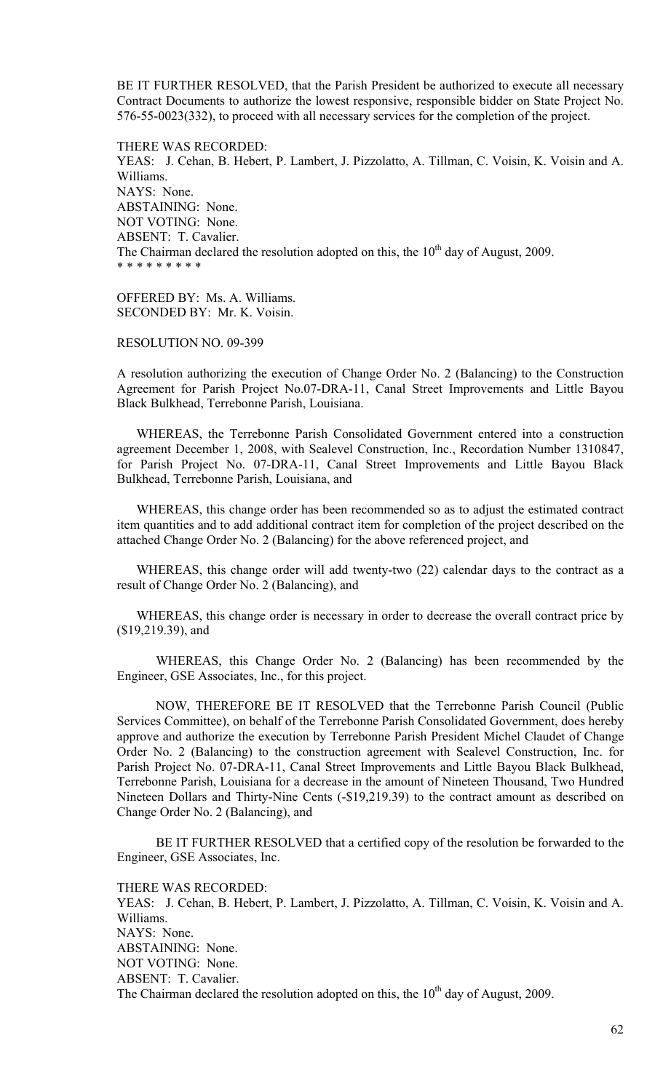BE IT FURTHER RESOLVED, that the Parish President be authorized to execute all necessary Contract Documents to authorize the lowest responsive, responsible bidder on State Project No. 576-55-0023(332), to proceed with all necessary services for the completion of the project.

THERE WAS RECORDED: YEAS: J. Cehan, B. Hebert, P. Lambert, J. Pizzolatto, A. Tillman, C. Voisin, K. Voisin and A. Williams. NAYS: None. ABSTAINING: None. NOT VOTING: None. ABSENT: T. Cavalier. The Chairman declared the resolution adopted on this, the  $10<sup>th</sup>$  day of August, 2009. \* \* \* \* \* \* \* \* \*

OFFERED BY: Ms. A. Williams. SECONDED BY: Mr. K. Voisin.

### RESOLUTION NO. 09-399

A resolution authorizing the execution of Change Order No. 2 (Balancing) to the Construction Agreement for Parish Project No.07-DRA-11, Canal Street Improvements and Little Bayou Black Bulkhead, Terrebonne Parish, Louisiana.

 WHEREAS, the Terrebonne Parish Consolidated Government entered into a construction agreement December 1, 2008, with Sealevel Construction, Inc., Recordation Number 1310847, for Parish Project No. 07-DRA-11, Canal Street Improvements and Little Bayou Black Bulkhead, Terrebonne Parish, Louisiana, and

 WHEREAS, this change order has been recommended so as to adjust the estimated contract item quantities and to add additional contract item for completion of the project described on the attached Change Order No. 2 (Balancing) for the above referenced project, and

 WHEREAS, this change order will add twenty-two (22) calendar days to the contract as a result of Change Order No. 2 (Balancing), and

 WHEREAS, this change order is necessary in order to decrease the overall contract price by (\$19,219.39), and

 WHEREAS, this Change Order No. 2 (Balancing) has been recommended by the Engineer, GSE Associates, Inc., for this project.

 NOW, THEREFORE BE IT RESOLVED that the Terrebonne Parish Council (Public Services Committee), on behalf of the Terrebonne Parish Consolidated Government, does hereby approve and authorize the execution by Terrebonne Parish President Michel Claudet of Change Order No. 2 (Balancing) to the construction agreement with Sealevel Construction, Inc. for Parish Project No. 07-DRA-11, Canal Street Improvements and Little Bayou Black Bulkhead, Terrebonne Parish, Louisiana for a decrease in the amount of Nineteen Thousand, Two Hundred Nineteen Dollars and Thirty-Nine Cents (-\$19,219.39) to the contract amount as described on Change Order No. 2 (Balancing), and

 BE IT FURTHER RESOLVED that a certified copy of the resolution be forwarded to the Engineer, GSE Associates, Inc.

THERE WAS RECORDED:

YEAS: J. Cehan, B. Hebert, P. Lambert, J. Pizzolatto, A. Tillman, C. Voisin, K. Voisin and A. Williams. NAYS: None. ABSTAINING: None. NOT VOTING: None. ABSENT: T. Cavalier. The Chairman declared the resolution adopted on this, the  $10<sup>th</sup>$  day of August, 2009.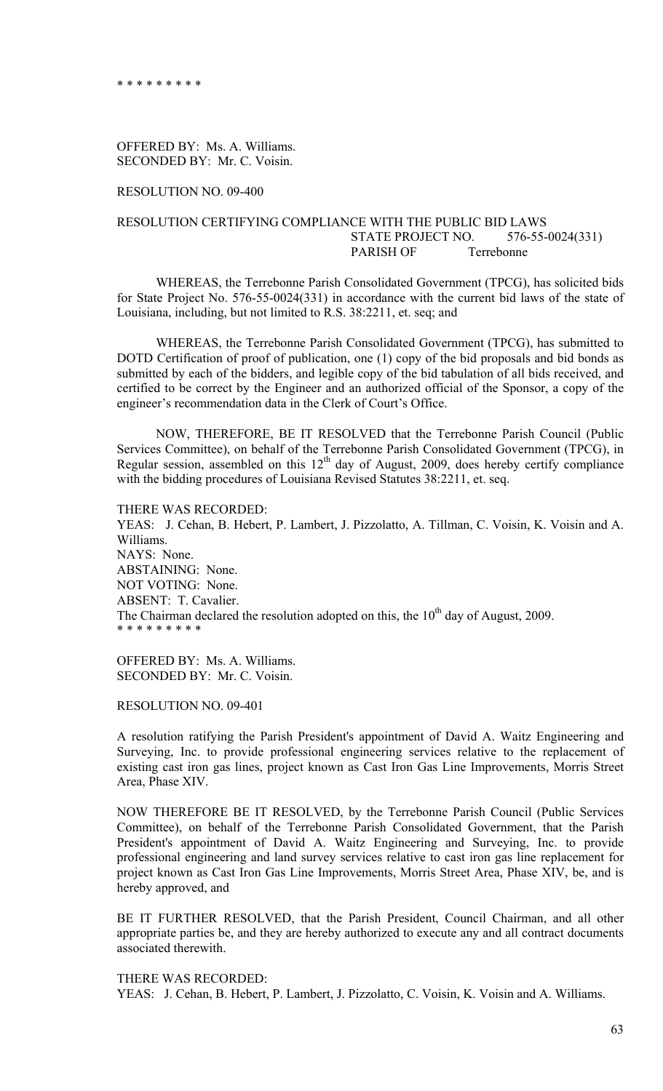OFFERED BY: Ms. A. Williams. SECONDED BY: Mr. C. Voisin.

RESOLUTION NO. 09-400

## RESOLUTION CERTIFYING COMPLIANCE WITH THE PUBLIC BID LAWS STATE PROJECT NO. 576-55-0024(331) PARISH OF Terrebonne

 WHEREAS, the Terrebonne Parish Consolidated Government (TPCG), has solicited bids for State Project No. 576-55-0024(331) in accordance with the current bid laws of the state of Louisiana, including, but not limited to R.S. 38:2211, et. seq; and

 WHEREAS, the Terrebonne Parish Consolidated Government (TPCG), has submitted to DOTD Certification of proof of publication, one (1) copy of the bid proposals and bid bonds as submitted by each of the bidders, and legible copy of the bid tabulation of all bids received, and certified to be correct by the Engineer and an authorized official of the Sponsor, a copy of the engineer's recommendation data in the Clerk of Court's Office.

 NOW, THEREFORE, BE IT RESOLVED that the Terrebonne Parish Council (Public Services Committee), on behalf of the Terrebonne Parish Consolidated Government (TPCG), in Regular session, assembled on this  $12<sup>th</sup>$  day of August, 2009, does hereby certify compliance with the bidding procedures of Louisiana Revised Statutes 38:2211, et. seq.

THERE WAS RECORDED: YEAS: J. Cehan, B. Hebert, P. Lambert, J. Pizzolatto, A. Tillman, C. Voisin, K. Voisin and A. Williams. NAYS: None. ABSTAINING: None. NOT VOTING: None. ABSENT: T. Cavalier. The Chairman declared the resolution adopted on this, the  $10<sup>th</sup>$  day of August, 2009. \* \* \* \* \* \* \* \* \*

OFFERED BY: Ms. A. Williams. SECONDED BY: Mr. C. Voisin.

RESOLUTION NO. 09-401

A resolution ratifying the Parish President's appointment of David A. Waitz Engineering and Surveying, Inc. to provide professional engineering services relative to the replacement of existing cast iron gas lines, project known as Cast Iron Gas Line Improvements, Morris Street Area, Phase XIV.

NOW THEREFORE BE IT RESOLVED, by the Terrebonne Parish Council (Public Services Committee), on behalf of the Terrebonne Parish Consolidated Government, that the Parish President's appointment of David A. Waitz Engineering and Surveying, Inc. to provide professional engineering and land survey services relative to cast iron gas line replacement for project known as Cast Iron Gas Line Improvements, Morris Street Area, Phase XIV, be, and is hereby approved, and

BE IT FURTHER RESOLVED, that the Parish President, Council Chairman, and all other appropriate parties be, and they are hereby authorized to execute any and all contract documents associated therewith.

THERE WAS RECORDED:

YEAS: J. Cehan, B. Hebert, P. Lambert, J. Pizzolatto, C. Voisin, K. Voisin and A. Williams.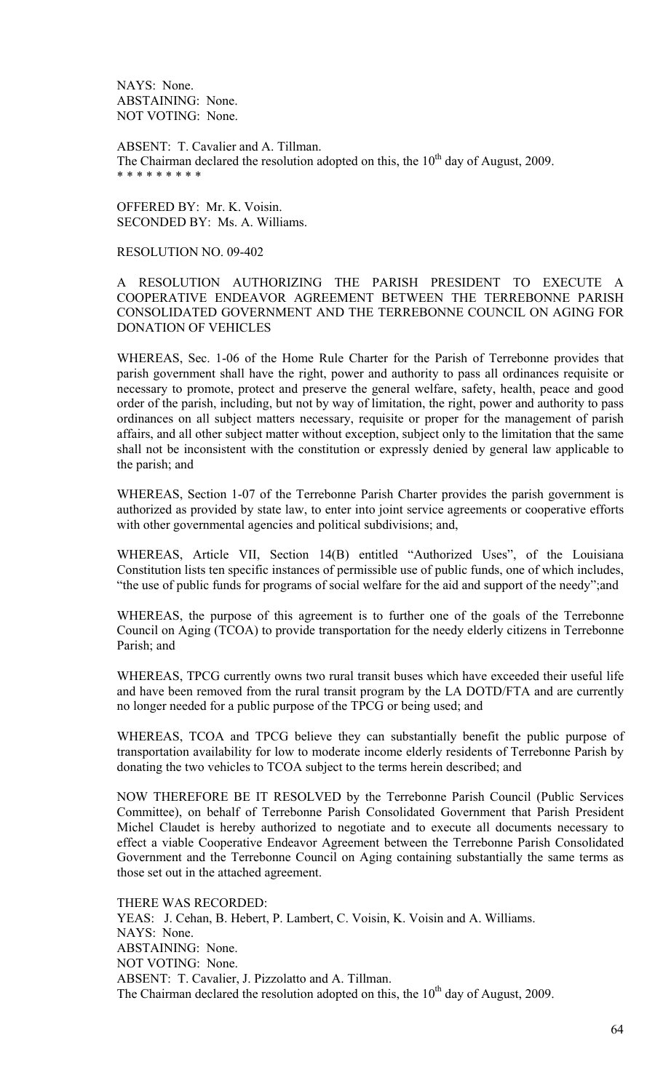NAYS: None. ABSTAINING: None. NOT VOTING: None.

ABSENT: T. Cavalier and A. Tillman. The Chairman declared the resolution adopted on this, the  $10<sup>th</sup>$  day of August, 2009. \* \* \* \* \* \* \* \* \*

OFFERED BY: Mr. K. Voisin. SECONDED BY: Ms. A. Williams.

# RESOLUTION NO. 09-402

A RESOLUTION AUTHORIZING THE PARISH PRESIDENT TO EXECUTE A COOPERATIVE ENDEAVOR AGREEMENT BETWEEN THE TERREBONNE PARISH CONSOLIDATED GOVERNMENT AND THE TERREBONNE COUNCIL ON AGING FOR DONATION OF VEHICLES

WHEREAS, Sec. 1-06 of the Home Rule Charter for the Parish of Terrebonne provides that parish government shall have the right, power and authority to pass all ordinances requisite or necessary to promote, protect and preserve the general welfare, safety, health, peace and good order of the parish, including, but not by way of limitation, the right, power and authority to pass ordinances on all subject matters necessary, requisite or proper for the management of parish affairs, and all other subject matter without exception, subject only to the limitation that the same shall not be inconsistent with the constitution or expressly denied by general law applicable to the parish; and

WHEREAS, Section 1-07 of the Terrebonne Parish Charter provides the parish government is authorized as provided by state law, to enter into joint service agreements or cooperative efforts with other governmental agencies and political subdivisions; and,

WHEREAS, Article VII, Section 14(B) entitled "Authorized Uses", of the Louisiana Constitution lists ten specific instances of permissible use of public funds, one of which includes, "the use of public funds for programs of social welfare for the aid and support of the needy";and

WHEREAS, the purpose of this agreement is to further one of the goals of the Terrebonne Council on Aging (TCOA) to provide transportation for the needy elderly citizens in Terrebonne Parish; and

WHEREAS, TPCG currently owns two rural transit buses which have exceeded their useful life and have been removed from the rural transit program by the LA DOTD/FTA and are currently no longer needed for a public purpose of the TPCG or being used; and

WHEREAS, TCOA and TPCG believe they can substantially benefit the public purpose of transportation availability for low to moderate income elderly residents of Terrebonne Parish by donating the two vehicles to TCOA subject to the terms herein described; and

NOW THEREFORE BE IT RESOLVED by the Terrebonne Parish Council (Public Services Committee), on behalf of Terrebonne Parish Consolidated Government that Parish President Michel Claudet is hereby authorized to negotiate and to execute all documents necessary to effect a viable Cooperative Endeavor Agreement between the Terrebonne Parish Consolidated Government and the Terrebonne Council on Aging containing substantially the same terms as those set out in the attached agreement.

THERE WAS RECORDED: YEAS: J. Cehan, B. Hebert, P. Lambert, C. Voisin, K. Voisin and A. Williams. NAYS: None. ABSTAINING: None. NOT VOTING: None. ABSENT: T. Cavalier, J. Pizzolatto and A. Tillman. The Chairman declared the resolution adopted on this, the  $10<sup>th</sup>$  day of August, 2009.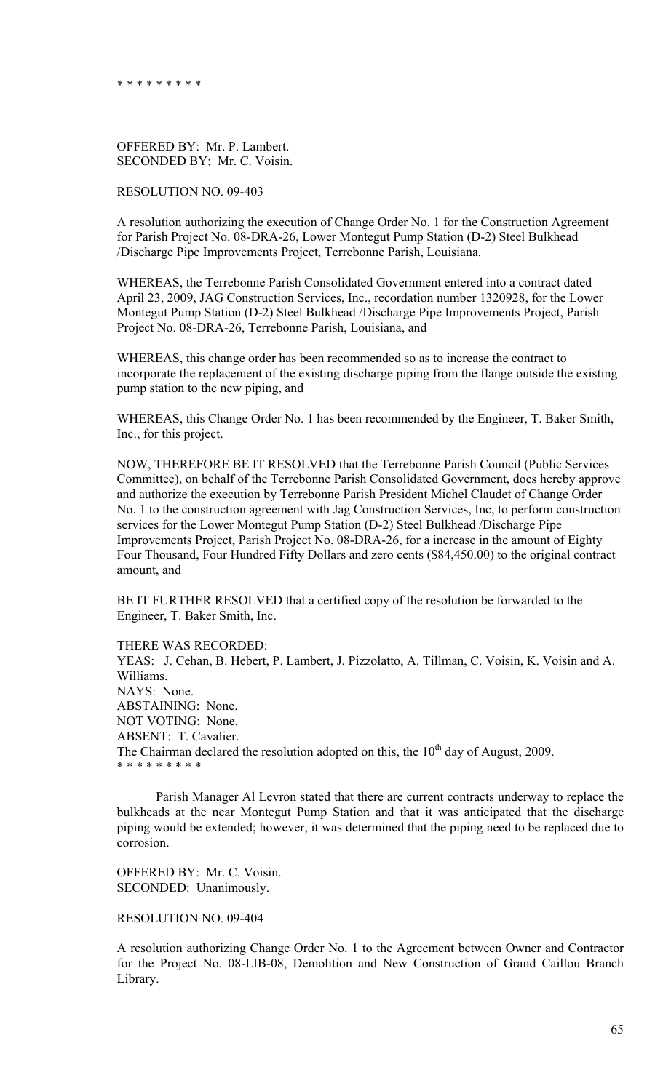\* \* \* \* \* \* \* \* \*

OFFERED BY: Mr. P. Lambert. SECONDED BY: Mr. C. Voisin.

RESOLUTION NO. 09-403

A resolution authorizing the execution of Change Order No. 1 for the Construction Agreement for Parish Project No. 08-DRA-26, Lower Montegut Pump Station (D-2) Steel Bulkhead /Discharge Pipe Improvements Project, Terrebonne Parish, Louisiana.

WHEREAS, the Terrebonne Parish Consolidated Government entered into a contract dated April 23, 2009, JAG Construction Services, Inc., recordation number 1320928, for the Lower Montegut Pump Station (D-2) Steel Bulkhead /Discharge Pipe Improvements Project, Parish Project No. 08-DRA-26, Terrebonne Parish, Louisiana, and

WHEREAS, this change order has been recommended so as to increase the contract to incorporate the replacement of the existing discharge piping from the flange outside the existing pump station to the new piping, and

WHEREAS, this Change Order No. 1 has been recommended by the Engineer, T. Baker Smith, Inc., for this project.

NOW, THEREFORE BE IT RESOLVED that the Terrebonne Parish Council (Public Services Committee), on behalf of the Terrebonne Parish Consolidated Government, does hereby approve and authorize the execution by Terrebonne Parish President Michel Claudet of Change Order No. 1 to the construction agreement with Jag Construction Services, Inc, to perform construction services for the Lower Montegut Pump Station (D-2) Steel Bulkhead /Discharge Pipe Improvements Project, Parish Project No. 08-DRA-26, for a increase in the amount of Eighty Four Thousand, Four Hundred Fifty Dollars and zero cents (\$84,450.00) to the original contract amount, and

BE IT FURTHER RESOLVED that a certified copy of the resolution be forwarded to the Engineer, T. Baker Smith, Inc.

THERE WAS RECORDED:

YEAS: J. Cehan, B. Hebert, P. Lambert, J. Pizzolatto, A. Tillman, C. Voisin, K. Voisin and A. Williams. NAYS: None. ABSTAINING: None. NOT VOTING: None. ABSENT: T. Cavalier. The Chairman declared the resolution adopted on this, the  $10<sup>th</sup>$  day of August, 2009. \* \* \* \* \* \* \* \* \*

 Parish Manager Al Levron stated that there are current contracts underway to replace the bulkheads at the near Montegut Pump Station and that it was anticipated that the discharge piping would be extended; however, it was determined that the piping need to be replaced due to corrosion.

OFFERED BY: Mr. C. Voisin. SECONDED: Unanimously.

RESOLUTION NO. 09-404

A resolution authorizing Change Order No. 1 to the Agreement between Owner and Contractor for the Project No. 08-LIB-08, Demolition and New Construction of Grand Caillou Branch Library.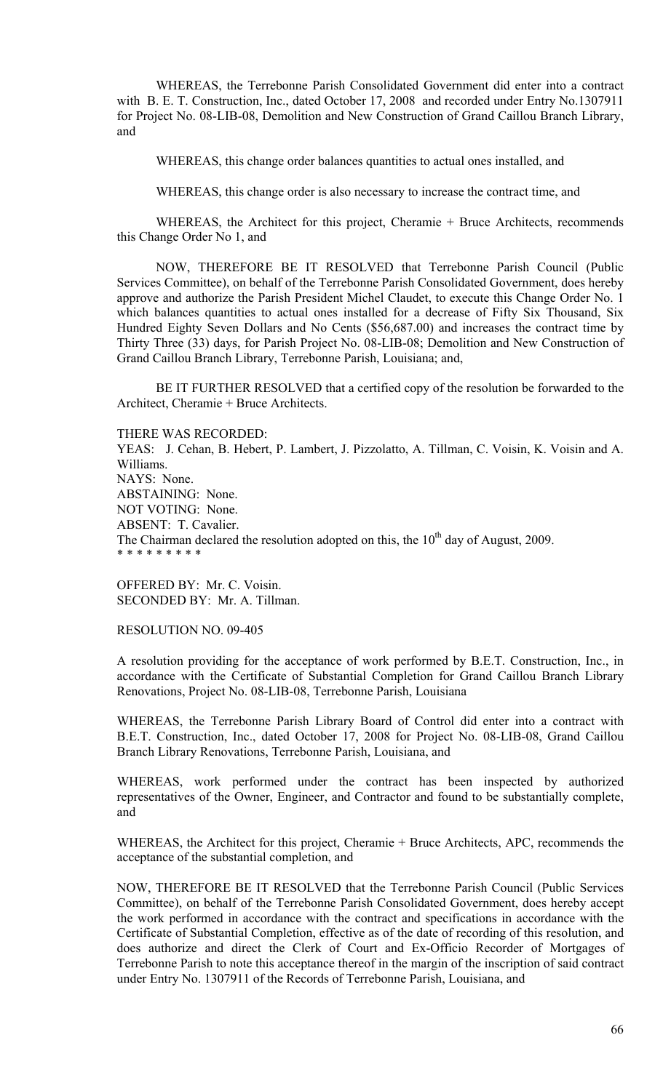WHEREAS, the Terrebonne Parish Consolidated Government did enter into a contract with B. E. T. Construction, Inc., dated October 17, 2008 and recorded under Entry No.1307911 for Project No. 08-LIB-08, Demolition and New Construction of Grand Caillou Branch Library, and

WHEREAS, this change order balances quantities to actual ones installed, and

WHEREAS, this change order is also necessary to increase the contract time, and

 WHEREAS, the Architect for this project, Cheramie + Bruce Architects, recommends this Change Order No 1, and

 NOW, THEREFORE BE IT RESOLVED that Terrebonne Parish Council (Public Services Committee), on behalf of the Terrebonne Parish Consolidated Government, does hereby approve and authorize the Parish President Michel Claudet, to execute this Change Order No. 1 which balances quantities to actual ones installed for a decrease of Fifty Six Thousand, Six Hundred Eighty Seven Dollars and No Cents (\$56,687.00) and increases the contract time by Thirty Three (33) days, for Parish Project No. 08-LIB-08; Demolition and New Construction of Grand Caillou Branch Library, Terrebonne Parish, Louisiana; and,

 BE IT FURTHER RESOLVED that a certified copy of the resolution be forwarded to the Architect, Cheramie + Bruce Architects.

THERE WAS RECORDED: YEAS: J. Cehan, B. Hebert, P. Lambert, J. Pizzolatto, A. Tillman, C. Voisin, K. Voisin and A. Williams. NAYS: None. ABSTAINING: None. NOT VOTING: None. ABSENT: T. Cavalier. The Chairman declared the resolution adopted on this, the  $10<sup>th</sup>$  day of August, 2009. \* \* \* \* \* \* \* \* \*

OFFERED BY: Mr. C. Voisin. SECONDED BY: Mr. A. Tillman.

RESOLUTION NO. 09-405

A resolution providing for the acceptance of work performed by B.E.T. Construction, Inc., in accordance with the Certificate of Substantial Completion for Grand Caillou Branch Library Renovations, Project No. 08-LIB-08, Terrebonne Parish, Louisiana

WHEREAS, the Terrebonne Parish Library Board of Control did enter into a contract with B.E.T. Construction, Inc., dated October 17, 2008 for Project No. 08-LIB-08, Grand Caillou Branch Library Renovations, Terrebonne Parish, Louisiana, and

WHEREAS, work performed under the contract has been inspected by authorized representatives of the Owner, Engineer, and Contractor and found to be substantially complete, and

WHEREAS, the Architect for this project, Cheramie + Bruce Architects, APC, recommends the acceptance of the substantial completion, and

NOW, THEREFORE BE IT RESOLVED that the Terrebonne Parish Council (Public Services Committee), on behalf of the Terrebonne Parish Consolidated Government, does hereby accept the work performed in accordance with the contract and specifications in accordance with the Certificate of Substantial Completion, effective as of the date of recording of this resolution, and does authorize and direct the Clerk of Court and Ex-Officio Recorder of Mortgages of Terrebonne Parish to note this acceptance thereof in the margin of the inscription of said contract under Entry No. 1307911 of the Records of Terrebonne Parish, Louisiana, and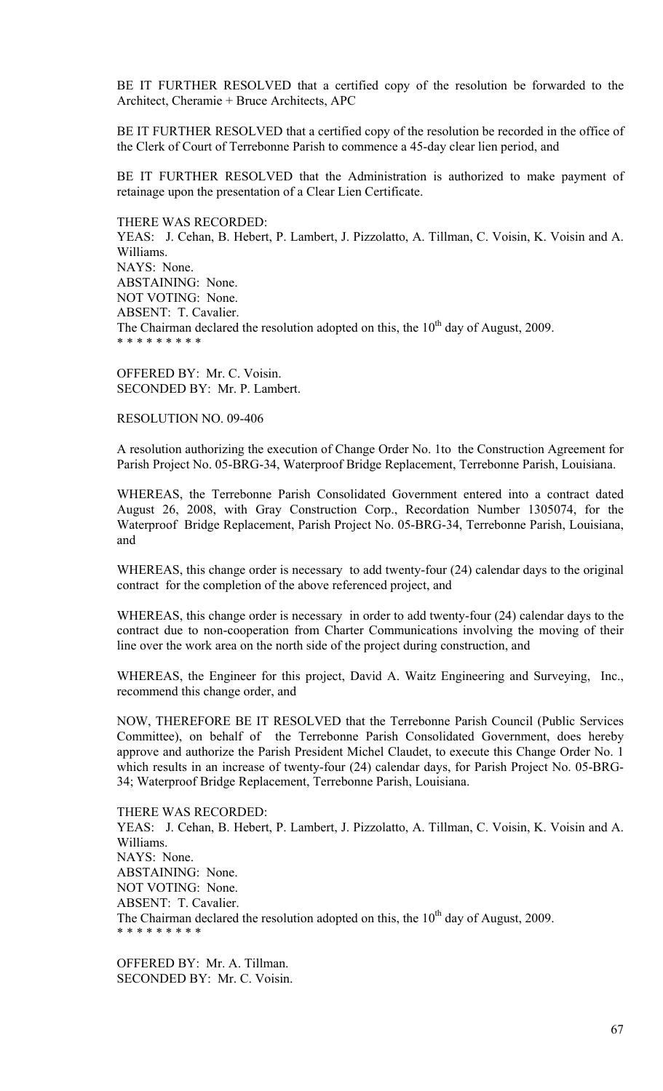BE IT FURTHER RESOLVED that a certified copy of the resolution be forwarded to the Architect, Cheramie + Bruce Architects, APC

BE IT FURTHER RESOLVED that a certified copy of the resolution be recorded in the office of the Clerk of Court of Terrebonne Parish to commence a 45-day clear lien period, and

BE IT FURTHER RESOLVED that the Administration is authorized to make payment of retainage upon the presentation of a Clear Lien Certificate.

THERE WAS RECORDED:

YEAS: J. Cehan, B. Hebert, P. Lambert, J. Pizzolatto, A. Tillman, C. Voisin, K. Voisin and A. Williams. NAYS: None. ABSTAINING: None. NOT VOTING: None. ABSENT: T. Cavalier. The Chairman declared the resolution adopted on this, the  $10<sup>th</sup>$  day of August, 2009. \* \* \* \* \* \* \* \* \*

OFFERED BY: Mr. C. Voisin. SECONDED BY: Mr. P. Lambert.

RESOLUTION NO. 09-406

A resolution authorizing the execution of Change Order No. 1to the Construction Agreement for Parish Project No. 05-BRG-34, Waterproof Bridge Replacement, Terrebonne Parish, Louisiana.

WHEREAS, the Terrebonne Parish Consolidated Government entered into a contract dated August 26, 2008, with Gray Construction Corp., Recordation Number 1305074, for the Waterproof Bridge Replacement, Parish Project No. 05-BRG-34, Terrebonne Parish, Louisiana, and

WHEREAS, this change order is necessary to add twenty-four (24) calendar days to the original contract for the completion of the above referenced project, and

WHEREAS, this change order is necessary in order to add twenty-four (24) calendar days to the contract due to non-cooperation from Charter Communications involving the moving of their line over the work area on the north side of the project during construction, and

WHEREAS, the Engineer for this project, David A. Waitz Engineering and Surveying, Inc., recommend this change order, and

NOW, THEREFORE BE IT RESOLVED that the Terrebonne Parish Council (Public Services Committee), on behalf of the Terrebonne Parish Consolidated Government, does hereby approve and authorize the Parish President Michel Claudet, to execute this Change Order No. 1 which results in an increase of twenty-four (24) calendar days, for Parish Project No. 05-BRG-34; Waterproof Bridge Replacement, Terrebonne Parish, Louisiana.

THERE WAS RECORDED: YEAS: J. Cehan, B. Hebert, P. Lambert, J. Pizzolatto, A. Tillman, C. Voisin, K. Voisin and A. Williams. NAYS: None. ABSTAINING: None. NOT VOTING: None. ABSENT: T. Cavalier. The Chairman declared the resolution adopted on this, the  $10<sup>th</sup>$  day of August, 2009. \* \* \* \* \* \* \* \* \*

OFFERED BY: Mr. A. Tillman. SECONDED BY: Mr. C. Voisin.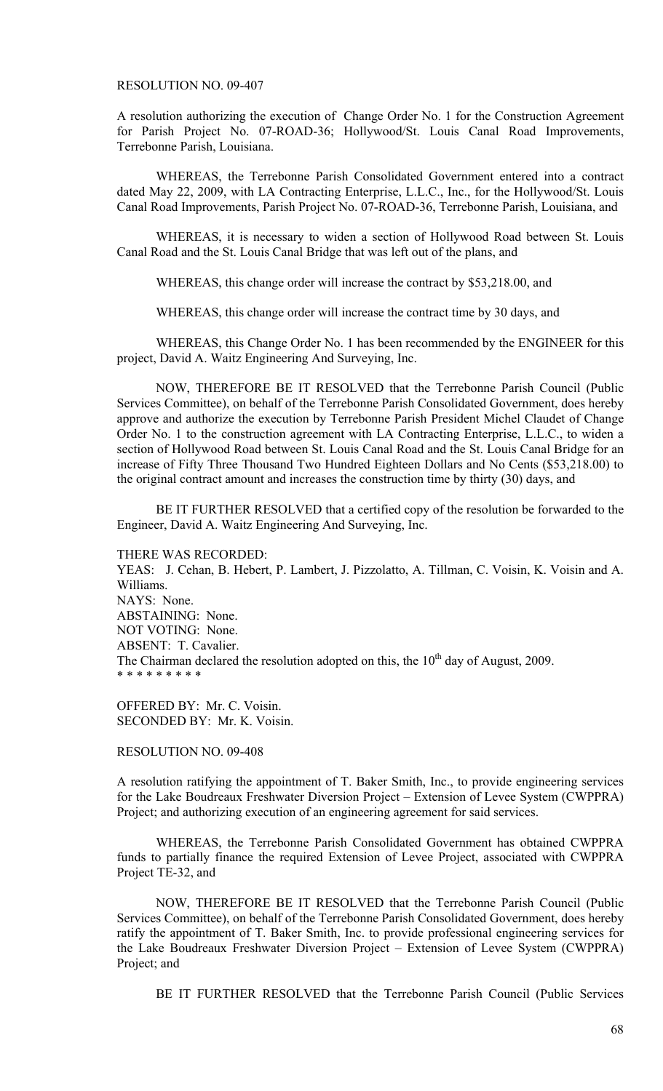### RESOLUTION NO. 09-407

A resolution authorizing the execution of Change Order No. 1 for the Construction Agreement for Parish Project No. 07-ROAD-36; Hollywood/St. Louis Canal Road Improvements, Terrebonne Parish, Louisiana.

 WHEREAS, the Terrebonne Parish Consolidated Government entered into a contract dated May 22, 2009, with LA Contracting Enterprise, L.L.C., Inc., for the Hollywood/St. Louis Canal Road Improvements, Parish Project No. 07-ROAD-36, Terrebonne Parish, Louisiana, and

 WHEREAS, it is necessary to widen a section of Hollywood Road between St. Louis Canal Road and the St. Louis Canal Bridge that was left out of the plans, and

WHEREAS, this change order will increase the contract by \$53,218.00, and

WHEREAS, this change order will increase the contract time by 30 days, and

 WHEREAS, this Change Order No. 1 has been recommended by the ENGINEER for this project, David A. Waitz Engineering And Surveying, Inc.

 NOW, THEREFORE BE IT RESOLVED that the Terrebonne Parish Council (Public Services Committee), on behalf of the Terrebonne Parish Consolidated Government, does hereby approve and authorize the execution by Terrebonne Parish President Michel Claudet of Change Order No. 1 to the construction agreement with LA Contracting Enterprise, L.L.C., to widen a section of Hollywood Road between St. Louis Canal Road and the St. Louis Canal Bridge for an increase of Fifty Three Thousand Two Hundred Eighteen Dollars and No Cents (\$53,218.00) to the original contract amount and increases the construction time by thirty (30) days, and

 BE IT FURTHER RESOLVED that a certified copy of the resolution be forwarded to the Engineer, David A. Waitz Engineering And Surveying, Inc.

THERE WAS RECORDED: YEAS: J. Cehan, B. Hebert, P. Lambert, J. Pizzolatto, A. Tillman, C. Voisin, K. Voisin and A. Williams. NAYS: None. ABSTAINING: None. NOT VOTING: None. ABSENT: T. Cavalier. The Chairman declared the resolution adopted on this, the  $10<sup>th</sup>$  day of August, 2009. \* \* \* \* \* \* \* \* \*

OFFERED BY: Mr. C. Voisin. SECONDED BY: Mr. K. Voisin.

RESOLUTION NO. 09-408

A resolution ratifying the appointment of T. Baker Smith, Inc., to provide engineering services for the Lake Boudreaux Freshwater Diversion Project – Extension of Levee System (CWPPRA) Project; and authorizing execution of an engineering agreement for said services.

 WHEREAS, the Terrebonne Parish Consolidated Government has obtained CWPPRA funds to partially finance the required Extension of Levee Project, associated with CWPPRA Project TE-32, and

 NOW, THEREFORE BE IT RESOLVED that the Terrebonne Parish Council (Public Services Committee), on behalf of the Terrebonne Parish Consolidated Government, does hereby ratify the appointment of T. Baker Smith, Inc. to provide professional engineering services for the Lake Boudreaux Freshwater Diversion Project – Extension of Levee System (CWPPRA) Project; and

BE IT FURTHER RESOLVED that the Terrebonne Parish Council (Public Services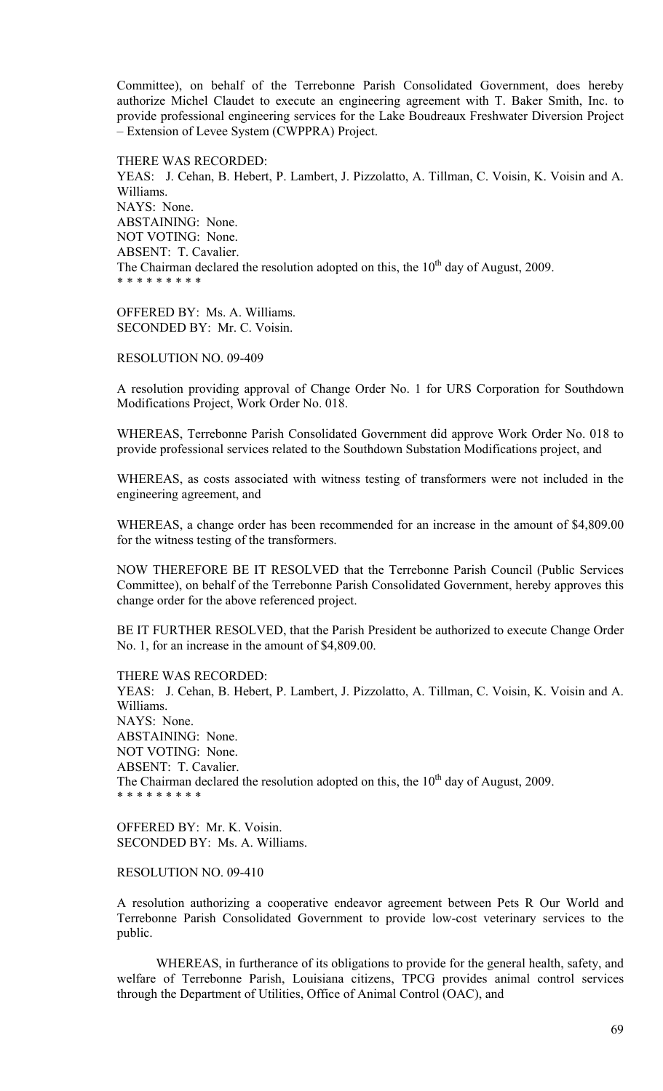Committee), on behalf of the Terrebonne Parish Consolidated Government, does hereby authorize Michel Claudet to execute an engineering agreement with T. Baker Smith, Inc. to provide professional engineering services for the Lake Boudreaux Freshwater Diversion Project – Extension of Levee System (CWPPRA) Project.

THERE WAS RECORDED:

YEAS: J. Cehan, B. Hebert, P. Lambert, J. Pizzolatto, A. Tillman, C. Voisin, K. Voisin and A. Williams. NAYS: None. ABSTAINING: None. NOT VOTING: None. ABSENT: T. Cavalier. The Chairman declared the resolution adopted on this, the  $10<sup>th</sup>$  day of August, 2009. \* \* \* \* \* \* \* \* \*

OFFERED BY: Ms. A. Williams. SECONDED BY: Mr. C. Voisin.

RESOLUTION NO. 09-409

A resolution providing approval of Change Order No. 1 for URS Corporation for Southdown Modifications Project, Work Order No. 018.

WHEREAS, Terrebonne Parish Consolidated Government did approve Work Order No. 018 to provide professional services related to the Southdown Substation Modifications project, and

WHEREAS, as costs associated with witness testing of transformers were not included in the engineering agreement, and

WHEREAS, a change order has been recommended for an increase in the amount of \$4,809.00 for the witness testing of the transformers.

NOW THEREFORE BE IT RESOLVED that the Terrebonne Parish Council (Public Services Committee), on behalf of the Terrebonne Parish Consolidated Government, hereby approves this change order for the above referenced project.

BE IT FURTHER RESOLVED, that the Parish President be authorized to execute Change Order No. 1, for an increase in the amount of \$4,809.00.

THERE WAS RECORDED: YEAS: J. Cehan, B. Hebert, P. Lambert, J. Pizzolatto, A. Tillman, C. Voisin, K. Voisin and A. Williams. NAYS: None. ABSTAINING: None. NOT VOTING: None. ABSENT: T. Cavalier. The Chairman declared the resolution adopted on this, the  $10<sup>th</sup>$  day of August, 2009. \* \* \* \* \* \* \* \* \*

OFFERED BY: Mr. K. Voisin. SECONDED BY: Ms. A. Williams.

RESOLUTION NO. 09-410

A resolution authorizing a cooperative endeavor agreement between Pets R Our World and Terrebonne Parish Consolidated Government to provide low-cost veterinary services to the public.

 WHEREAS, in furtherance of its obligations to provide for the general health, safety, and welfare of Terrebonne Parish, Louisiana citizens, TPCG provides animal control services through the Department of Utilities, Office of Animal Control (OAC), and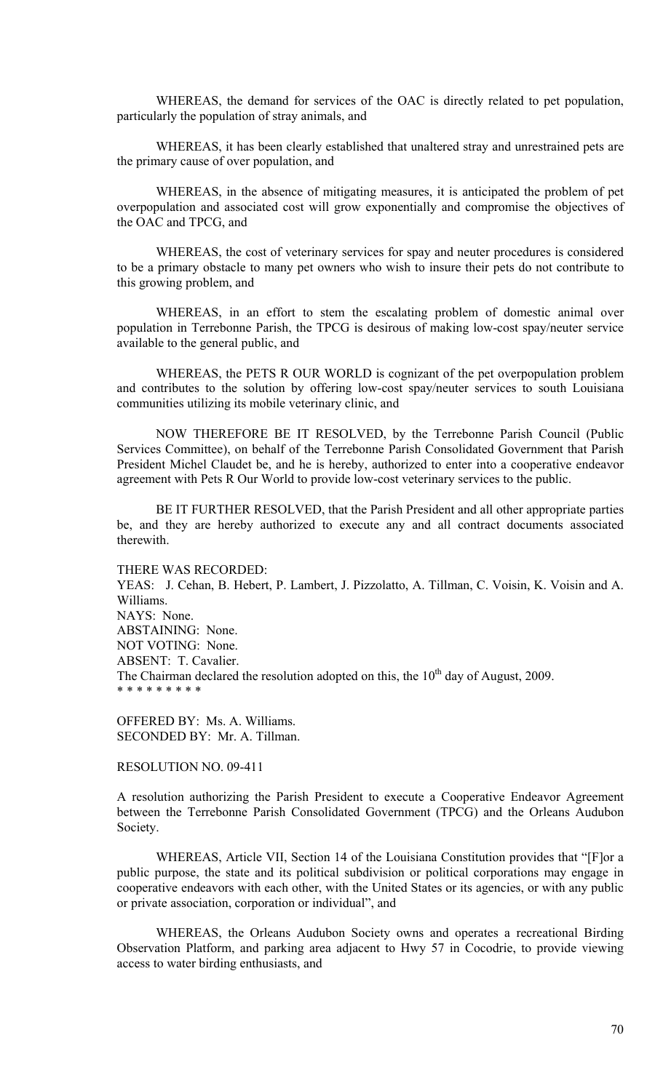WHEREAS, the demand for services of the OAC is directly related to pet population, particularly the population of stray animals, and

WHEREAS, it has been clearly established that unaltered stray and unrestrained pets are the primary cause of over population, and

WHEREAS, in the absence of mitigating measures, it is anticipated the problem of pet overpopulation and associated cost will grow exponentially and compromise the objectives of the OAC and TPCG, and

WHEREAS, the cost of veterinary services for spay and neuter procedures is considered to be a primary obstacle to many pet owners who wish to insure their pets do not contribute to this growing problem, and

 WHEREAS, in an effort to stem the escalating problem of domestic animal over population in Terrebonne Parish, the TPCG is desirous of making low-cost spay/neuter service available to the general public, and

 WHEREAS, the PETS R OUR WORLD is cognizant of the pet overpopulation problem and contributes to the solution by offering low-cost spay/neuter services to south Louisiana communities utilizing its mobile veterinary clinic, and

NOW THEREFORE BE IT RESOLVED, by the Terrebonne Parish Council (Public Services Committee), on behalf of the Terrebonne Parish Consolidated Government that Parish President Michel Claudet be, and he is hereby, authorized to enter into a cooperative endeavor agreement with Pets R Our World to provide low-cost veterinary services to the public.

BE IT FURTHER RESOLVED, that the Parish President and all other appropriate parties be, and they are hereby authorized to execute any and all contract documents associated therewith.

THERE WAS RECORDED: YEAS: J. Cehan, B. Hebert, P. Lambert, J. Pizzolatto, A. Tillman, C. Voisin, K. Voisin and A. Williams. NAYS: None. ABSTAINING: None. NOT VOTING: None. ABSENT: T. Cavalier. The Chairman declared the resolution adopted on this, the  $10<sup>th</sup>$  day of August, 2009. \* \* \* \* \* \* \* \* \*

OFFERED BY: Ms. A. Williams. SECONDED BY: Mr. A. Tillman.

## RESOLUTION NO. 09-411

A resolution authorizing the Parish President to execute a Cooperative Endeavor Agreement between the Terrebonne Parish Consolidated Government (TPCG) and the Orleans Audubon Society.

 WHEREAS, Article VII, Section 14 of the Louisiana Constitution provides that "[F]or a public purpose, the state and its political subdivision or political corporations may engage in cooperative endeavors with each other, with the United States or its agencies, or with any public or private association, corporation or individual", and

 WHEREAS, the Orleans Audubon Society owns and operates a recreational Birding Observation Platform, and parking area adjacent to Hwy 57 in Cocodrie, to provide viewing access to water birding enthusiasts, and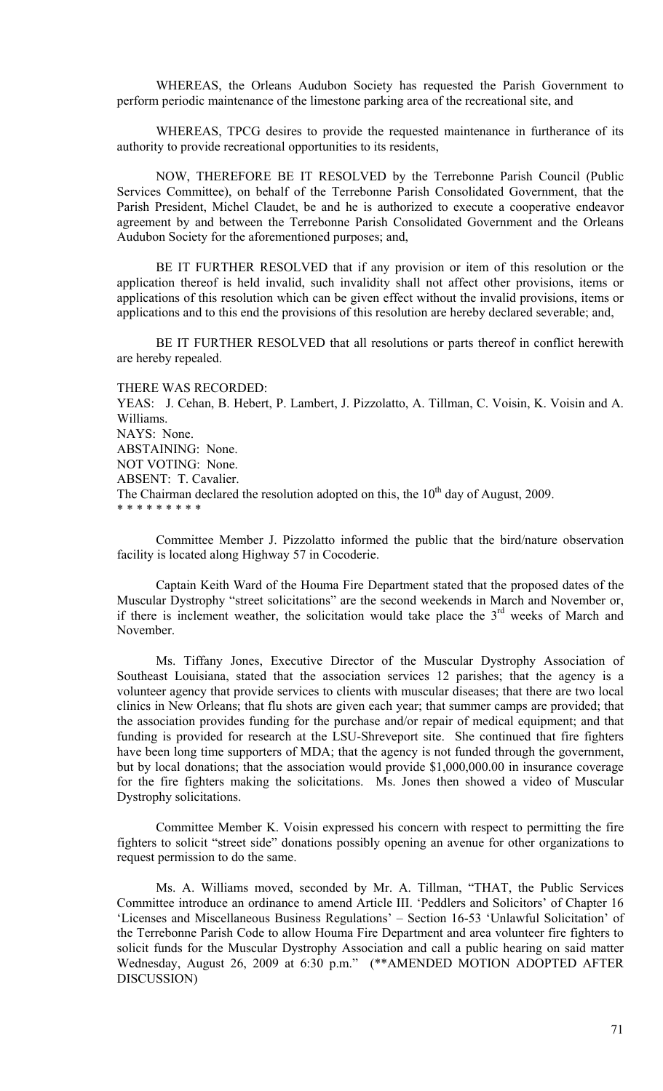WHEREAS, the Orleans Audubon Society has requested the Parish Government to perform periodic maintenance of the limestone parking area of the recreational site, and

 WHEREAS, TPCG desires to provide the requested maintenance in furtherance of its authority to provide recreational opportunities to its residents,

 NOW, THEREFORE BE IT RESOLVED by the Terrebonne Parish Council (Public Services Committee), on behalf of the Terrebonne Parish Consolidated Government, that the Parish President, Michel Claudet, be and he is authorized to execute a cooperative endeavor agreement by and between the Terrebonne Parish Consolidated Government and the Orleans Audubon Society for the aforementioned purposes; and,

 BE IT FURTHER RESOLVED that if any provision or item of this resolution or the application thereof is held invalid, such invalidity shall not affect other provisions, items or applications of this resolution which can be given effect without the invalid provisions, items or applications and to this end the provisions of this resolution are hereby declared severable; and,

 BE IT FURTHER RESOLVED that all resolutions or parts thereof in conflict herewith are hereby repealed.

THERE WAS RECORDED:

YEAS: J. Cehan, B. Hebert, P. Lambert, J. Pizzolatto, A. Tillman, C. Voisin, K. Voisin and A. Williams. NAYS: None. ABSTAINING: None. NOT VOTING: None. ABSENT: T. Cavalier. The Chairman declared the resolution adopted on this, the  $10<sup>th</sup>$  day of August, 2009. \* \* \* \* \* \* \* \* \*

 Committee Member J. Pizzolatto informed the public that the bird/nature observation facility is located along Highway 57 in Cocoderie.

Captain Keith Ward of the Houma Fire Department stated that the proposed dates of the Muscular Dystrophy "street solicitations" are the second weekends in March and November or, if there is inclement weather, the solicitation would take place the  $3<sup>rd</sup>$  weeks of March and November.

Ms. Tiffany Jones, Executive Director of the Muscular Dystrophy Association of Southeast Louisiana, stated that the association services 12 parishes; that the agency is a volunteer agency that provide services to clients with muscular diseases; that there are two local clinics in New Orleans; that flu shots are given each year; that summer camps are provided; that the association provides funding for the purchase and/or repair of medical equipment; and that funding is provided for research at the LSU-Shreveport site. She continued that fire fighters have been long time supporters of MDA; that the agency is not funded through the government, but by local donations; that the association would provide \$1,000,000.00 in insurance coverage for the fire fighters making the solicitations. Ms. Jones then showed a video of Muscular Dystrophy solicitations.

Committee Member K. Voisin expressed his concern with respect to permitting the fire fighters to solicit "street side" donations possibly opening an avenue for other organizations to request permission to do the same.

Ms. A. Williams moved, seconded by Mr. A. Tillman, "THAT, the Public Services Committee introduce an ordinance to amend Article III. 'Peddlers and Solicitors' of Chapter 16 'Licenses and Miscellaneous Business Regulations' – Section 16-53 'Unlawful Solicitation' of the Terrebonne Parish Code to allow Houma Fire Department and area volunteer fire fighters to solicit funds for the Muscular Dystrophy Association and call a public hearing on said matter Wednesday, August 26, 2009 at 6:30 p.m." (\*\*AMENDED MOTION ADOPTED AFTER DISCUSSION)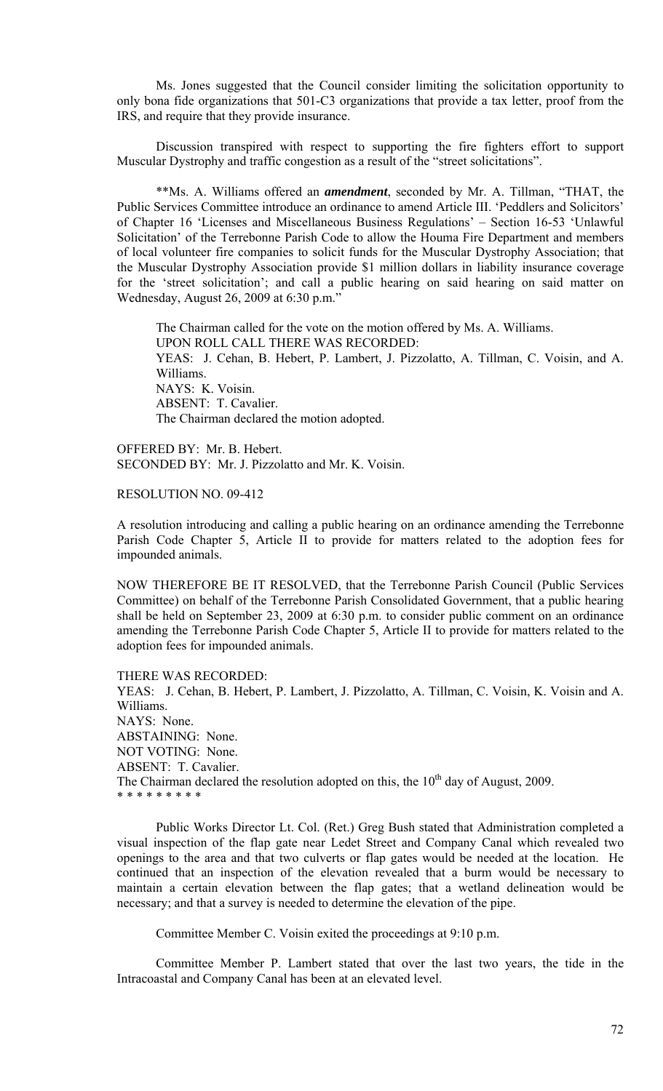Ms. Jones suggested that the Council consider limiting the solicitation opportunity to only bona fide organizations that 501-C3 organizations that provide a tax letter, proof from the IRS, and require that they provide insurance.

 Discussion transpired with respect to supporting the fire fighters effort to support Muscular Dystrophy and traffic congestion as a result of the "street solicitations".

 \*\*Ms. A. Williams offered an *amendment*, seconded by Mr. A. Tillman, "THAT, the Public Services Committee introduce an ordinance to amend Article III. 'Peddlers and Solicitors' of Chapter 16 'Licenses and Miscellaneous Business Regulations' – Section 16-53 'Unlawful Solicitation' of the Terrebonne Parish Code to allow the Houma Fire Department and members of local volunteer fire companies to solicit funds for the Muscular Dystrophy Association; that the Muscular Dystrophy Association provide \$1 million dollars in liability insurance coverage for the 'street solicitation'; and call a public hearing on said hearing on said matter on Wednesday, August 26, 2009 at 6:30 p.m."

The Chairman called for the vote on the motion offered by Ms. A. Williams. UPON ROLL CALL THERE WAS RECORDED: YEAS: J. Cehan, B. Hebert, P. Lambert, J. Pizzolatto, A. Tillman, C. Voisin, and A. Williams. NAYS: K. Voisin. ABSENT: T. Cavalier. The Chairman declared the motion adopted.

OFFERED BY: Mr. B. Hebert. SECONDED BY: Mr. J. Pizzolatto and Mr. K. Voisin.

RESOLUTION NO. 09-412

A resolution introducing and calling a public hearing on an ordinance amending the Terrebonne Parish Code Chapter 5, Article II to provide for matters related to the adoption fees for impounded animals.

NOW THEREFORE BE IT RESOLVED, that the Terrebonne Parish Council (Public Services Committee) on behalf of the Terrebonne Parish Consolidated Government, that a public hearing shall be held on September 23, 2009 at 6:30 p.m. to consider public comment on an ordinance amending the Terrebonne Parish Code Chapter 5, Article II to provide for matters related to the adoption fees for impounded animals.

THERE WAS RECORDED: YEAS: J. Cehan, B. Hebert, P. Lambert, J. Pizzolatto, A. Tillman, C. Voisin, K. Voisin and A. Williams. NAYS: None. ABSTAINING: None. NOT VOTING: None. ABSENT: T. Cavalier. The Chairman declared the resolution adopted on this, the  $10<sup>th</sup>$  day of August, 2009. \* \* \* \* \* \* \* \* \*

 Public Works Director Lt. Col. (Ret.) Greg Bush stated that Administration completed a visual inspection of the flap gate near Ledet Street and Company Canal which revealed two openings to the area and that two culverts or flap gates would be needed at the location. He continued that an inspection of the elevation revealed that a burm would be necessary to maintain a certain elevation between the flap gates; that a wetland delineation would be necessary; and that a survey is needed to determine the elevation of the pipe.

Committee Member C. Voisin exited the proceedings at 9:10 p.m.

 Committee Member P. Lambert stated that over the last two years, the tide in the Intracoastal and Company Canal has been at an elevated level.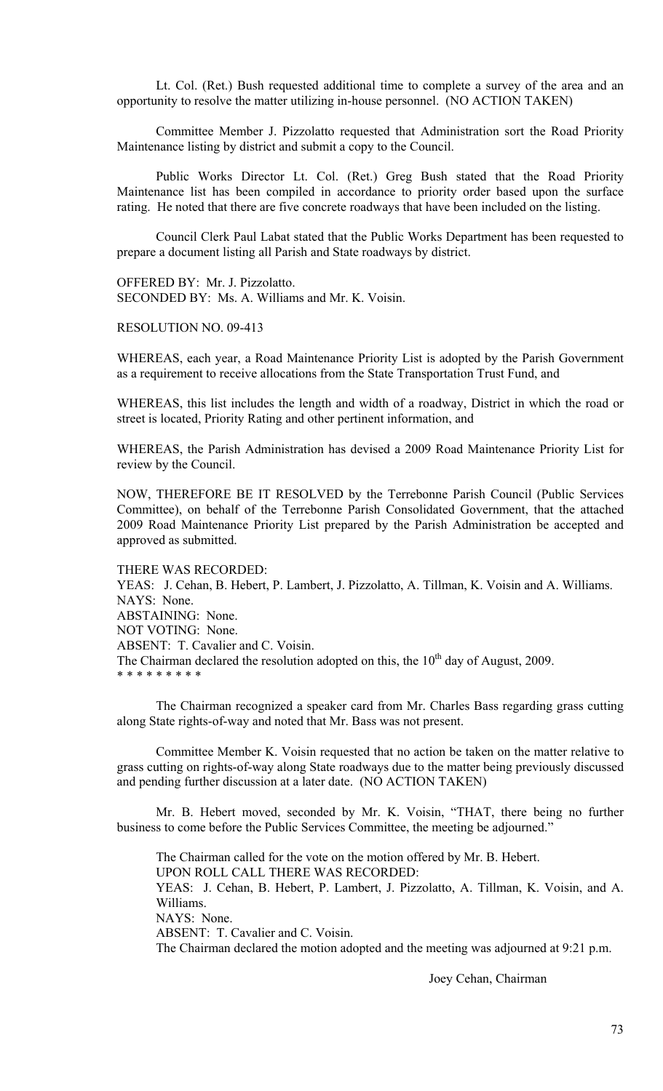Lt. Col. (Ret.) Bush requested additional time to complete a survey of the area and an opportunity to resolve the matter utilizing in-house personnel. (NO ACTION TAKEN)

Committee Member J. Pizzolatto requested that Administration sort the Road Priority Maintenance listing by district and submit a copy to the Council.

Public Works Director Lt. Col. (Ret.) Greg Bush stated that the Road Priority Maintenance list has been compiled in accordance to priority order based upon the surface rating. He noted that there are five concrete roadways that have been included on the listing.

Council Clerk Paul Labat stated that the Public Works Department has been requested to prepare a document listing all Parish and State roadways by district.

OFFERED BY: Mr. J. Pizzolatto. SECONDED BY: Ms. A. Williams and Mr. K. Voisin.

#### RESOLUTION NO. 09-413

WHEREAS, each year, a Road Maintenance Priority List is adopted by the Parish Government as a requirement to receive allocations from the State Transportation Trust Fund, and

WHEREAS, this list includes the length and width of a roadway, District in which the road or street is located, Priority Rating and other pertinent information, and

WHEREAS, the Parish Administration has devised a 2009 Road Maintenance Priority List for review by the Council.

NOW, THEREFORE BE IT RESOLVED by the Terrebonne Parish Council (Public Services Committee), on behalf of the Terrebonne Parish Consolidated Government, that the attached 2009 Road Maintenance Priority List prepared by the Parish Administration be accepted and approved as submitted.

#### THERE WAS RECORDED:

YEAS: J. Cehan, B. Hebert, P. Lambert, J. Pizzolatto, A. Tillman, K. Voisin and A. Williams. NAYS: None. ABSTAINING: None.

NOT VOTING: None.

ABSENT: T. Cavalier and C. Voisin.

The Chairman declared the resolution adopted on this, the  $10<sup>th</sup>$  day of August, 2009.

\* \* \* \* \* \* \* \* \*

 The Chairman recognized a speaker card from Mr. Charles Bass regarding grass cutting along State rights-of-way and noted that Mr. Bass was not present.

 Committee Member K. Voisin requested that no action be taken on the matter relative to grass cutting on rights-of-way along State roadways due to the matter being previously discussed and pending further discussion at a later date. (NO ACTION TAKEN)

 Mr. B. Hebert moved, seconded by Mr. K. Voisin, "THAT, there being no further business to come before the Public Services Committee, the meeting be adjourned."

 The Chairman called for the vote on the motion offered by Mr. B. Hebert. UPON ROLL CALL THERE WAS RECORDED: YEAS: J. Cehan, B. Hebert, P. Lambert, J. Pizzolatto, A. Tillman, K. Voisin, and A. Williams. NAYS: None. ABSENT: T. Cavalier and C. Voisin. The Chairman declared the motion adopted and the meeting was adjourned at 9:21 p.m.

Joey Cehan, Chairman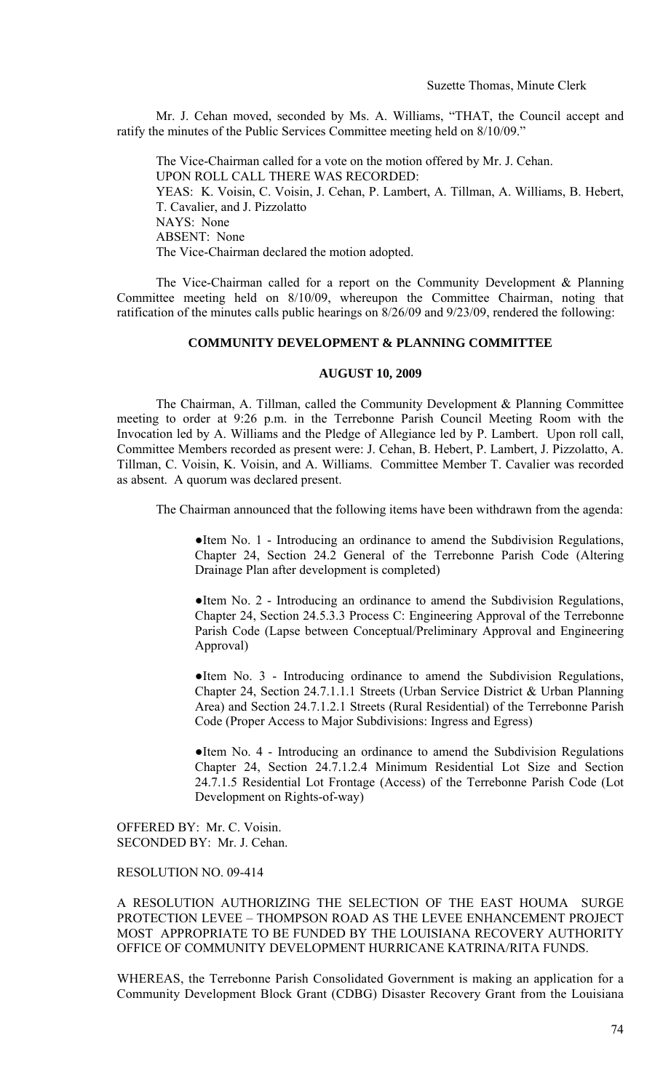Mr. J. Cehan moved, seconded by Ms. A. Williams, "THAT, the Council accept and ratify the minutes of the Public Services Committee meeting held on 8/10/09."

 The Vice-Chairman called for a vote on the motion offered by Mr. J. Cehan. UPON ROLL CALL THERE WAS RECORDED: YEAS: K. Voisin, C. Voisin, J. Cehan, P. Lambert, A. Tillman, A. Williams, B. Hebert, T. Cavalier, and J. Pizzolatto NAYS: None ABSENT: None The Vice-Chairman declared the motion adopted.

 The Vice-Chairman called for a report on the Community Development & Planning Committee meeting held on 8/10/09, whereupon the Committee Chairman, noting that ratification of the minutes calls public hearings on 8/26/09 and 9/23/09, rendered the following:

# **COMMUNITY DEVELOPMENT & PLANNING COMMITTEE**

#### **AUGUST 10, 2009**

 The Chairman, A. Tillman, called the Community Development & Planning Committee meeting to order at 9:26 p.m. in the Terrebonne Parish Council Meeting Room with the Invocation led by A. Williams and the Pledge of Allegiance led by P. Lambert. Upon roll call, Committee Members recorded as present were: J. Cehan, B. Hebert, P. Lambert, J. Pizzolatto, A. Tillman, C. Voisin, K. Voisin, and A. Williams. Committee Member T. Cavalier was recorded as absent. A quorum was declared present.

The Chairman announced that the following items have been withdrawn from the agenda:

●Item No. 1 - Introducing an ordinance to amend the Subdivision Regulations, Chapter 24, Section 24.2 General of the Terrebonne Parish Code (Altering Drainage Plan after development is completed)

●Item No. 2 - Introducing an ordinance to amend the Subdivision Regulations, Chapter 24, Section 24.5.3.3 Process C: Engineering Approval of the Terrebonne Parish Code (Lapse between Conceptual/Preliminary Approval and Engineering Approval)

●Item No. 3 - Introducing ordinance to amend the Subdivision Regulations, Chapter 24, Section 24.7.1.1.1 Streets (Urban Service District & Urban Planning Area) and Section 24.7.1.2.1 Streets (Rural Residential) of the Terrebonne Parish Code (Proper Access to Major Subdivisions: Ingress and Egress)

●Item No. 4 - Introducing an ordinance to amend the Subdivision Regulations Chapter 24, Section 24.7.1.2.4 Minimum Residential Lot Size and Section 24.7.1.5 Residential Lot Frontage (Access) of the Terrebonne Parish Code (Lot Development on Rights-of-way)

OFFERED BY: Mr. C. Voisin. SECONDED BY: Mr. J. Cehan.

### RESOLUTION NO. 09-414

A RESOLUTION AUTHORIZING THE SELECTION OF THE EAST HOUMA SURGE PROTECTION LEVEE – THOMPSON ROAD AS THE LEVEE ENHANCEMENT PROJECT MOST APPROPRIATE TO BE FUNDED BY THE LOUISIANA RECOVERY AUTHORITY OFFICE OF COMMUNITY DEVELOPMENT HURRICANE KATRINA/RITA FUNDS.

WHEREAS, the Terrebonne Parish Consolidated Government is making an application for a Community Development Block Grant (CDBG) Disaster Recovery Grant from the Louisiana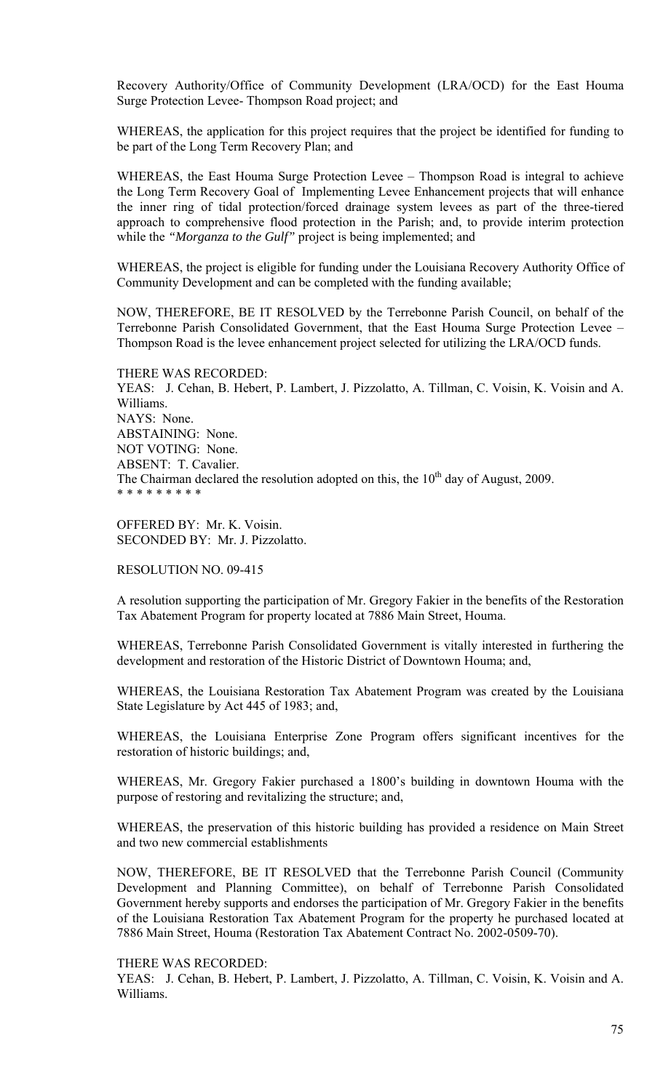Recovery Authority/Office of Community Development (LRA/OCD) for the East Houma Surge Protection Levee- Thompson Road project; and

WHEREAS, the application for this project requires that the project be identified for funding to be part of the Long Term Recovery Plan; and

WHEREAS, the East Houma Surge Protection Levee – Thompson Road is integral to achieve the Long Term Recovery Goal of Implementing Levee Enhancement projects that will enhance the inner ring of tidal protection/forced drainage system levees as part of the three-tiered approach to comprehensive flood protection in the Parish; and, to provide interim protection while the *"Morganza to the Gulf"* project is being implemented; and

WHEREAS, the project is eligible for funding under the Louisiana Recovery Authority Office of Community Development and can be completed with the funding available;

NOW, THEREFORE, BE IT RESOLVED by the Terrebonne Parish Council, on behalf of the Terrebonne Parish Consolidated Government, that the East Houma Surge Protection Levee – Thompson Road is the levee enhancement project selected for utilizing the LRA/OCD funds.

THERE WAS RECORDED: YEAS: J. Cehan, B. Hebert, P. Lambert, J. Pizzolatto, A. Tillman, C. Voisin, K. Voisin and A. Williams. NAYS: None. ABSTAINING: None. NOT VOTING: None. ABSENT: T. Cavalier. The Chairman declared the resolution adopted on this, the  $10<sup>th</sup>$  day of August, 2009. \* \* \* \* \* \* \* \* \*

OFFERED BY: Mr. K. Voisin. SECONDED BY: Mr. J. Pizzolatto.

RESOLUTION NO. 09-415

A resolution supporting the participation of Mr. Gregory Fakier in the benefits of the Restoration Tax Abatement Program for property located at 7886 Main Street, Houma.

WHEREAS, Terrebonne Parish Consolidated Government is vitally interested in furthering the development and restoration of the Historic District of Downtown Houma; and,

WHEREAS, the Louisiana Restoration Tax Abatement Program was created by the Louisiana State Legislature by Act 445 of 1983; and,

WHEREAS, the Louisiana Enterprise Zone Program offers significant incentives for the restoration of historic buildings; and,

WHEREAS, Mr. Gregory Fakier purchased a 1800's building in downtown Houma with the purpose of restoring and revitalizing the structure; and,

WHEREAS, the preservation of this historic building has provided a residence on Main Street and two new commercial establishments

NOW, THEREFORE, BE IT RESOLVED that the Terrebonne Parish Council (Community Development and Planning Committee), on behalf of Terrebonne Parish Consolidated Government hereby supports and endorses the participation of Mr. Gregory Fakier in the benefits of the Louisiana Restoration Tax Abatement Program for the property he purchased located at 7886 Main Street, Houma (Restoration Tax Abatement Contract No. 2002-0509-70).

#### THERE WAS RECORDED:

YEAS: J. Cehan, B. Hebert, P. Lambert, J. Pizzolatto, A. Tillman, C. Voisin, K. Voisin and A. Williams.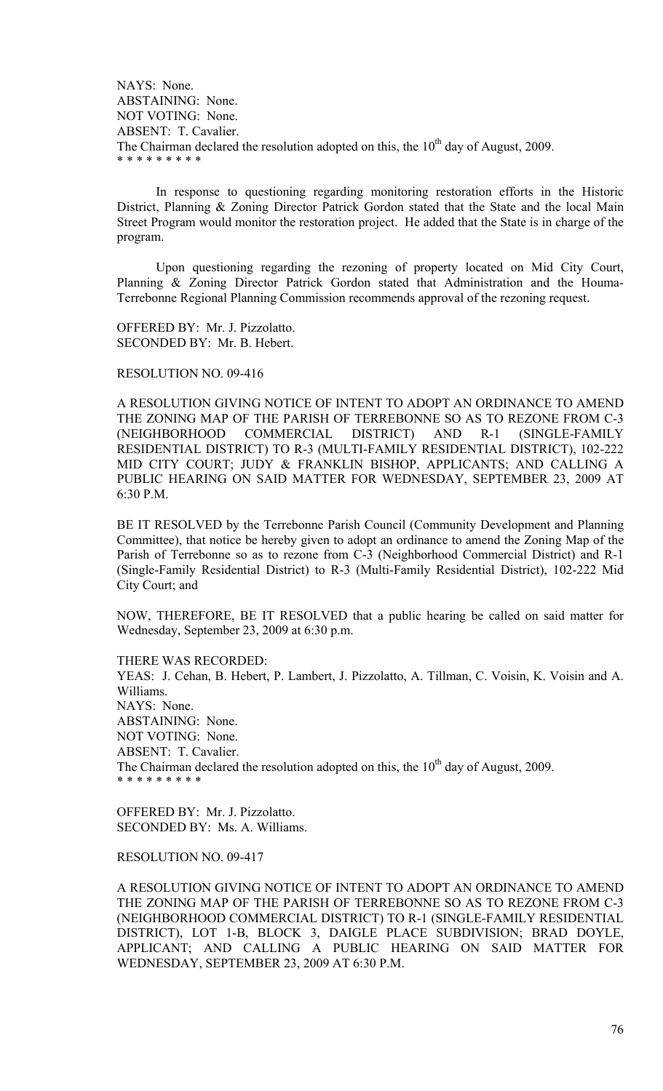NAYS: None. ABSTAINING: None. NOT VOTING: None. ABSENT: T. Cavalier. The Chairman declared the resolution adopted on this, the  $10<sup>th</sup>$  day of August, 2009. \* \* \* \* \* \* \* \* \*

 In response to questioning regarding monitoring restoration efforts in the Historic District, Planning & Zoning Director Patrick Gordon stated that the State and the local Main Street Program would monitor the restoration project. He added that the State is in charge of the program.

Upon questioning regarding the rezoning of property located on Mid City Court, Planning & Zoning Director Patrick Gordon stated that Administration and the Houma-Terrebonne Regional Planning Commission recommends approval of the rezoning request.

OFFERED BY: Mr. J. Pizzolatto. SECONDED BY: Mr. B. Hebert.

RESOLUTION NO. 09-416

A RESOLUTION GIVING NOTICE OF INTENT TO ADOPT AN ORDINANCE TO AMEND THE ZONING MAP OF THE PARISH OF TERREBONNE SO AS TO REZONE FROM C-3 (NEIGHBORHOOD COMMERCIAL DISTRICT) AND R-1 (SINGLE-FAMILY RESIDENTIAL DISTRICT) TO R-3 (MULTI-FAMILY RESIDENTIAL DISTRICT), 102-222 MID CITY COURT; JUDY & FRANKLIN BISHOP, APPLICANTS; AND CALLING A PUBLIC HEARING ON SAID MATTER FOR WEDNESDAY, SEPTEMBER 23, 2009 AT 6:30 P.M.

BE IT RESOLVED by the Terrebonne Parish Council (Community Development and Planning Committee), that notice be hereby given to adopt an ordinance to amend the Zoning Map of the Parish of Terrebonne so as to rezone from C-3 (Neighborhood Commercial District) and R-1 (Single-Family Residential District) to R-3 (Multi-Family Residential District), 102-222 Mid City Court; and

NOW, THEREFORE, BE IT RESOLVED that a public hearing be called on said matter for Wednesday, September 23, 2009 at 6:30 p.m.

THERE WAS RECORDED:

YEAS: J. Cehan, B. Hebert, P. Lambert, J. Pizzolatto, A. Tillman, C. Voisin, K. Voisin and A. Williams. NAYS: None. ABSTAINING: None. NOT VOTING: None. ABSENT: T. Cavalier. The Chairman declared the resolution adopted on this, the  $10<sup>th</sup>$  day of August, 2009. \* \* \* \* \* \* \* \* \*

OFFERED BY: Mr. J. Pizzolatto. SECONDED BY: Ms. A. Williams.

RESOLUTION NO. 09-417

A RESOLUTION GIVING NOTICE OF INTENT TO ADOPT AN ORDINANCE TO AMEND THE ZONING MAP OF THE PARISH OF TERREBONNE SO AS TO REZONE FROM C-3 (NEIGHBORHOOD COMMERCIAL DISTRICT) TO R-1 (SINGLE-FAMILY RESIDENTIAL DISTRICT), LOT 1-B, BLOCK 3, DAIGLE PLACE SUBDIVISION; BRAD DOYLE, APPLICANT; AND CALLING A PUBLIC HEARING ON SAID MATTER FOR WEDNESDAY, SEPTEMBER 23, 2009 AT 6:30 P.M.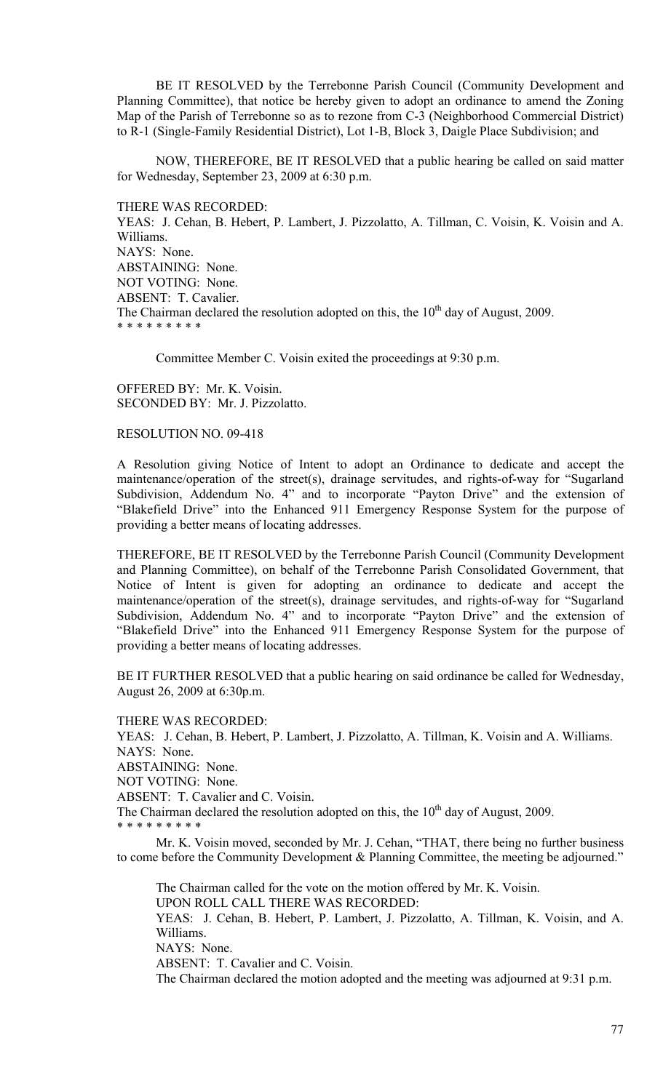BE IT RESOLVED by the Terrebonne Parish Council (Community Development and Planning Committee), that notice be hereby given to adopt an ordinance to amend the Zoning Map of the Parish of Terrebonne so as to rezone from C-3 (Neighborhood Commercial District) to R-1 (Single-Family Residential District), Lot 1-B, Block 3, Daigle Place Subdivision; and

NOW, THEREFORE, BE IT RESOLVED that a public hearing be called on said matter for Wednesday, September 23, 2009 at 6:30 p.m.

THERE WAS RECORDED:

YEAS: J. Cehan, B. Hebert, P. Lambert, J. Pizzolatto, A. Tillman, C. Voisin, K. Voisin and A. Williams. NAYS: None. ABSTAINING: None. NOT VOTING: None. ABSENT: T. Cavalier. The Chairman declared the resolution adopted on this, the  $10<sup>th</sup>$  day of August, 2009. \* \* \* \* \* \* \* \* \*

Committee Member C. Voisin exited the proceedings at 9:30 p.m.

OFFERED BY: Mr. K. Voisin. SECONDED BY: Mr. J. Pizzolatto.

## RESOLUTION NO. 09-418

A Resolution giving Notice of Intent to adopt an Ordinance to dedicate and accept the maintenance/operation of the street(s), drainage servitudes, and rights-of-way for "Sugarland Subdivision, Addendum No. 4" and to incorporate "Payton Drive" and the extension of "Blakefield Drive" into the Enhanced 911 Emergency Response System for the purpose of providing a better means of locating addresses.

THEREFORE, BE IT RESOLVED by the Terrebonne Parish Council (Community Development and Planning Committee), on behalf of the Terrebonne Parish Consolidated Government, that Notice of Intent is given for adopting an ordinance to dedicate and accept the maintenance/operation of the street(s), drainage servitudes, and rights-of-way for "Sugarland Subdivision, Addendum No. 4" and to incorporate "Payton Drive" and the extension of "Blakefield Drive" into the Enhanced 911 Emergency Response System for the purpose of providing a better means of locating addresses.

BE IT FURTHER RESOLVED that a public hearing on said ordinance be called for Wednesday, August 26, 2009 at 6:30p.m.

THERE WAS RECORDED:

YEAS: J. Cehan, B. Hebert, P. Lambert, J. Pizzolatto, A. Tillman, K. Voisin and A. Williams. NAYS: None. ABSTAINING: None.

NOT VOTING: None.

ABSENT: T. Cavalier and C. Voisin.

The Chairman declared the resolution adopted on this, the  $10<sup>th</sup>$  day of August, 2009.

\* \* \* \* \* \* \* \* \*

 Mr. K. Voisin moved, seconded by Mr. J. Cehan, "THAT, there being no further business to come before the Community Development & Planning Committee, the meeting be adjourned."

The Chairman called for the vote on the motion offered by Mr. K. Voisin.

UPON ROLL CALL THERE WAS RECORDED:

YEAS: J. Cehan, B. Hebert, P. Lambert, J. Pizzolatto, A. Tillman, K. Voisin, and A. Williams.

NAYS: None.

ABSENT: T. Cavalier and C. Voisin.

The Chairman declared the motion adopted and the meeting was adjourned at 9:31 p.m.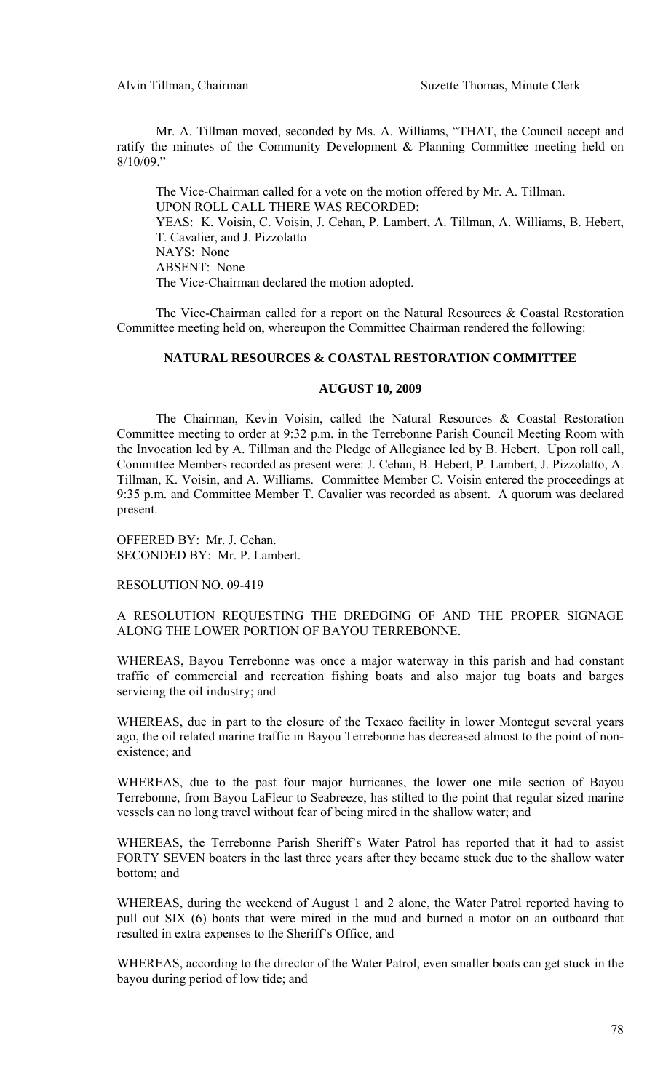Mr. A. Tillman moved, seconded by Ms. A. Williams, "THAT, the Council accept and ratify the minutes of the Community Development & Planning Committee meeting held on  $8/10/09$ ."

 The Vice-Chairman called for a vote on the motion offered by Mr. A. Tillman. UPON ROLL CALL THERE WAS RECORDED: YEAS: K. Voisin, C. Voisin, J. Cehan, P. Lambert, A. Tillman, A. Williams, B. Hebert, T. Cavalier, and J. Pizzolatto NAYS: None ABSENT: None The Vice-Chairman declared the motion adopted.

 The Vice-Chairman called for a report on the Natural Resources & Coastal Restoration Committee meeting held on, whereupon the Committee Chairman rendered the following:

### **NATURAL RESOURCES & COASTAL RESTORATION COMMITTEE**

### **AUGUST 10, 2009**

 The Chairman, Kevin Voisin, called the Natural Resources & Coastal Restoration Committee meeting to order at 9:32 p.m. in the Terrebonne Parish Council Meeting Room with the Invocation led by A. Tillman and the Pledge of Allegiance led by B. Hebert. Upon roll call, Committee Members recorded as present were: J. Cehan, B. Hebert, P. Lambert, J. Pizzolatto, A. Tillman, K. Voisin, and A. Williams. Committee Member C. Voisin entered the proceedings at 9:35 p.m. and Committee Member T. Cavalier was recorded as absent. A quorum was declared present.

OFFERED BY: Mr. J. Cehan. SECONDED BY: Mr. P. Lambert.

RESOLUTION NO. 09-419

A RESOLUTION REQUESTING THE DREDGING OF AND THE PROPER SIGNAGE ALONG THE LOWER PORTION OF BAYOU TERREBONNE.

WHEREAS, Bayou Terrebonne was once a major waterway in this parish and had constant traffic of commercial and recreation fishing boats and also major tug boats and barges servicing the oil industry; and

WHEREAS, due in part to the closure of the Texaco facility in lower Montegut several years ago, the oil related marine traffic in Bayou Terrebonne has decreased almost to the point of nonexistence; and

WHEREAS, due to the past four major hurricanes, the lower one mile section of Bayou Terrebonne, from Bayou LaFleur to Seabreeze, has stilted to the point that regular sized marine vessels can no long travel without fear of being mired in the shallow water; and

WHEREAS, the Terrebonne Parish Sheriff's Water Patrol has reported that it had to assist FORTY SEVEN boaters in the last three years after they became stuck due to the shallow water bottom; and

WHEREAS, during the weekend of August 1 and 2 alone, the Water Patrol reported having to pull out SIX (6) boats that were mired in the mud and burned a motor on an outboard that resulted in extra expenses to the Sheriff's Office, and

WHEREAS, according to the director of the Water Patrol, even smaller boats can get stuck in the bayou during period of low tide; and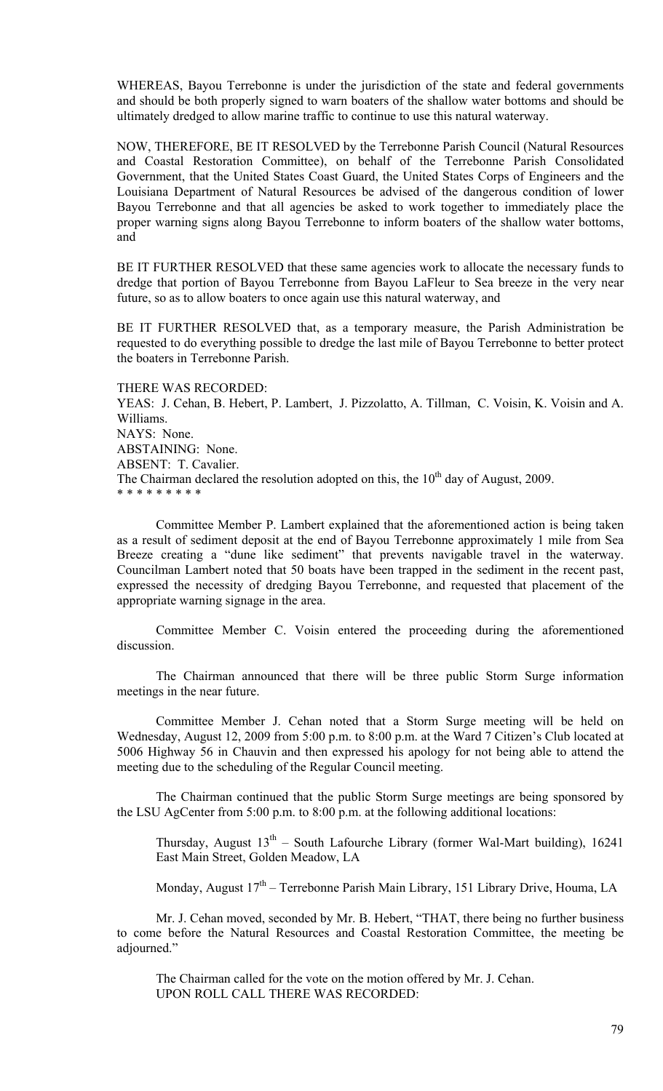WHEREAS, Bayou Terrebonne is under the jurisdiction of the state and federal governments and should be both properly signed to warn boaters of the shallow water bottoms and should be ultimately dredged to allow marine traffic to continue to use this natural waterway.

NOW, THEREFORE, BE IT RESOLVED by the Terrebonne Parish Council (Natural Resources and Coastal Restoration Committee), on behalf of the Terrebonne Parish Consolidated Government, that the United States Coast Guard, the United States Corps of Engineers and the Louisiana Department of Natural Resources be advised of the dangerous condition of lower Bayou Terrebonne and that all agencies be asked to work together to immediately place the proper warning signs along Bayou Terrebonne to inform boaters of the shallow water bottoms, and

BE IT FURTHER RESOLVED that these same agencies work to allocate the necessary funds to dredge that portion of Bayou Terrebonne from Bayou LaFleur to Sea breeze in the very near future, so as to allow boaters to once again use this natural waterway, and

BE IT FURTHER RESOLVED that, as a temporary measure, the Parish Administration be requested to do everything possible to dredge the last mile of Bayou Terrebonne to better protect the boaters in Terrebonne Parish.

THERE WAS RECORDED:

YEAS: J. Cehan, B. Hebert, P. Lambert, J. Pizzolatto, A. Tillman, C. Voisin, K. Voisin and A. Williams. NAYS: None. ABSTAINING: None. ABSENT: T. Cavalier. The Chairman declared the resolution adopted on this, the  $10<sup>th</sup>$  day of August, 2009. \* \* \* \* \* \* \* \* \*

 Committee Member P. Lambert explained that the aforementioned action is being taken as a result of sediment deposit at the end of Bayou Terrebonne approximately 1 mile from Sea Breeze creating a "dune like sediment" that prevents navigable travel in the waterway. Councilman Lambert noted that 50 boats have been trapped in the sediment in the recent past, expressed the necessity of dredging Bayou Terrebonne, and requested that placement of the appropriate warning signage in the area.

 Committee Member C. Voisin entered the proceeding during the aforementioned discussion.

 The Chairman announced that there will be three public Storm Surge information meetings in the near future.

 Committee Member J. Cehan noted that a Storm Surge meeting will be held on Wednesday, August 12, 2009 from 5:00 p.m. to 8:00 p.m. at the Ward 7 Citizen's Club located at 5006 Highway 56 in Chauvin and then expressed his apology for not being able to attend the meeting due to the scheduling of the Regular Council meeting.

The Chairman continued that the public Storm Surge meetings are being sponsored by the LSU AgCenter from 5:00 p.m. to 8:00 p.m. at the following additional locations:

Thursday, August  $13<sup>th</sup>$  – South Lafourche Library (former Wal-Mart building), 16241 East Main Street, Golden Meadow, LA

Monday, August  $17<sup>th</sup>$  – Terrebonne Parish Main Library, 151 Library Drive, Houma, LA

 Mr. J. Cehan moved, seconded by Mr. B. Hebert, "THAT, there being no further business to come before the Natural Resources and Coastal Restoration Committee, the meeting be adjourned."

 The Chairman called for the vote on the motion offered by Mr. J. Cehan. UPON ROLL CALL THERE WAS RECORDED: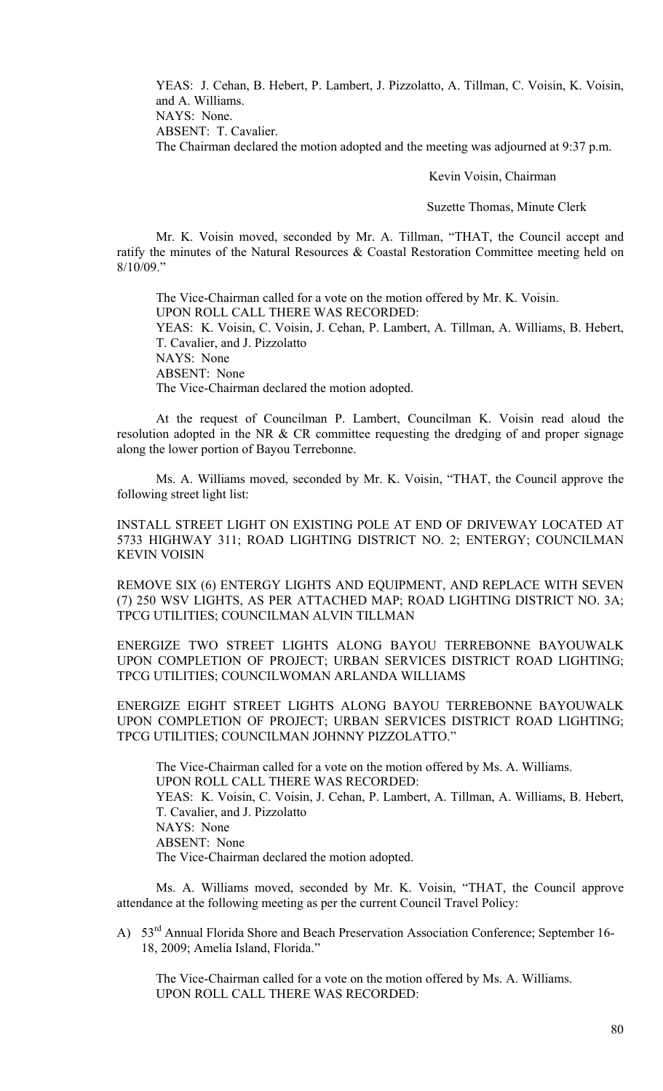YEAS: J. Cehan, B. Hebert, P. Lambert, J. Pizzolatto, A. Tillman, C. Voisin, K. Voisin, and A. Williams. NAYS: None. ABSENT: T. Cavalier.

The Chairman declared the motion adopted and the meeting was adjourned at 9:37 p.m.

Kevin Voisin, Chairman

Suzette Thomas, Minute Clerk

 Mr. K. Voisin moved, seconded by Mr. A. Tillman, "THAT, the Council accept and ratify the minutes of the Natural Resources & Coastal Restoration Committee meeting held on  $8/10/09$ ."

 The Vice-Chairman called for a vote on the motion offered by Mr. K. Voisin. UPON ROLL CALL THERE WAS RECORDED: YEAS: K. Voisin, C. Voisin, J. Cehan, P. Lambert, A. Tillman, A. Williams, B. Hebert, T. Cavalier, and J. Pizzolatto NAYS: None ABSENT: None The Vice-Chairman declared the motion adopted.

 At the request of Councilman P. Lambert, Councilman K. Voisin read aloud the resolution adopted in the NR & CR committee requesting the dredging of and proper signage along the lower portion of Bayou Terrebonne.

 Ms. A. Williams moved, seconded by Mr. K. Voisin, "THAT, the Council approve the following street light list:

INSTALL STREET LIGHT ON EXISTING POLE AT END OF DRIVEWAY LOCATED AT 5733 HIGHWAY 311; ROAD LIGHTING DISTRICT NO. 2; ENTERGY; COUNCILMAN KEVIN VOISIN

REMOVE SIX (6) ENTERGY LIGHTS AND EQUIPMENT, AND REPLACE WITH SEVEN (7) 250 WSV LIGHTS, AS PER ATTACHED MAP; ROAD LIGHTING DISTRICT NO. 3A; TPCG UTILITIES; COUNCILMAN ALVIN TILLMAN

ENERGIZE TWO STREET LIGHTS ALONG BAYOU TERREBONNE BAYOUWALK UPON COMPLETION OF PROJECT; URBAN SERVICES DISTRICT ROAD LIGHTING; TPCG UTILITIES; COUNCILWOMAN ARLANDA WILLIAMS

ENERGIZE EIGHT STREET LIGHTS ALONG BAYOU TERREBONNE BAYOUWALK UPON COMPLETION OF PROJECT; URBAN SERVICES DISTRICT ROAD LIGHTING; TPCG UTILITIES; COUNCILMAN JOHNNY PIZZOLATTO."

The Vice-Chairman called for a vote on the motion offered by Ms. A. Williams. UPON ROLL CALL THERE WAS RECORDED: YEAS: K. Voisin, C. Voisin, J. Cehan, P. Lambert, A. Tillman, A. Williams, B. Hebert, T. Cavalier, and J. Pizzolatto NAYS: None ABSENT: None The Vice-Chairman declared the motion adopted.

 Ms. A. Williams moved, seconded by Mr. K. Voisin, "THAT, the Council approve attendance at the following meeting as per the current Council Travel Policy:

A) 53<sup>rd</sup> Annual Florida Shore and Beach Preservation Association Conference; September 16-18, 2009; Amelia Island, Florida."

 The Vice-Chairman called for a vote on the motion offered by Ms. A. Williams. UPON ROLL CALL THERE WAS RECORDED: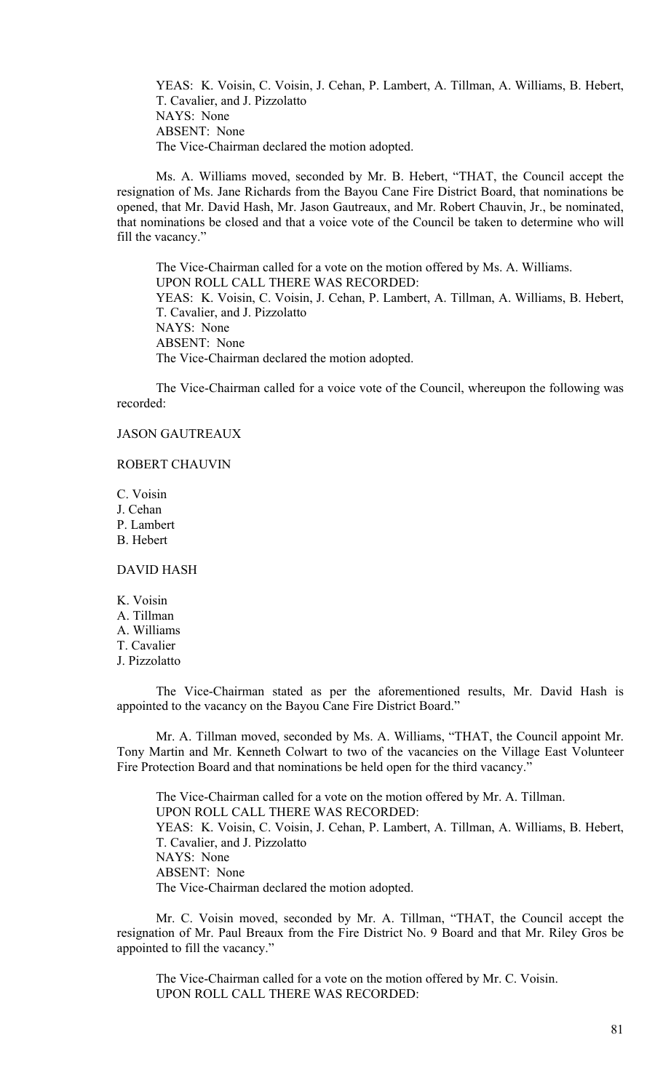YEAS: K. Voisin, C. Voisin, J. Cehan, P. Lambert, A. Tillman, A. Williams, B. Hebert, T. Cavalier, and J. Pizzolatto NAYS: None ABSENT: None The Vice-Chairman declared the motion adopted.

 Ms. A. Williams moved, seconded by Mr. B. Hebert, "THAT, the Council accept the resignation of Ms. Jane Richards from the Bayou Cane Fire District Board, that nominations be opened, that Mr. David Hash, Mr. Jason Gautreaux, and Mr. Robert Chauvin, Jr., be nominated, that nominations be closed and that a voice vote of the Council be taken to determine who will fill the vacancy."

 The Vice-Chairman called for a vote on the motion offered by Ms. A. Williams. UPON ROLL CALL THERE WAS RECORDED: YEAS: K. Voisin, C. Voisin, J. Cehan, P. Lambert, A. Tillman, A. Williams, B. Hebert, T. Cavalier, and J. Pizzolatto NAYS: None ABSENT: None The Vice-Chairman declared the motion adopted.

 The Vice-Chairman called for a voice vote of the Council, whereupon the following was recorded:

## JASON GAUTREAUX

### ROBERT CHAUVIN

C. Voisin J. Cehan P. Lambert B. Hebert

# DAVID HASH

K. Voisin A. Tillman A. Williams T. Cavalier J. Pizzolatto

The Vice-Chairman stated as per the aforementioned results, Mr. David Hash is appointed to the vacancy on the Bayou Cane Fire District Board."

Mr. A. Tillman moved, seconded by Ms. A. Williams, "THAT, the Council appoint Mr. Tony Martin and Mr. Kenneth Colwart to two of the vacancies on the Village East Volunteer Fire Protection Board and that nominations be held open for the third vacancy."

The Vice-Chairman called for a vote on the motion offered by Mr. A. Tillman. UPON ROLL CALL THERE WAS RECORDED: YEAS: K. Voisin, C. Voisin, J. Cehan, P. Lambert, A. Tillman, A. Williams, B. Hebert, T. Cavalier, and J. Pizzolatto NAYS: None ABSENT: None The Vice-Chairman declared the motion adopted.

Mr. C. Voisin moved, seconded by Mr. A. Tillman, "THAT, the Council accept the resignation of Mr. Paul Breaux from the Fire District No. 9 Board and that Mr. Riley Gros be appointed to fill the vacancy."

The Vice-Chairman called for a vote on the motion offered by Mr. C. Voisin. UPON ROLL CALL THERE WAS RECORDED: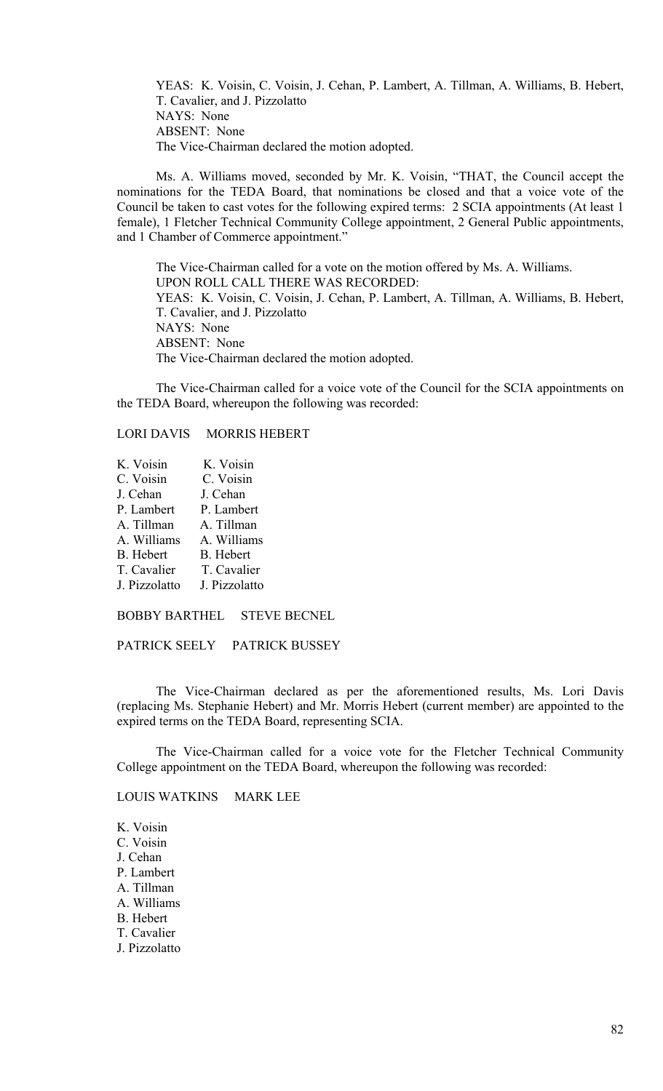YEAS: K. Voisin, C. Voisin, J. Cehan, P. Lambert, A. Tillman, A. Williams, B. Hebert, T. Cavalier, and J. Pizzolatto NAYS: None ABSENT: None The Vice-Chairman declared the motion adopted.

Ms. A. Williams moved, seconded by Mr. K. Voisin, "THAT, the Council accept the nominations for the TEDA Board, that nominations be closed and that a voice vote of the Council be taken to cast votes for the following expired terms: 2 SCIA appointments (At least 1 female), 1 Fletcher Technical Community College appointment, 2 General Public appointments, and 1 Chamber of Commerce appointment."

The Vice-Chairman called for a vote on the motion offered by Ms. A. Williams. UPON ROLL CALL THERE WAS RECORDED: YEAS: K. Voisin, C. Voisin, J. Cehan, P. Lambert, A. Tillman, A. Williams, B. Hebert, T. Cavalier, and J. Pizzolatto NAYS: None ABSENT: None The Vice-Chairman declared the motion adopted.

The Vice-Chairman called for a voice vote of the Council for the SCIA appointments on the TEDA Board, whereupon the following was recorded:

# LORI DAVIS MORRIS HEBERT

K. Voisin K. Voisin<br>C. Voisin C. Voisin C. Voisin J. Cehan J. Cehan P. Lambert P. Lambert A. Tillman A. Tillman A. Williams A. Williams B. Hebert B. Hebert T. Cavalier T. Cavalier J. Pizzolatto J. Pizzolatto

BOBBY BARTHEL STEVE BECNEL

PATRICK SEELY PATRICK BUSSEY

The Vice-Chairman declared as per the aforementioned results, Ms. Lori Davis (replacing Ms. Stephanie Hebert) and Mr. Morris Hebert (current member) are appointed to the expired terms on the TEDA Board, representing SCIA.

The Vice-Chairman called for a voice vote for the Fletcher Technical Community College appointment on the TEDA Board, whereupon the following was recorded:

LOUIS WATKINS MARK LEE

K. Voisin C. Voisin J. Cehan P. Lambert A. Tillman A. Williams B. Hebert T. Cavalier J. Pizzolatto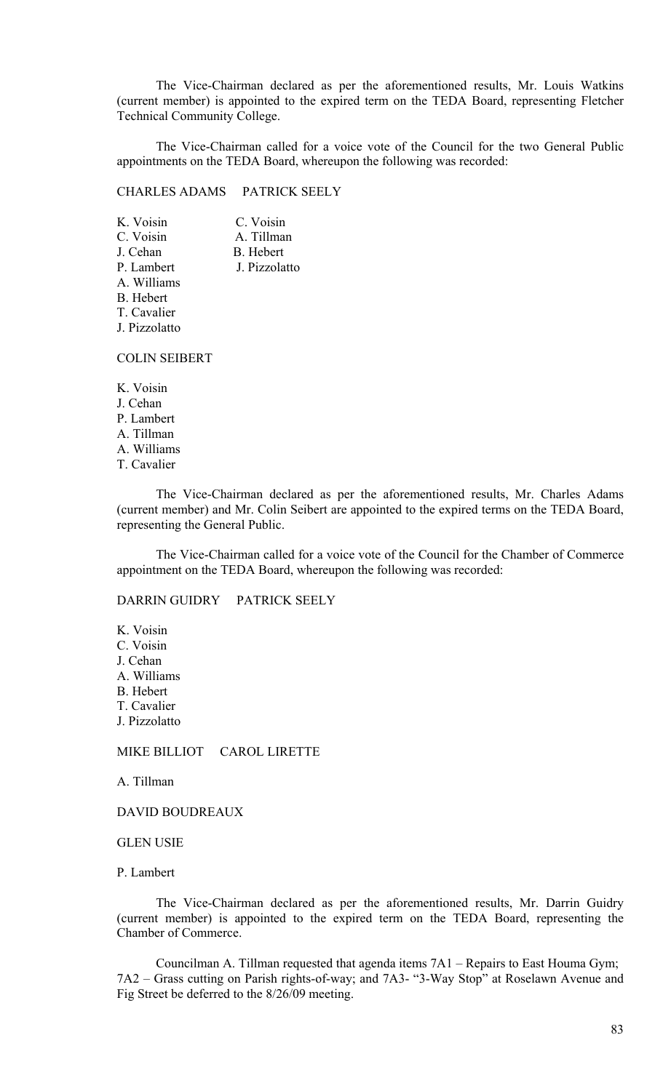The Vice-Chairman declared as per the aforementioned results, Mr. Louis Watkins (current member) is appointed to the expired term on the TEDA Board, representing Fletcher Technical Community College.

The Vice-Chairman called for a voice vote of the Council for the two General Public appointments on the TEDA Board, whereupon the following was recorded:

CHARLES ADAMS PATRICK SEELY

| K. Voisin        | C. Voisin     |
|------------------|---------------|
| C. Voisin        | A. Tillman    |
| J. Cehan         | B. Hebert     |
| P. Lambert       | J. Pizzolatto |
| A. Williams      |               |
| <b>B.</b> Hebert |               |
| T. Cavalier      |               |
| J. Pizzolatto    |               |
|                  |               |

COLIN SEIBERT

K. Voisin J. Cehan P. Lambert A. Tillman A. Williams T. Cavalier

The Vice-Chairman declared as per the aforementioned results, Mr. Charles Adams (current member) and Mr. Colin Seibert are appointed to the expired terms on the TEDA Board, representing the General Public.

The Vice-Chairman called for a voice vote of the Council for the Chamber of Commerce appointment on the TEDA Board, whereupon the following was recorded:

DARRIN GUIDRY PATRICK SEELY

K. Voisin C. Voisin J. Cehan A. Williams B. Hebert T. Cavalier J. Pizzolatto

MIKE BILLIOT CAROL LIRETTE

A. Tillman

DAVID BOUDREAUX

GLEN USIE

P. Lambert

The Vice-Chairman declared as per the aforementioned results, Mr. Darrin Guidry (current member) is appointed to the expired term on the TEDA Board, representing the Chamber of Commerce.

Councilman A. Tillman requested that agenda items 7A1 – Repairs to East Houma Gym; 7A2 – Grass cutting on Parish rights-of-way; and 7A3- "3-Way Stop" at Roselawn Avenue and Fig Street be deferred to the 8/26/09 meeting.